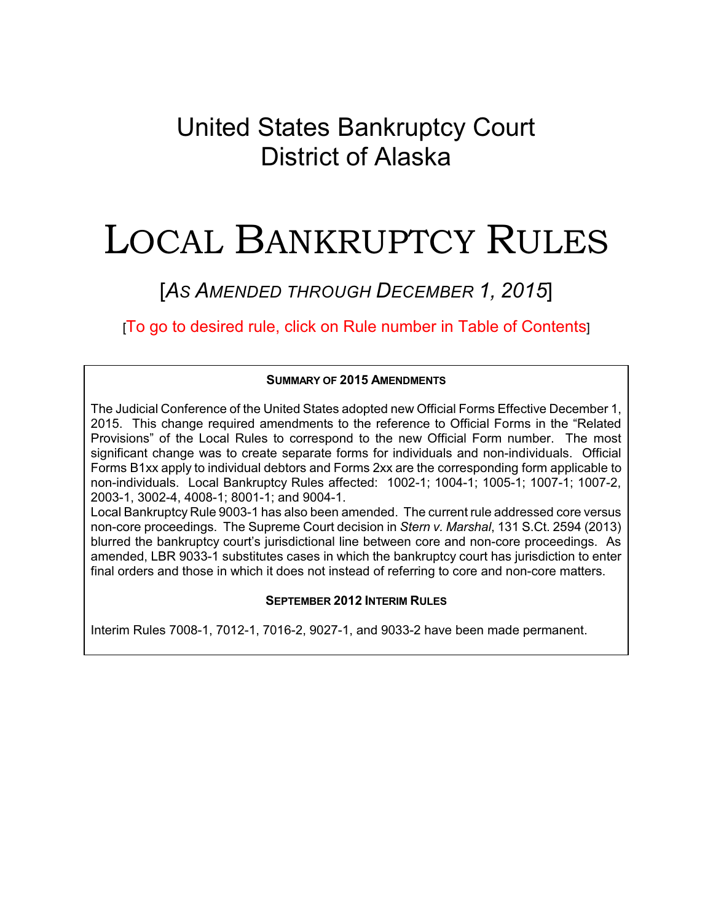## United States Bankruptcy Court District of Alaska

# LOCAL BANKRUPTCY RULES

## [*AS AMENDED THROUGH DECEMBER 1, 2015*]

[To go to desired rule, click on Rule number in Table of Contents]

#### **SUMMARY OF 2015 AMENDMENTS**

The Judicial Conference of the United States adopted new Official Forms Effective December 1, 2015. This change required amendments to the reference to Official Forms in the "Related Provisions" of the Local Rules to correspond to the new Official Form number. The most significant change was to create separate forms for individuals and non-individuals. Official Forms B1xx apply to individual debtors and Forms 2xx are the corresponding form applicable to non-individuals. Local Bankruptcy Rules affected: 1002-1; 1004-1; 1005-1; 1007-1; 1007-2, 2003-1, 3002-4, 4008-1; 8001-1; and 9004-1.

Local Bankruptcy Rule 9003-1 has also been amended. The current rule addressed core versus non-core proceedings. The Supreme Court decision in *Stern v. Marshal*, 131 S.Ct. 2594 (2013) blurred the bankruptcy court's jurisdictional line between core and non-core proceedings. As amended, LBR 9033-1 substitutes cases in which the bankruptcy court has jurisdiction to enter final orders and those in which it does not instead of referring to core and non-core matters.

#### **SEPTEMBER 2012 INTERIM RULES**

Interim Rules 7008-1, 7012-1, 7016-2, 9027-1, and 9033-2 have been made permanent.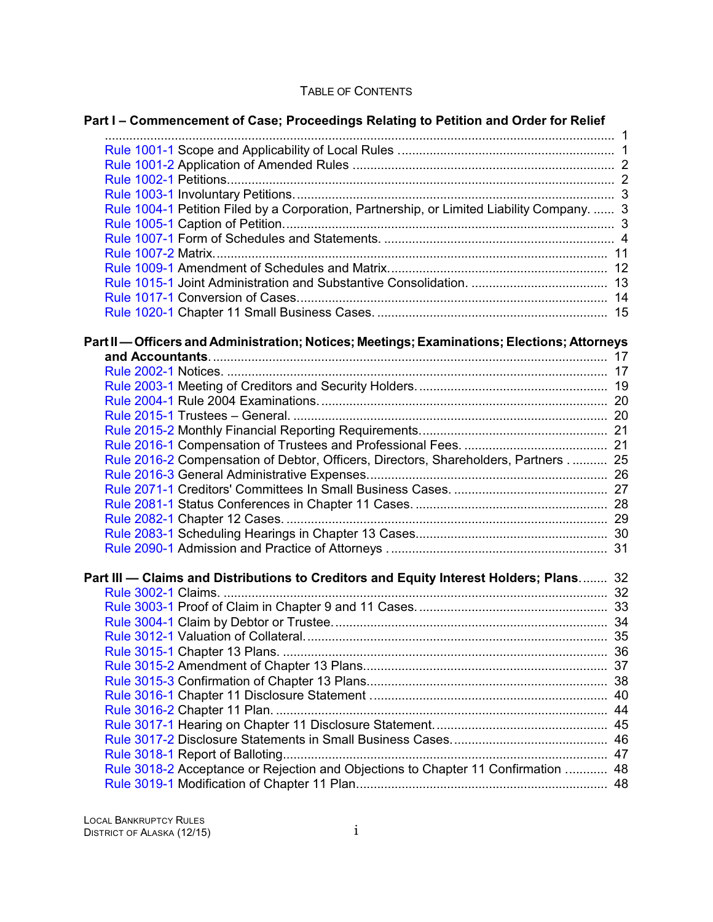#### TABLE OF CONTENTS

| Part I – Commencement of Case; Proceedings Relating to Petition and Order for Relief         |    |  |
|----------------------------------------------------------------------------------------------|----|--|
|                                                                                              |    |  |
|                                                                                              |    |  |
|                                                                                              |    |  |
|                                                                                              |    |  |
|                                                                                              |    |  |
| Rule 1004-1 Petition Filed by a Corporation, Partnership, or Limited Liability Company.  3   |    |  |
|                                                                                              |    |  |
|                                                                                              |    |  |
|                                                                                              |    |  |
|                                                                                              |    |  |
|                                                                                              |    |  |
|                                                                                              |    |  |
|                                                                                              |    |  |
| Part II — Officers and Administration; Notices; Meetings; Examinations; Elections; Attorneys |    |  |
|                                                                                              |    |  |
|                                                                                              |    |  |
|                                                                                              |    |  |
|                                                                                              |    |  |
|                                                                                              |    |  |
|                                                                                              |    |  |
|                                                                                              |    |  |
| Rule 2016-2 Compensation of Debtor, Officers, Directors, Shareholders, Partners  25          |    |  |
|                                                                                              |    |  |
|                                                                                              |    |  |
|                                                                                              |    |  |
|                                                                                              |    |  |
|                                                                                              |    |  |
|                                                                                              |    |  |
| Part III - Claims and Distributions to Creditors and Equity Interest Holders; Plans 32       |    |  |
|                                                                                              |    |  |
|                                                                                              |    |  |
|                                                                                              |    |  |
|                                                                                              |    |  |
|                                                                                              |    |  |
|                                                                                              |    |  |
|                                                                                              |    |  |
|                                                                                              |    |  |
|                                                                                              |    |  |
|                                                                                              |    |  |
|                                                                                              | 46 |  |
|                                                                                              | 47 |  |
| Rule 3018-2 Acceptance or Rejection and Objections to Chapter 11 Confirmation  48            |    |  |
|                                                                                              |    |  |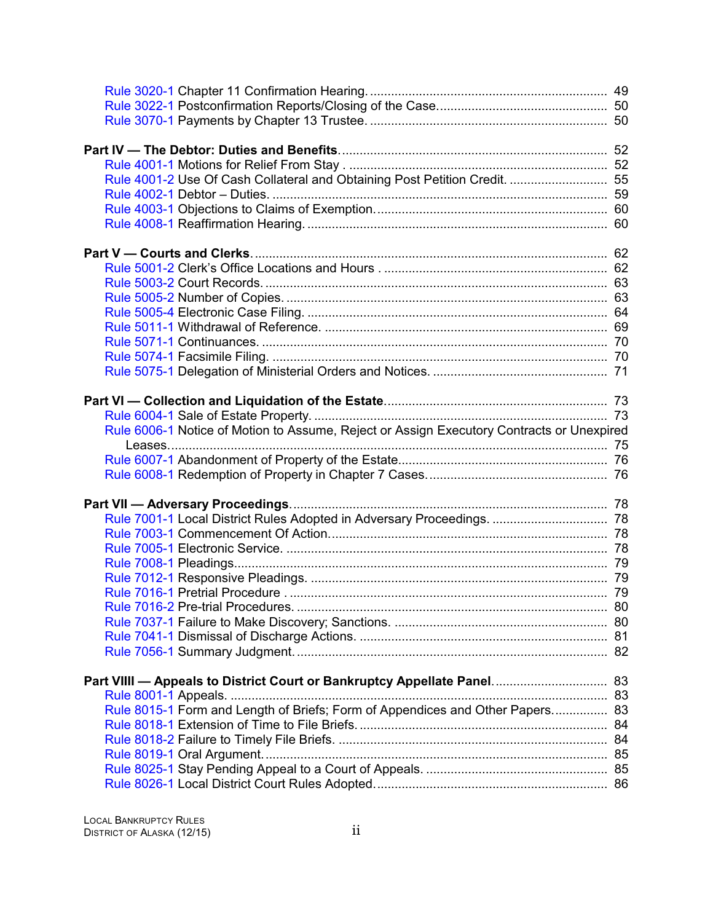| Rule 4001-2 Use Of Cash Collateral and Obtaining Post Petition Credit.  55                |  |
|-------------------------------------------------------------------------------------------|--|
|                                                                                           |  |
|                                                                                           |  |
|                                                                                           |  |
|                                                                                           |  |
|                                                                                           |  |
|                                                                                           |  |
|                                                                                           |  |
|                                                                                           |  |
|                                                                                           |  |
|                                                                                           |  |
|                                                                                           |  |
|                                                                                           |  |
|                                                                                           |  |
|                                                                                           |  |
| Rule 6006-1 Notice of Motion to Assume, Reject or Assign Executory Contracts or Unexpired |  |
|                                                                                           |  |
|                                                                                           |  |
|                                                                                           |  |
|                                                                                           |  |
|                                                                                           |  |
|                                                                                           |  |
|                                                                                           |  |
|                                                                                           |  |
|                                                                                           |  |
|                                                                                           |  |
|                                                                                           |  |
|                                                                                           |  |
|                                                                                           |  |
|                                                                                           |  |
|                                                                                           |  |
|                                                                                           |  |
| Rule 8015-1 Form and Length of Briefs; Form of Appendices and Other Papers 83             |  |
|                                                                                           |  |
|                                                                                           |  |
|                                                                                           |  |
|                                                                                           |  |
|                                                                                           |  |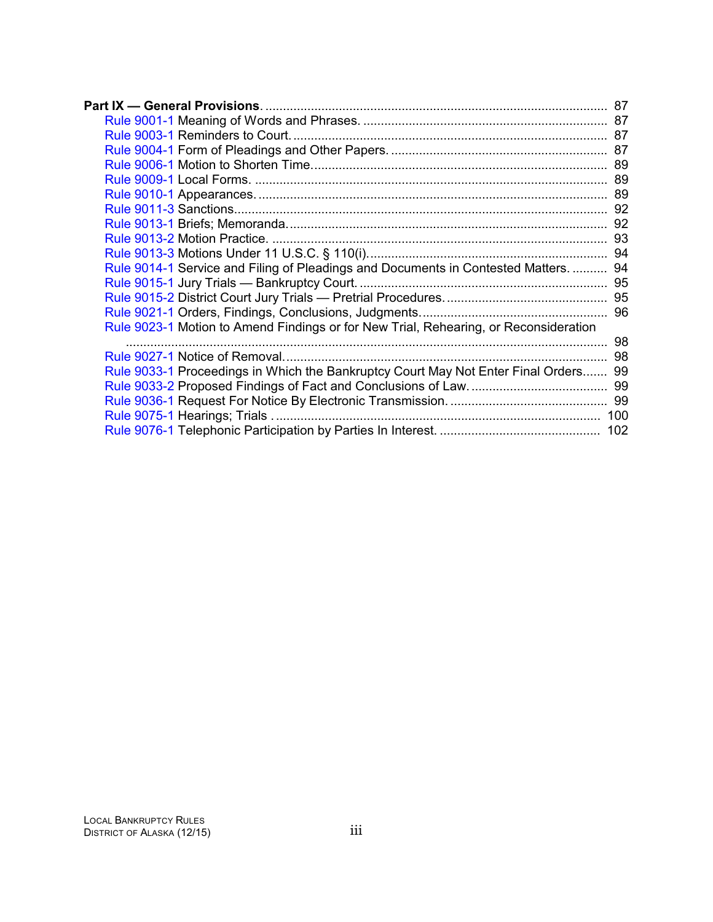|  | Rule 9014-1 Service and Filing of Pleadings and Documents in Contested Matters.  94  |     |
|--|--------------------------------------------------------------------------------------|-----|
|  |                                                                                      |     |
|  |                                                                                      |     |
|  |                                                                                      |     |
|  | Rule 9023-1 Motion to Amend Findings or for New Trial, Rehearing, or Reconsideration |     |
|  |                                                                                      | 98  |
|  |                                                                                      |     |
|  | Rule 9033-1 Proceedings in Which the Bankruptcy Court May Not Enter Final Orders 99  |     |
|  |                                                                                      |     |
|  |                                                                                      |     |
|  |                                                                                      | 100 |
|  |                                                                                      |     |
|  |                                                                                      |     |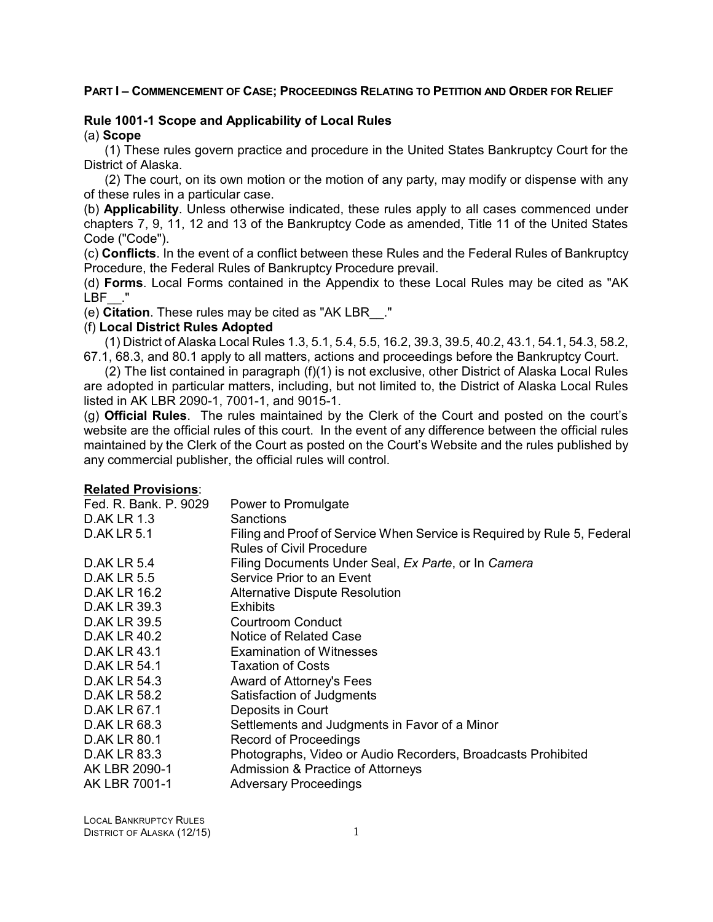#### <span id="page-4-0"></span>**PART I - COMMENCEMENT OF CASE: PROCEEDINGS RELATING TO PETITION AND ORDER FOR RELIEF**

### **Rule 1001-1 Scope and Applicability of Local Rules**

(a) **Scope**

(1) These rules govern practice and procedure in the United States Bankruptcy Court for the District of Alaska.

(2) The court, on its own motion or the motion of any party, may modify or dispense with any of these rules in a particular case.

(b) **Applicability**. Unless otherwise indicated, these rules apply to all cases commenced under chapters 7, 9, 11, 12 and 13 of the Bankruptcy Code as amended, Title 11 of the United States Code ("Code").

(c) **Conflicts**. In the event of a conflict between these Rules and the Federal Rules of Bankruptcy Procedure, the Federal Rules of Bankruptcy Procedure prevail.

(d) **Forms**. Local Forms contained in the Appendix to these Local Rules may be cited as "AK  $LBF$   $\ddot{ }$ ."

(e) **Citation**. These rules may be cited as "AK LBR\_\_."

#### (f) **Local District Rules Adopted**

(1) District of Alaska Local Rules 1.3, 5.1, 5.4, 5.5, 16.2, 39.3, 39.5, 40.2, 43.1, 54.1, 54.3, 58.2, 67.1, 68.3, and 80.1 apply to all matters, actions and proceedings before the Bankruptcy Court.

(2) The list contained in paragraph (f)(1) is not exclusive, other District of Alaska Local Rules are adopted in particular matters, including, but not limited to, the District of Alaska Local Rules listed in AK LBR 2090-1, 7001-1, and 9015-1.

(g) **Official Rules**. The rules maintained by the Clerk of the Court and posted on the court's website are the official rules of this court. In the event of any difference between the official rules maintained by the Clerk of the Court as posted on the Court's Website and the rules published by any commercial publisher, the official rules will control.

| Fed. R. Bank. P. 9029 | Power to Promulgate                                                     |
|-----------------------|-------------------------------------------------------------------------|
| <b>D.AK LR 1.3</b>    | Sanctions                                                               |
| <b>D.AK LR 5.1</b>    | Filing and Proof of Service When Service is Required by Rule 5, Federal |
|                       | <b>Rules of Civil Procedure</b>                                         |
| <b>D.AK LR 5.4</b>    | Filing Documents Under Seal, Ex Parte, or In Camera                     |
| <b>D.AK LR 5.5</b>    | Service Prior to an Event                                               |
| <b>D.AK LR 16.2</b>   | <b>Alternative Dispute Resolution</b>                                   |
| <b>D.AK LR 39.3</b>   | Exhibits                                                                |
| <b>D.AK LR 39.5</b>   | Courtroom Conduct                                                       |
| D.AK LR 40.2          | Notice of Related Case                                                  |
| <b>D.AK LR 43.1</b>   | <b>Examination of Witnesses</b>                                         |
| <b>D.AK LR 54.1</b>   | <b>Taxation of Costs</b>                                                |
| <b>D.AK LR 54.3</b>   | Award of Attorney's Fees                                                |
| D.AK LR 58.2          | Satisfaction of Judgments                                               |
| D.AK LR 67.1          | Deposits in Court                                                       |
| D.AK LR 68.3          | Settlements and Judgments in Favor of a Minor                           |
| <b>D.AK LR 80.1</b>   | <b>Record of Proceedings</b>                                            |
| D.AK LR 83.3          | Photographs, Video or Audio Recorders, Broadcasts Prohibited            |
| AK LBR 2090-1         | Admission & Practice of Attorneys                                       |
| AK LBR 7001-1         | <b>Adversary Proceedings</b>                                            |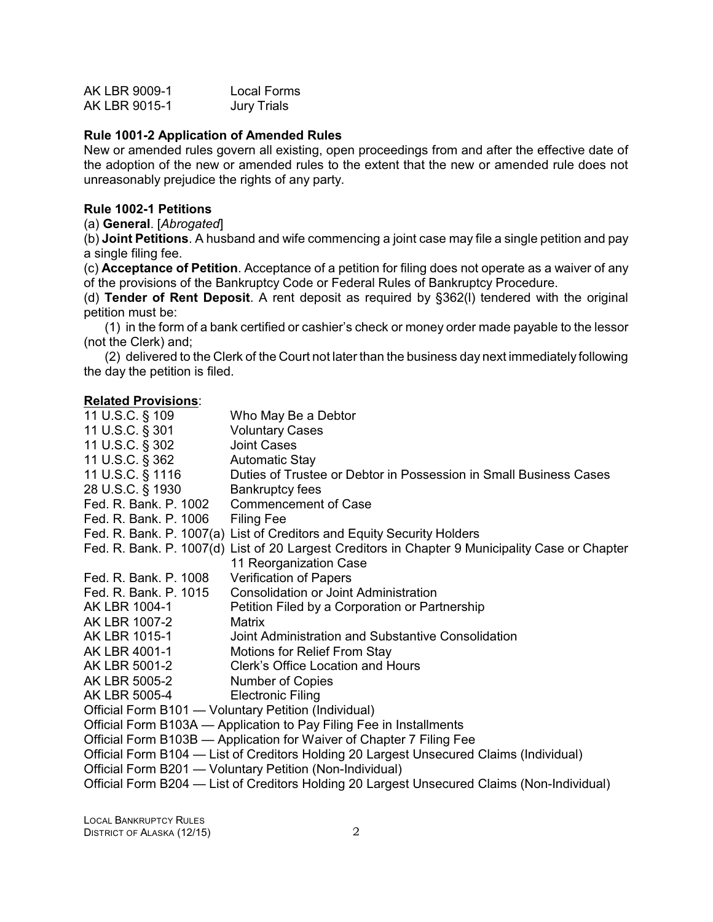<span id="page-5-0"></span>

| AK LBR 9009-1 | Local Forms        |
|---------------|--------------------|
| AK LBR 9015-1 | <b>Jury Trials</b> |

#### **Rule 1001-2 Application of Amended Rules**

New or amended rules govern all existing, open proceedings from and after the effective date of the adoption of the new or amended rules to the extent that the new or amended rule does not unreasonably prejudice the rights of any party.

#### **Rule 1002-1 Petitions**

(a) **General**. [*Abrogated*]

(b) **Joint Petitions**. A husband and wife commencing a joint case may file a single petition and pay a single filing fee.

(c) **Acceptance of Petition**. Acceptance of a petition for filing does not operate as a waiver of any of the provisions of the Bankruptcy Code or Federal Rules of Bankruptcy Procedure.

(d) **Tender of Rent Deposit**. A rent deposit as required by §362(l) tendered with the original petition must be:

(1) in the form of a bank certified or cashier's check or money order made payable to the lessor (not the Clerk) and;

(2) delivered to the Clerk of the Court not later than the business day next immediately following the day the petition is filed.

| 11 U.S.C. § 109       | Who May Be a Debtor                                                                             |
|-----------------------|-------------------------------------------------------------------------------------------------|
| 11 U.S.C. § 301       | <b>Voluntary Cases</b>                                                                          |
| 11 U.S.C. § 302       | <b>Joint Cases</b>                                                                              |
| 11 U.S.C. § 362       | <b>Automatic Stay</b>                                                                           |
| 11 U.S.C. § 1116      | Duties of Trustee or Debtor in Possession in Small Business Cases                               |
| 28 U.S.C. § 1930      | <b>Bankruptcy fees</b>                                                                          |
| Fed. R. Bank. P. 1002 | <b>Commencement of Case</b>                                                                     |
| Fed. R. Bank. P. 1006 | <b>Filing Fee</b>                                                                               |
|                       | Fed. R. Bank. P. 1007(a) List of Creditors and Equity Security Holders                          |
|                       | Fed. R. Bank. P. 1007(d) List of 20 Largest Creditors in Chapter 9 Municipality Case or Chapter |
|                       | 11 Reorganization Case                                                                          |
| Fed. R. Bank. P. 1008 | <b>Verification of Papers</b>                                                                   |
| Fed. R. Bank. P. 1015 | <b>Consolidation or Joint Administration</b>                                                    |
| AK LBR 1004-1         | Petition Filed by a Corporation or Partnership                                                  |
| AK LBR 1007-2         | Matrix                                                                                          |
| AK LBR 1015-1         | Joint Administration and Substantive Consolidation                                              |
| AK LBR 4001-1         | Motions for Relief From Stay                                                                    |
| AK LBR 5001-2         | Clerk's Office Location and Hours                                                               |
| AK LBR 5005-2         | <b>Number of Copies</b>                                                                         |
| AK LBR 5005-4         | <b>Electronic Filing</b>                                                                        |
|                       | Official Form B101 - Voluntary Petition (Individual)                                            |
|                       | Official Form B103A - Application to Pay Filing Fee in Installments                             |
|                       | Official Form B103B - Application for Waiver of Chapter 7 Filing Fee                            |
|                       | Official Form B104 — List of Creditors Holding 20 Largest Unsecured Claims (Individual)         |
|                       | Official Form B201 - Voluntary Petition (Non-Individual)                                        |
|                       | Official Form B204 — List of Creditors Holding 20 Largest Unsecured Claims (Non-Individual)     |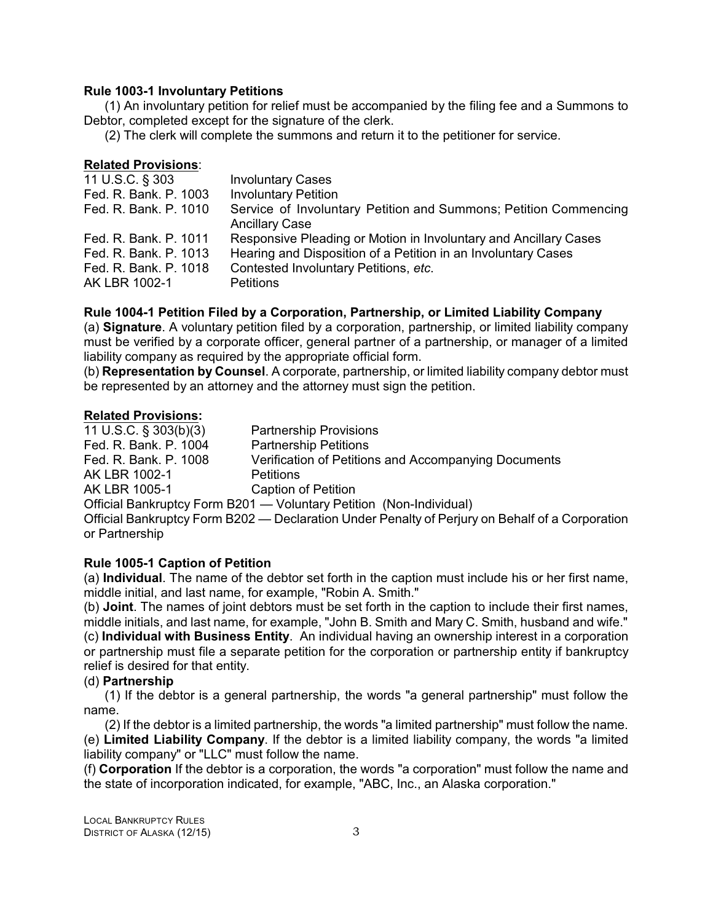#### <span id="page-6-0"></span>**Rule 1003-1 Involuntary Petitions**

(1) An involuntary petition for relief must be accompanied by the filing fee and a Summons to Debtor, completed except for the signature of the clerk.

(2) The clerk will complete the summons and return it to the petitioner for service.

#### **Related Provisions**:

| 11 U.S.C. § 303       | <b>Involuntary Cases</b>                                                                  |
|-----------------------|-------------------------------------------------------------------------------------------|
| Fed. R. Bank. P. 1003 | <b>Involuntary Petition</b>                                                               |
| Fed. R. Bank. P. 1010 | Service of Involuntary Petition and Summons; Petition Commencing<br><b>Ancillary Case</b> |
| Fed. R. Bank. P. 1011 | Responsive Pleading or Motion in Involuntary and Ancillary Cases                          |
| Fed. R. Bank. P. 1013 | Hearing and Disposition of a Petition in an Involuntary Cases                             |
| Fed. R. Bank. P. 1018 | Contested Involuntary Petitions, etc.                                                     |
| AK LBR 1002-1         | <b>Petitions</b>                                                                          |

#### **Rule 1004-1 Petition Filed by a Corporation, Partnership, or Limited Liability Company**

(a) **Signature**. A voluntary petition filed by a corporation, partnership, or limited liability company must be verified by a corporate officer, general partner of a partnership, or manager of a limited liability company as required by the appropriate official form.

(b) **Representation by Counsel**. A corporate, partnership, or limited liability company debtor must be represented by an attorney and the attorney must sign the petition.

#### **Related Provisions:**

11 U.S.C. § 303(b)(3) Partnership Provisions Fed. R. Bank. P. 1004 Partnership Petitions Fed. R. Bank. P. 1008 Verification of Petitions and Accompanying Documents AK LBR 1002-1 Petitions AK LBR 1005-1 Caption of Petition Official Bankruptcy Form B201 — Voluntary Petition (Non-Individual) Official Bankruptcy Form B202 — Declaration Under Penalty of Perjury on Behalf of a Corporation or Partnership

#### **Rule 1005-1 Caption of Petition**

(a) **Individual**. The name of the debtor set forth in the caption must include his or her first name, middle initial, and last name, for example, "Robin A. Smith."

(b) **Joint**. The names of joint debtors must be set forth in the caption to include their first names, middle initials, and last name, for example, "John B. Smith and Mary C. Smith, husband and wife." (c) **Individual with Business Entity**. An individual having an ownership interest in a corporation or partnership must file a separate petition for the corporation or partnership entity if bankruptcy relief is desired for that entity.

#### (d) **Partnership**

(1) If the debtor is a general partnership, the words "a general partnership" must follow the name.

(2) If the debtor is a limited partnership, the words "a limited partnership" must follow the name. (e) **Limited Liability Company**. If the debtor is a limited liability company, the words "a limited liability company" or "LLC" must follow the name.

(f) **Corporation** If the debtor is a corporation, the words "a corporation" must follow the name and the state of incorporation indicated, for example, "ABC, Inc., an Alaska corporation."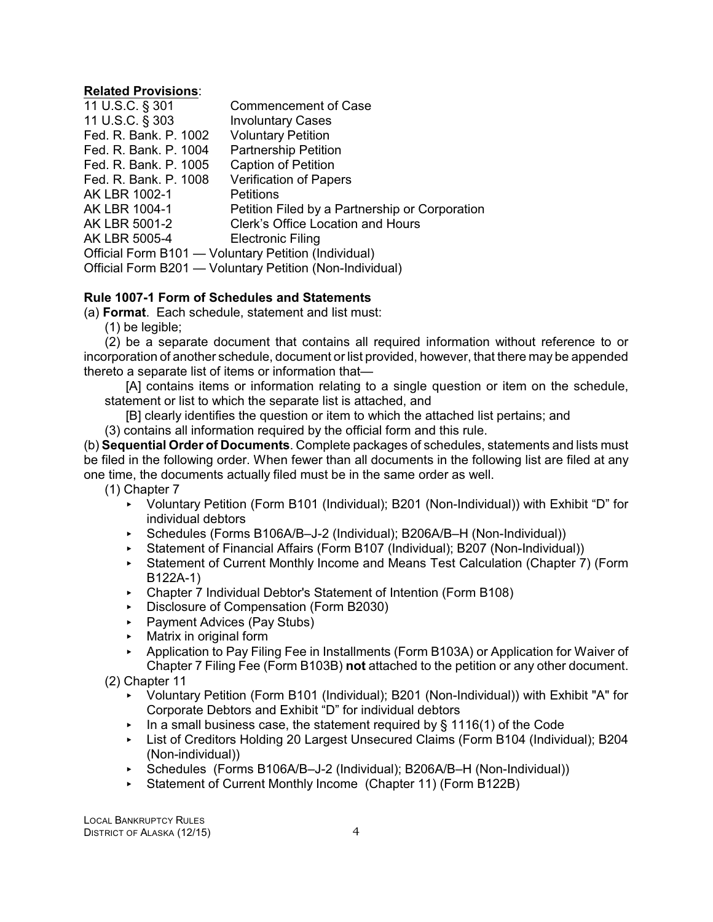#### <span id="page-7-0"></span>**Related Provisions**:

| 11 U.S.C. § 301                                          | <b>Commencement of Case</b>                    |  |
|----------------------------------------------------------|------------------------------------------------|--|
| 11 U.S.C. § 303                                          | <b>Involuntary Cases</b>                       |  |
| Fed. R. Bank. P. 1002                                    | <b>Voluntary Petition</b>                      |  |
| Fed. R. Bank. P. 1004                                    | <b>Partnership Petition</b>                    |  |
| Fed. R. Bank. P. 1005                                    | Caption of Petition                            |  |
| Fed. R. Bank. P. 1008                                    | <b>Verification of Papers</b>                  |  |
| AK LBR 1002-1                                            | <b>Petitions</b>                               |  |
| AK LBR 1004-1                                            | Petition Filed by a Partnership or Corporation |  |
| AK LBR 5001-2                                            | Clerk's Office Location and Hours              |  |
| AK LBR 5005-4                                            | <b>Electronic Filing</b>                       |  |
| Official Form B101 - Voluntary Petition (Individual)     |                                                |  |
| Official Form B201 - Voluntary Petition (Non-Individual) |                                                |  |

#### **Rule 1007-1 Form of Schedules and Statements**

(a) **Format**. Each schedule, statement and list must:

(1) be legible;

(2) be a separate document that contains all required information without reference to or incorporation of another schedule, document or list provided, however, that there may be appended thereto a separate list of items or information that—

[A] contains items or information relating to a single question or item on the schedule, statement or list to which the separate list is attached, and

[B] clearly identifies the question or item to which the attached list pertains; and

(3) contains all information required by the official form and this rule.

(b) **Sequential Order of Documents**. Complete packages of schedules, statements and lists must be filed in the following order. When fewer than all documents in the following list are filed at any one time, the documents actually filed must be in the same order as well.

(1) Chapter 7

- ▶ Voluntary Petition (Form B101 (Individual); B201 (Non-Individual)) with Exhibit "D" for individual debtors
- < Schedules (Forms B106A/B–J-2 (Individual); B206A/B–H (Non-Individual))
- ▶ Statement of Financial Affairs (Form B107 (Individual); B207 (Non-Individual))
- ► Statement of Current Monthly Income and Means Test Calculation (Chapter 7) (Form B122A-1)
- < Chapter 7 Individual Debtor's Statement of Intention (Form B108)
- Disclosure of Compensation (Form B2030)
- ▶ Payment Advices (Pay Stubs)
- $\triangleright$  Matrix in original form
- ▶ Application to Pay Filing Fee in Installments (Form B103A) or Application for Waiver of Chapter 7 Filing Fee (Form B103B) **not** attached to the petition or any other document.

(2) Chapter 11

- < Voluntary Petition (Form B101 (Individual); B201 (Non-Individual)) with Exhibit "A" for Corporate Debtors and Exhibit "D" for individual debtors
- In a small business case, the statement required by  $\S$  1116(1) of the Code
- ▶ List of Creditors Holding 20 Largest Unsecured Claims (Form B104 (Individual); B204 (Non-individual))
- < Schedules (Forms B106A/B–J-2 (Individual); B206A/B–H (Non-Individual))
- < Statement of Current Monthly Income (Chapter 11) (Form B122B)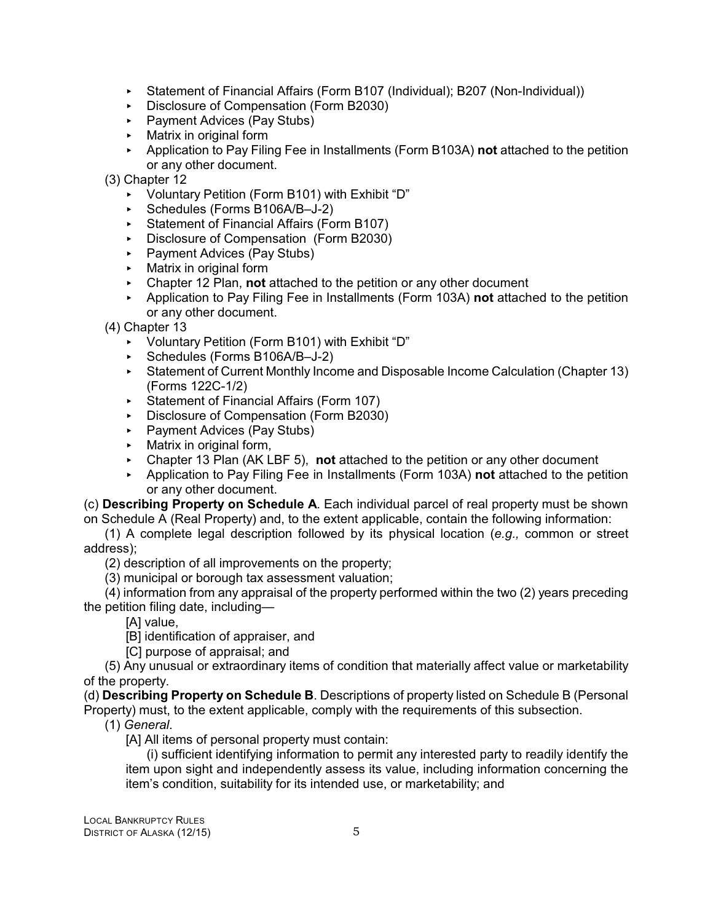- ▶ Statement of Financial Affairs (Form B107 (Individual); B207 (Non-Individual))
- Disclosure of Compensation (Form B2030)
- ▶ Payment Advices (Pay Stubs)
- $\triangleright$  Matrix in original form
- < Application to Pay Filing Fee in Installments (Form B103A) **not** attached to the petition or any other document.
- (3) Chapter 12
	- ▶ Voluntary Petition (Form B101) with Exhibit "D"
	- ► Schedules (Forms B106A/B-J-2)
	- ▶ Statement of Financial Affairs (Form B107)
	- < Disclosure of Compensation (Form B2030)
	- ▶ Payment Advices (Pay Stubs)
	- **Matrix in original form**
	- < Chapter 12 Plan, **not** attached to the petition or any other document
	- < Application to Pay Filing Fee in Installments (Form 103A) **not** attached to the petition or any other document.
- (4) Chapter 13
	- ▶ Voluntary Petition (Form B101) with Exhibit "D"
	- ► Schedules (Forms B106A/B-J-2)
	- ► Statement of Current Monthly Income and Disposable Income Calculation (Chapter 13) (Forms 122C-1/2)
	- $\overrightarrow{ }$  Statement of Financial Affairs (Form 107)
	- Disclosure of Compensation (Form B2030)
	- ▶ Payment Advices (Pay Stubs)
	- $\blacktriangleright$  Matrix in original form,
	- < Chapter 13 Plan (AK LBF 5), **not** attached to the petition or any other document
	- < Application to Pay Filing Fee in Installments (Form 103A) **not** attached to the petition or any other document.

(c) **Describing Property on Schedule A**. Each individual parcel of real property must be shown on Schedule A (Real Property) and, to the extent applicable, contain the following information:

(1) A complete legal description followed by its physical location (*e.g.,* common or street address);

(2) description of all improvements on the property;

(3) municipal or borough tax assessment valuation;

(4) information from any appraisal of the property performed within the two (2) years preceding the petition filing date, including—

[A] value.

- [B] identification of appraiser, and
- [C] purpose of appraisal; and

(5) Any unusual or extraordinary items of condition that materially affect value or marketability of the property.

(d) **Describing Property on Schedule B**. Descriptions of property listed on Schedule B (Personal Property) must, to the extent applicable, comply with the requirements of this subsection.

(1) *General*.

[A] All items of personal property must contain:

(i) sufficient identifying information to permit any interested party to readily identify the item upon sight and independently assess its value, including information concerning the item's condition, suitability for its intended use, or marketability; and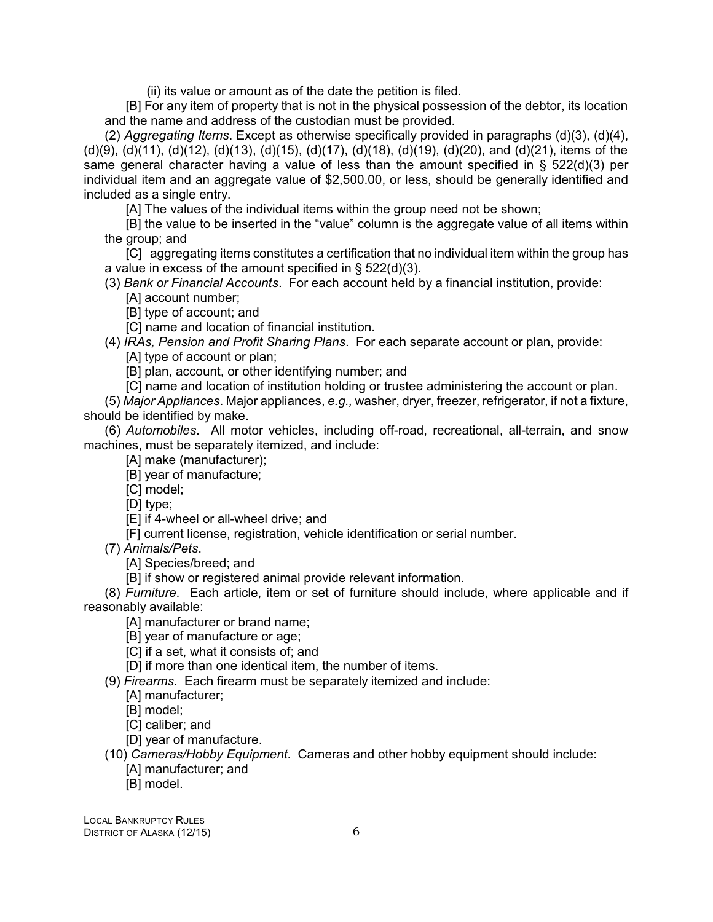(ii) its value or amount as of the date the petition is filed.

[B] For any item of property that is not in the physical possession of the debtor, its location and the name and address of the custodian must be provided.

(2) *Aggregating Items*. Except as otherwise specifically provided in paragraphs (d)(3), (d)(4), (d)(9), (d)(11), (d)(12), (d)(13), (d)(15), (d)(17), (d)(18), (d)(19), (d)(20), and (d)(21), items of the same general character having a value of less than the amount specified in §  $522(d)(3)$  per individual item and an aggregate value of \$2,500.00, or less, should be generally identified and included as a single entry.

[A] The values of the individual items within the group need not be shown;

[B] the value to be inserted in the "value" column is the aggregate value of all items within the group; and

[C] aggregating items constitutes a certification that no individual item within the group has a value in excess of the amount specified in  $\S$  522(d)(3).

(3) *Bank or Financial Accounts*. For each account held by a financial institution, provide:

[A] account number;

[B] type of account; and

[C] name and location of financial institution.

(4) *IRAs, Pension and Profit Sharing Plans*. For each separate account or plan, provide:

[A] type of account or plan;

[B] plan, account, or other identifying number; and

[C] name and location of institution holding or trustee administering the account or plan.

(5) *Major Appliances*. Major appliances, *e.g.,* washer, dryer, freezer, refrigerator, if not a fixture, should be identified by make.

(6) *Automobiles*. All motor vehicles, including off-road, recreational, all-terrain, and snow machines, must be separately itemized, and include:

[A] make (manufacturer);

[B] year of manufacture;

[C] model;

[D] type;

[E] if 4-wheel or all-wheel drive; and

[F] current license, registration, vehicle identification or serial number.

(7) *Animals/Pets*.

[A] Species/breed; and

[B] if show or registered animal provide relevant information.

(8) *Furniture*. Each article, item or set of furniture should include, where applicable and if reasonably available:

[A] manufacturer or brand name;

[B] year of manufacture or age;

[C] if a set, what it consists of; and

[D] if more than one identical item, the number of items.

(9) *Firearms*. Each firearm must be separately itemized and include:

[A] manufacturer;

[B] model;

[C] caliber; and

[D] year of manufacture.

(10) *Cameras/Hobby Equipment*. Cameras and other hobby equipment should include:

[A] manufacturer; and

[B] model.

LOCAL BANKRUPTCY RULES DISTRICT OF ALASKA (12/15) 6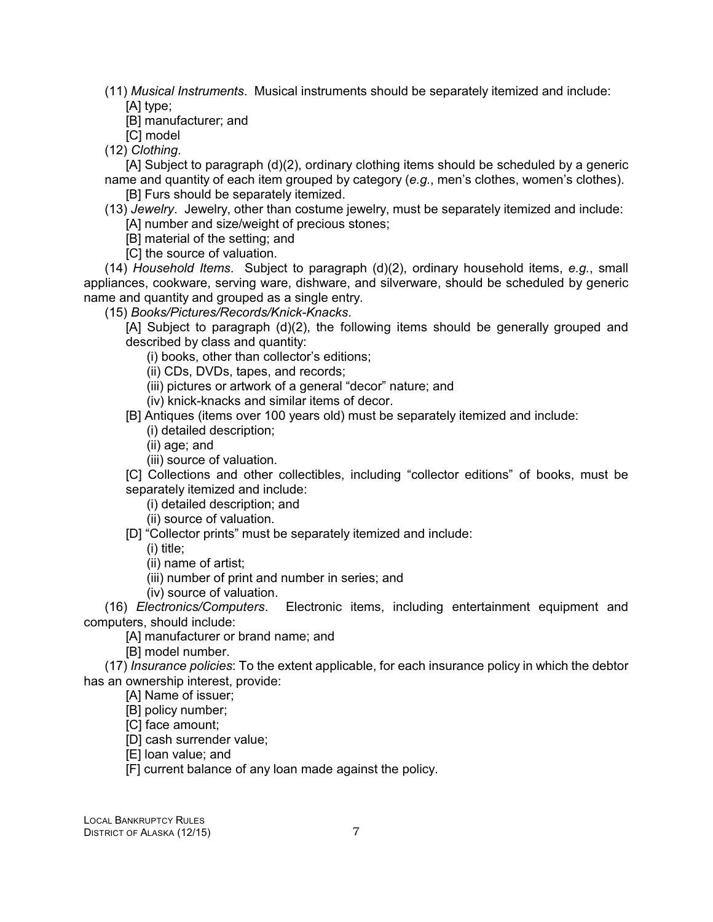(11) *Musical Instruments*. Musical instruments should be separately itemized and include: [A] type;

[B] manufacturer; and

[C] model

(12) *Clothing*.

[A] Subject to paragraph (d)(2), ordinary clothing items should be scheduled by a generic name and quantity of each item grouped by category (*e.g.*, men's clothes, women's clothes).

[B] Furs should be separately itemized.

(13) *Jewelry*. Jewelry, other than costume jewelry, must be separately itemized and include: [A] number and size/weight of precious stones;

[B] material of the setting; and

[C] the source of valuation.

(14) *Household Items*. Subject to paragraph (d)(2), ordinary household items, *e.g.*, small appliances, cookware, serving ware, dishware, and silverware, should be scheduled by generic name and quantity and grouped as a single entry.

(15) *Books/Pictures/Records/Knick-Knacks*.

[A] Subject to paragraph (d)(2), the following items should be generally grouped and described by class and quantity:

(i) books, other than collector's editions;

(ii) CDs, DVDs, tapes, and records;

(iii) pictures or artwork of a general "decor" nature; and

(iv) knick-knacks and similar items of decor.

[B] Antiques (items over 100 years old) must be separately itemized and include:

(i) detailed description;

- (ii) age; and
- (iii) source of valuation.

[C] Collections and other collectibles, including "collector editions" of books, must be separately itemized and include:

(i) detailed description; and

(ii) source of valuation.

[D] "Collector prints" must be separately itemized and include:

(i) title;

(ii) name of artist;

(iii) number of print and number in series; and

(iv) source of valuation.

(16) *Electronics/Computers*. Electronic items, including entertainment equipment and computers, should include:

[A] manufacturer or brand name; and

[B] model number.

(17) *Insurance policies*: To the extent applicable, for each insurance policy in which the debtor has an ownership interest, provide:

[A] Name of issuer;

[B] policy number;

[C] face amount;

[D] cash surrender value;

[E] loan value; and

[F] current balance of any loan made against the policy.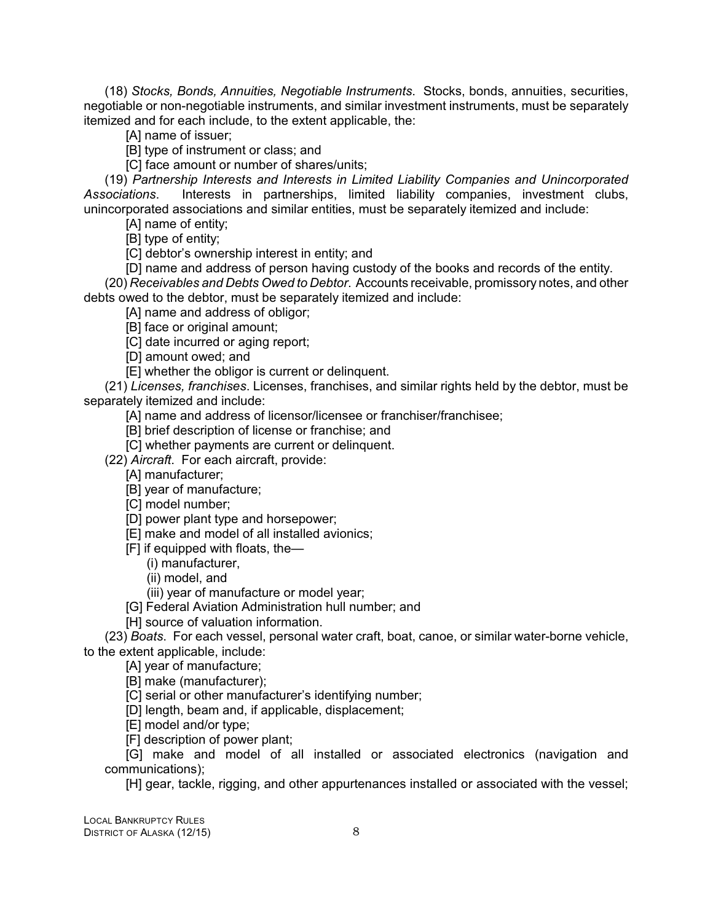(18) *Stocks, Bonds, Annuities, Negotiable Instruments*. Stocks, bonds, annuities, securities, negotiable or non-negotiable instruments, and similar investment instruments, must be separately itemized and for each include, to the extent applicable, the:

[A] name of issuer;

[B] type of instrument or class; and

[C] face amount or number of shares/units;

(19) *Partnership Interests and Interests in Limited Liability Companies and Unincorporated Associations*. Interests in partnerships, limited liability companies, investment clubs, unincorporated associations and similar entities, must be separately itemized and include:

[A] name of entity;

[B] type of entity;

[C] debtor's ownership interest in entity; and

[D] name and address of person having custody of the books and records of the entity. (20) *Receivables and Debts Owed to Debtor*. Accounts receivable, promissory notes, and other debts owed to the debtor, must be separately itemized and include:

[A] name and address of obligor;

[B] face or original amount;

[C] date incurred or aging report;

[D] amount owed; and

[E] whether the obligor is current or delinquent.

(21) *Licenses, franchises*. Licenses, franchises, and similar rights held by the debtor, must be separately itemized and include:

[A] name and address of licensor/licensee or franchiser/franchisee;

[B] brief description of license or franchise; and

[C] whether payments are current or delinquent.

(22) *Aircraft*. For each aircraft, provide:

[A] manufacturer;

[B] year of manufacture;

[C] model number;

[D] power plant type and horsepower;

[E] make and model of all installed avionics;

[F] if equipped with floats, the—

(i) manufacturer,

(ii) model, and

(iii) year of manufacture or model year;

[G] Federal Aviation Administration hull number; and

[H] source of valuation information.

(23) *Boats*. For each vessel, personal water craft, boat, canoe, or similar water-borne vehicle, to the extent applicable, include:

[A] year of manufacture;

[B] make (manufacturer);

[C] serial or other manufacturer's identifying number;

[D] length, beam and, if applicable, displacement;

[E] model and/or type;

[F] description of power plant;

[G] make and model of all installed or associated electronics (navigation and communications);

[H] gear, tackle, rigging, and other appurtenances installed or associated with the vessel;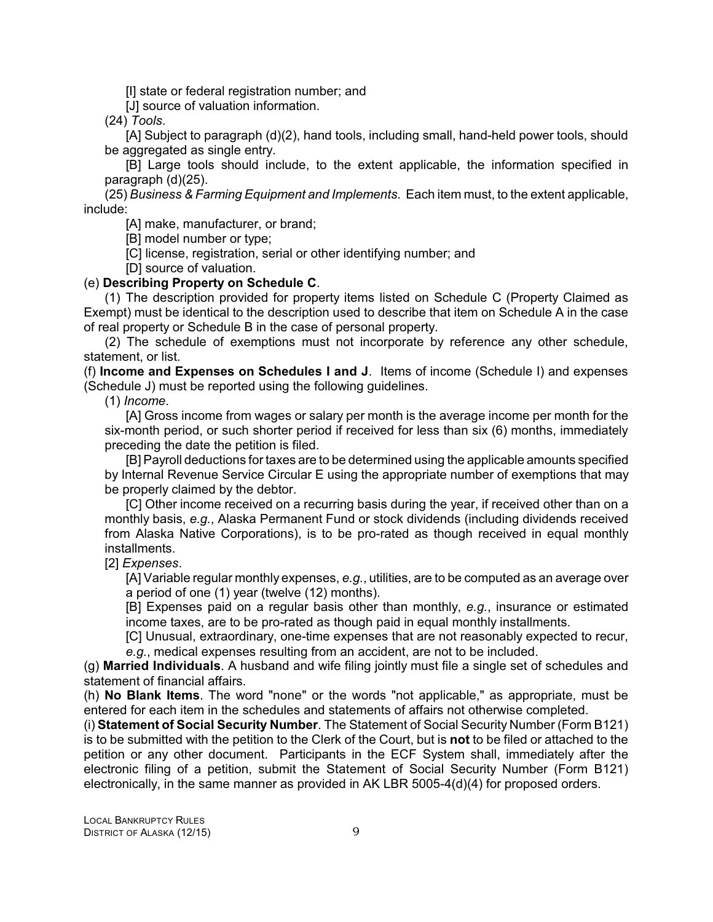[I] state or federal registration number; and

[J] source of valuation information.

(24) *Tools*.

[A] Subject to paragraph (d)(2), hand tools, including small, hand-held power tools, should be aggregated as single entry.

[B] Large tools should include, to the extent applicable, the information specified in paragraph (d)(25).

(25) *Business & Farming Equipment and Implements*. Each item must, to the extent applicable, include:

[A] make, manufacturer, or brand;

[B] model number or type;

[C] license, registration, serial or other identifying number; and

[D] source of valuation.

#### (e) **Describing Property on Schedule C**.

(1) The description provided for property items listed on Schedule C (Property Claimed as Exempt) must be identical to the description used to describe that item on Schedule A in the case of real property or Schedule B in the case of personal property.

(2) The schedule of exemptions must not incorporate by reference any other schedule, statement, or list.

(f) **Income and Expenses on Schedules I and J**. Items of income (Schedule I) and expenses (Schedule J) must be reported using the following guidelines.

(1) *Income*.

[A] Gross income from wages or salary per month is the average income per month for the six-month period, or such shorter period if received for less than six (6) months, immediately preceding the date the petition is filed.

[B] Payroll deductions for taxes are to be determined using the applicable amounts specified by Internal Revenue Service Circular E using the appropriate number of exemptions that may be properly claimed by the debtor.

[C] Other income received on a recurring basis during the year, if received other than on a monthly basis, *e.g.*, Alaska Permanent Fund or stock dividends (including dividends received from Alaska Native Corporations), is to be pro-rated as though received in equal monthly installments.

[2] *Expenses*.

[A] Variable regular monthly expenses, *e.g.*, utilities, are to be computed as an average over a period of one (1) year (twelve (12) months).

[B] Expenses paid on a regular basis other than monthly, *e.g.*, insurance or estimated income taxes, are to be pro-rated as though paid in equal monthly installments.

[C] Unusual, extraordinary, one-time expenses that are not reasonably expected to recur, *e.g.*, medical expenses resulting from an accident, are not to be included.

(g) **Married Individuals**. A husband and wife filing jointly must file a single set of schedules and statement of financial affairs.

(h) **No Blank Items**. The word "none" or the words "not applicable," as appropriate, must be entered for each item in the schedules and statements of affairs not otherwise completed.

(i) **Statement of Social Security Number**. The Statement of Social Security Number (Form B121) is to be submitted with the petition to the Clerk of the Court, but is **not** to be filed or attached to the petition or any other document. Participants in the ECF System shall, immediately after the electronic filing of a petition, submit the Statement of Social Security Number (Form B121) electronically, in the same manner as provided in AK LBR 5005-4(d)(4) for proposed orders.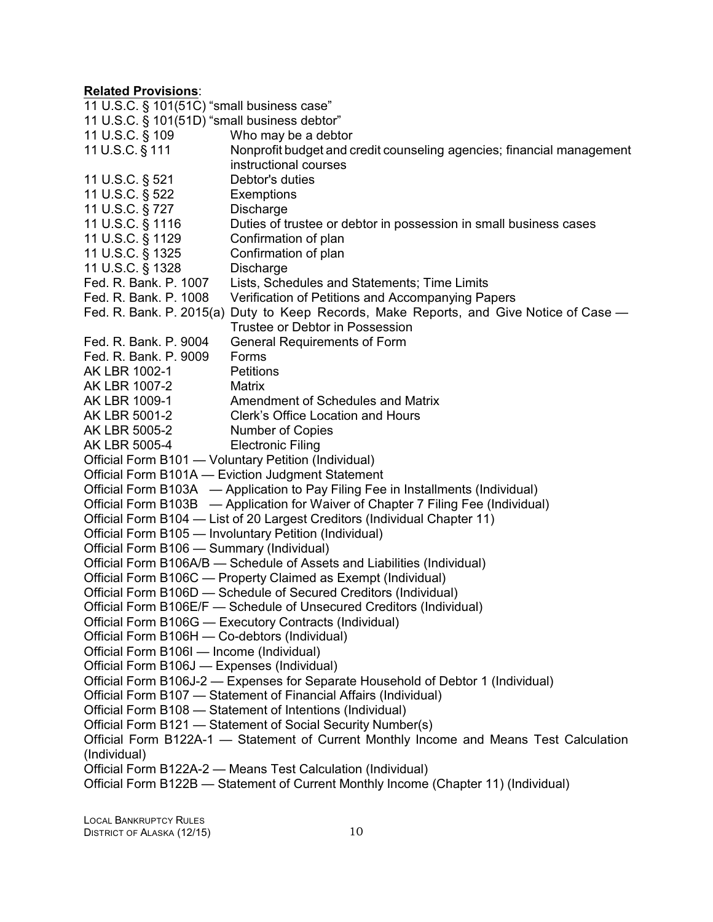| 11 U.S.C. § 101(51C) "small business case"                                       |                                                                                        |  |
|----------------------------------------------------------------------------------|----------------------------------------------------------------------------------------|--|
| 11 U.S.C. § 101(51D) "small business debtor"                                     |                                                                                        |  |
| 11 U.S.C. § 109                                                                  | Who may be a debtor                                                                    |  |
| 11 U.S.C. § 111                                                                  | Nonprofit budget and credit counseling agencies; financial management                  |  |
|                                                                                  | instructional courses                                                                  |  |
| 11 U.S.C. § 521                                                                  | Debtor's duties                                                                        |  |
| 11 U.S.C. § 522                                                                  | Exemptions                                                                             |  |
| 11 U.S.C. § 727                                                                  | <b>Discharge</b>                                                                       |  |
| 11 U.S.C. § 1116                                                                 | Duties of trustee or debtor in possession in small business cases                      |  |
| 11 U.S.C. § 1129                                                                 | Confirmation of plan                                                                   |  |
| 11 U.S.C. § 1325                                                                 | Confirmation of plan                                                                   |  |
| 11 U.S.C. § 1328                                                                 | Discharge                                                                              |  |
| Fed. R. Bank. P. 1007                                                            | Lists, Schedules and Statements; Time Limits                                           |  |
| Fed. R. Bank. P. 1008                                                            | Verification of Petitions and Accompanying Papers                                      |  |
|                                                                                  | Fed. R. Bank. P. 2015(a) Duty to Keep Records, Make Reports, and Give Notice of Case — |  |
|                                                                                  | Trustee or Debtor in Possession                                                        |  |
| Fed. R. Bank. P. 9004                                                            | <b>General Requirements of Form</b>                                                    |  |
| Fed. R. Bank. P. 9009                                                            | Forms                                                                                  |  |
| AK LBR 1002-1                                                                    | <b>Petitions</b>                                                                       |  |
| AK LBR 1007-2                                                                    | <b>Matrix</b>                                                                          |  |
| AK LBR 1009-1                                                                    | Amendment of Schedules and Matrix                                                      |  |
| AK LBR 5001-2                                                                    | Clerk's Office Location and Hours                                                      |  |
| AK LBR 5005-2                                                                    | Number of Copies                                                                       |  |
| AK LBR 5005-4                                                                    | <b>Electronic Filing</b>                                                               |  |
|                                                                                  | Official Form B101 - Voluntary Petition (Individual)                                   |  |
|                                                                                  | Official Form B101A - Eviction Judgment Statement                                      |  |
|                                                                                  | Official Form B103A - Application to Pay Filing Fee in Installments (Individual)       |  |
|                                                                                  | Official Form B103B — Application for Waiver of Chapter 7 Filing Fee (Individual)      |  |
|                                                                                  | Official Form B104 - List of 20 Largest Creditors (Individual Chapter 11)              |  |
|                                                                                  | Official Form B105 - Involuntary Petition (Individual)                                 |  |
| Official Form B106 - Summary (Individual)                                        |                                                                                        |  |
|                                                                                  | Official Form B106A/B - Schedule of Assets and Liabilities (Individual)                |  |
|                                                                                  | Official Form B106C - Property Claimed as Exempt (Individual)                          |  |
|                                                                                  | Official Form B106D - Schedule of Secured Creditors (Individual)                       |  |
|                                                                                  | Official Form B106E/F - Schedule of Unsecured Creditors (Individual)                   |  |
|                                                                                  | Official Form B106G - Executory Contracts (Individual)                                 |  |
| Official Form B106H - Co-debtors (Individual)                                    |                                                                                        |  |
| Official Form B106I - Income (Individual)                                        |                                                                                        |  |
| Official Form B106J - Expenses (Individual)                                      |                                                                                        |  |
| Official Form B106J-2 - Expenses for Separate Household of Debtor 1 (Individual) |                                                                                        |  |
| Official Form B107 - Statement of Financial Affairs (Individual)                 |                                                                                        |  |
|                                                                                  | Official Form B108 - Statement of Intentions (Individual)                              |  |
| Official Form B121 - Statement of Social Security Number(s)                      |                                                                                        |  |
|                                                                                  | Official Form B122A-1 — Statement of Current Monthly Income and Means Test Calculation |  |
| (Individual)                                                                     |                                                                                        |  |
|                                                                                  | Official Form B122A-2 - Means Test Calculation (Individual)                            |  |
|                                                                                  | Official Form B122B - Statement of Current Monthly Income (Chapter 11) (Individual)    |  |
|                                                                                  |                                                                                        |  |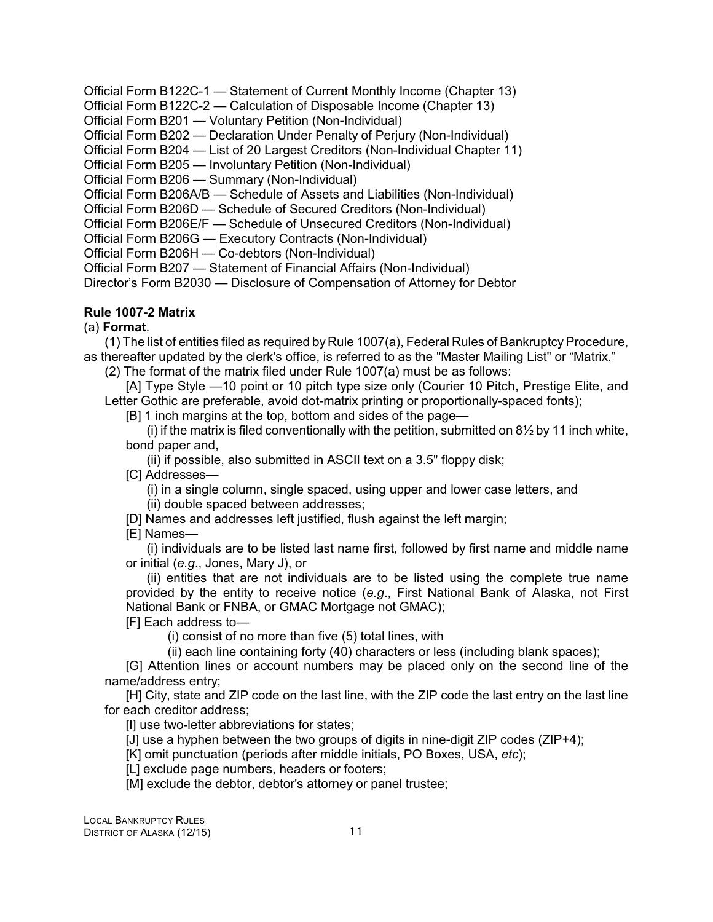<span id="page-14-0"></span>Official Form B122C-1 — Statement of Current Monthly Income (Chapter 13) Official Form B122C-2 — Calculation of Disposable Income (Chapter 13) Official Form B201 — Voluntary Petition (Non-Individual) Official Form B202 — Declaration Under Penalty of Perjury (Non-Individual) Official Form B204 — List of 20 Largest Creditors (Non-Individual Chapter 11) Official Form B205 — Involuntary Petition (Non-Individual) Official Form B206 — Summary (Non-Individual) Official Form B206A/B — Schedule of Assets and Liabilities (Non-Individual) Official Form B206D — Schedule of Secured Creditors (Non-Individual) Official Form B206E/F — Schedule of Unsecured Creditors (Non-Individual) Official Form B206G — Executory Contracts (Non-Individual)

Official Form B206H — Co-debtors (Non-Individual)

Official Form B207 — Statement of Financial Affairs (Non-Individual)

Director's Form B2030 — Disclosure of Compensation of Attorney for Debtor

#### **Rule 1007-2 Matrix**

#### (a) **Format**.

(1) The list of entities filed as required by Rule 1007(a), Federal Rules of BankruptcyProcedure, as thereafter updated by the clerk's office, is referred to as the "Master Mailing List" or "Matrix."

(2) The format of the matrix filed under Rule 1007(a) must be as follows:

[A] Type Style —10 point or 10 pitch type size only (Courier 10 Pitch, Prestige Elite, and Letter Gothic are preferable, avoid dot-matrix printing or proportionally-spaced fonts);

[B] 1 inch margins at the top, bottom and sides of the page—

(i) if the matrix is filed conventionally with the petition, submitted on  $8\frac{1}{2}$  by 11 inch white, bond paper and,

(ii) if possible, also submitted in ASCII text on a 3.5" floppy disk;

[C] Addresses—

(i) in a single column, single spaced, using upper and lower case letters, and (ii) double spaced between addresses;

[D] Names and addresses left justified, flush against the left margin;

[E] Names—

(i) individuals are to be listed last name first, followed by first name and middle name or initial (*e.g*., Jones, Mary J), or

(ii) entities that are not individuals are to be listed using the complete true name provided by the entity to receive notice (*e.g*., First National Bank of Alaska, not First National Bank or FNBA, or GMAC Mortgage not GMAC);

[F] Each address to—

(i) consist of no more than five (5) total lines, with

(ii) each line containing forty (40) characters or less (including blank spaces);

[G] Attention lines or account numbers may be placed only on the second line of the name/address entry;

[H] City, state and ZIP code on the last line, with the ZIP code the last entry on the last line for each creditor address;

[I] use two-letter abbreviations for states;

[J] use a hyphen between the two groups of digits in nine-digit ZIP codes (ZIP+4);

[K] omit punctuation (periods after middle initials, PO Boxes, USA, *etc*);

[L] exclude page numbers, headers or footers;

[M] exclude the debtor, debtor's attorney or panel trustee;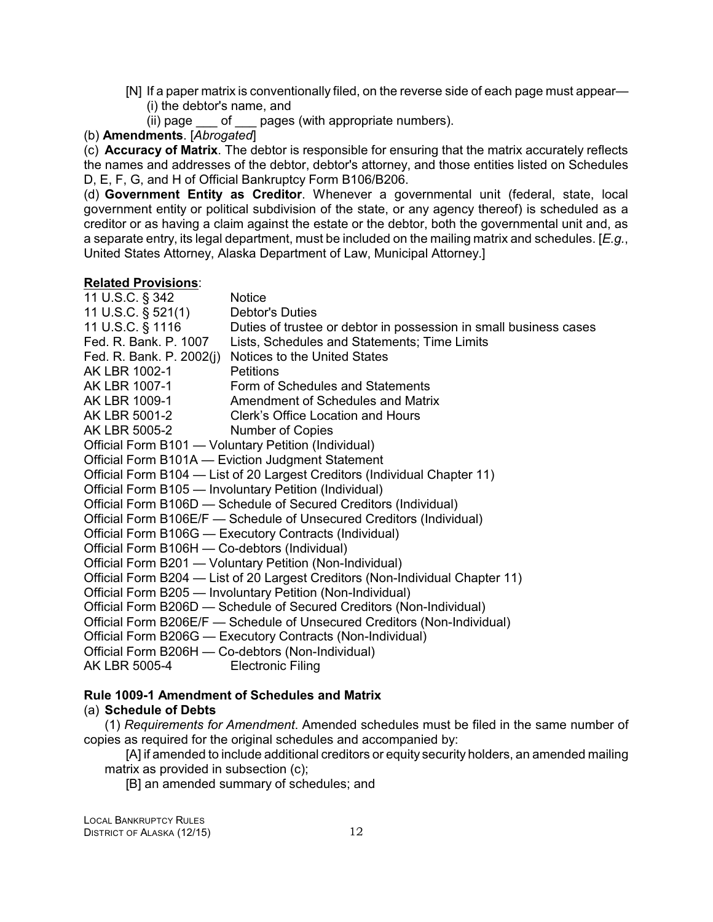- <span id="page-15-0"></span>[N] If a paper matrix is conventionally filed, on the reverse side of each page must appear— (i) the debtor's name, and
	- (ii) page \_\_\_ of \_\_\_ pages (with appropriate numbers).
- (b) **Amendments**. [*Abrogated*]

(c) **Accuracy of Matrix**. The debtor is responsible for ensuring that the matrix accurately reflects the names and addresses of the debtor, debtor's attorney, and those entities listed on Schedules D, E, F, G, and H of Official Bankruptcy Form B106/B206.

(d) **Government Entity as Creditor**. Whenever a governmental unit (federal, state, local government entity or political subdivision of the state, or any agency thereof) is scheduled as a creditor or as having a claim against the estate or the debtor, both the governmental unit and, as a separate entry, its legal department, must be included on the mailing matrix and schedules. [*E.g.*, United States Attorney, Alaska Department of Law, Municipal Attorney.]

#### **Related Provisions**:

| 11 U.S.C. § 342                                                               | <b>Notice</b>                                                                      |  |
|-------------------------------------------------------------------------------|------------------------------------------------------------------------------------|--|
| 11 U.S.C. § 521(1) Debtor's Duties                                            |                                                                                    |  |
|                                                                               | 11 U.S.C. § 1116 Duties of trustee or debtor in possession in small business cases |  |
|                                                                               | Fed. R. Bank. P. 1007 Lists, Schedules and Statements; Time Limits                 |  |
|                                                                               | Fed. R. Bank. P. 2002(j) Notices to the United States                              |  |
| AK LBR 1002-1                                                                 | Petitions                                                                          |  |
|                                                                               | AK LBR 1007-1 Form of Schedules and Statements                                     |  |
|                                                                               | AK LBR 1009-1 Amendment of Schedules and Matrix                                    |  |
|                                                                               | AK LBR 5001-2 Clerk's Office Location and Hours                                    |  |
| AK LBR 5005-2 Number of Copies                                                |                                                                                    |  |
|                                                                               | Official Form B101 - Voluntary Petition (Individual)                               |  |
|                                                                               | Official Form B101A - Eviction Judgment Statement                                  |  |
|                                                                               | Official Form B104 - List of 20 Largest Creditors (Individual Chapter 11)          |  |
| Official Form B105 - Involuntary Petition (Individual)                        |                                                                                    |  |
|                                                                               | Official Form B106D - Schedule of Secured Creditors (Individual)                   |  |
| Official Form B106E/F — Schedule of Unsecured Creditors (Individual)          |                                                                                    |  |
| Official Form B106G - Executory Contracts (Individual)                        |                                                                                    |  |
| Official Form B106H - Co-debtors (Individual)                                 |                                                                                    |  |
|                                                                               | Official Form B201 - Voluntary Petition (Non-Individual)                           |  |
| Official Form B204 — List of 20 Largest Creditors (Non-Individual Chapter 11) |                                                                                    |  |
| Official Form B205 - Involuntary Petition (Non-Individual)                    |                                                                                    |  |
| Official Form B206D - Schedule of Secured Creditors (Non-Individual)          |                                                                                    |  |
|                                                                               | Official Form B206E/F - Schedule of Unsecured Creditors (Non-Individual)           |  |
|                                                                               | Official Form B206G - Executory Contracts (Non-Individual)                         |  |
|                                                                               | Official Form B206H - Co-debtors (Non-Individual)                                  |  |
| AK LBR 5005-4                                                                 | <b>Electronic Filing</b>                                                           |  |

#### **Rule 1009-1 Amendment of Schedules and Matrix**

#### (a) **Schedule of Debts**

(1) *Requirements for Amendment*. Amended schedules must be filed in the same number of copies as required for the original schedules and accompanied by:

[A] if amended to include additional creditors or equity security holders, an amended mailing matrix as provided in subsection (c);

[B] an amended summary of schedules; and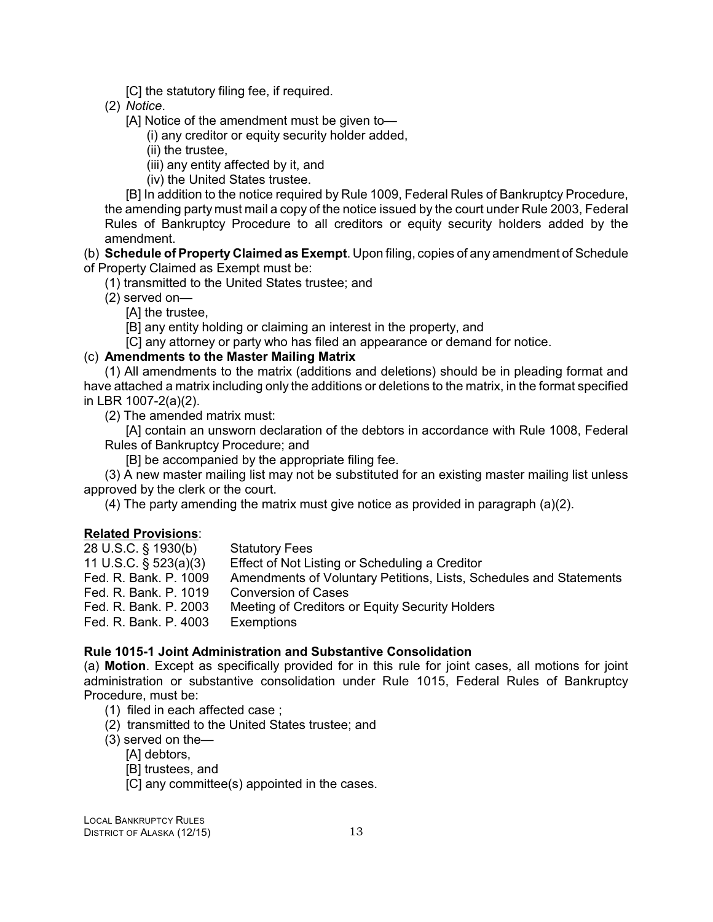[C] the statutory filing fee, if required.

<span id="page-16-0"></span>(2) *Notice*.

[A] Notice of the amendment must be given to—

(i) any creditor or equity security holder added,

(ii) the trustee,

(iii) any entity affected by it, and

(iv) the United States trustee.

[B] In addition to the notice required by Rule 1009, Federal Rules of Bankruptcy Procedure, the amending party must mail a copy of the notice issued by the court under Rule 2003, Federal Rules of Bankruptcy Procedure to all creditors or equity security holders added by the amendment.

(b) **Schedule of Property Claimed as Exempt**. Upon filing, copies of any amendment of Schedule of Property Claimed as Exempt must be:

(1) transmitted to the United States trustee; and

(2) served on—

[A] the trustee,

[B] any entity holding or claiming an interest in the property, and

[C] any attorney or party who has filed an appearance or demand for notice.

#### (c) **Amendments to the Master Mailing Matrix**

(1) All amendments to the matrix (additions and deletions) should be in pleading format and have attached a matrix including only the additions or deletions to the matrix, in the format specified in LBR 1007-2(a)(2).

(2) The amended matrix must:

[A] contain an unsworn declaration of the debtors in accordance with Rule 1008, Federal Rules of Bankruptcy Procedure; and

[B] be accompanied by the appropriate filing fee.

(3) A new master mailing list may not be substituted for an existing master mailing list unless approved by the clerk or the court.

(4) The party amending the matrix must give notice as provided in paragraph (a)(2).

#### **Related Provisions**:

| 28 U.S.C. § 1930(b)      | <b>Statutory Fees</b>                                              |
|--------------------------|--------------------------------------------------------------------|
| 11 U.S.C. $\S$ 523(a)(3) | Effect of Not Listing or Scheduling a Creditor                     |
| Fed. R. Bank. P. 1009    | Amendments of Voluntary Petitions, Lists, Schedules and Statements |
| Fed. R. Bank. P. 1019    | <b>Conversion of Cases</b>                                         |
| Fed. R. Bank. P. 2003    | Meeting of Creditors or Equity Security Holders                    |
| Fed. R. Bank. P. 4003    | Exemptions                                                         |

#### **Rule 1015-1 Joint Administration and Substantive Consolidation**

(a) **Motion**. Except as specifically provided for in this rule for joint cases, all motions for joint administration or substantive consolidation under Rule 1015, Federal Rules of Bankruptcy Procedure, must be:

- (1) filed in each affected case ;
- (2) transmitted to the United States trustee; and
- (3) served on the—
	- [A] debtors,
	- [B] trustees, and
	- [C] any committee(s) appointed in the cases.

LOCAL BANKRUPTCY RULES DISTRICT OF ALASKA (12/15) 13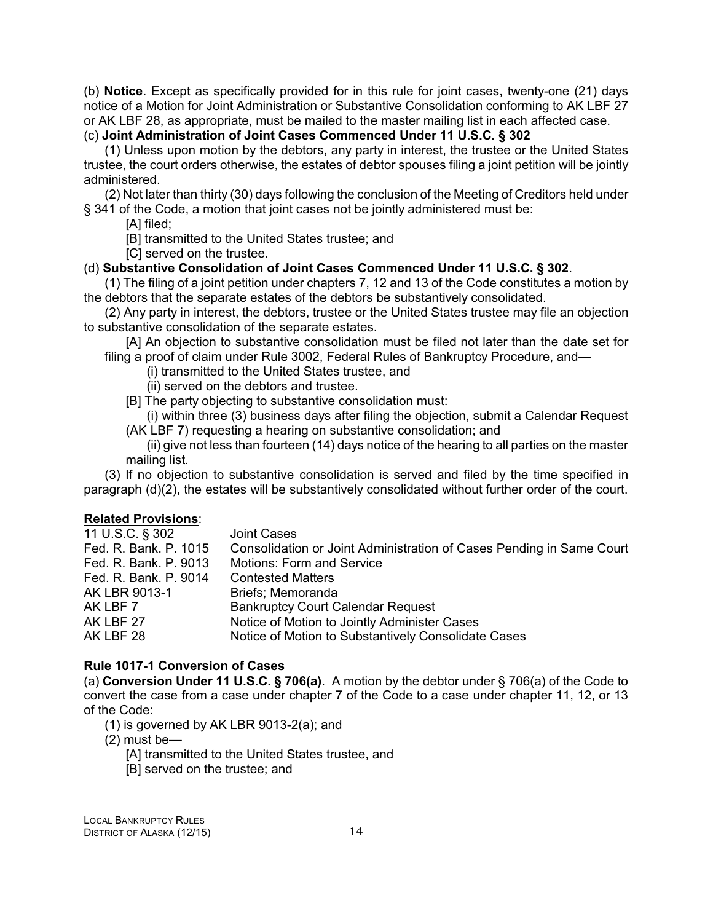<span id="page-17-0"></span>(b) **Notice**. Except as specifically provided for in this rule for joint cases, twenty-one (21) days notice of a Motion for Joint Administration or Substantive Consolidation conforming to AK LBF 27 or AK LBF 28, as appropriate, must be mailed to the master mailing list in each affected case. (c) **Joint Administration of Joint Cases Commenced Under 11 U.S.C. § 302**

(1) Unless upon motion by the debtors, any party in interest, the trustee or the United States trustee, the court orders otherwise, the estates of debtor spouses filing a joint petition will be jointly administered.

(2) Not later than thirty (30) days following the conclusion of the Meeting of Creditors held under § 341 of the Code, a motion that joint cases not be jointly administered must be:

[A] filed;

[B] transmitted to the United States trustee; and

[C] served on the trustee.

#### (d) **Substantive Consolidation of Joint Cases Commenced Under 11 U.S.C. § 302**.

(1) The filing of a joint petition under chapters 7, 12 and 13 of the Code constitutes a motion by the debtors that the separate estates of the debtors be substantively consolidated.

(2) Any party in interest, the debtors, trustee or the United States trustee may file an objection to substantive consolidation of the separate estates.

[A] An objection to substantive consolidation must be filed not later than the date set for filing a proof of claim under Rule 3002, Federal Rules of Bankruptcy Procedure, and—

(i) transmitted to the United States trustee, and

- (ii) served on the debtors and trustee.
- [B] The party objecting to substantive consolidation must:

(i) within three (3) business days after filing the objection, submit a Calendar Request (AK LBF 7) requesting a hearing on substantive consolidation; and

(ii) give not less than fourteen (14) days notice of the hearing to all parties on the master mailing list.

(3) If no objection to substantive consolidation is served and filed by the time specified in paragraph (d)(2), the estates will be substantively consolidated without further order of the court.

#### **Related Provisions**:

| 11 U.S.C. § 302       | <b>Joint Cases</b>                                                   |
|-----------------------|----------------------------------------------------------------------|
| Fed. R. Bank. P. 1015 | Consolidation or Joint Administration of Cases Pending in Same Court |
| Fed. R. Bank. P. 9013 | <b>Motions: Form and Service</b>                                     |
| Fed. R. Bank. P. 9014 | <b>Contested Matters</b>                                             |
| AK LBR 9013-1         | Briefs: Memoranda                                                    |
| AK LBF 7              | <b>Bankruptcy Court Calendar Request</b>                             |
| AK LBF 27             | Notice of Motion to Jointly Administer Cases                         |
| AK LBF 28             | Notice of Motion to Substantively Consolidate Cases                  |
|                       |                                                                      |

#### **Rule 1017-1 Conversion of Cases**

(a) **Conversion Under 11 U.S.C. § 706(a)**. A motion by the debtor under § 706(a) of the Code to convert the case from a case under chapter 7 of the Code to a case under chapter 11, 12, or 13 of the Code:

(1) is governed by AK LBR 9013-2(a); and

- (2) must be—
	- [A] transmitted to the United States trustee, and
	- [B] served on the trustee; and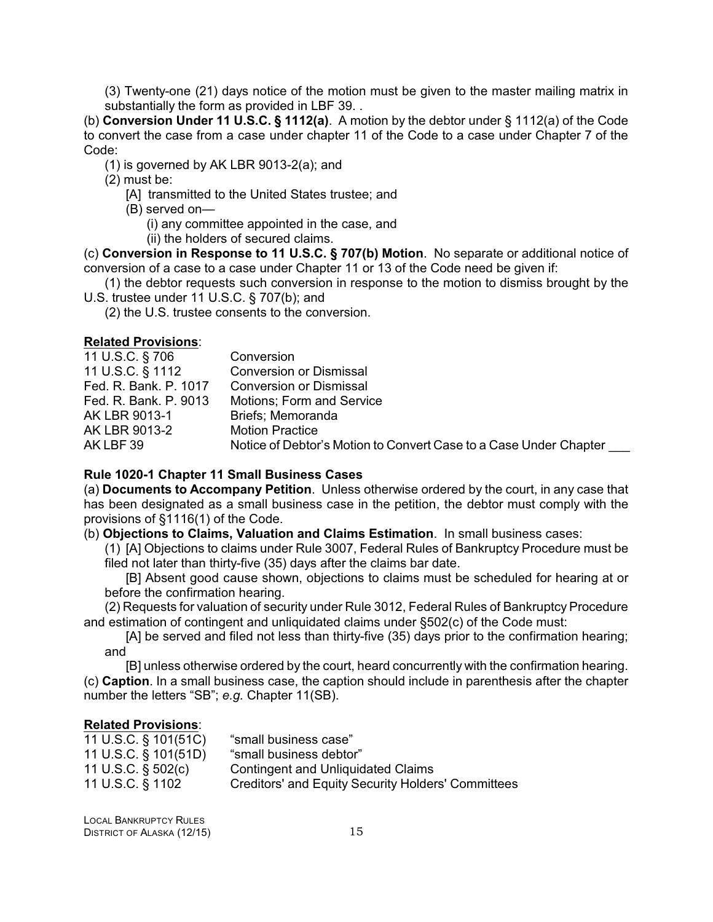<span id="page-18-0"></span>(3) Twenty-one (21) days notice of the motion must be given to the master mailing matrix in substantially the form as provided in LBF 39. .

(b) **Conversion Under 11 U.S.C. § 1112(a)**. A motion by the debtor under § 1112(a) of the Code to convert the case from a case under chapter 11 of the Code to a case under Chapter 7 of the Code:

(1) is governed by AK LBR 9013-2(a); and

(2) must be:

[A] transmitted to the United States trustee; and

(B) served on—

(i) any committee appointed in the case, and

(ii) the holders of secured claims.

(c) **Conversion in Response to 11 U.S.C. § 707(b) Motion**. No separate or additional notice of conversion of a case to a case under Chapter 11 or 13 of the Code need be given if:

(1) the debtor requests such conversion in response to the motion to dismiss brought by the U.S. trustee under 11 U.S.C. § 707(b); and

(2) the U.S. trustee consents to the conversion.

#### **Related Provisions**:

| 11 U.S.C. § 706       | Conversion                                                        |
|-----------------------|-------------------------------------------------------------------|
| 11 U.S.C. § 1112      | <b>Conversion or Dismissal</b>                                    |
| Fed. R. Bank. P. 1017 | <b>Conversion or Dismissal</b>                                    |
| Fed. R. Bank. P. 9013 | <b>Motions</b> ; Form and Service                                 |
| AK LBR 9013-1         | Briefs; Memoranda                                                 |
| AK LBR 9013-2         | <b>Motion Practice</b>                                            |
| AK LBF 39             | Notice of Debtor's Motion to Convert Case to a Case Under Chapter |
|                       |                                                                   |

#### **Rule 1020-1 Chapter 11 Small Business Cases**

(a) **Documents to Accompany Petition**. Unless otherwise ordered by the court, in any case that has been designated as a small business case in the petition, the debtor must comply with the provisions of §1116(1) of the Code.

(b) **Objections to Claims, Valuation and Claims Estimation**. In small business cases:

(1) [A] Objections to claims under Rule 3007, Federal Rules of Bankruptcy Procedure must be filed not later than thirty-five (35) days after the claims bar date.

[B] Absent good cause shown, objections to claims must be scheduled for hearing at or before the confirmation hearing.

(2) Requests for valuation of security under Rule 3012, Federal Rules of Bankruptcy Procedure and estimation of contingent and unliquidated claims under §502(c) of the Code must:

[A] be served and filed not less than thirty-five (35) days prior to the confirmation hearing; and

[B] unless otherwise ordered by the court, heard concurrently with the confirmation hearing. (c) **Caption**. In a small business case, the caption should include in parenthesis after the chapter number the letters "SB"; *e.g.* Chapter 11(SB).

| 11 U.S.C. § 101(51C) | "small business case"                                     |
|----------------------|-----------------------------------------------------------|
| 11 U.S.C. § 101(51D) | "small business debtor"                                   |
| 11 U.S.C. § 502(c)   | <b>Contingent and Unliquidated Claims</b>                 |
| 11 U.S.C. § 1102     | <b>Creditors' and Equity Security Holders' Committees</b> |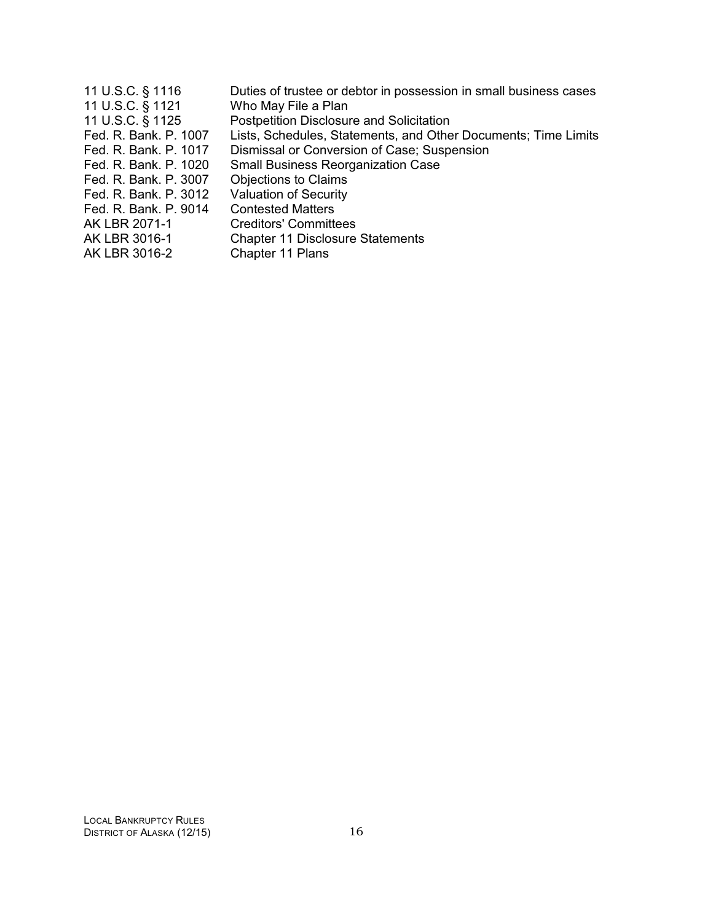| 11 U.S.C. § 1116<br>11 U.S.C. § 1121<br>11 U.S.C. § 1125 | Duties of trustee or debtor in possession in small business cases<br>Who May File a Plan<br><b>Postpetition Disclosure and Solicitation</b> |
|----------------------------------------------------------|---------------------------------------------------------------------------------------------------------------------------------------------|
| Fed. R. Bank. P. 1007                                    | Lists, Schedules, Statements, and Other Documents; Time Limits                                                                              |
| Fed. R. Bank. P. 1017                                    | Dismissal or Conversion of Case; Suspension                                                                                                 |
| Fed. R. Bank. P. 1020                                    | <b>Small Business Reorganization Case</b>                                                                                                   |
| Fed. R. Bank. P. 3007                                    | <b>Objections to Claims</b>                                                                                                                 |
| Fed. R. Bank. P. 3012                                    | <b>Valuation of Security</b>                                                                                                                |
| Fed. R. Bank, P. 9014                                    | <b>Contested Matters</b>                                                                                                                    |
| AK LBR 2071-1                                            | <b>Creditors' Committees</b>                                                                                                                |
| AK LBR 3016-1                                            | <b>Chapter 11 Disclosure Statements</b>                                                                                                     |
| AK LBR 3016-2                                            | Chapter 11 Plans                                                                                                                            |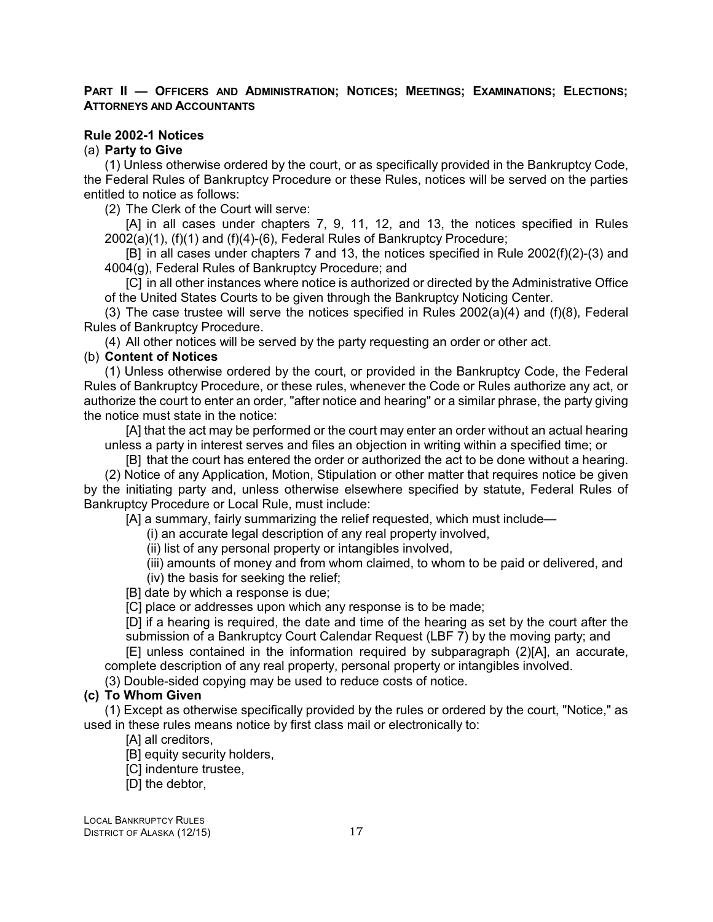#### <span id="page-20-0"></span>PART II - OFFICERS AND ADMINISTRATION; NOTICES; MEETINGS; EXAMINATIONS; ELECTIONS; **ATTORNEYS AND ACCOUNTANTS**

#### **Rule 2002-1 Notices**

#### (a) **Party to Give**

(1) Unless otherwise ordered by the court, or as specifically provided in the Bankruptcy Code, the Federal Rules of Bankruptcy Procedure or these Rules, notices will be served on the parties entitled to notice as follows:

(2) The Clerk of the Court will serve:

[A] in all cases under chapters 7, 9, 11, 12, and 13, the notices specified in Rules 2002(a)(1), (f)(1) and (f)(4)-(6), Federal Rules of Bankruptcy Procedure;

[B] in all cases under chapters 7 and 13, the notices specified in Rule 2002(f)(2)-(3) and 4004(g), Federal Rules of Bankruptcy Procedure; and

[C] in all other instances where notice is authorized or directed by the Administrative Office of the United States Courts to be given through the Bankruptcy Noticing Center.

(3) The case trustee will serve the notices specified in Rules  $2002(a)(4)$  and (f)(8), Federal Rules of Bankruptcy Procedure.

(4) All other notices will be served by the party requesting an order or other act.

#### (b) **Content of Notices**

(1) Unless otherwise ordered by the court, or provided in the Bankruptcy Code, the Federal Rules of Bankruptcy Procedure, or these rules, whenever the Code or Rules authorize any act, or authorize the court to enter an order, "after notice and hearing" or a similar phrase, the party giving the notice must state in the notice:

[A] that the act may be performed or the court may enter an order without an actual hearing unless a party in interest serves and files an objection in writing within a specified time; or

[B] that the court has entered the order or authorized the act to be done without a hearing. (2) Notice of any Application, Motion, Stipulation or other matter that requires notice be given by the initiating party and, unless otherwise elsewhere specified by statute, Federal Rules of Bankruptcy Procedure or Local Rule, must include:

[A] a summary, fairly summarizing the relief requested, which must include—

(i) an accurate legal description of any real property involved,

- (ii) list of any personal property or intangibles involved,
- (iii) amounts of money and from whom claimed, to whom to be paid or delivered, and (iv) the basis for seeking the relief;
- [B] date by which a response is due;

[C] place or addresses upon which any response is to be made;

[D] if a hearing is required, the date and time of the hearing as set by the court after the submission of a Bankruptcy Court Calendar Request (LBF 7) by the moving party; and

[E] unless contained in the information required by subparagraph (2)[A], an accurate, complete description of any real property, personal property or intangibles involved.

(3) Double-sided copying may be used to reduce costs of notice.

#### **(c) To Whom Given**

(1) Except as otherwise specifically provided by the rules or ordered by the court, "Notice," as used in these rules means notice by first class mail or electronically to:

[A] all creditors,

[B] equity security holders,

[C] indenture trustee,

[D] the debtor,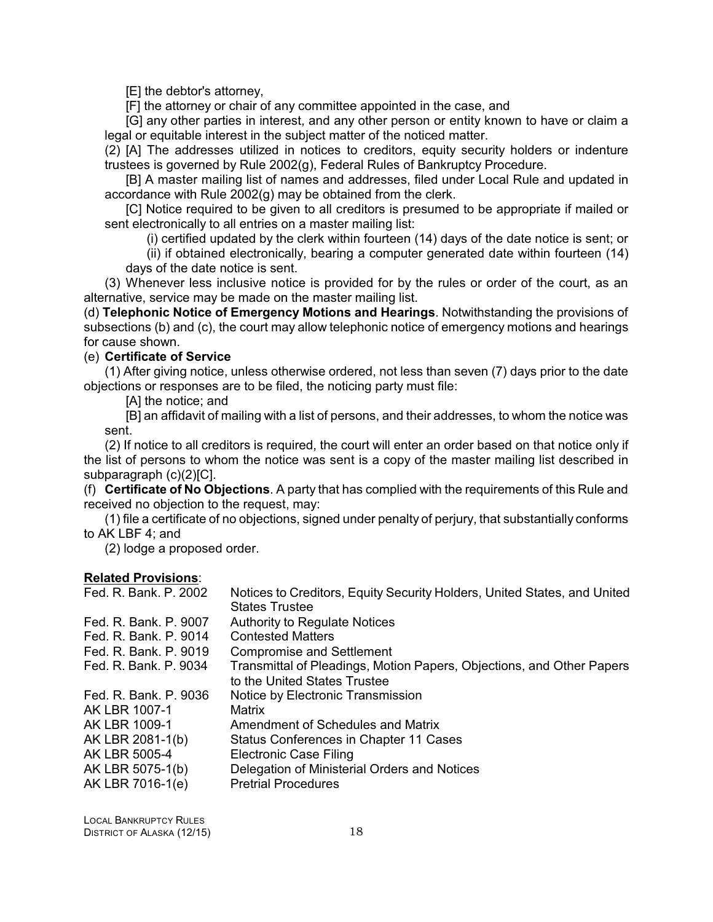[E] the debtor's attorney,

[F] the attorney or chair of any committee appointed in the case, and

[G] any other parties in interest, and any other person or entity known to have or claim a legal or equitable interest in the subject matter of the noticed matter.

(2) [A] The addresses utilized in notices to creditors, equity security holders or indenture trustees is governed by Rule 2002(g), Federal Rules of Bankruptcy Procedure.

[B] A master mailing list of names and addresses, filed under Local Rule and updated in accordance with Rule 2002(g) may be obtained from the clerk.

[C] Notice required to be given to all creditors is presumed to be appropriate if mailed or sent electronically to all entries on a master mailing list:

(i) certified updated by the clerk within fourteen (14) days of the date notice is sent; or

(ii) if obtained electronically, bearing a computer generated date within fourteen (14) days of the date notice is sent.

(3) Whenever less inclusive notice is provided for by the rules or order of the court, as an alternative, service may be made on the master mailing list.

(d) **Telephonic Notice of Emergency Motions and Hearings**. Notwithstanding the provisions of subsections (b) and (c), the court may allow telephonic notice of emergency motions and hearings for cause shown.

#### (e) **Certificate of Service**

(1) After giving notice, unless otherwise ordered, not less than seven (7) days prior to the date objections or responses are to be filed, the noticing party must file:

[A] the notice; and

[B] an affidavit of mailing with a list of persons, and their addresses, to whom the notice was sent.

(2) If notice to all creditors is required, the court will enter an order based on that notice only if the list of persons to whom the notice was sent is a copy of the master mailing list described in subparagraph (c)(2)[C].

(f) **Certificate of No Objections**. A party that has complied with the requirements of this Rule and received no objection to the request, may:

(1) file a certificate of no objections, signed under penalty of perjury, that substantially conforms to AK LBF 4; and

(2) lodge a proposed order.

| Fed. R. Bank. P. 2002                                                                                                                | Notices to Creditors, Equity Security Holders, United States, and United<br><b>States Trustee</b>                                                                                                                                         |
|--------------------------------------------------------------------------------------------------------------------------------------|-------------------------------------------------------------------------------------------------------------------------------------------------------------------------------------------------------------------------------------------|
| Fed. R. Bank, P. 9007<br>Fed. R. Bank. P. 9014<br>Fed. R. Bank, P. 9019                                                              | <b>Authority to Regulate Notices</b><br><b>Contested Matters</b>                                                                                                                                                                          |
| Fed. R. Bank. P. 9034                                                                                                                | <b>Compromise and Settlement</b><br>Transmittal of Pleadings, Motion Papers, Objections, and Other Papers<br>to the United States Trustee                                                                                                 |
| Fed. R. Bank, P. 9036<br>AK LBR 1007-1<br>AK LBR 1009-1<br>AK LBR 2081-1(b)<br>AK LBR 5005-4<br>AK LBR 5075-1(b)<br>AK LBR 7016-1(e) | Notice by Electronic Transmission<br>Matrix<br>Amendment of Schedules and Matrix<br>Status Conferences in Chapter 11 Cases<br><b>Electronic Case Filing</b><br>Delegation of Ministerial Orders and Notices<br><b>Pretrial Procedures</b> |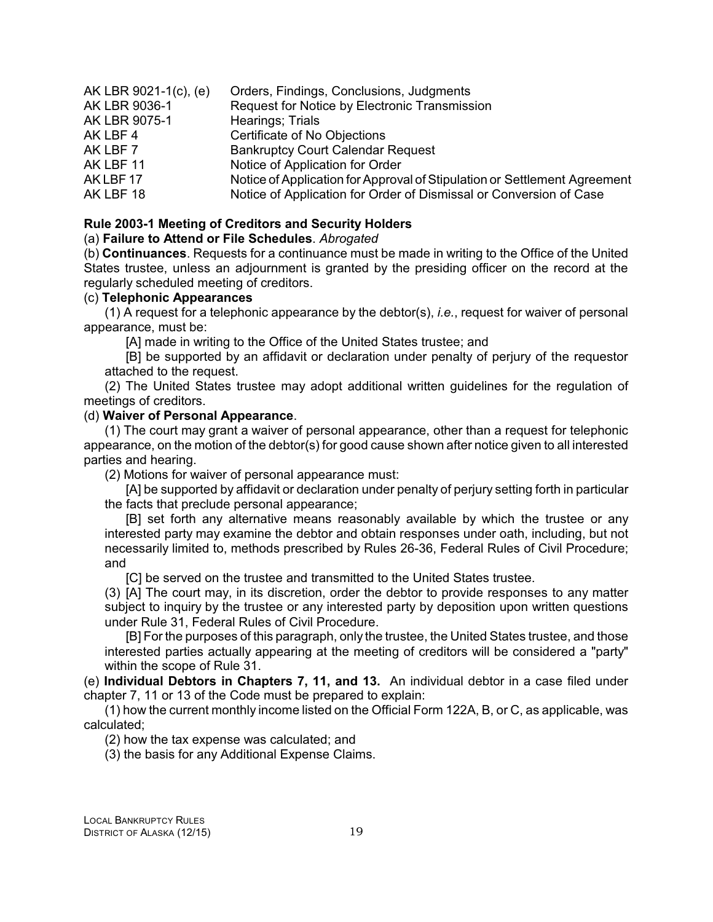| AK LBR 9021-1(c), (e) | Orders, Findings, Conclusions, Judgments                                  |
|-----------------------|---------------------------------------------------------------------------|
| AK LBR 9036-1         | Request for Notice by Electronic Transmission                             |
| AK LBR 9075-1         | Hearings; Trials                                                          |
| AK LBF 4              | Certificate of No Objections                                              |
| AK LBF 7              | <b>Bankruptcy Court Calendar Request</b>                                  |
| AK LBF 11             | Notice of Application for Order                                           |
| AKLBF17               | Notice of Application for Approval of Stipulation or Settlement Agreement |
| AK LBF 18             | Notice of Application for Order of Dismissal or Conversion of Case        |

#### **Rule 2003-1 Meeting of Creditors and Security Holders**

#### (a) **Failure to Attend or File Schedules**. *Abrogated*

(b) **Continuances**. Requests for a continuance must be made in writing to the Office of the United States trustee, unless an adjournment is granted by the presiding officer on the record at the regularly scheduled meeting of creditors.

#### (c) **Telephonic Appearances**

(1) A request for a telephonic appearance by the debtor(s), *i.e.*, request for waiver of personal appearance, must be:

[A] made in writing to the Office of the United States trustee; and

[B] be supported by an affidavit or declaration under penalty of perjury of the requestor attached to the request.

(2) The United States trustee may adopt additional written guidelines for the regulation of meetings of creditors.

#### (d) **Waiver of Personal Appearance**.

(1) The court may grant a waiver of personal appearance, other than a request for telephonic appearance, on the motion of the debtor(s) for good cause shown after notice given to all interested parties and hearing.

(2) Motions for waiver of personal appearance must:

[A] be supported by affidavit or declaration under penalty of perjury setting forth in particular the facts that preclude personal appearance;

[B] set forth any alternative means reasonably available by which the trustee or any interested party may examine the debtor and obtain responses under oath, including, but not necessarily limited to, methods prescribed by Rules 26-36, Federal Rules of Civil Procedure; and

[C] be served on the trustee and transmitted to the United States trustee.

(3) [A] The court may, in its discretion, order the debtor to provide responses to any matter subject to inquiry by the trustee or any interested party by deposition upon written questions under Rule 31, Federal Rules of Civil Procedure.

[B] For the purposes of this paragraph, only the trustee, the United States trustee, and those interested parties actually appearing at the meeting of creditors will be considered a "party" within the scope of Rule 31.

(e) **Individual Debtors in Chapters 7, 11, and 13.** An individual debtor in a case filed under chapter 7, 11 or 13 of the Code must be prepared to explain:

(1) how the current monthly income listed on the Official Form 122A, B, or C, as applicable, was calculated;

(2) how the tax expense was calculated; and

(3) the basis for any Additional Expense Claims.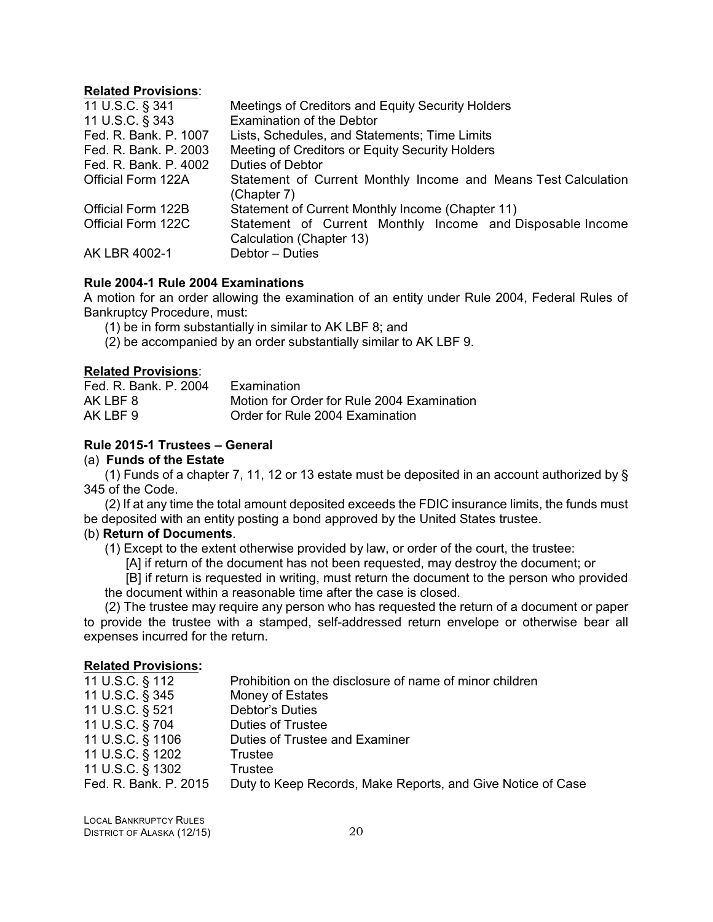#### <span id="page-23-0"></span>**Related Provisions**:

| 11 U.S.C. § 341       | Meetings of Creditors and Equity Security Holders              |
|-----------------------|----------------------------------------------------------------|
| 11 U.S.C. § 343       | <b>Examination of the Debtor</b>                               |
| Fed. R. Bank. P. 1007 | Lists, Schedules, and Statements; Time Limits                  |
| Fed. R. Bank, P. 2003 | Meeting of Creditors or Equity Security Holders                |
| Fed. R. Bank. P. 4002 | <b>Duties of Debtor</b>                                        |
| Official Form 122A    | Statement of Current Monthly Income and Means Test Calculation |
|                       | (Chapter 7)                                                    |
| Official Form 122B    | Statement of Current Monthly Income (Chapter 11)               |
| Official Form 122C    | Statement of Current Monthly Income and Disposable Income      |
|                       | Calculation (Chapter 13)                                       |
| AK LBR 4002-1         | Debtor - Duties                                                |

#### **Rule 2004-1 Rule 2004 Examinations**

A motion for an order allowing the examination of an entity under Rule 2004, Federal Rules of Bankruptcy Procedure, must:

- (1) be in form substantially in similar to AK LBF 8; and
- (2) be accompanied by an order substantially similar to AK LBF 9.

#### **Related Provisions**:

| Fed. R. Bank, P. 2004 | Examination                                |
|-----------------------|--------------------------------------------|
| AK LBF 8              | Motion for Order for Rule 2004 Examination |
| AK LBF 9              | Order for Rule 2004 Examination            |

#### **Rule 2015-1 Trustees – General**

#### (a) **Funds of the Estate**

(1) Funds of a chapter 7, 11, 12 or 13 estate must be deposited in an account authorized by § 345 of the Code.

(2) If at any time the total amount deposited exceeds the FDIC insurance limits, the funds must be deposited with an entity posting a bond approved by the United States trustee.

#### (b) **Return of Documents**.

(1) Except to the extent otherwise provided by law, or order of the court, the trustee:

[A] if return of the document has not been requested, may destroy the document; or

[B] if return is requested in writing, must return the document to the person who provided the document within a reasonable time after the case is closed.

(2) The trustee may require any person who has requested the return of a document or paper to provide the trustee with a stamped, self-addressed return envelope or otherwise bear all expenses incurred for the return.

| 11 U.S.C. § 112       | Prohibition on the disclosure of name of minor children     |
|-----------------------|-------------------------------------------------------------|
| 11 U.S.C. § 345       | Money of Estates                                            |
| 11 U.S.C. § 521       | Debtor's Duties                                             |
| 11 U.S.C. § 704       | <b>Duties of Trustee</b>                                    |
| 11 U.S.C. § 1106      | Duties of Trustee and Examiner                              |
| 11 U.S.C. § 1202      | Trustee                                                     |
| 11 U.S.C. § 1302      | <b>Trustee</b>                                              |
| Fed. R. Bank. P. 2015 | Duty to Keep Records, Make Reports, and Give Notice of Case |
|                       |                                                             |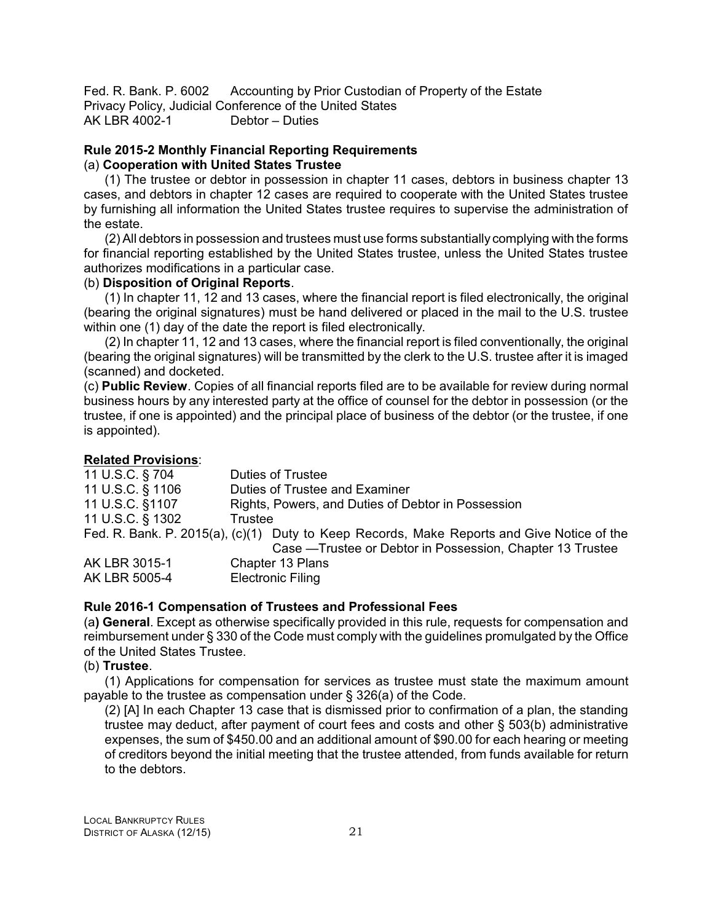<span id="page-24-0"></span>Fed. R. Bank. P. 6002 Accounting by Prior Custodian of Property of the Estate Privacy Policy, Judicial Conference of the United States AK LBR 4002-1 Debtor – Duties

#### **Rule 2015-2 Monthly Financial Reporting Requirements** (a) **Cooperation with United States Trustee**

(1) The trustee or debtor in possession in chapter 11 cases, debtors in business chapter 13 cases, and debtors in chapter 12 cases are required to cooperate with the United States trustee by furnishing all information the United States trustee requires to supervise the administration of the estate.

(2) All debtors in possession and trustees must use forms substantially complying with the forms for financial reporting established by the United States trustee, unless the United States trustee authorizes modifications in a particular case.

#### (b) **Disposition of Original Reports**.

(1) In chapter 11, 12 and 13 cases, where the financial report is filed electronically, the original (bearing the original signatures) must be hand delivered or placed in the mail to the U.S. trustee within one (1) day of the date the report is filed electronically.

(2) In chapter 11, 12 and 13 cases, where the financial report is filed conventionally, the original (bearing the original signatures) will be transmitted by the clerk to the U.S. trustee after it is imaged (scanned) and docketed.

(c) **Public Review**. Copies of all financial reports filed are to be available for review during normal business hours by any interested party at the office of counsel for the debtor in possession (or the trustee, if one is appointed) and the principal place of business of the debtor (or the trustee, if one is appointed).

#### **Related Provisions**:

| 11 U.S.C. § 704  | <b>Duties of Trustee</b>                                                                   |
|------------------|--------------------------------------------------------------------------------------------|
| 11 U.S.C. § 1106 | Duties of Trustee and Examiner                                                             |
| 11 U.S.C. §1107  | Rights, Powers, and Duties of Debtor in Possession                                         |
| 11 U.S.C. § 1302 | Trustee                                                                                    |
|                  | Fed. R. Bank. P. 2015(a), (c)(1) Duty to Keep Records, Make Reports and Give Notice of the |
|                  | Case - Trustee or Debtor in Possession, Chapter 13 Trustee                                 |
| AK LBR 3015-1    | Chapter 13 Plans                                                                           |
| AK LBR 5005-4    | <b>Electronic Filing</b>                                                                   |

#### **Rule 2016-1 Compensation of Trustees and Professional Fees**

(a**) General**. Except as otherwise specifically provided in this rule, requests for compensation and reimbursement under § 330 of the Code must comply with the guidelines promulgated by the Office of the United States Trustee.

#### (b) **Trustee**.

(1) Applications for compensation for services as trustee must state the maximum amount payable to the trustee as compensation under § 326(a) of the Code.

(2) [A] In each Chapter 13 case that is dismissed prior to confirmation of a plan, the standing trustee may deduct, after payment of court fees and costs and other § 503(b) administrative expenses, the sum of \$450.00 and an additional amount of \$90.00 for each hearing or meeting of creditors beyond the initial meeting that the trustee attended, from funds available for return to the debtors.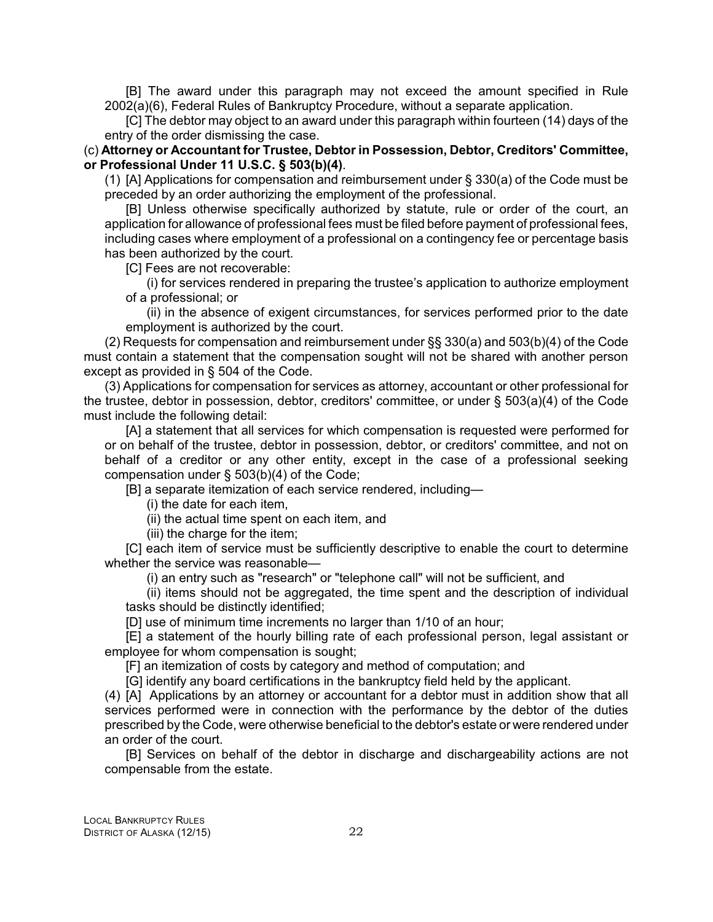[B] The award under this paragraph may not exceed the amount specified in Rule 2002(a)(6), Federal Rules of Bankruptcy Procedure, without a separate application.

[C] The debtor may object to an award under this paragraph within fourteen (14) days of the entry of the order dismissing the case.

(c) **Attorney or Accountant for Trustee, Debtor in Possession, Debtor, Creditors' Committee, or Professional Under 11 U.S.C. § 503(b)(4)**.

(1) [A] Applications for compensation and reimbursement under § 330(a) of the Code must be preceded by an order authorizing the employment of the professional.

[B] Unless otherwise specifically authorized by statute, rule or order of the court, an application for allowance of professional fees must be filed before payment of professional fees, including cases where employment of a professional on a contingency fee or percentage basis has been authorized by the court.

[C] Fees are not recoverable:

(i) for services rendered in preparing the trustee's application to authorize employment of a professional; or

(ii) in the absence of exigent circumstances, for services performed prior to the date employment is authorized by the court.

(2) Requests for compensation and reimbursement under §§ 330(a) and 503(b)(4) of the Code must contain a statement that the compensation sought will not be shared with another person except as provided in § 504 of the Code.

(3) Applications for compensation for services as attorney, accountant or other professional for the trustee, debtor in possession, debtor, creditors' committee, or under § 503(a)(4) of the Code must include the following detail:

[A] a statement that all services for which compensation is requested were performed for or on behalf of the trustee, debtor in possession, debtor, or creditors' committee, and not on behalf of a creditor or any other entity, except in the case of a professional seeking compensation under § 503(b)(4) of the Code;

[B] a separate itemization of each service rendered, including—

(i) the date for each item,

(ii) the actual time spent on each item, and

(iii) the charge for the item;

[C] each item of service must be sufficiently descriptive to enable the court to determine whether the service was reasonable—

(i) an entry such as "research" or "telephone call" will not be sufficient, and

(ii) items should not be aggregated, the time spent and the description of individual tasks should be distinctly identified;

[D] use of minimum time increments no larger than 1/10 of an hour;

[E] a statement of the hourly billing rate of each professional person, legal assistant or employee for whom compensation is sought;

[F] an itemization of costs by category and method of computation; and

[G] identify any board certifications in the bankruptcy field held by the applicant.

(4) [A] Applications by an attorney or accountant for a debtor must in addition show that all services performed were in connection with the performance by the debtor of the duties prescribed by the Code, were otherwise beneficial to the debtor's estate or were rendered under an order of the court.

[B] Services on behalf of the debtor in discharge and dischargeability actions are not compensable from the estate.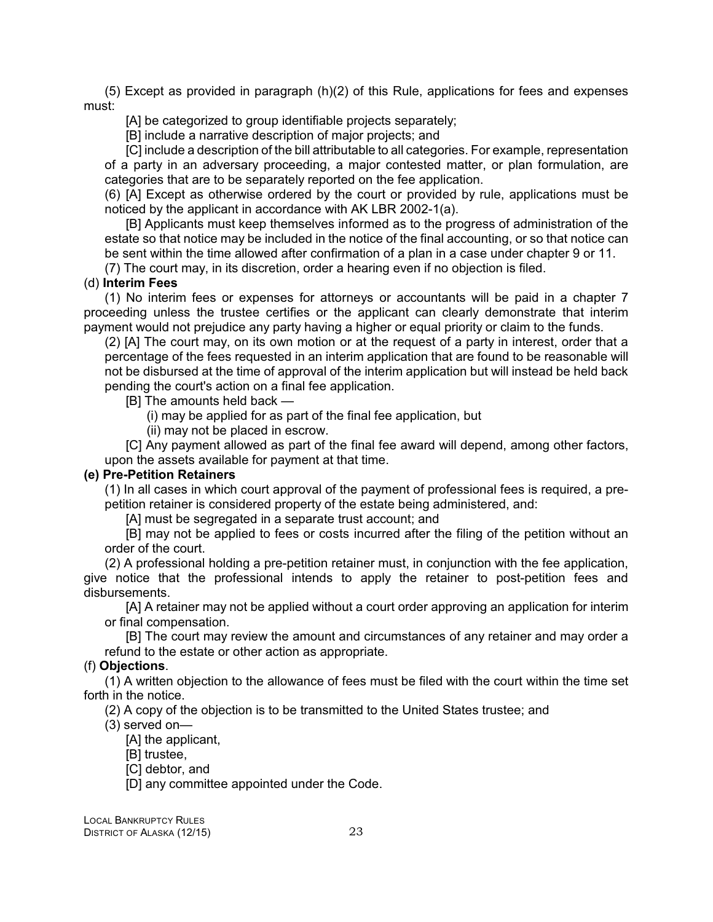(5) Except as provided in paragraph (h)(2) of this Rule, applications for fees and expenses must:

[A] be categorized to group identifiable projects separately;

[B] include a narrative description of major projects; and

[C] include a description of the bill attributable to all categories. For example, representation of a party in an adversary proceeding, a major contested matter, or plan formulation, are categories that are to be separately reported on the fee application.

(6) [A] Except as otherwise ordered by the court or provided by rule, applications must be noticed by the applicant in accordance with AK LBR 2002-1(a).

[B] Applicants must keep themselves informed as to the progress of administration of the estate so that notice may be included in the notice of the final accounting, or so that notice can be sent within the time allowed after confirmation of a plan in a case under chapter 9 or 11.

(7) The court may, in its discretion, order a hearing even if no objection is filed.

#### (d) **Interim Fees**

(1) No interim fees or expenses for attorneys or accountants will be paid in a chapter 7 proceeding unless the trustee certifies or the applicant can clearly demonstrate that interim payment would not prejudice any party having a higher or equal priority or claim to the funds.

(2) [A] The court may, on its own motion or at the request of a party in interest, order that a percentage of the fees requested in an interim application that are found to be reasonable will not be disbursed at the time of approval of the interim application but will instead be held back pending the court's action on a final fee application.

[B] The amounts held back —

(i) may be applied for as part of the final fee application, but

(ii) may not be placed in escrow.

[C] Any payment allowed as part of the final fee award will depend, among other factors, upon the assets available for payment at that time.

#### **(e) Pre-Petition Retainers**

(1) In all cases in which court approval of the payment of professional fees is required, a prepetition retainer is considered property of the estate being administered, and:

[A] must be segregated in a separate trust account; and

[B] may not be applied to fees or costs incurred after the filing of the petition without an order of the court.

(2) A professional holding a pre-petition retainer must, in conjunction with the fee application, give notice that the professional intends to apply the retainer to post-petition fees and disbursements.

[A] A retainer may not be applied without a court order approving an application for interim or final compensation.

[B] The court may review the amount and circumstances of any retainer and may order a refund to the estate or other action as appropriate.

#### (f) **Objections**.

(1) A written objection to the allowance of fees must be filed with the court within the time set forth in the notice.

(2) A copy of the objection is to be transmitted to the United States trustee; and

(3) served on—

[A] the applicant,

[B] trustee,

[C] debtor, and

[D] any committee appointed under the Code.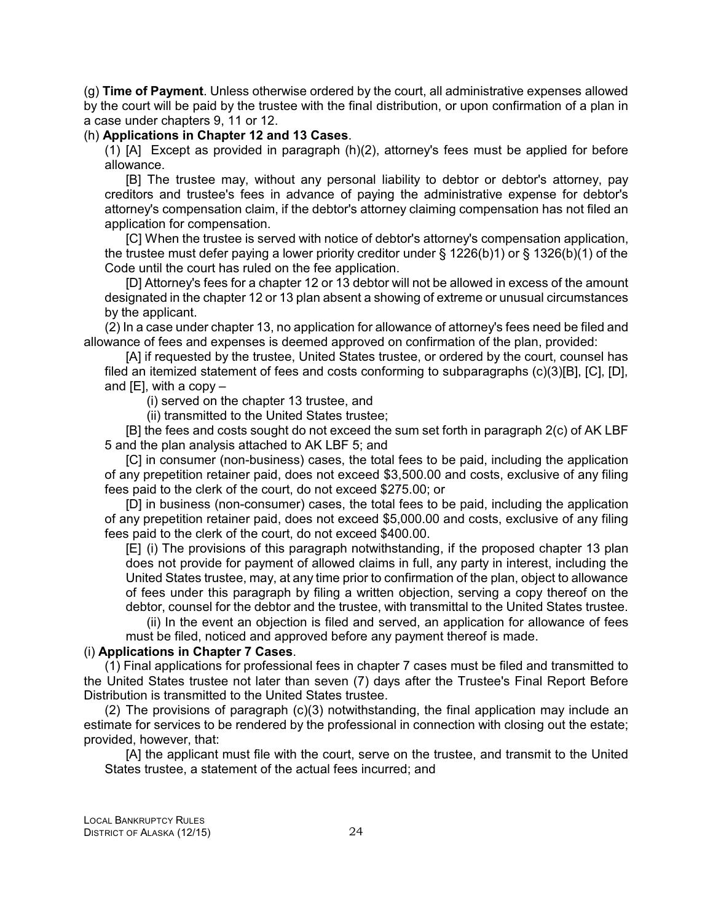(g) **Time of Payment**. Unless otherwise ordered by the court, all administrative expenses allowed by the court will be paid by the trustee with the final distribution, or upon confirmation of a plan in a case under chapters 9, 11 or 12.

#### (h) **Applications in Chapter 12 and 13 Cases**.

(1) [A] Except as provided in paragraph (h)(2), attorney's fees must be applied for before allowance.

[B] The trustee may, without any personal liability to debtor or debtor's attorney, pay creditors and trustee's fees in advance of paying the administrative expense for debtor's attorney's compensation claim, if the debtor's attorney claiming compensation has not filed an application for compensation.

[C] When the trustee is served with notice of debtor's attorney's compensation application, the trustee must defer paying a lower priority creditor under § 1226(b)1) or § 1326(b)(1) of the Code until the court has ruled on the fee application.

[D] Attorney's fees for a chapter 12 or 13 debtor will not be allowed in excess of the amount designated in the chapter 12 or 13 plan absent a showing of extreme or unusual circumstances by the applicant.

(2) In a case under chapter 13, no application for allowance of attorney's fees need be filed and allowance of fees and expenses is deemed approved on confirmation of the plan, provided:

[A] if requested by the trustee, United States trustee, or ordered by the court, counsel has filed an itemized statement of fees and costs conforming to subparagraphs (c)(3)[B], [C], [D], and  $[E]$ , with a copy  $-$ 

(i) served on the chapter 13 trustee, and

(ii) transmitted to the United States trustee;

[B] the fees and costs sought do not exceed the sum set forth in paragraph 2(c) of AK LBF 5 and the plan analysis attached to AK LBF 5; and

[C] in consumer (non-business) cases, the total fees to be paid, including the application of any prepetition retainer paid, does not exceed \$3,500.00 and costs, exclusive of any filing fees paid to the clerk of the court, do not exceed \$275.00; or

[D] in business (non-consumer) cases, the total fees to be paid, including the application of any prepetition retainer paid, does not exceed \$5,000.00 and costs, exclusive of any filing fees paid to the clerk of the court, do not exceed \$400.00.

[E] (i) The provisions of this paragraph notwithstanding, if the proposed chapter 13 plan does not provide for payment of allowed claims in full, any party in interest, including the United States trustee, may, at any time prior to confirmation of the plan, object to allowance of fees under this paragraph by filing a written objection, serving a copy thereof on the debtor, counsel for the debtor and the trustee, with transmittal to the United States trustee.

(ii) In the event an objection is filed and served, an application for allowance of fees must be filed, noticed and approved before any payment thereof is made.

#### (i) **Applications in Chapter 7 Cases**.

(1) Final applications for professional fees in chapter 7 cases must be filed and transmitted to the United States trustee not later than seven (7) days after the Trustee's Final Report Before Distribution is transmitted to the United States trustee.

(2) The provisions of paragraph (c)(3) notwithstanding, the final application may include an estimate for services to be rendered by the professional in connection with closing out the estate; provided, however, that:

[A] the applicant must file with the court, serve on the trustee, and transmit to the United States trustee, a statement of the actual fees incurred; and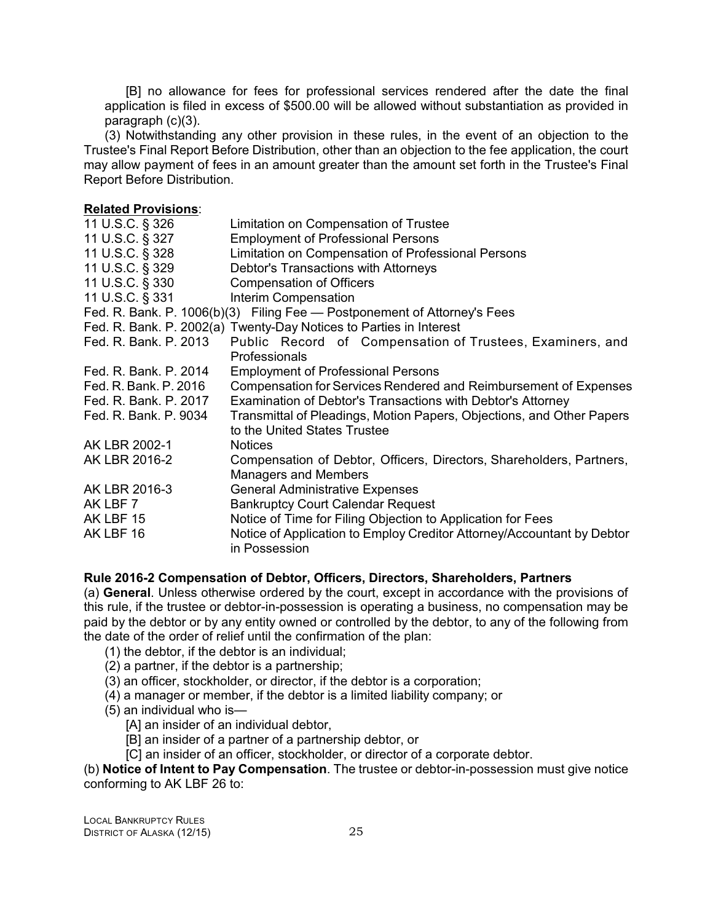<span id="page-28-0"></span>[B] no allowance for fees for professional services rendered after the date the final application is filed in excess of \$500.00 will be allowed without substantiation as provided in paragraph (c)(3).

(3) Notwithstanding any other provision in these rules, in the event of an objection to the Trustee's Final Report Before Distribution, other than an objection to the fee application, the court may allow payment of fees in an amount greater than the amount set forth in the Trustee's Final Report Before Distribution.

#### **Related Provisions**:

| 11 U.S.C. § 326       | Limitation on Compensation of Trustee                                                   |
|-----------------------|-----------------------------------------------------------------------------------------|
| 11 U.S.C. § 327       | <b>Employment of Professional Persons</b>                                               |
| 11 U.S.C. § 328       | Limitation on Compensation of Professional Persons                                      |
| 11 U.S.C. § 329       | Debtor's Transactions with Attorneys                                                    |
| 11 U.S.C. § 330       | <b>Compensation of Officers</b>                                                         |
| 11 U.S.C. § 331       | Interim Compensation                                                                    |
|                       | Fed. R. Bank. P. 1006(b)(3) Filing Fee - Postponement of Attorney's Fees                |
|                       | Fed. R. Bank. P. 2002(a) Twenty-Day Notices to Parties in Interest                      |
| Fed. R. Bank. P. 2013 | Public Record of Compensation of Trustees, Examiners, and                               |
|                       | Professionals                                                                           |
| Fed. R. Bank. P. 2014 | <b>Employment of Professional Persons</b>                                               |
| Fed. R. Bank. P. 2016 | Compensation for Services Rendered and Reimbursement of Expenses                        |
| Fed. R. Bank. P. 2017 | Examination of Debtor's Transactions with Debtor's Attorney                             |
| Fed. R. Bank. P. 9034 | Transmittal of Pleadings, Motion Papers, Objections, and Other Papers                   |
|                       | to the United States Trustee                                                            |
| AK LBR 2002-1         | <b>Notices</b>                                                                          |
| AK LBR 2016-2         | Compensation of Debtor, Officers, Directors, Shareholders, Partners,                    |
|                       | <b>Managers and Members</b>                                                             |
| AK LBR 2016-3         | <b>General Administrative Expenses</b>                                                  |
| AK LBF 7              | <b>Bankruptcy Court Calendar Request</b>                                                |
| AK LBF 15             | Notice of Time for Filing Objection to Application for Fees                             |
| AK LBF 16             | Notice of Application to Employ Creditor Attorney/Accountant by Debtor<br>in Possession |

#### **Rule 2016-2 Compensation of Debtor, Officers, Directors, Shareholders, Partners**

(a) **General**. Unless otherwise ordered by the court, except in accordance with the provisions of this rule, if the trustee or debtor-in-possession is operating a business, no compensation may be paid by the debtor or by any entity owned or controlled by the debtor, to any of the following from the date of the order of relief until the confirmation of the plan:

- (1) the debtor, if the debtor is an individual;
- (2) a partner, if the debtor is a partnership;
- (3) an officer, stockholder, or director, if the debtor is a corporation;
- (4) a manager or member, if the debtor is a limited liability company; or
- (5) an individual who is—
	- [A] an insider of an individual debtor,
	- [B] an insider of a partner of a partnership debtor, or
	- [C] an insider of an officer, stockholder, or director of a corporate debtor.

(b) **Notice of Intent to Pay Compensation**. The trustee or debtor-in-possession must give notice conforming to AK LBF 26 to: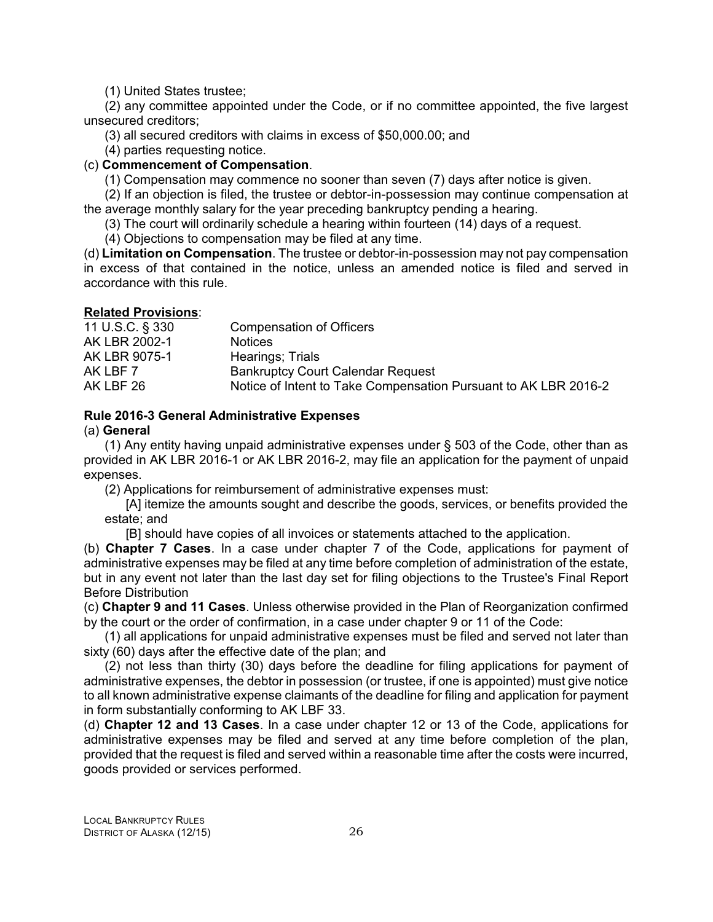(1) United States trustee;

<span id="page-29-0"></span>(2) any committee appointed under the Code, or if no committee appointed, the five largest unsecured creditors;

(3) all secured creditors with claims in excess of \$50,000.00; and

(4) parties requesting notice.

#### (c) **Commencement of Compensation**.

(1) Compensation may commence no sooner than seven (7) days after notice is given.

(2) If an objection is filed, the trustee or debtor-in-possession may continue compensation at the average monthly salary for the year preceding bankruptcy pending a hearing.

(3) The court will ordinarily schedule a hearing within fourteen (14) days of a request.

(4) Objections to compensation may be filed at any time.

(d) **Limitation on Compensation**. The trustee or debtor-in-possession may not pay compensation in excess of that contained in the notice, unless an amended notice is filed and served in accordance with this rule.

#### **Related Provisions**:

| 11 U.S.C. § 330 | <b>Compensation of Officers</b>                                 |
|-----------------|-----------------------------------------------------------------|
| AK LBR 2002-1   | <b>Notices</b>                                                  |
| AK LBR 9075-1   | Hearings; Trials                                                |
| AK LBF 7        | <b>Bankruptcy Court Calendar Request</b>                        |
| AK LBF 26       | Notice of Intent to Take Compensation Pursuant to AK LBR 2016-2 |

#### **Rule 2016-3 General Administrative Expenses**

#### (a) **General**

(1) Any entity having unpaid administrative expenses under § 503 of the Code, other than as provided in AK LBR 2016-1 or AK LBR 2016-2, may file an application for the payment of unpaid expenses.

(2) Applications for reimbursement of administrative expenses must:

[A] itemize the amounts sought and describe the goods, services, or benefits provided the estate; and

[B] should have copies of all invoices or statements attached to the application.

(b) **Chapter 7 Cases**. In a case under chapter 7 of the Code, applications for payment of administrative expenses may be filed at any time before completion of administration of the estate, but in any event not later than the last day set for filing objections to the Trustee's Final Report Before Distribution

(c) **Chapter 9 and 11 Cases**. Unless otherwise provided in the Plan of Reorganization confirmed by the court or the order of confirmation, in a case under chapter 9 or 11 of the Code:

(1) all applications for unpaid administrative expenses must be filed and served not later than sixty (60) days after the effective date of the plan; and

(2) not less than thirty (30) days before the deadline for filing applications for payment of administrative expenses, the debtor in possession (or trustee, if one is appointed) must give notice to all known administrative expense claimants of the deadline for filing and application for payment in form substantially conforming to AK LBF 33.

(d) **Chapter 12 and 13 Cases**. In a case under chapter 12 or 13 of the Code, applications for administrative expenses may be filed and served at any time before completion of the plan, provided that the request is filed and served within a reasonable time after the costs were incurred, goods provided or services performed.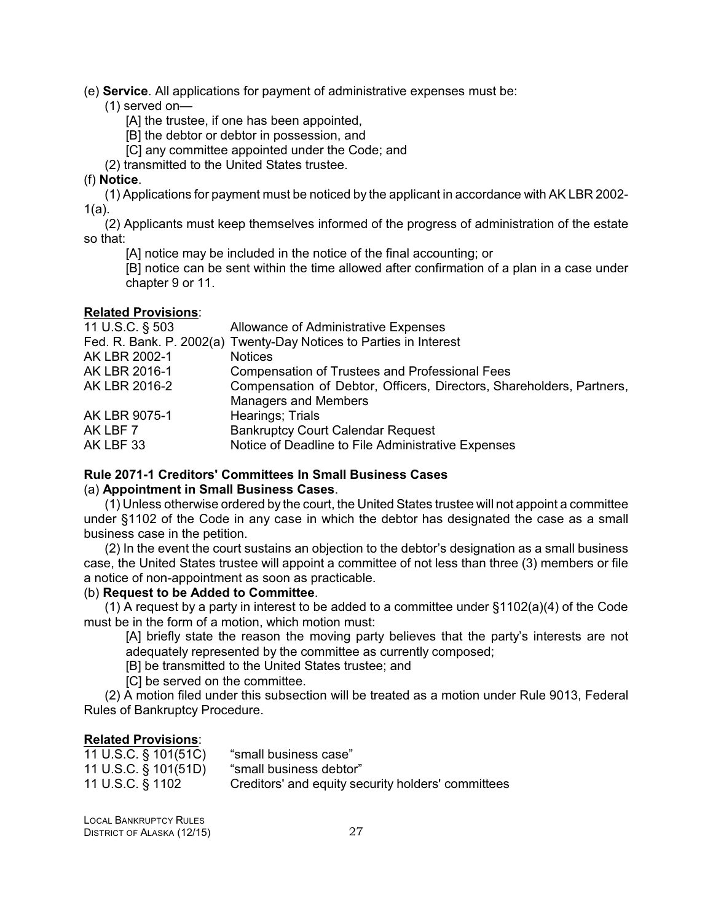<span id="page-30-0"></span>(e) **Service**. All applications for payment of administrative expenses must be:

(1) served on—

[A] the trustee, if one has been appointed,

- [B] the debtor or debtor in possession, and
- [C] any committee appointed under the Code; and
- (2) transmitted to the United States trustee.

#### (f) **Notice**.

(1) Applications for payment must be noticed by the applicant in accordance with AK LBR 2002- 1(a).

(2) Applicants must keep themselves informed of the progress of administration of the estate so that:

[A] notice may be included in the notice of the final accounting; or

[B] notice can be sent within the time allowed after confirmation of a plan in a case under chapter 9 or 11.

#### **Related Provisions**:

| 11 U.S.C. § 503 | Allowance of Administrative Expenses                                 |
|-----------------|----------------------------------------------------------------------|
|                 | Fed. R. Bank. P. 2002(a) Twenty-Day Notices to Parties in Interest   |
| AK LBR 2002-1   | <b>Notices</b>                                                       |
| AK LBR 2016-1   | <b>Compensation of Trustees and Professional Fees</b>                |
| AK LBR 2016-2   | Compensation of Debtor, Officers, Directors, Shareholders, Partners, |
|                 | <b>Managers and Members</b>                                          |
| AK LBR 9075-1   | Hearings; Trials                                                     |
| AK LBF 7        | <b>Bankruptcy Court Calendar Request</b>                             |
| AK LBF 33       | Notice of Deadline to File Administrative Expenses                   |
|                 |                                                                      |

#### **Rule 2071-1 Creditors' Committees In Small Business Cases**

#### (a) **Appointment in Small Business Cases**.

(1) Unless otherwise ordered by the court, the United States trustee will not appoint a committee under §1102 of the Code in any case in which the debtor has designated the case as a small business case in the petition.

(2) In the event the court sustains an objection to the debtor's designation as a small business case, the United States trustee will appoint a committee of not less than three (3) members or file a notice of non-appointment as soon as practicable.

#### (b) **Request to be Added to Committee**.

(1) A request by a party in interest to be added to a committee under §1102(a)(4) of the Code must be in the form of a motion, which motion must:

[A] briefly state the reason the moving party believes that the party's interests are not adequately represented by the committee as currently composed;

[B] be transmitted to the United States trustee; and

[C] be served on the committee.

(2) A motion filed under this subsection will be treated as a motion under Rule 9013, Federal Rules of Bankruptcy Procedure.

| 11 U.S.C. § 101(51C) | "small business case"                              |
|----------------------|----------------------------------------------------|
| 11 U.S.C. § 101(51D) | "small business debtor"                            |
| 11 U.S.C. § 1102     | Creditors' and equity security holders' committees |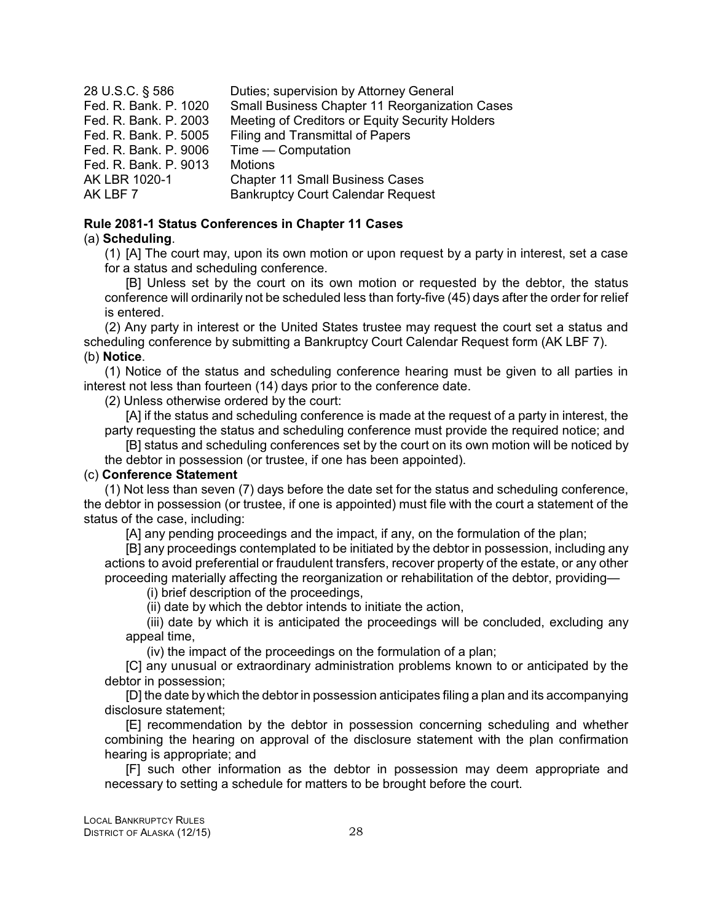<span id="page-31-0"></span>

| 28 U.S.C. § 586       | Duties; supervision by Attorney General         |
|-----------------------|-------------------------------------------------|
| Fed. R. Bank. P. 1020 | Small Business Chapter 11 Reorganization Cases  |
| Fed. R. Bank. P. 2003 | Meeting of Creditors or Equity Security Holders |
| Fed. R. Bank. P. 5005 | <b>Filing and Transmittal of Papers</b>         |
| Fed. R. Bank. P. 9006 | $Time$ - Computation                            |
| Fed. R. Bank. P. 9013 | <b>Motions</b>                                  |
| AK LBR 1020-1         | <b>Chapter 11 Small Business Cases</b>          |
| AK LBF 7              | <b>Bankruptcy Court Calendar Request</b>        |

#### **Rule 2081-1 Status Conferences in Chapter 11 Cases**

#### (a) **Scheduling**.

(1) [A] The court may, upon its own motion or upon request by a party in interest, set a case for a status and scheduling conference.

[B] Unless set by the court on its own motion or requested by the debtor, the status conference will ordinarily not be scheduled less than forty-five (45) days after the order for relief is entered.

(2) Any party in interest or the United States trustee may request the court set a status and scheduling conference by submitting a Bankruptcy Court Calendar Request form (AK LBF 7). (b) **Notice**.

(1) Notice of the status and scheduling conference hearing must be given to all parties in interest not less than fourteen (14) days prior to the conference date.

(2) Unless otherwise ordered by the court:

[A] if the status and scheduling conference is made at the request of a party in interest, the party requesting the status and scheduling conference must provide the required notice; and

[B] status and scheduling conferences set by the court on its own motion will be noticed by the debtor in possession (or trustee, if one has been appointed).

#### (c) **Conference Statement**

(1) Not less than seven (7) days before the date set for the status and scheduling conference, the debtor in possession (or trustee, if one is appointed) must file with the court a statement of the status of the case, including:

[A] any pending proceedings and the impact, if any, on the formulation of the plan;

[B] any proceedings contemplated to be initiated by the debtor in possession, including any actions to avoid preferential or fraudulent transfers, recover property of the estate, or any other proceeding materially affecting the reorganization or rehabilitation of the debtor, providing—

(i) brief description of the proceedings,

(ii) date by which the debtor intends to initiate the action,

(iii) date by which it is anticipated the proceedings will be concluded, excluding any appeal time,

(iv) the impact of the proceedings on the formulation of a plan;

[C] any unusual or extraordinary administration problems known to or anticipated by the debtor in possession;

[D] the date by which the debtor in possession anticipates filing a plan and its accompanying disclosure statement;

[E] recommendation by the debtor in possession concerning scheduling and whether combining the hearing on approval of the disclosure statement with the plan confirmation hearing is appropriate; and

[F] such other information as the debtor in possession may deem appropriate and necessary to setting a schedule for matters to be brought before the court.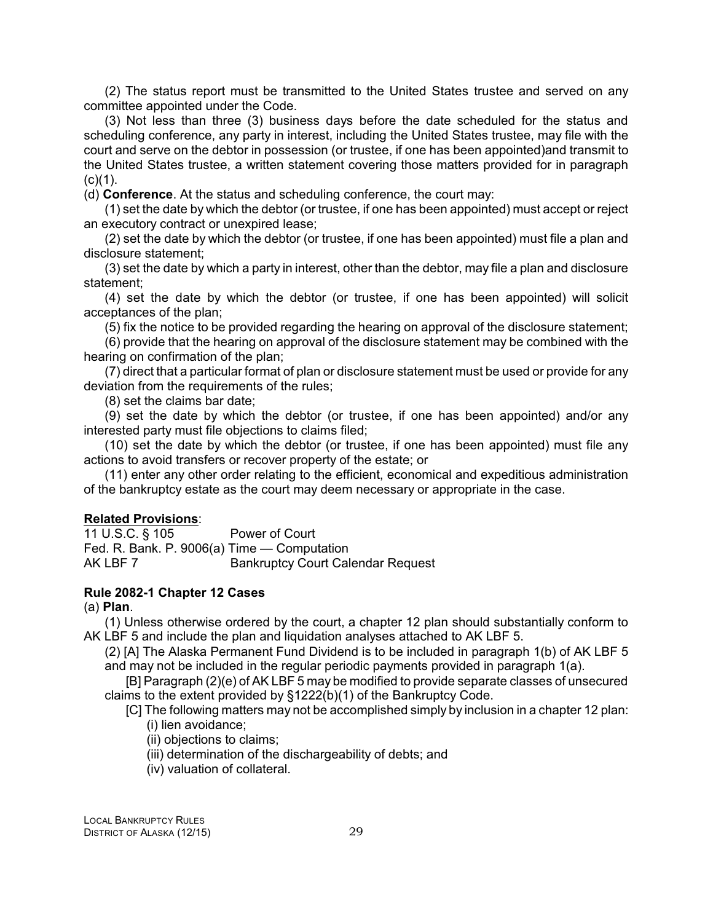<span id="page-32-0"></span>(2) The status report must be transmitted to the United States trustee and served on any committee appointed under the Code.

(3) Not less than three (3) business days before the date scheduled for the status and scheduling conference, any party in interest, including the United States trustee, may file with the court and serve on the debtor in possession (or trustee, if one has been appointed)and transmit to the United States trustee, a written statement covering those matters provided for in paragraph  $(c)(1)$ .

(d) **Conference**. At the status and scheduling conference, the court may:

(1) set the date by which the debtor (or trustee, if one has been appointed) must accept or reject an executory contract or unexpired lease;

(2) set the date by which the debtor (or trustee, if one has been appointed) must file a plan and disclosure statement;

(3) set the date by which a party in interest, other than the debtor, may file a plan and disclosure statement;

(4) set the date by which the debtor (or trustee, if one has been appointed) will solicit acceptances of the plan;

(5) fix the notice to be provided regarding the hearing on approval of the disclosure statement;

(6) provide that the hearing on approval of the disclosure statement may be combined with the hearing on confirmation of the plan;

(7) direct that a particular format of plan or disclosure statement must be used or provide for any deviation from the requirements of the rules;

(8) set the claims bar date;

(9) set the date by which the debtor (or trustee, if one has been appointed) and/or any interested party must file objections to claims filed;

(10) set the date by which the debtor (or trustee, if one has been appointed) must file any actions to avoid transfers or recover property of the estate; or

(11) enter any other order relating to the efficient, economical and expeditious administration of the bankruptcy estate as the court may deem necessary or appropriate in the case.

#### **Related Provisions**:

11 U.S.C. § 105 Power of Court Fed. R. Bank. P. 9006(a) Time — Computation AK LBF 7 Bankruptcy Court Calendar Request

#### **Rule 2082-1 Chapter 12 Cases**

(a) **Plan**.

(1) Unless otherwise ordered by the court, a chapter 12 plan should substantially conform to AK LBF 5 and include the plan and liquidation analyses attached to AK LBF 5.

(2) [A] The Alaska Permanent Fund Dividend is to be included in paragraph 1(b) of AK LBF 5 and may not be included in the regular periodic payments provided in paragraph 1(a).

[B] Paragraph (2)(e) of AK LBF 5 may be modified to provide separate classes of unsecured claims to the extent provided by §1222(b)(1) of the Bankruptcy Code.

[C] The following matters may not be accomplished simply by inclusion in a chapter 12 plan: (i) lien avoidance;

(ii) objections to claims;

(iii) determination of the dischargeability of debts; and

(iv) valuation of collateral.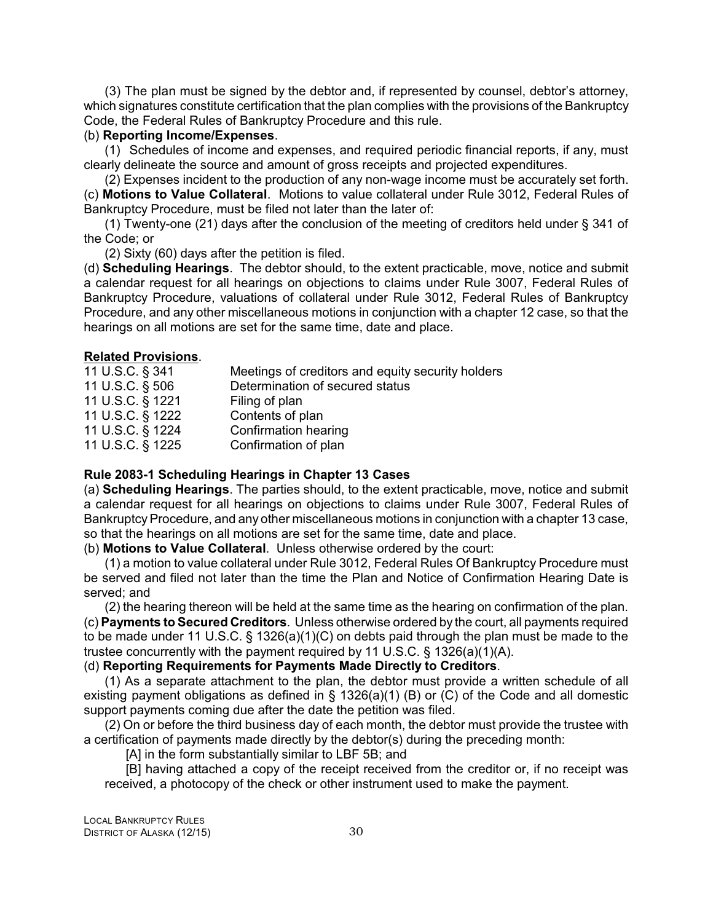<span id="page-33-0"></span>(3) The plan must be signed by the debtor and, if represented by counsel, debtor's attorney, which signatures constitute certification that the plan complies with the provisions of the Bankruptcy Code, the Federal Rules of Bankruptcy Procedure and this rule.

#### (b) **Reporting Income/Expenses**.

(1) Schedules of income and expenses, and required periodic financial reports, if any, must clearly delineate the source and amount of gross receipts and projected expenditures.

(2) Expenses incident to the production of any non-wage income must be accurately set forth. (c) **Motions to Value Collateral**. Motions to value collateral under Rule 3012, Federal Rules of Bankruptcy Procedure, must be filed not later than the later of:

(1) Twenty-one (21) days after the conclusion of the meeting of creditors held under § 341 of the Code; or

(2) Sixty (60) days after the petition is filed.

(d) **Scheduling Hearings**. The debtor should, to the extent practicable, move, notice and submit a calendar request for all hearings on objections to claims under Rule 3007, Federal Rules of Bankruptcy Procedure, valuations of collateral under Rule 3012, Federal Rules of Bankruptcy Procedure, and any other miscellaneous motions in conjunction with a chapter 12 case, so that the hearings on all motions are set for the same time, date and place.

#### **Related Provisions**.

| 11 U.S.C. § 341  | Meetings of creditors and equity security holders |
|------------------|---------------------------------------------------|
| 11 U.S.C. § 506  | Determination of secured status                   |
| 11 U.S.C. § 1221 | Filing of plan                                    |
| 11 U.S.C. § 1222 | Contents of plan                                  |
| 11 U.S.C. § 1224 | Confirmation hearing                              |
| 11 U.S.C. § 1225 | Confirmation of plan                              |
|                  |                                                   |

#### **Rule 2083-1 Scheduling Hearings in Chapter 13 Cases**

(a) **Scheduling Hearings**. The parties should, to the extent practicable, move, notice and submit a calendar request for all hearings on objections to claims under Rule 3007, Federal Rules of Bankruptcy Procedure, and any other miscellaneous motions in conjunction with a chapter 13 case, so that the hearings on all motions are set for the same time, date and place.

(b) **Motions to Value Collateral**. Unless otherwise ordered by the court:

(1) a motion to value collateral under Rule 3012, Federal Rules Of Bankruptcy Procedure must be served and filed not later than the time the Plan and Notice of Confirmation Hearing Date is served; and

(2) the hearing thereon will be held at the same time as the hearing on confirmation of the plan. (c) **Payments to Secured Creditors**. Unless otherwise ordered by the court, all payments required to be made under 11 U.S.C. § 1326(a)(1)(C) on debts paid through the plan must be made to the trustee concurrently with the payment required by 11 U.S.C. § 1326(a)(1)(A).

#### (d) **Reporting Requirements for Payments Made Directly to Creditors**.

(1) As a separate attachment to the plan, the debtor must provide a written schedule of all existing payment obligations as defined in § 1326(a)(1) (B) or (C) of the Code and all domestic support payments coming due after the date the petition was filed.

(2) On or before the third business day of each month, the debtor must provide the trustee with a certification of payments made directly by the debtor(s) during the preceding month:

[A] in the form substantially similar to LBF 5B; and

[B] having attached a copy of the receipt received from the creditor or, if no receipt was received, a photocopy of the check or other instrument used to make the payment.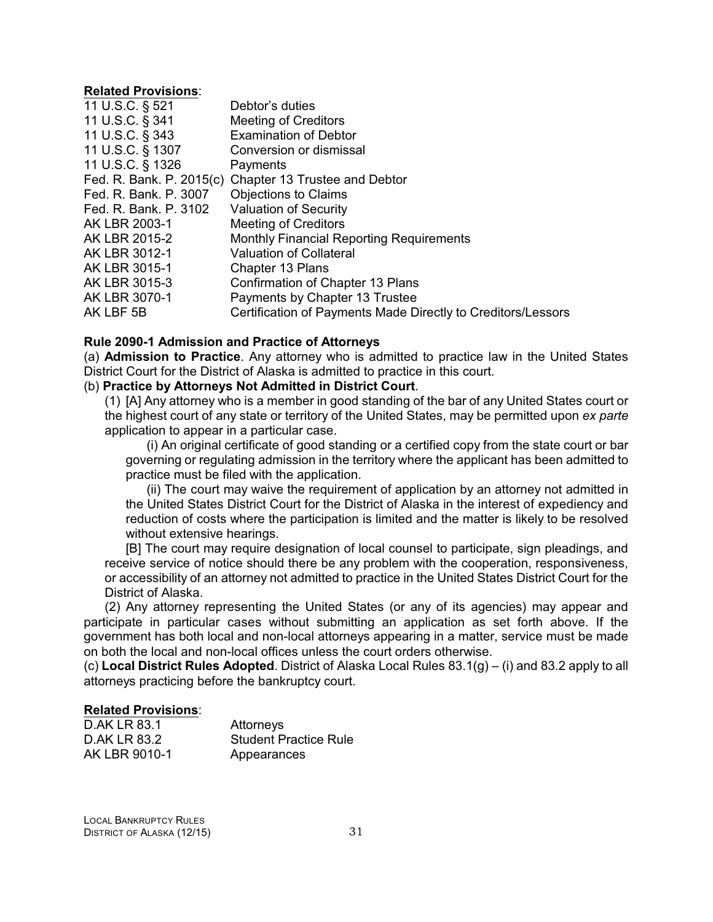#### <span id="page-34-0"></span>**Related Provisions**:

| 11 U.S.C. § 521          | Debtor's duties                                              |
|--------------------------|--------------------------------------------------------------|
| 11 U.S.C. § 341          | <b>Meeting of Creditors</b>                                  |
| 11 U.S.C. § 343          | <b>Examination of Debtor</b>                                 |
| 11 U.S.C. § 1307         | Conversion or dismissal                                      |
| 11 U.S.C. § 1326         | Payments                                                     |
| Fed. R. Bank. P. 2015(c) | Chapter 13 Trustee and Debtor                                |
| Fed. R. Bank. P. 3007    | <b>Objections to Claims</b>                                  |
| Fed. R. Bank. P. 3102    | <b>Valuation of Security</b>                                 |
| AK LBR 2003-1            | <b>Meeting of Creditors</b>                                  |
| AK LBR 2015-2            | <b>Monthly Financial Reporting Requirements</b>              |
| AK LBR 3012-1            | <b>Valuation of Collateral</b>                               |
| AK LBR 3015-1            | <b>Chapter 13 Plans</b>                                      |
| AK LBR 3015-3            | Confirmation of Chapter 13 Plans                             |
| AK LBR 3070-1            | Payments by Chapter 13 Trustee                               |
| AK LBF 5B                | Certification of Payments Made Directly to Creditors/Lessors |

#### **Rule 2090-1 Admission and Practice of Attorneys**

(a) **Admission to Practice**. Any attorney who is admitted to practice law in the United States District Court for the District of Alaska is admitted to practice in this court.

#### (b) **Practice by Attorneys Not Admitted in District Court**.

(1) [A] Any attorney who is a member in good standing of the bar of any United States court or the highest court of any state or territory of the United States, may be permitted upon *ex parte* application to appear in a particular case.

(i) An original certificate of good standing or a certified copy from the state court or bar governing or regulating admission in the territory where the applicant has been admitted to practice must be filed with the application.

(ii) The court may waive the requirement of application by an attorney not admitted in the United States District Court for the District of Alaska in the interest of expediency and reduction of costs where the participation is limited and the matter is likely to be resolved without extensive hearings.

[B] The court may require designation of local counsel to participate, sign pleadings, and receive service of notice should there be any problem with the cooperation, responsiveness, or accessibility of an attorney not admitted to practice in the United States District Court for the District of Alaska.

(2) Any attorney representing the United States (or any of its agencies) may appear and participate in particular cases without submitting an application as set forth above. If the government has both local and non-local attorneys appearing in a matter, service must be made on both the local and non-local offices unless the court orders otherwise.

(c) **Local District Rules Adopted**. District of Alaska Local Rules 83.1(g) – (i) and 83.2 apply to all attorneys practicing before the bankruptcy court.

| D.AK LR 83.1  | Attorneys                    |
|---------------|------------------------------|
| D.AK LR 83.2  | <b>Student Practice Rule</b> |
| AK LBR 9010-1 | Appearances                  |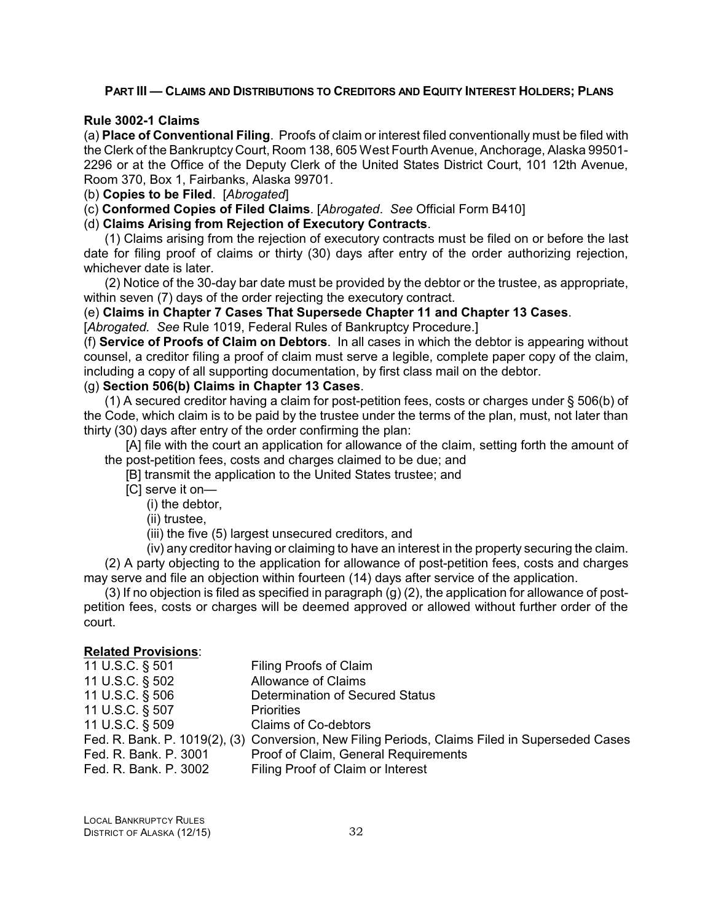#### <span id="page-35-0"></span>**PART III — CLAIMS AND DISTRIBUTIONS TO CREDITORS AND EQUITY INTEREST HOLDERS: PLANS**

#### **Rule 3002-1 Claims**

(a) **Place of Conventional Filing**. Proofs of claim or interest filed conventionally must be filed with the Clerk of the Bankruptcy Court, Room 138, 605 West Fourth Avenue, Anchorage, Alaska 99501- 2296 or at the Office of the Deputy Clerk of the United States District Court, 101 12th Avenue, Room 370, Box 1, Fairbanks, Alaska 99701.

(b) **Copies to be Filed**. [*Abrogated*]

(c) **Conformed Copies of Filed Claims**. [*Abrogated*. *See* Official Form B410]

#### (d) **Claims Arising from Rejection of Executory Contracts**.

(1) Claims arising from the rejection of executory contracts must be filed on or before the last date for filing proof of claims or thirty (30) days after entry of the order authorizing rejection, whichever date is later.

(2) Notice of the 30-day bar date must be provided by the debtor or the trustee, as appropriate, within seven (7) days of the order rejecting the executory contract.

#### (e) **Claims in Chapter 7 Cases That Supersede Chapter 11 and Chapter 13 Cases**.

[*Abrogated. See* Rule 1019, Federal Rules of Bankruptcy Procedure.]

(f) **Service of Proofs of Claim on Debtors**. In all cases in which the debtor is appearing without counsel, a creditor filing a proof of claim must serve a legible, complete paper copy of the claim, including a copy of all supporting documentation, by first class mail on the debtor.

#### (g) **Section 506(b) Claims in Chapter 13 Cases**.

(1) A secured creditor having a claim for post-petition fees, costs or charges under § 506(b) of the Code, which claim is to be paid by the trustee under the terms of the plan, must, not later than thirty (30) days after entry of the order confirming the plan:

[A] file with the court an application for allowance of the claim, setting forth the amount of the post-petition fees, costs and charges claimed to be due; and

[B] transmit the application to the United States trustee; and

- [C] serve it on—
	- (i) the debtor,
	- (ii) trustee,
	- (iii) the five (5) largest unsecured creditors, and

(iv) any creditor having or claiming to have an interest in the property securing the claim.

(2) A party objecting to the application for allowance of post-petition fees, costs and charges may serve and file an objection within fourteen (14) days after service of the application.

 $(3)$  If no objection is filed as specified in paragraph  $(g)$   $(2)$ , the application for allowance of postpetition fees, costs or charges will be deemed approved or allowed without further order of the court.

| 11 U.S.C. § 501       | Filing Proofs of Claim                                                                         |
|-----------------------|------------------------------------------------------------------------------------------------|
| 11 U.S.C. § 502       | <b>Allowance of Claims</b>                                                                     |
| 11 U.S.C. § 506       | Determination of Secured Status                                                                |
| 11 U.S.C. § 507       | <b>Priorities</b>                                                                              |
| 11 U.S.C. § 509       | <b>Claims of Co-debtors</b>                                                                    |
|                       | Fed. R. Bank. P. 1019(2), (3) Conversion, New Filing Periods, Claims Filed in Superseded Cases |
| Fed. R. Bank. P. 3001 | Proof of Claim, General Requirements                                                           |
| Fed. R. Bank. P. 3002 | Filing Proof of Claim or Interest                                                              |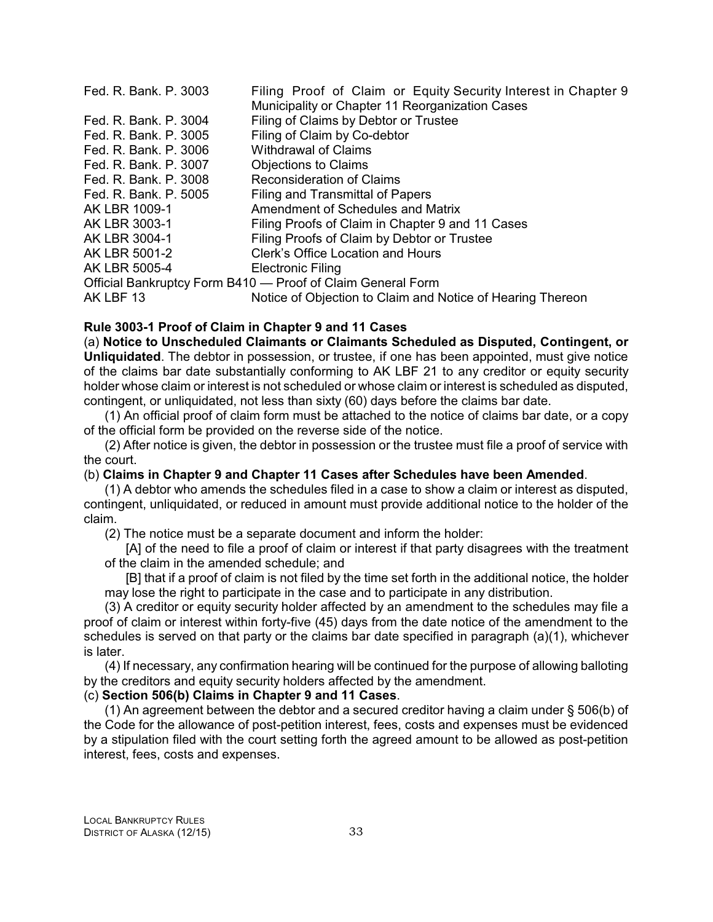| Fed. R. Bank. P. 3003 | Filing Proof of Claim or Equity Security Interest in Chapter 9 |
|-----------------------|----------------------------------------------------------------|
|                       | Municipality or Chapter 11 Reorganization Cases                |
| Fed. R. Bank. P. 3004 | Filing of Claims by Debtor or Trustee                          |
| Fed. R. Bank. P. 3005 | Filing of Claim by Co-debtor                                   |
| Fed. R. Bank. P. 3006 | <b>Withdrawal of Claims</b>                                    |
| Fed. R. Bank. P. 3007 | <b>Objections to Claims</b>                                    |
| Fed. R. Bank. P. 3008 | <b>Reconsideration of Claims</b>                               |
| Fed. R. Bank. P. 5005 | Filing and Transmittal of Papers                               |
| AK LBR 1009-1         | Amendment of Schedules and Matrix                              |
| AK LBR 3003-1         | Filing Proofs of Claim in Chapter 9 and 11 Cases               |
| AK LBR 3004-1         | Filing Proofs of Claim by Debtor or Trustee                    |
| AK LBR 5001-2         | Clerk's Office Location and Hours                              |
| AK LBR 5005-4         | <b>Electronic Filing</b>                                       |
|                       | Official Bankruptcy Form B410 - Proof of Claim General Form    |
| AK LBF 13             | Notice of Objection to Claim and Notice of Hearing Thereon     |

# **Rule 3003-1 Proof of Claim in Chapter 9 and 11 Cases**

(a) **Notice to Unscheduled Claimants or Claimants Scheduled as Disputed, Contingent, or Unliquidated**. The debtor in possession, or trustee, if one has been appointed, must give notice of the claims bar date substantially conforming to AK LBF 21 to any creditor or equity security holder whose claim or interest is not scheduled or whose claim or interest is scheduled as disputed, contingent, or unliquidated, not less than sixty (60) days before the claims bar date.

(1) An official proof of claim form must be attached to the notice of claims bar date, or a copy of the official form be provided on the reverse side of the notice.

(2) After notice is given, the debtor in possession or the trustee must file a proof of service with the court.

## (b) **Claims in Chapter 9 and Chapter 11 Cases after Schedules have been Amended**.

(1) A debtor who amends the schedules filed in a case to show a claim or interest as disputed, contingent, unliquidated, or reduced in amount must provide additional notice to the holder of the claim.

(2) The notice must be a separate document and inform the holder:

[A] of the need to file a proof of claim or interest if that party disagrees with the treatment of the claim in the amended schedule; and

[B] that if a proof of claim is not filed by the time set forth in the additional notice, the holder may lose the right to participate in the case and to participate in any distribution.

(3) A creditor or equity security holder affected by an amendment to the schedules may file a proof of claim or interest within forty-five (45) days from the date notice of the amendment to the schedules is served on that party or the claims bar date specified in paragraph (a)(1), whichever is later.

(4) If necessary, any confirmation hearing will be continued for the purpose of allowing balloting by the creditors and equity security holders affected by the amendment.

# (c) **Section 506(b) Claims in Chapter 9 and 11 Cases**.

(1) An agreement between the debtor and a secured creditor having a claim under § 506(b) of the Code for the allowance of post-petition interest, fees, costs and expenses must be evidenced by a stipulation filed with the court setting forth the agreed amount to be allowed as post-petition interest, fees, costs and expenses.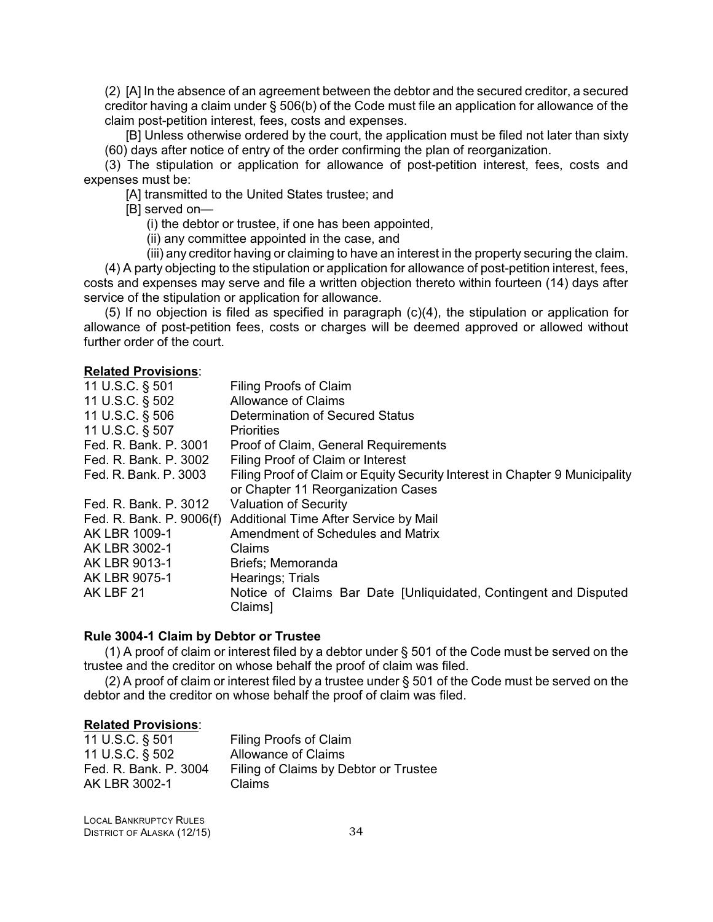(2) [A] In the absence of an agreement between the debtor and the secured creditor, a secured creditor having a claim under § 506(b) of the Code must file an application for allowance of the claim post-petition interest, fees, costs and expenses.

[B] Unless otherwise ordered by the court, the application must be filed not later than sixty (60) days after notice of entry of the order confirming the plan of reorganization.

(3) The stipulation or application for allowance of post-petition interest, fees, costs and expenses must be:

[A] transmitted to the United States trustee; and

[B] served on—

(i) the debtor or trustee, if one has been appointed,

(ii) any committee appointed in the case, and

(iii) any creditor having or claiming to have an interest in the property securing the claim.

(4) A party objecting to the stipulation or application for allowance of post-petition interest, fees, costs and expenses may serve and file a written objection thereto within fourteen (14) days after service of the stipulation or application for allowance.

(5) If no objection is filed as specified in paragraph (c)(4), the stipulation or application for allowance of post-petition fees, costs or charges will be deemed approved or allowed without further order of the court.

#### **Related Provisions**:

| 11 U.S.C. § 501          | Filing Proofs of Claim                                                            |
|--------------------------|-----------------------------------------------------------------------------------|
| 11 U.S.C. § 502          | Allowance of Claims                                                               |
| 11 U.S.C. § 506          | Determination of Secured Status                                                   |
| 11 U.S.C. § 507          | <b>Priorities</b>                                                                 |
| Fed. R. Bank. P. 3001    | Proof of Claim, General Requirements                                              |
| Fed. R. Bank. P. 3002    | Filing Proof of Claim or Interest                                                 |
| Fed. R. Bank. P. 3003    | Filing Proof of Claim or Equity Security Interest in Chapter 9 Municipality       |
|                          | or Chapter 11 Reorganization Cases                                                |
| Fed. R. Bank, P. 3012    | <b>Valuation of Security</b>                                                      |
| Fed. R. Bank. P. 9006(f) | Additional Time After Service by Mail                                             |
| AK LBR 1009-1            | Amendment of Schedules and Matrix                                                 |
| AK LBR 3002-1            | Claims                                                                            |
| AK LBR 9013-1            | Briefs; Memoranda                                                                 |
| AK LBR 9075-1            | Hearings; Trials                                                                  |
| AK LBF 21                | Notice of Claims Bar Date [Unliquidated, Contingent and Disputed<br><b>Claims</b> |

#### **Rule 3004-1 Claim by Debtor or Trustee**

(1) A proof of claim or interest filed by a debtor under § 501 of the Code must be served on the trustee and the creditor on whose behalf the proof of claim was filed.

(2) A proof of claim or interest filed by a trustee under § 501 of the Code must be served on the debtor and the creditor on whose behalf the proof of claim was filed.

#### **Related Provisions**:

| Filing Proofs of Claim                |
|---------------------------------------|
| <b>Allowance of Claims</b>            |
| Filing of Claims by Debtor or Trustee |
| Claims                                |
|                                       |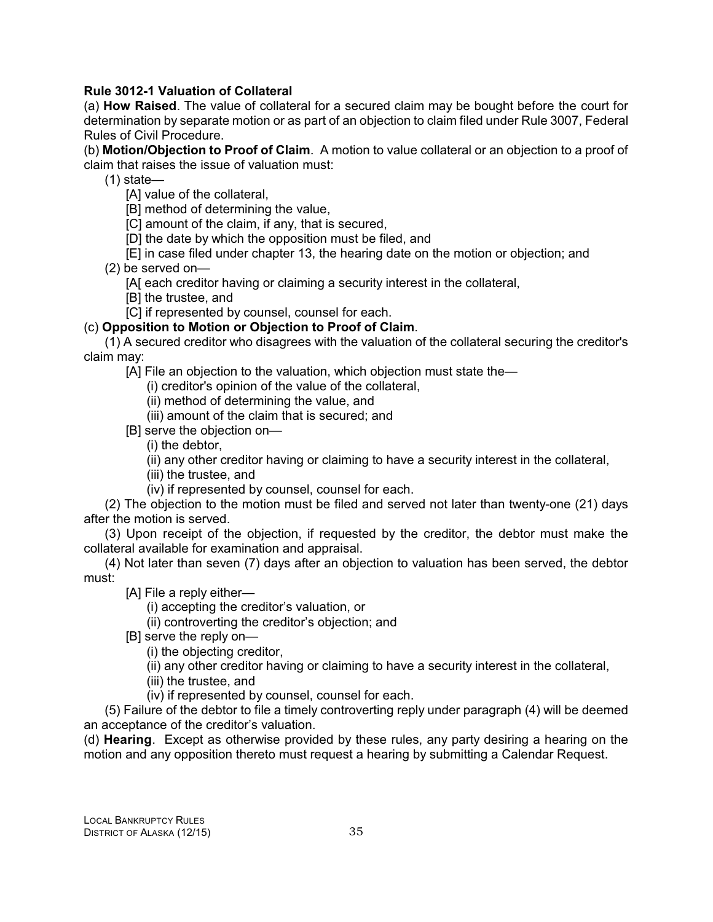# **Rule 3012-1 Valuation of Collateral**

(a) **How Raised**. The value of collateral for a secured claim may be bought before the court for determination by separate motion or as part of an objection to claim filed under Rule 3007, Federal Rules of Civil Procedure.

(b) **Motion/Objection to Proof of Claim**. A motion to value collateral or an objection to a proof of claim that raises the issue of valuation must:

(1) state—

[A] value of the collateral,

[B] method of determining the value,

[C] amount of the claim, if any, that is secured,

[D] the date by which the opposition must be filed, and

[E] in case filed under chapter 13, the hearing date on the motion or objection; and

(2) be served on—

[A[ each creditor having or claiming a security interest in the collateral,

[B] the trustee, and

[C] if represented by counsel, counsel for each.

(c) **Opposition to Motion or Objection to Proof of Claim**.

(1) A secured creditor who disagrees with the valuation of the collateral securing the creditor's claim may:

[A] File an objection to the valuation, which objection must state the-

(i) creditor's opinion of the value of the collateral,

(ii) method of determining the value, and

(iii) amount of the claim that is secured; and

[B] serve the objection on—

(i) the debtor,

(ii) any other creditor having or claiming to have a security interest in the collateral,

(iii) the trustee, and

(iv) if represented by counsel, counsel for each.

(2) The objection to the motion must be filed and served not later than twenty-one (21) days after the motion is served.

(3) Upon receipt of the objection, if requested by the creditor, the debtor must make the collateral available for examination and appraisal.

(4) Not later than seven (7) days after an objection to valuation has been served, the debtor must:

[A] File a reply either—

(i) accepting the creditor's valuation, or

(ii) controverting the creditor's objection; and

[B] serve the reply on—

(i) the objecting creditor,

(ii) any other creditor having or claiming to have a security interest in the collateral,

(iii) the trustee, and

(iv) if represented by counsel, counsel for each.

(5) Failure of the debtor to file a timely controverting reply under paragraph (4) will be deemed an acceptance of the creditor's valuation.

(d) **Hearing**. Except as otherwise provided by these rules, any party desiring a hearing on the motion and any opposition thereto must request a hearing by submitting a Calendar Request.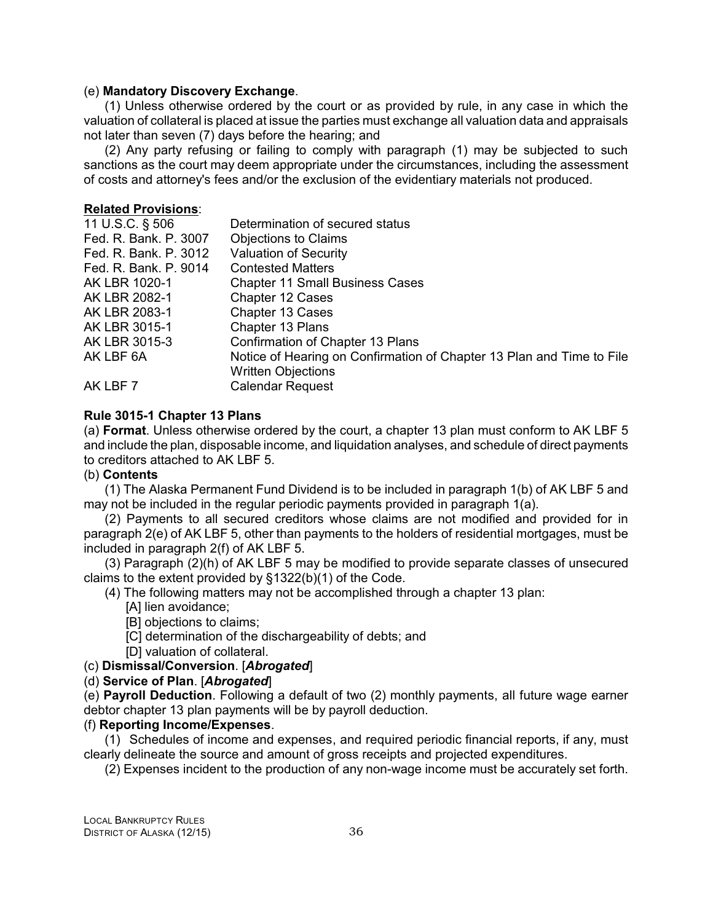#### (e) **Mandatory Discovery Exchange**.

(1) Unless otherwise ordered by the court or as provided by rule, in any case in which the valuation of collateral is placed at issue the parties must exchange all valuation data and appraisals not later than seven (7) days before the hearing; and

(2) Any party refusing or failing to comply with paragraph (1) may be subjected to such sanctions as the court may deem appropriate under the circumstances, including the assessment of costs and attorney's fees and/or the exclusion of the evidentiary materials not produced.

#### **Related Provisions**:

| Determination of secured status                                       |
|-----------------------------------------------------------------------|
| <b>Objections to Claims</b>                                           |
| <b>Valuation of Security</b>                                          |
| <b>Contested Matters</b>                                              |
| <b>Chapter 11 Small Business Cases</b>                                |
| Chapter 12 Cases                                                      |
| <b>Chapter 13 Cases</b>                                               |
| Chapter 13 Plans                                                      |
| Confirmation of Chapter 13 Plans                                      |
| Notice of Hearing on Confirmation of Chapter 13 Plan and Time to File |
| <b>Written Objections</b>                                             |
| <b>Calendar Request</b>                                               |
|                                                                       |

## **Rule 3015-1 Chapter 13 Plans**

(a) **Format**. Unless otherwise ordered by the court, a chapter 13 plan must conform to AK LBF 5 and include the plan, disposable income, and liquidation analyses, and schedule of direct payments to creditors attached to AK LBF 5.

## (b) **Contents**

(1) The Alaska Permanent Fund Dividend is to be included in paragraph 1(b) of AK LBF 5 and may not be included in the regular periodic payments provided in paragraph 1(a).

(2) Payments to all secured creditors whose claims are not modified and provided for in paragraph 2(e) of AK LBF 5, other than payments to the holders of residential mortgages, must be included in paragraph 2(f) of AK LBF 5.

(3) Paragraph (2)(h) of AK LBF 5 may be modified to provide separate classes of unsecured claims to the extent provided by §1322(b)(1) of the Code.

(4) The following matters may not be accomplished through a chapter 13 plan:

[A] lien avoidance;

- [B] objections to claims;
- [C] determination of the dischargeability of debts; and
- [D] valuation of collateral.

## (c) **Dismissal/Conversion**. [*Abrogated*]

## (d) **Service of Plan**. [*Abrogated*]

(e) **Payroll Deduction**. Following a default of two (2) monthly payments, all future wage earner debtor chapter 13 plan payments will be by payroll deduction.

## (f) **Reporting Income/Expenses**.

(1) Schedules of income and expenses, and required periodic financial reports, if any, must clearly delineate the source and amount of gross receipts and projected expenditures.

(2) Expenses incident to the production of any non-wage income must be accurately set forth.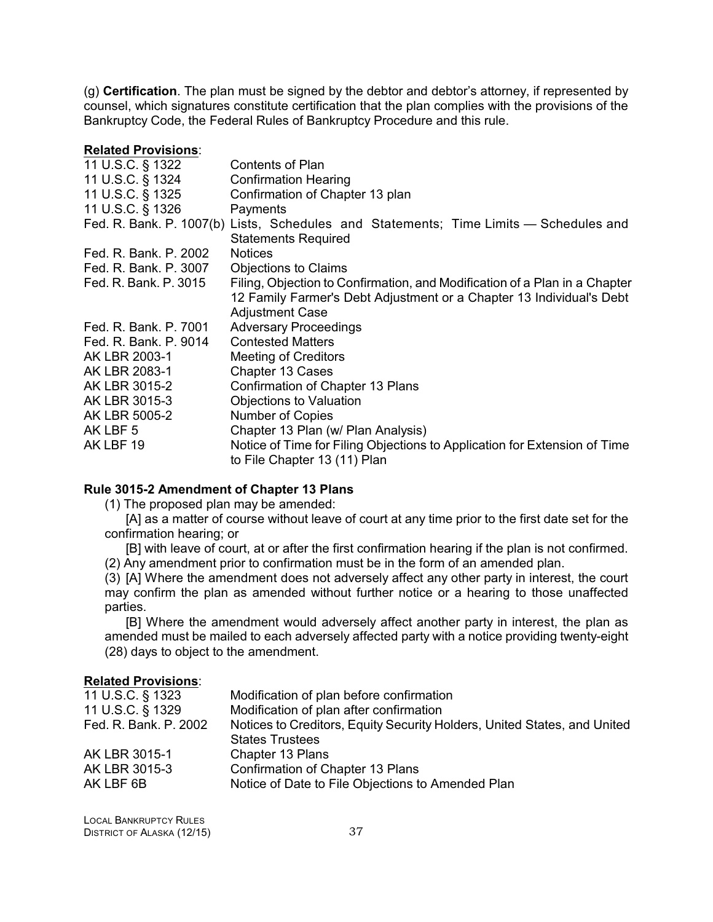(g) **Certification**. The plan must be signed by the debtor and debtor's attorney, if represented by counsel, which signatures constitute certification that the plan complies with the provisions of the Bankruptcy Code, the Federal Rules of Bankruptcy Procedure and this rule.

#### **Related Provisions**:

| 11 U.S.C. § 1322      | Contents of Plan                                                                                          |
|-----------------------|-----------------------------------------------------------------------------------------------------------|
| 11 U.S.C. § 1324      | <b>Confirmation Hearing</b>                                                                               |
| 11 U.S.C. § 1325      | Confirmation of Chapter 13 plan                                                                           |
| 11 U.S.C. § 1326      | Payments                                                                                                  |
|                       | Fed. R. Bank. P. 1007(b) Lists, Schedules and Statements; Time Limits — Schedules and                     |
|                       | <b>Statements Required</b>                                                                                |
| Fed. R. Bank. P. 2002 | <b>Notices</b>                                                                                            |
| Fed. R. Bank. P. 3007 | <b>Objections to Claims</b>                                                                               |
| Fed. R. Bank. P. 3015 | Filing, Objection to Confirmation, and Modification of a Plan in a Chapter                                |
|                       | 12 Family Farmer's Debt Adjustment or a Chapter 13 Individual's Debt                                      |
|                       | <b>Adjustment Case</b>                                                                                    |
| Fed. R. Bank. P. 7001 | <b>Adversary Proceedings</b>                                                                              |
| Fed. R. Bank. P. 9014 | <b>Contested Matters</b>                                                                                  |
| AK LBR 2003-1         | <b>Meeting of Creditors</b>                                                                               |
| AK LBR 2083-1         | <b>Chapter 13 Cases</b>                                                                                   |
| AK LBR 3015-2         | Confirmation of Chapter 13 Plans                                                                          |
| AK LBR 3015-3         | <b>Objections to Valuation</b>                                                                            |
| AK LBR 5005-2         | <b>Number of Copies</b>                                                                                   |
| AK LBF 5              | Chapter 13 Plan (w/ Plan Analysis)                                                                        |
| AK LBF 19             | Notice of Time for Filing Objections to Application for Extension of Time<br>to File Chapter 13 (11) Plan |

# **Rule 3015-2 Amendment of Chapter 13 Plans**

(1) The proposed plan may be amended:

[A] as a matter of course without leave of court at any time prior to the first date set for the confirmation hearing; or

[B] with leave of court, at or after the first confirmation hearing if the plan is not confirmed.

(2) Any amendment prior to confirmation must be in the form of an amended plan.

(3) [A] Where the amendment does not adversely affect any other party in interest, the court may confirm the plan as amended without further notice or a hearing to those unaffected parties.

[B] Where the amendment would adversely affect another party in interest, the plan as amended must be mailed to each adversely affected party with a notice providing twenty-eight (28) days to object to the amendment.

## **Related Provisions**:

| Modification of plan before confirmation                                 |
|--------------------------------------------------------------------------|
| Modification of plan after confirmation                                  |
| Notices to Creditors, Equity Security Holders, United States, and United |
| <b>States Trustees</b>                                                   |
| Chapter 13 Plans                                                         |
| Confirmation of Chapter 13 Plans                                         |
| Notice of Date to File Objections to Amended Plan                        |
|                                                                          |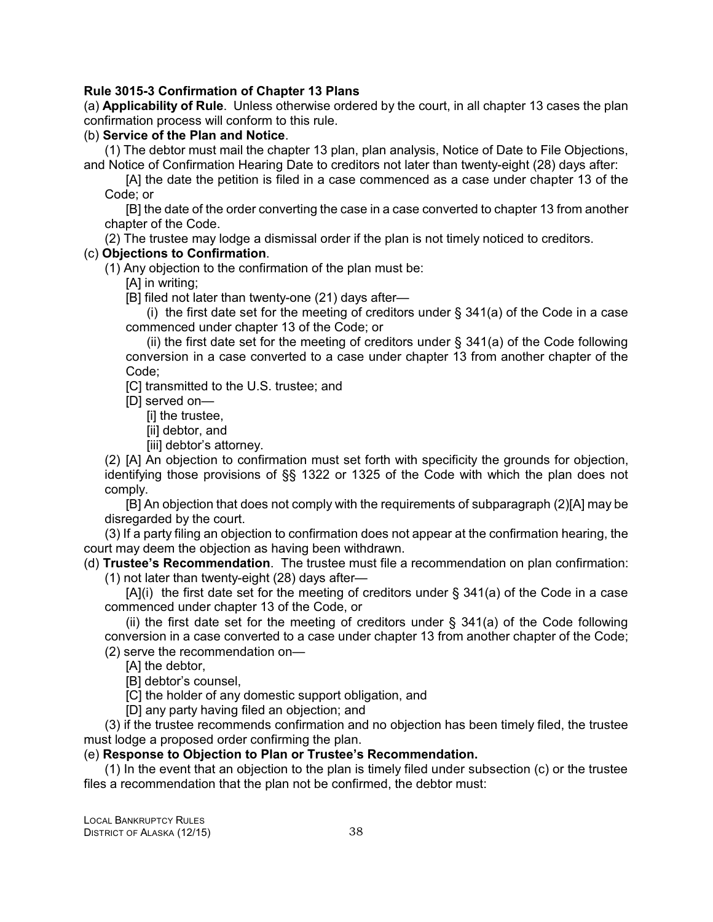# **Rule 3015-3 Confirmation of Chapter 13 Plans**

(a) **Applicability of Rule**. Unless otherwise ordered by the court, in all chapter 13 cases the plan confirmation process will conform to this rule.

## (b) **Service of the Plan and Notice**.

(1) The debtor must mail the chapter 13 plan, plan analysis, Notice of Date to File Objections, and Notice of Confirmation Hearing Date to creditors not later than twenty-eight (28) days after:

[A] the date the petition is filed in a case commenced as a case under chapter 13 of the Code; or

[B] the date of the order converting the case in a case converted to chapter 13 from another chapter of the Code.

(2) The trustee may lodge a dismissal order if the plan is not timely noticed to creditors.

# (c) **Objections to Confirmation**.

(1) Any objection to the confirmation of the plan must be:

[A] in writing;

[B] filed not later than twenty-one (21) days after—

(i) the first date set for the meeting of creditors under  $\S$  341(a) of the Code in a case commenced under chapter 13 of the Code; or

(ii) the first date set for the meeting of creditors under  $\S$  341(a) of the Code following conversion in a case converted to a case under chapter 13 from another chapter of the Code;

[C] transmitted to the U.S. trustee; and

[D] served on—

[i] the trustee,

[ii] debtor, and

[iii] debtor's attorney.

(2) [A] An objection to confirmation must set forth with specificity the grounds for objection, identifying those provisions of §§ 1322 or 1325 of the Code with which the plan does not comply.

[B] An objection that does not comply with the requirements of subparagraph (2)[A] may be disregarded by the court.

(3) If a party filing an objection to confirmation does not appear at the confirmation hearing, the court may deem the objection as having been withdrawn.

(d) **Trustee's Recommendation**. The trustee must file a recommendation on plan confirmation: (1) not later than twenty-eight (28) days after—

 $[A](i)$  the first date set for the meeting of creditors under § 341(a) of the Code in a case commenced under chapter 13 of the Code, or

(ii) the first date set for the meeting of creditors under  $\S$  341(a) of the Code following conversion in a case converted to a case under chapter 13 from another chapter of the Code; (2) serve the recommendation on—

[A] the debtor,

[B] debtor's counsel,

[C] the holder of any domestic support obligation, and

[D] any party having filed an objection; and

(3) if the trustee recommends confirmation and no objection has been timely filed, the trustee must lodge a proposed order confirming the plan.

## (e) **Response to Objection to Plan or Trustee's Recommendation.**

(1) In the event that an objection to the plan is timely filed under subsection (c) or the trustee files a recommendation that the plan not be confirmed, the debtor must: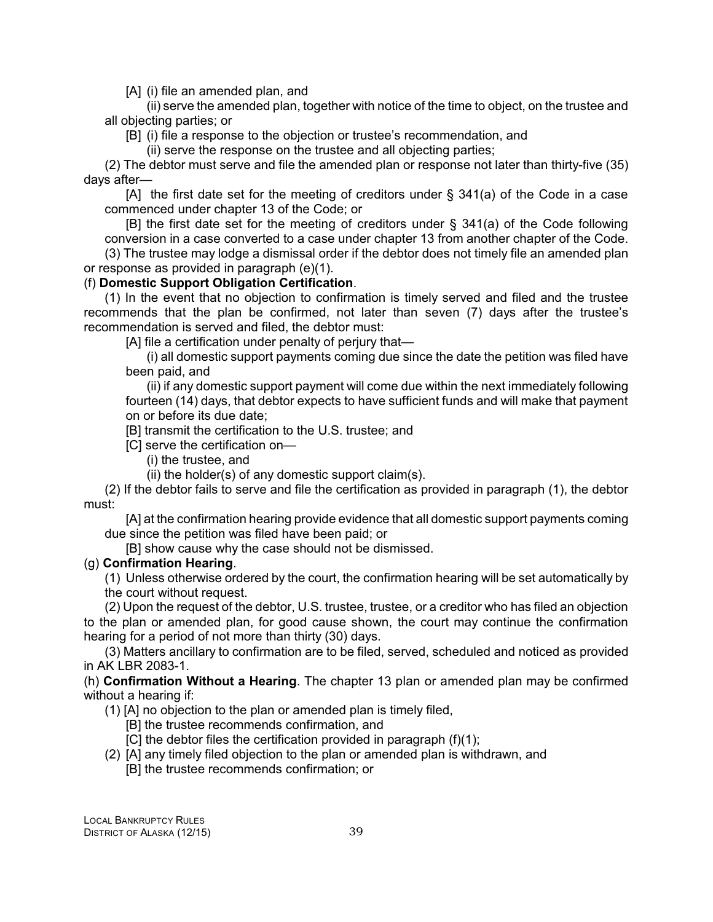[A] (i) file an amended plan, and

(ii) serve the amended plan, together with notice of the time to object, on the trustee and all objecting parties; or

[B] (i) file a response to the objection or trustee's recommendation, and

(ii) serve the response on the trustee and all objecting parties;

(2) The debtor must serve and file the amended plan or response not later than thirty-five (35) days after—

[A] the first date set for the meeting of creditors under § 341(a) of the Code in a case commenced under chapter 13 of the Code; or

[B] the first date set for the meeting of creditors under § 341(a) of the Code following conversion in a case converted to a case under chapter 13 from another chapter of the Code.

(3) The trustee may lodge a dismissal order if the debtor does not timely file an amended plan or response as provided in paragraph (e)(1).

# (f) **Domestic Support Obligation Certification**.

(1) In the event that no objection to confirmation is timely served and filed and the trustee recommends that the plan be confirmed, not later than seven (7) days after the trustee's recommendation is served and filed, the debtor must:

[A] file a certification under penalty of perjury that—

(i) all domestic support payments coming due since the date the petition was filed have been paid, and

(ii) if any domestic support payment will come due within the next immediately following fourteen (14) days, that debtor expects to have sufficient funds and will make that payment on or before its due date;

[B] transmit the certification to the U.S. trustee; and

- [C] serve the certification on—
	- (i) the trustee, and

(ii) the holder(s) of any domestic support claim(s).

(2) If the debtor fails to serve and file the certification as provided in paragraph (1), the debtor must:

[A] at the confirmation hearing provide evidence that all domestic support payments coming due since the petition was filed have been paid; or

[B] show cause why the case should not be dismissed.

## (g) **Confirmation Hearing**.

(1) Unless otherwise ordered by the court, the confirmation hearing will be set automatically by the court without request.

(2) Upon the request of the debtor, U.S. trustee, trustee, or a creditor who has filed an objection to the plan or amended plan, for good cause shown, the court may continue the confirmation hearing for a period of not more than thirty (30) days.

(3) Matters ancillary to confirmation are to be filed, served, scheduled and noticed as provided in AK LBR 2083-1.

(h) **Confirmation Without a Hearing**. The chapter 13 plan or amended plan may be confirmed without a hearing if:

(1) [A] no objection to the plan or amended plan is timely filed,

- [B] the trustee recommends confirmation, and
- [C] the debtor files the certification provided in paragraph (f)(1);
- (2) [A] any timely filed objection to the plan or amended plan is withdrawn, and
	- [B] the trustee recommends confirmation; or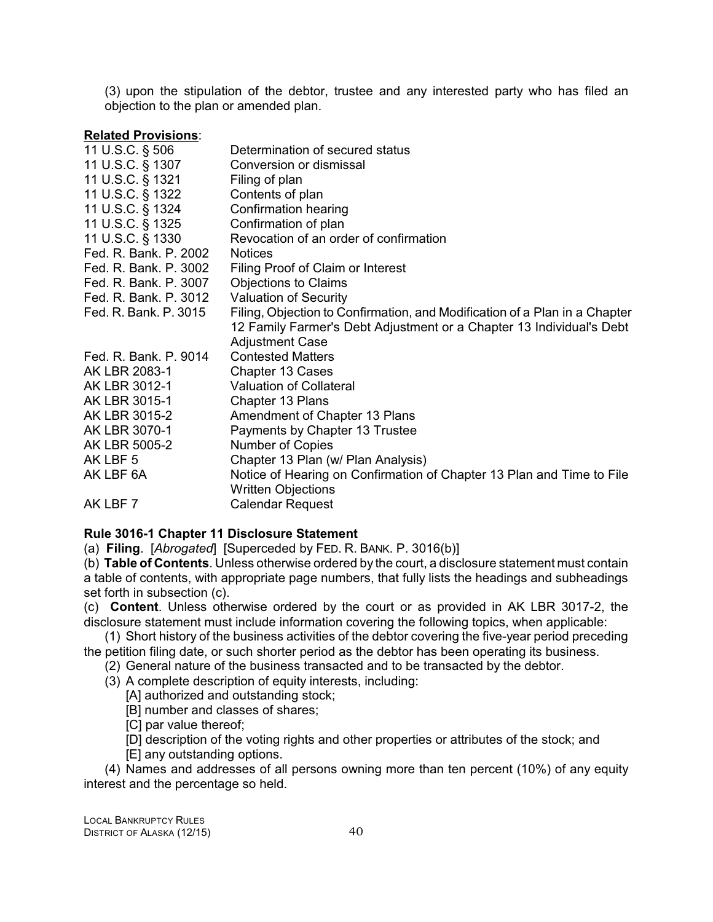(3) upon the stipulation of the debtor, trustee and any interested party who has filed an objection to the plan or amended plan.

#### **Related Provisions**:

| 11 U.S.C. § 506       | Determination of secured status                                            |
|-----------------------|----------------------------------------------------------------------------|
| 11 U.S.C. § 1307      | Conversion or dismissal                                                    |
| 11 U.S.C. § 1321      | Filing of plan                                                             |
| 11 U.S.C. § 1322      | Contents of plan                                                           |
| 11 U.S.C. § 1324      | Confirmation hearing                                                       |
| 11 U.S.C. § 1325      | Confirmation of plan                                                       |
| 11 U.S.C. § 1330      | Revocation of an order of confirmation                                     |
| Fed. R. Bank. P. 2002 | <b>Notices</b>                                                             |
| Fed. R. Bank. P. 3002 | Filing Proof of Claim or Interest                                          |
| Fed. R. Bank. P. 3007 | <b>Objections to Claims</b>                                                |
| Fed. R. Bank. P. 3012 | <b>Valuation of Security</b>                                               |
| Fed. R. Bank. P. 3015 | Filing, Objection to Confirmation, and Modification of a Plan in a Chapter |
|                       | 12 Family Farmer's Debt Adjustment or a Chapter 13 Individual's Debt       |
|                       | <b>Adjustment Case</b>                                                     |
| Fed. R. Bank. P. 9014 | <b>Contested Matters</b>                                                   |
| AK LBR 2083-1         | Chapter 13 Cases                                                           |
| AK LBR 3012-1         | <b>Valuation of Collateral</b>                                             |
| AK LBR 3015-1         | Chapter 13 Plans                                                           |
| AK LBR 3015-2         | Amendment of Chapter 13 Plans                                              |
| AK LBR 3070-1         | Payments by Chapter 13 Trustee                                             |
| AK LBR 5005-2         | <b>Number of Copies</b>                                                    |
| AK LBF 5              | Chapter 13 Plan (w/ Plan Analysis)                                         |
| AK LBF 6A             | Notice of Hearing on Confirmation of Chapter 13 Plan and Time to File      |
|                       | <b>Written Objections</b>                                                  |
| AK LBF 7              | <b>Calendar Request</b>                                                    |

## **Rule 3016-1 Chapter 11 Disclosure Statement**

(a) **Filing**. [*Abrogated*] [Superceded by FED. R. BANK. P. 3016(b)]

(b) **Table of Contents**. Unless otherwise ordered by the court, a disclosure statement must contain a table of contents, with appropriate page numbers, that fully lists the headings and subheadings set forth in subsection (c).

(c) **Content**. Unless otherwise ordered by the court or as provided in AK LBR 3017-2, the disclosure statement must include information covering the following topics, when applicable:

(1) Short history of the business activities of the debtor covering the five-year period preceding the petition filing date, or such shorter period as the debtor has been operating its business.

- (2) General nature of the business transacted and to be transacted by the debtor.
	- (3) A complete description of equity interests, including:

[A] authorized and outstanding stock;

[B] number and classes of shares;

[C] par value thereof;

[D] description of the voting rights and other properties or attributes of the stock; and [E] any outstanding options.

(4) Names and addresses of all persons owning more than ten percent (10%) of any equity interest and the percentage so held.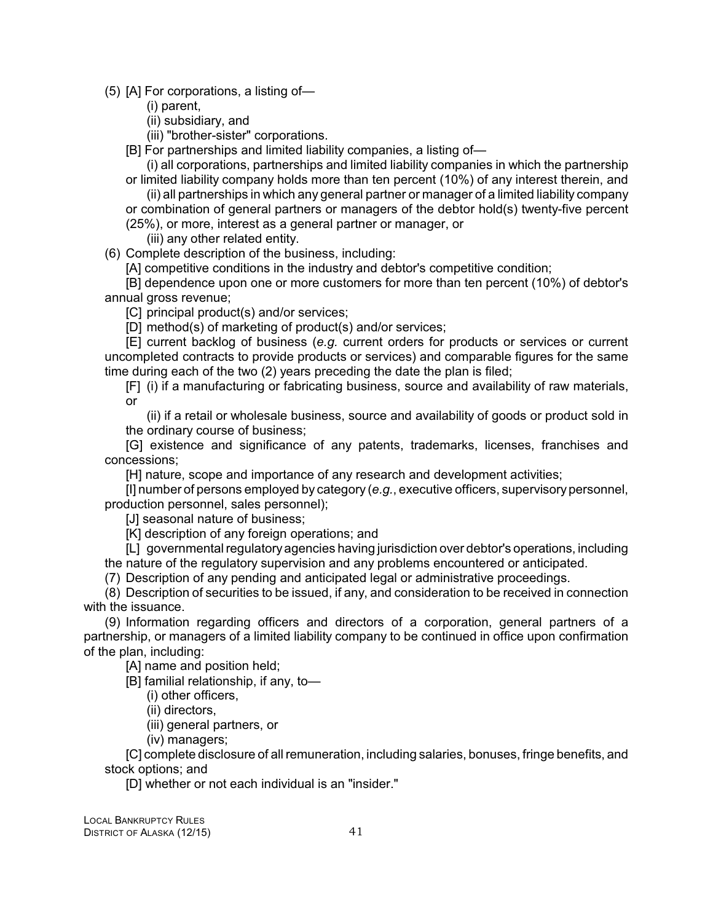(5) [A] For corporations, a listing of—

(i) parent,

(ii) subsidiary, and

(iii) "brother-sister" corporations.

[B] For partnerships and limited liability companies, a listing of—

(i) all corporations, partnerships and limited liability companies in which the partnership or limited liability company holds more than ten percent (10%) of any interest therein, and

(ii) all partnerships in which any general partner or manager of a limited liability company or combination of general partners or managers of the debtor hold(s) twenty-five percent (25%), or more, interest as a general partner or manager, or

(iii) any other related entity.

(6) Complete description of the business, including:

[A] competitive conditions in the industry and debtor's competitive condition;

[B] dependence upon one or more customers for more than ten percent (10%) of debtor's annual gross revenue;

[C] principal product(s) and/or services;

[D] method(s) of marketing of product(s) and/or services;

[E] current backlog of business (*e.g.* current orders for products or services or current uncompleted contracts to provide products or services) and comparable figures for the same time during each of the two (2) years preceding the date the plan is filed;

[F] (i) if a manufacturing or fabricating business, source and availability of raw materials, or

(ii) if a retail or wholesale business, source and availability of goods or product sold in the ordinary course of business;

[G] existence and significance of any patents, trademarks, licenses, franchises and concessions;

[H] nature, scope and importance of any research and development activities;

[I] number of persons employed by category (*e.g.*, executive officers, supervisorypersonnel, production personnel, sales personnel);

[J] seasonal nature of business;

[K] description of any foreign operations; and

[L] governmental regulatoryagencies having jurisdiction over debtor's operations, including the nature of the regulatory supervision and any problems encountered or anticipated.

(7) Description of any pending and anticipated legal or administrative proceedings.

(8) Description of securities to be issued, if any, and consideration to be received in connection with the issuance.

(9) Information regarding officers and directors of a corporation, general partners of a partnership, or managers of a limited liability company to be continued in office upon confirmation of the plan, including:

[A] name and position held;

[B] familial relationship, if any, to—

(i) other officers,

(ii) directors,

(iii) general partners, or

(iv) managers;

[C] complete disclosure of all remuneration, including salaries, bonuses, fringe benefits, and stock options; and

[D] whether or not each individual is an "insider."

LOCAL BANKRUPTCY RULES DISTRICT OF ALASKA (12/15) 41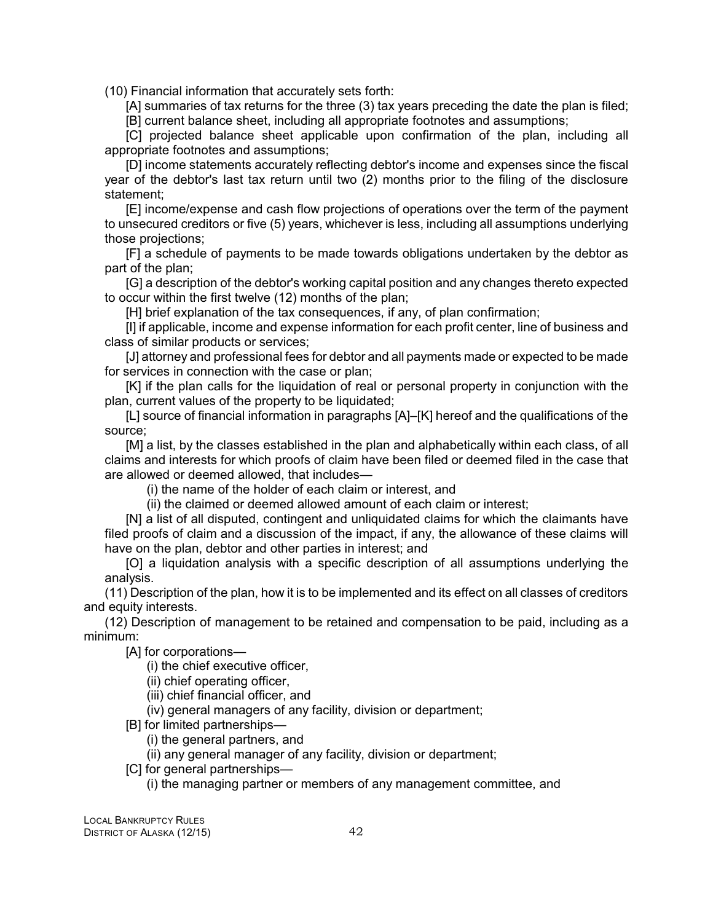(10) Financial information that accurately sets forth:

[A] summaries of tax returns for the three (3) tax years preceding the date the plan is filed; [B] current balance sheet, including all appropriate footnotes and assumptions;

[C] projected balance sheet applicable upon confirmation of the plan, including all appropriate footnotes and assumptions;

[D] income statements accurately reflecting debtor's income and expenses since the fiscal year of the debtor's last tax return until two (2) months prior to the filing of the disclosure statement;

[E] income/expense and cash flow projections of operations over the term of the payment to unsecured creditors or five (5) years, whichever is less, including all assumptions underlying those projections;

[F] a schedule of payments to be made towards obligations undertaken by the debtor as part of the plan;

[G] a description of the debtor's working capital position and any changes thereto expected to occur within the first twelve (12) months of the plan;

[H] brief explanation of the tax consequences, if any, of plan confirmation;

[I] if applicable, income and expense information for each profit center, line of business and class of similar products or services;

[J] attorney and professional fees for debtor and all payments made or expected to be made for services in connection with the case or plan;

[K] if the plan calls for the liquidation of real or personal property in conjunction with the plan, current values of the property to be liquidated;

[L] source of financial information in paragraphs [A]–[K] hereof and the qualifications of the source;

[M] a list, by the classes established in the plan and alphabetically within each class, of all claims and interests for which proofs of claim have been filed or deemed filed in the case that are allowed or deemed allowed, that includes—

(i) the name of the holder of each claim or interest, and

(ii) the claimed or deemed allowed amount of each claim or interest;

[N] a list of all disputed, contingent and unliquidated claims for which the claimants have filed proofs of claim and a discussion of the impact, if any, the allowance of these claims will have on the plan, debtor and other parties in interest; and

[O] a liquidation analysis with a specific description of all assumptions underlying the analysis.

(11) Description of the plan, how it is to be implemented and its effect on all classes of creditors and equity interests.

(12) Description of management to be retained and compensation to be paid, including as a minimum:

[A] for corporations—

(i) the chief executive officer,

(ii) chief operating officer,

(iii) chief financial officer, and

(iv) general managers of any facility, division or department;

[B] for limited partnerships—

(i) the general partners, and

(ii) any general manager of any facility, division or department;

[C] for general partnerships—

(i) the managing partner or members of any management committee, and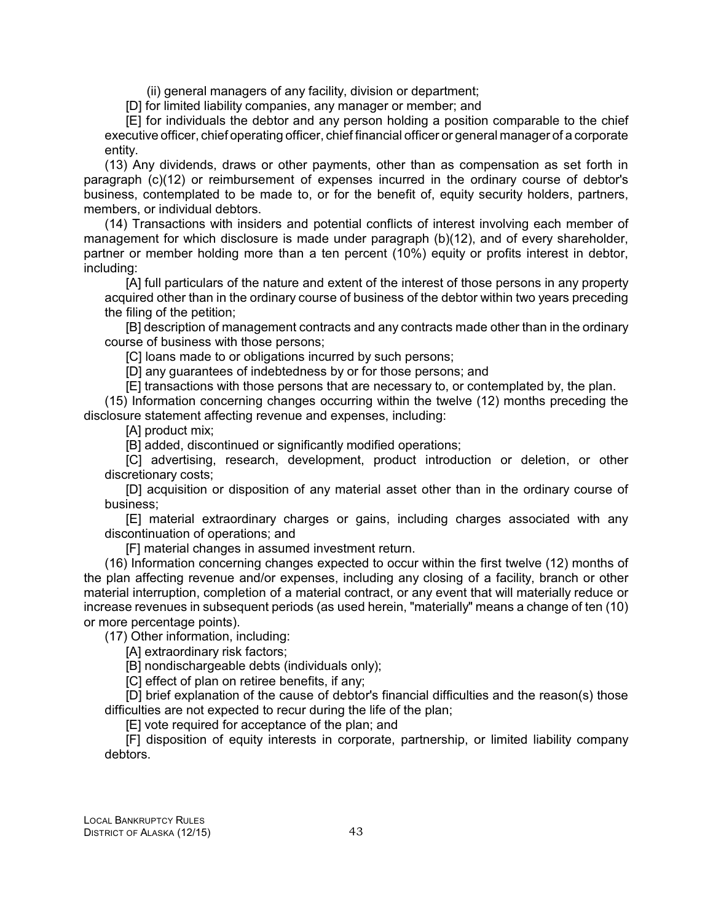(ii) general managers of any facility, division or department;

[D] for limited liability companies, any manager or member; and

[E] for individuals the debtor and any person holding a position comparable to the chief executive officer, chief operating officer, chief financial officer or general manager of a corporate entity.

(13) Any dividends, draws or other payments, other than as compensation as set forth in paragraph (c)(12) or reimbursement of expenses incurred in the ordinary course of debtor's business, contemplated to be made to, or for the benefit of, equity security holders, partners, members, or individual debtors.

(14) Transactions with insiders and potential conflicts of interest involving each member of management for which disclosure is made under paragraph (b)(12), and of every shareholder, partner or member holding more than a ten percent (10%) equity or profits interest in debtor, including:

[A] full particulars of the nature and extent of the interest of those persons in any property acquired other than in the ordinary course of business of the debtor within two years preceding the filing of the petition;

[B] description of management contracts and any contracts made other than in the ordinary course of business with those persons;

[C] loans made to or obligations incurred by such persons;

[D] any guarantees of indebtedness by or for those persons; and

[E] transactions with those persons that are necessary to, or contemplated by, the plan.

(15) Information concerning changes occurring within the twelve (12) months preceding the disclosure statement affecting revenue and expenses, including:

[A] product mix;

[B] added, discontinued or significantly modified operations;

[C] advertising, research, development, product introduction or deletion, or other discretionary costs;

[D] acquisition or disposition of any material asset other than in the ordinary course of business;

[E] material extraordinary charges or gains, including charges associated with any discontinuation of operations; and

[F] material changes in assumed investment return.

(16) Information concerning changes expected to occur within the first twelve (12) months of the plan affecting revenue and/or expenses, including any closing of a facility, branch or other material interruption, completion of a material contract, or any event that will materially reduce or increase revenues in subsequent periods (as used herein, "materially" means a change of ten (10) or more percentage points).

(17) Other information, including:

[A] extraordinary risk factors;

[B] nondischargeable debts (individuals only);

[C] effect of plan on retiree benefits, if any;

[D] brief explanation of the cause of debtor's financial difficulties and the reason(s) those difficulties are not expected to recur during the life of the plan;

[E] vote required for acceptance of the plan; and

[F] disposition of equity interests in corporate, partnership, or limited liability company debtors.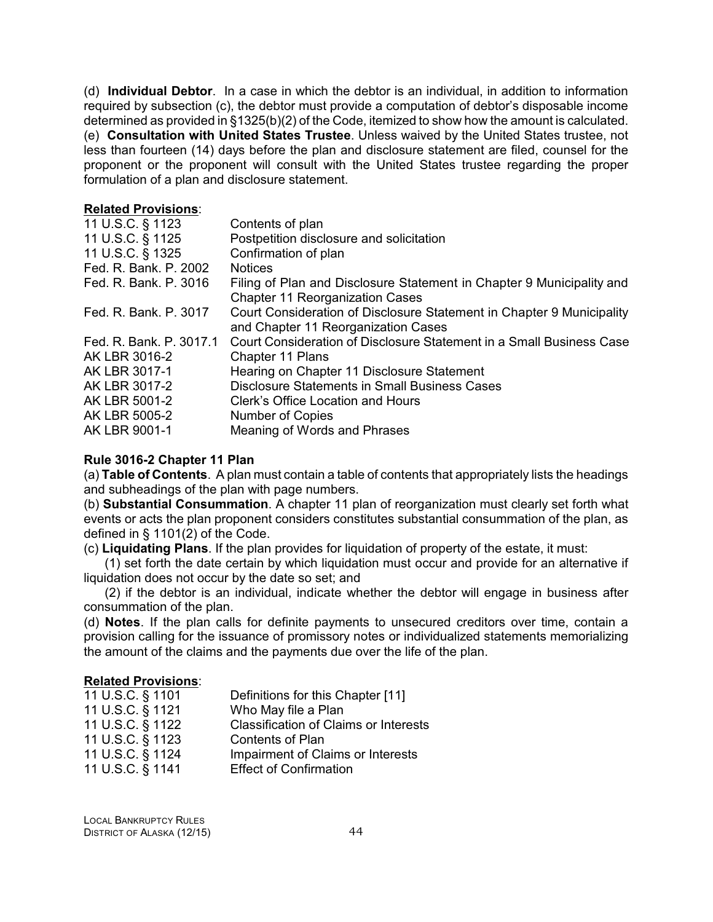(d) **Individual Debtor**. In a case in which the debtor is an individual, in addition to information required by subsection (c), the debtor must provide a computation of debtor's disposable income determined as provided in §1325(b)(2) of the Code, itemized to show how the amount is calculated. (e) **Consultation with United States Trustee**. Unless waived by the United States trustee, not less than fourteen (14) days before the plan and disclosure statement are filed, counsel for the proponent or the proponent will consult with the United States trustee regarding the proper formulation of a plan and disclosure statement.

#### **Related Provisions**:

| 11 U.S.C. § 1123        | Contents of plan                                                      |
|-------------------------|-----------------------------------------------------------------------|
| 11 U.S.C. § 1125        | Postpetition disclosure and solicitation                              |
| 11 U.S.C. § 1325        | Confirmation of plan                                                  |
| Fed. R. Bank. P. 2002   | <b>Notices</b>                                                        |
| Fed. R. Bank. P. 3016   | Filing of Plan and Disclosure Statement in Chapter 9 Municipality and |
|                         | <b>Chapter 11 Reorganization Cases</b>                                |
| Fed. R. Bank. P. 3017   | Court Consideration of Disclosure Statement in Chapter 9 Municipality |
|                         | and Chapter 11 Reorganization Cases                                   |
| Fed. R. Bank. P. 3017.1 | Court Consideration of Disclosure Statement in a Small Business Case  |
| AK LBR 3016-2           | Chapter 11 Plans                                                      |
| AK LBR 3017-1           | Hearing on Chapter 11 Disclosure Statement                            |
| AK LBR 3017-2           | <b>Disclosure Statements in Small Business Cases</b>                  |
| AK LBR 5001-2           | Clerk's Office Location and Hours                                     |
| AK LBR 5005-2           | <b>Number of Copies</b>                                               |
| AK LBR 9001-1           | Meaning of Words and Phrases                                          |
|                         |                                                                       |

#### **Rule 3016-2 Chapter 11 Plan**

(a) **Table of Contents**. A plan must contain a table of contents that appropriately lists the headings and subheadings of the plan with page numbers.

(b) **Substantial Consummation**. A chapter 11 plan of reorganization must clearly set forth what events or acts the plan proponent considers constitutes substantial consummation of the plan, as defined in § 1101(2) of the Code.

(c) **Liquidating Plans**. If the plan provides for liquidation of property of the estate, it must:

(1) set forth the date certain by which liquidation must occur and provide for an alternative if liquidation does not occur by the date so set; and

(2) if the debtor is an individual, indicate whether the debtor will engage in business after consummation of the plan.

(d) **Notes**. If the plan calls for definite payments to unsecured creditors over time, contain a provision calling for the issuance of promissory notes or individualized statements memorializing the amount of the claims and the payments due over the life of the plan.

#### **Related Provisions**:

| 11 U.S.C. § 1101 | Definitions for this Chapter [11]            |
|------------------|----------------------------------------------|
| 11 U.S.C. § 1121 | Who May file a Plan                          |
| 11 U.S.C. § 1122 | <b>Classification of Claims or Interests</b> |
| 11 U.S.C. § 1123 | <b>Contents of Plan</b>                      |
| 11 U.S.C. § 1124 | Impairment of Claims or Interests            |
| 11 U.S.C. § 1141 | <b>Effect of Confirmation</b>                |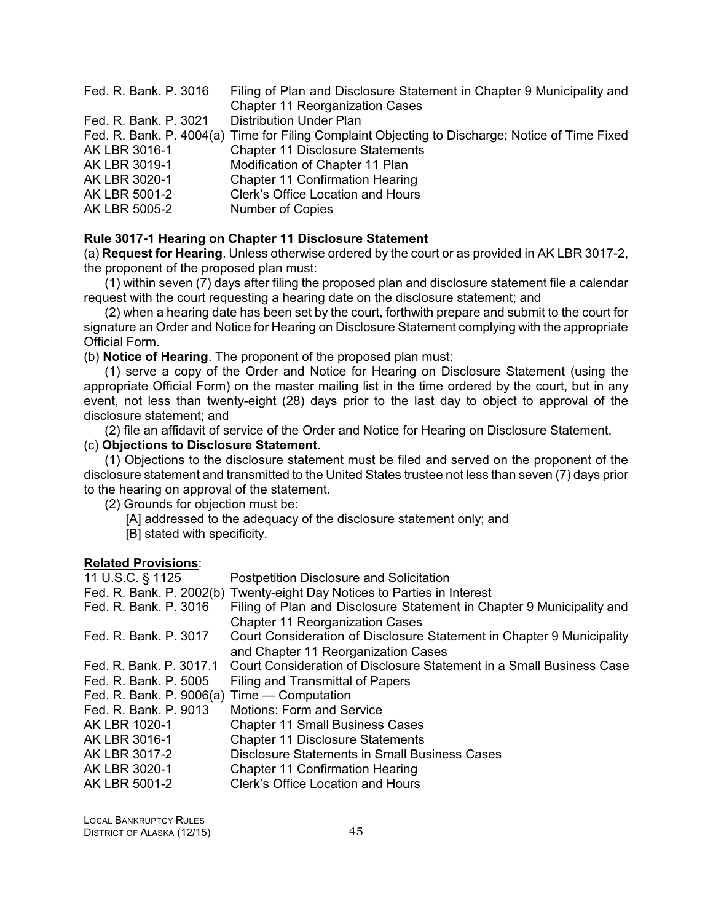| Fed. R. Bank. P. 3016 | Filing of Plan and Disclosure Statement in Chapter 9 Municipality and                           |
|-----------------------|-------------------------------------------------------------------------------------------------|
|                       | <b>Chapter 11 Reorganization Cases</b>                                                          |
| Fed. R. Bank. P. 3021 | <b>Distribution Under Plan</b>                                                                  |
|                       | Fed. R. Bank. P. 4004(a) Time for Filing Complaint Objecting to Discharge; Notice of Time Fixed |
| AK LBR 3016-1         | <b>Chapter 11 Disclosure Statements</b>                                                         |
| AK LBR 3019-1         | Modification of Chapter 11 Plan                                                                 |
| AK LBR 3020-1         | <b>Chapter 11 Confirmation Hearing</b>                                                          |
| AK LBR 5001-2         | Clerk's Office Location and Hours                                                               |
| AK LBR 5005-2         | <b>Number of Copies</b>                                                                         |

#### **Rule 3017-1 Hearing on Chapter 11 Disclosure Statement**

(a) **Request for Hearing**. Unless otherwise ordered by the court or as provided in AK LBR 3017-2, the proponent of the proposed plan must:

 $(1)$  within seven  $(7)$  days after filing the proposed plan and disclosure statement file a calendar request with the court requesting a hearing date on the disclosure statement; and

(2) when a hearing date has been set by the court, forthwith prepare and submit to the court for signature an Order and Notice for Hearing on Disclosure Statement complying with the appropriate Official Form.

(b) **Notice of Hearing**. The proponent of the proposed plan must:

(1) serve a copy of the Order and Notice for Hearing on Disclosure Statement (using the appropriate Official Form) on the master mailing list in the time ordered by the court, but in any event, not less than twenty-eight (28) days prior to the last day to object to approval of the disclosure statement; and

(2) file an affidavit of service of the Order and Notice for Hearing on Disclosure Statement. (c) **Objections to Disclosure Statement**.

(1) Objections to the disclosure statement must be filed and served on the proponent of the disclosure statement and transmitted to the United States trustee not less than seven (7) days prior to the hearing on approval of the statement.

(2) Grounds for objection must be:

- [A] addressed to the adequacy of the disclosure statement only; and
- [B] stated with specificity.

#### **Related Provisions**:

| 11 U.S.C. § 1125                            | <b>Postpetition Disclosure and Solicitation</b>                          |
|---------------------------------------------|--------------------------------------------------------------------------|
|                                             | Fed. R. Bank. P. 2002(b) Twenty-eight Day Notices to Parties in Interest |
| Fed. R. Bank. P. 3016                       | Filing of Plan and Disclosure Statement in Chapter 9 Municipality and    |
|                                             | <b>Chapter 11 Reorganization Cases</b>                                   |
| Fed. R. Bank. P. 3017                       | Court Consideration of Disclosure Statement in Chapter 9 Municipality    |
|                                             | and Chapter 11 Reorganization Cases                                      |
| Fed. R. Bank. P. 3017.1                     | Court Consideration of Disclosure Statement in a Small Business Case     |
| Fed. R. Bank. P. 5005                       | Filing and Transmittal of Papers                                         |
| Fed. R. Bank. P. 9006(a) Time — Computation |                                                                          |
| Fed. R. Bank. P. 9013                       | Motions: Form and Service                                                |
| AK LBR 1020-1                               | <b>Chapter 11 Small Business Cases</b>                                   |
| AK LBR 3016-1                               | <b>Chapter 11 Disclosure Statements</b>                                  |
| AK LBR 3017-2                               | <b>Disclosure Statements in Small Business Cases</b>                     |
| AK LBR 3020-1                               | <b>Chapter 11 Confirmation Hearing</b>                                   |
| AK LBR 5001-2                               | Clerk's Office Location and Hours                                        |

LOCAL BANKRUPTCY RULES DISTRICT OF ALASKA (12/15) 45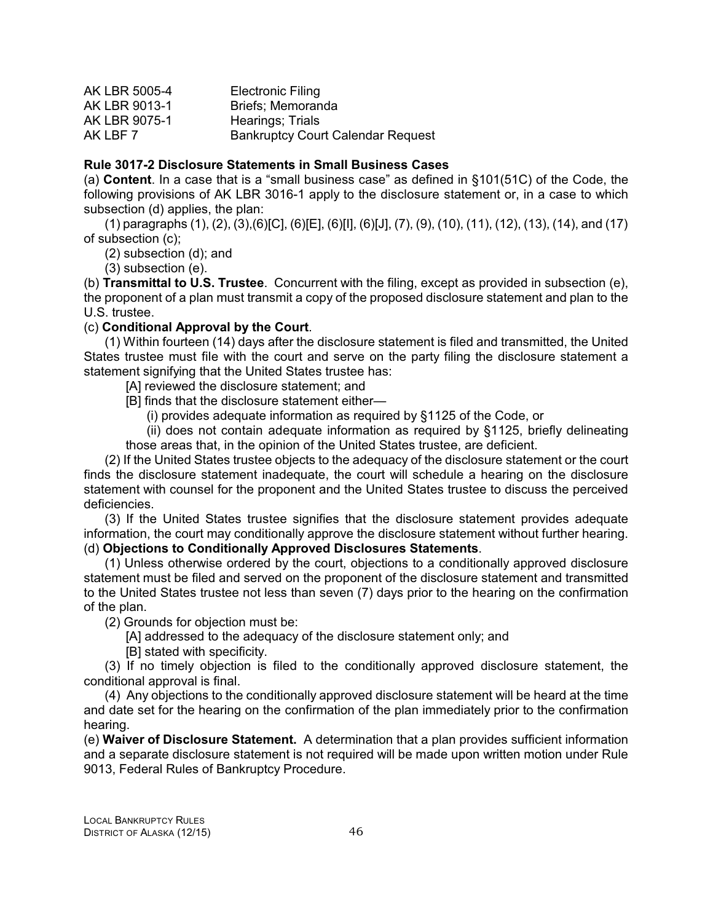| AK LBR 5005-4 | <b>Electronic Filing</b>                 |
|---------------|------------------------------------------|
| AK LBR 9013-1 | Briefs; Memoranda                        |
| AK LBR 9075-1 | Hearings; Trials                         |
| AK LBF 7      | <b>Bankruptcy Court Calendar Request</b> |

#### **Rule 3017-2 Disclosure Statements in Small Business Cases**

(a) **Content**. In a case that is a "small business case" as defined in §101(51C) of the Code, the following provisions of AK LBR 3016-1 apply to the disclosure statement or, in a case to which subsection (d) applies, the plan:

(1) paragraphs (1), (2), (3),(6)[C], (6)[E], (6)[I], (6)[J], (7), (9), (10), (11), (12), (13), (14), and (17) of subsection (c);

(2) subsection (d); and

(3) subsection (e).

(b) **Transmittal to U.S. Trustee**. Concurrent with the filing, except as provided in subsection (e), the proponent of a plan must transmit a copy of the proposed disclosure statement and plan to the U.S. trustee.

## (c) **Conditional Approval by the Court**.

(1) Within fourteen (14) days after the disclosure statement is filed and transmitted, the United States trustee must file with the court and serve on the party filing the disclosure statement a statement signifying that the United States trustee has:

[A] reviewed the disclosure statement; and

- [B] finds that the disclosure statement either—
	- (i) provides adequate information as required by §1125 of the Code, or

(ii) does not contain adequate information as required by §1125, briefly delineating those areas that, in the opinion of the United States trustee, are deficient.

(2) If the United States trustee objects to the adequacy of the disclosure statement or the court finds the disclosure statement inadequate, the court will schedule a hearing on the disclosure statement with counsel for the proponent and the United States trustee to discuss the perceived deficiencies.

(3) If the United States trustee signifies that the disclosure statement provides adequate information, the court may conditionally approve the disclosure statement without further hearing. (d) **Objections to Conditionally Approved Disclosures Statements**.

(1) Unless otherwise ordered by the court, objections to a conditionally approved disclosure statement must be filed and served on the proponent of the disclosure statement and transmitted to the United States trustee not less than seven (7) days prior to the hearing on the confirmation of the plan.

(2) Grounds for objection must be:

[A] addressed to the adequacy of the disclosure statement only; and

[B] stated with specificity.

(3) If no timely objection is filed to the conditionally approved disclosure statement, the conditional approval is final.

(4) Any objections to the conditionally approved disclosure statement will be heard at the time and date set for the hearing on the confirmation of the plan immediately prior to the confirmation hearing.

(e) **Waiver of Disclosure Statement.** A determination that a plan provides sufficient information and a separate disclosure statement is not required will be made upon written motion under Rule 9013, Federal Rules of Bankruptcy Procedure.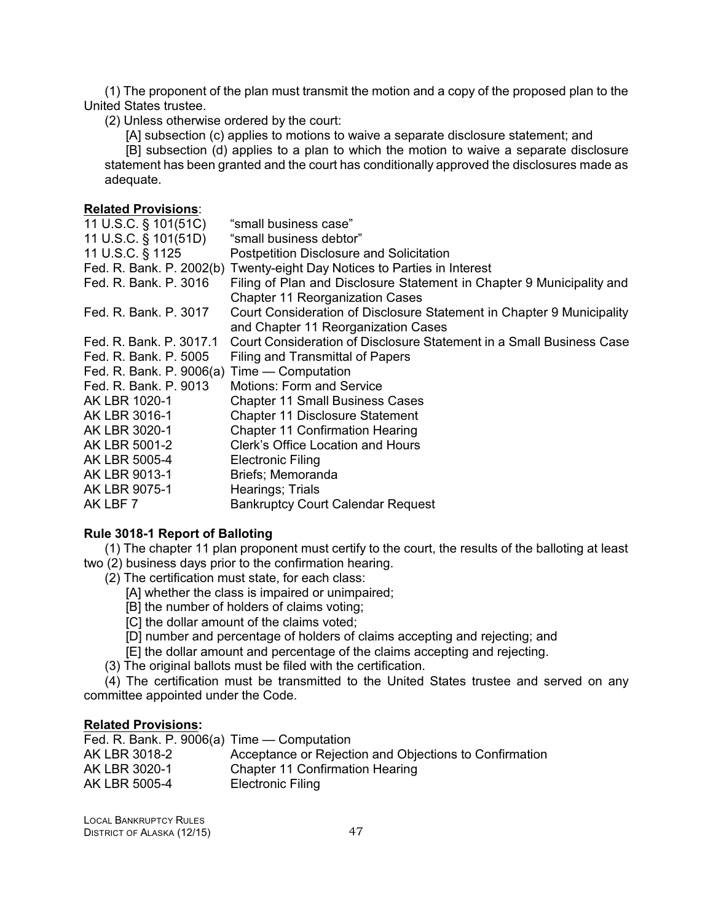(1) The proponent of the plan must transmit the motion and a copy of the proposed plan to the United States trustee.

(2) Unless otherwise ordered by the court:

[A] subsection (c) applies to motions to waive a separate disclosure statement; and

[B] subsection (d) applies to a plan to which the motion to waive a separate disclosure statement has been granted and the court has conditionally approved the disclosures made as adequate.

## **Related Provisions**:

| 11 U.S.C. § 101(51C)                        | "small business case"                                                    |
|---------------------------------------------|--------------------------------------------------------------------------|
| 11 U.S.C. § 101(51D)                        | "small business debtor"                                                  |
| 11 U.S.C. § 1125                            | <b>Postpetition Disclosure and Solicitation</b>                          |
|                                             | Fed. R. Bank. P. 2002(b) Twenty-eight Day Notices to Parties in Interest |
| Fed. R. Bank. P. 3016                       | Filing of Plan and Disclosure Statement in Chapter 9 Municipality and    |
|                                             | <b>Chapter 11 Reorganization Cases</b>                                   |
| Fed. R. Bank. P. 3017                       | Court Consideration of Disclosure Statement in Chapter 9 Municipality    |
|                                             | and Chapter 11 Reorganization Cases                                      |
| Fed. R. Bank. P. 3017.1                     | Court Consideration of Disclosure Statement in a Small Business Case     |
| Fed. R. Bank. P. 5005                       | Filing and Transmittal of Papers                                         |
| Fed. R. Bank. P. 9006(a) Time — Computation |                                                                          |
| Fed. R. Bank. P. 9013                       | Motions: Form and Service                                                |
| AK LBR 1020-1                               | <b>Chapter 11 Small Business Cases</b>                                   |
| AK LBR 3016-1                               | <b>Chapter 11 Disclosure Statement</b>                                   |
| AK LBR 3020-1                               | <b>Chapter 11 Confirmation Hearing</b>                                   |
| AK LBR 5001-2                               | Clerk's Office Location and Hours                                        |
| AK LBR 5005-4                               | <b>Electronic Filing</b>                                                 |
| AK LBR 9013-1                               | Briefs; Memoranda                                                        |
| AK LBR 9075-1                               | Hearings; Trials                                                         |
| AK LBF 7                                    | <b>Bankruptcy Court Calendar Request</b>                                 |

## **Rule 3018-1 Report of Balloting**

(1) The chapter 11 plan proponent must certify to the court, the results of the balloting at least two (2) business days prior to the confirmation hearing.

- (2) The certification must state, for each class:
	- [A] whether the class is impaired or unimpaired;
	- [B] the number of holders of claims voting;
	- [C] the dollar amount of the claims voted;
	- [D] number and percentage of holders of claims accepting and rejecting; and
- [E] the dollar amount and percentage of the claims accepting and rejecting.
- (3) The original ballots must be filed with the certification.

(4) The certification must be transmitted to the United States trustee and served on any committee appointed under the Code.

#### **Related Provisions:**

| Fed. R. Bank. P. 9006(a) Time — Computation |                                                        |
|---------------------------------------------|--------------------------------------------------------|
| AK LBR 3018-2                               | Acceptance or Rejection and Objections to Confirmation |
| AK LBR 3020-1                               | <b>Chapter 11 Confirmation Hearing</b>                 |
| AK LBR 5005-4                               | Electronic Filing                                      |
|                                             |                                                        |

LOCAL BANKRUPTCY RULES DISTRICT OF ALASKA (12/15) 47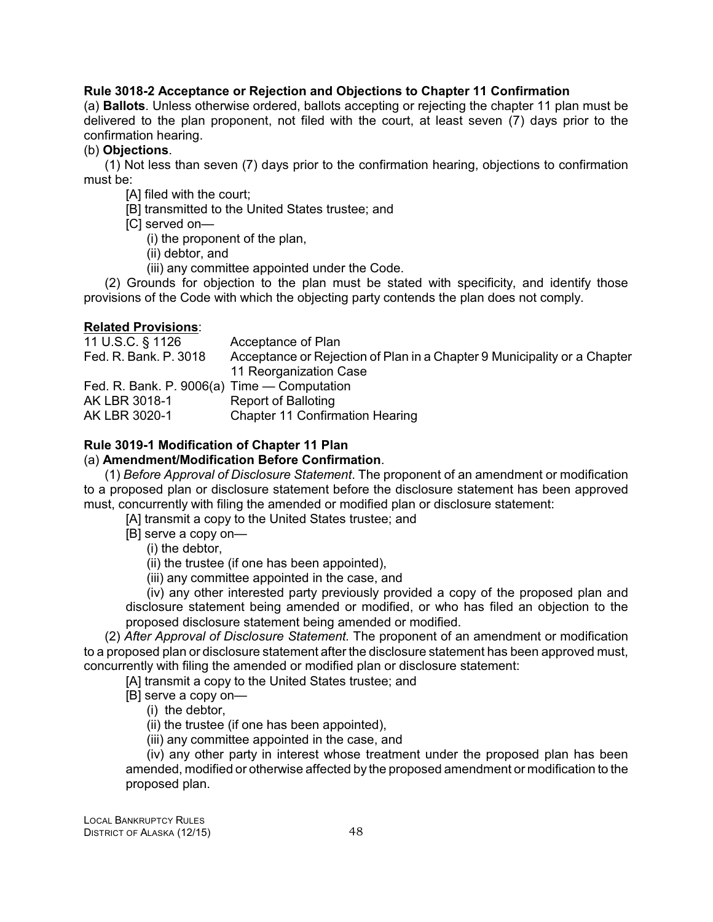# **Rule 3018-2 Acceptance or Rejection and Objections to Chapter 11 Confirmation**

(a) **Ballots**. Unless otherwise ordered, ballots accepting or rejecting the chapter 11 plan must be delivered to the plan proponent, not filed with the court, at least seven (7) days prior to the confirmation hearing.

## (b) **Objections**.

(1) Not less than seven (7) days prior to the confirmation hearing, objections to confirmation must be:

- [A] filed with the court;
- [B] transmitted to the United States trustee; and
- [C] served on—
	- (i) the proponent of the plan,
	- (ii) debtor, and
	- (iii) any committee appointed under the Code.

(2) Grounds for objection to the plan must be stated with specificity, and identify those provisions of the Code with which the objecting party contends the plan does not comply.

## **Related Provisions**:

11 U.S.C. § 1126 Acceptance of Plan Fed. R. Bank. P. 3018 Acceptance or Rejection of Plan in a Chapter 9 Municipality or a Chapter 11 Reorganization Case Fed. R. Bank. P. 9006(a) Time — Computation AK LBR 3018-1 Report of Balloting AK LBR 3020-1 Chapter 11 Confirmation Hearing

# **Rule 3019-1 Modification of Chapter 11 Plan**

# (a) **Amendment/Modification Before Confirmation**.

(1) *Before Approval of Disclosure Statement*. The proponent of an amendment or modification to a proposed plan or disclosure statement before the disclosure statement has been approved must, concurrently with filing the amended or modified plan or disclosure statement:

[A] transmit a copy to the United States trustee; and

[B] serve a copy on—

(i) the debtor,

(ii) the trustee (if one has been appointed),

(iii) any committee appointed in the case, and

(iv) any other interested party previously provided a copy of the proposed plan and disclosure statement being amended or modified, or who has filed an objection to the proposed disclosure statement being amended or modified.

(2) *After Approval of Disclosure Statement.* The proponent of an amendment or modification to a proposed plan or disclosure statement after the disclosure statement has been approved must, concurrently with filing the amended or modified plan or disclosure statement:

[A] transmit a copy to the United States trustee; and

[B] serve a copy on—

(i) the debtor,

(ii) the trustee (if one has been appointed),

(iii) any committee appointed in the case, and

(iv) any other party in interest whose treatment under the proposed plan has been amended, modified or otherwise affected by the proposed amendment or modification to the proposed plan.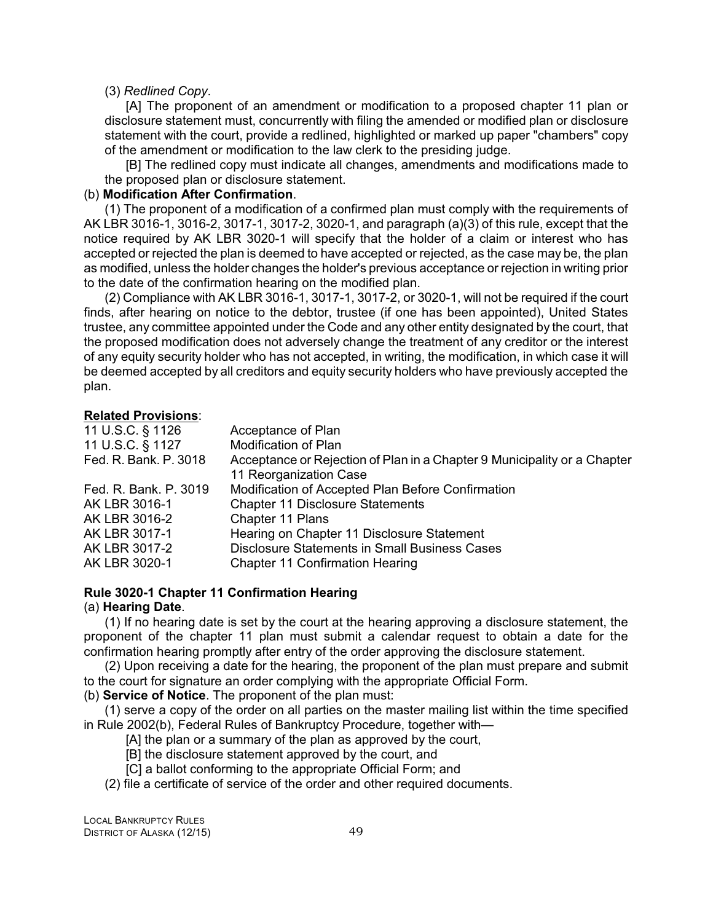#### (3) *Redlined Copy*.

[A] The proponent of an amendment or modification to a proposed chapter 11 plan or disclosure statement must, concurrently with filing the amended or modified plan or disclosure statement with the court, provide a redlined, highlighted or marked up paper "chambers" copy of the amendment or modification to the law clerk to the presiding judge.

[B] The redlined copy must indicate all changes, amendments and modifications made to the proposed plan or disclosure statement.

#### (b) **Modification After Confirmation**.

(1) The proponent of a modification of a confirmed plan must comply with the requirements of AK LBR 3016-1, 3016-2, 3017-1, 3017-2, 3020-1, and paragraph (a)(3) of this rule, except that the notice required by AK LBR 3020-1 will specify that the holder of a claim or interest who has accepted or rejected the plan is deemed to have accepted or rejected, as the case may be, the plan as modified, unless the holder changes the holder's previous acceptance or rejection in writing prior to the date of the confirmation hearing on the modified plan.

(2) Compliance with AK LBR 3016-1, 3017-1, 3017-2, or 3020-1, will not be required if the court finds, after hearing on notice to the debtor, trustee (if one has been appointed), United States trustee, any committee appointed under the Code and any other entity designated by the court, that the proposed modification does not adversely change the treatment of any creditor or the interest of any equity security holder who has not accepted, in writing, the modification, in which case it will be deemed accepted by all creditors and equity security holders who have previously accepted the plan.

#### **Related Provisions**:

| 11 U.S.C. § 1126<br>Acceptance of Plan                                                            |  |
|---------------------------------------------------------------------------------------------------|--|
| Modification of Plan<br>11 U.S.C. § 1127                                                          |  |
| Fed. R. Bank. P. 3018<br>Acceptance or Rejection of Plan in a Chapter 9 Municipality or a Chapter |  |
| 11 Reorganization Case                                                                            |  |
| Modification of Accepted Plan Before Confirmation<br>Fed. R. Bank. P. 3019                        |  |
| <b>Chapter 11 Disclosure Statements</b><br>AK LBR 3016-1                                          |  |
| Chapter 11 Plans<br>AK LBR 3016-2                                                                 |  |
| Hearing on Chapter 11 Disclosure Statement<br>AK LBR 3017-1                                       |  |
| <b>Disclosure Statements in Small Business Cases</b><br>AK LBR 3017-2                             |  |
| AK LBR 3020-1<br><b>Chapter 11 Confirmation Hearing</b>                                           |  |

# **Rule 3020-1 Chapter 11 Confirmation Hearing**

#### (a) **Hearing Date**.

(1) If no hearing date is set by the court at the hearing approving a disclosure statement, the proponent of the chapter 11 plan must submit a calendar request to obtain a date for the confirmation hearing promptly after entry of the order approving the disclosure statement.

(2) Upon receiving a date for the hearing, the proponent of the plan must prepare and submit to the court for signature an order complying with the appropriate Official Form.

(b) **Service of Notice**. The proponent of the plan must:

(1) serve a copy of the order on all parties on the master mailing list within the time specified in Rule 2002(b), Federal Rules of Bankruptcy Procedure, together with—

- [A] the plan or a summary of the plan as approved by the court,
- [B] the disclosure statement approved by the court, and
- [C] a ballot conforming to the appropriate Official Form; and
- (2) file a certificate of service of the order and other required documents.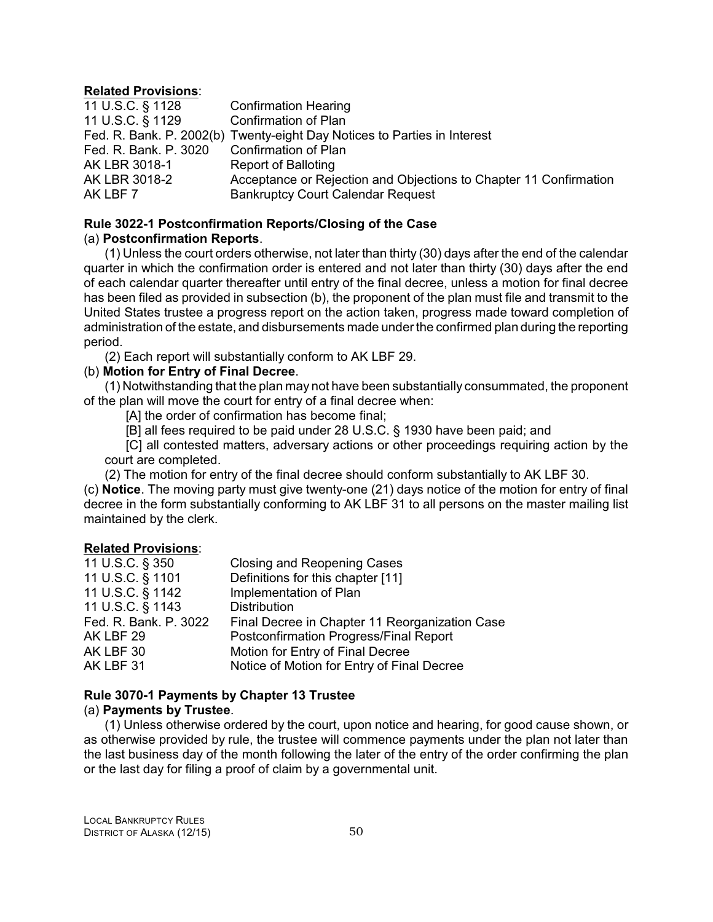## **Related Provisions**:

| 11 U.S.C. § 1128      | <b>Confirmation Hearing</b>                                              |
|-----------------------|--------------------------------------------------------------------------|
| 11 U.S.C. § 1129      | <b>Confirmation of Plan</b>                                              |
|                       | Fed. R. Bank. P. 2002(b) Twenty-eight Day Notices to Parties in Interest |
| Fed. R. Bank. P. 3020 | <b>Confirmation of Plan</b>                                              |
| AK LBR 3018-1         | <b>Report of Balloting</b>                                               |
| AK LBR 3018-2         | Acceptance or Rejection and Objections to Chapter 11 Confirmation        |
| AK LBF 7              | <b>Bankruptcy Court Calendar Request</b>                                 |

# **Rule 3022-1 Postconfirmation Reports/Closing of the Case**

# (a) **Postconfirmation Reports**.

(1) Unless the court orders otherwise, not later than thirty (30) days after the end of the calendar quarter in which the confirmation order is entered and not later than thirty (30) days after the end of each calendar quarter thereafter until entry of the final decree, unless a motion for final decree has been filed as provided in subsection (b), the proponent of the plan must file and transmit to the United States trustee a progress report on the action taken, progress made toward completion of administration of the estate, and disbursements made under the confirmed plan during the reporting period.

(2) Each report will substantially conform to AK LBF 29.

# (b) **Motion for Entry of Final Decree**.

(1) Notwithstanding that the plan may not have been substantially consummated, the proponent of the plan will move the court for entry of a final decree when:

[A] the order of confirmation has become final;

[B] all fees required to be paid under 28 U.S.C. § 1930 have been paid; and

[C] all contested matters, adversary actions or other proceedings requiring action by the court are completed.

(2) The motion for entry of the final decree should conform substantially to AK LBF 30.

(c) **Notice**. The moving party must give twenty-one (21) days notice of the motion for entry of final decree in the form substantially conforming to AK LBF 31 to all persons on the master mailing list maintained by the clerk.

# **Related Provisions**:

| <b>Closing and Reopening Cases</b>             |
|------------------------------------------------|
| Definitions for this chapter [11]              |
| Implementation of Plan                         |
| <b>Distribution</b>                            |
| Final Decree in Chapter 11 Reorganization Case |
| Postconfirmation Progress/Final Report         |
| Motion for Entry of Final Decree               |
| Notice of Motion for Entry of Final Decree     |
|                                                |

# **Rule 3070-1 Payments by Chapter 13 Trustee**

## (a) **Payments by Trustee**.

(1) Unless otherwise ordered by the court, upon notice and hearing, for good cause shown, or as otherwise provided by rule, the trustee will commence payments under the plan not later than the last business day of the month following the later of the entry of the order confirming the plan or the last day for filing a proof of claim by a governmental unit.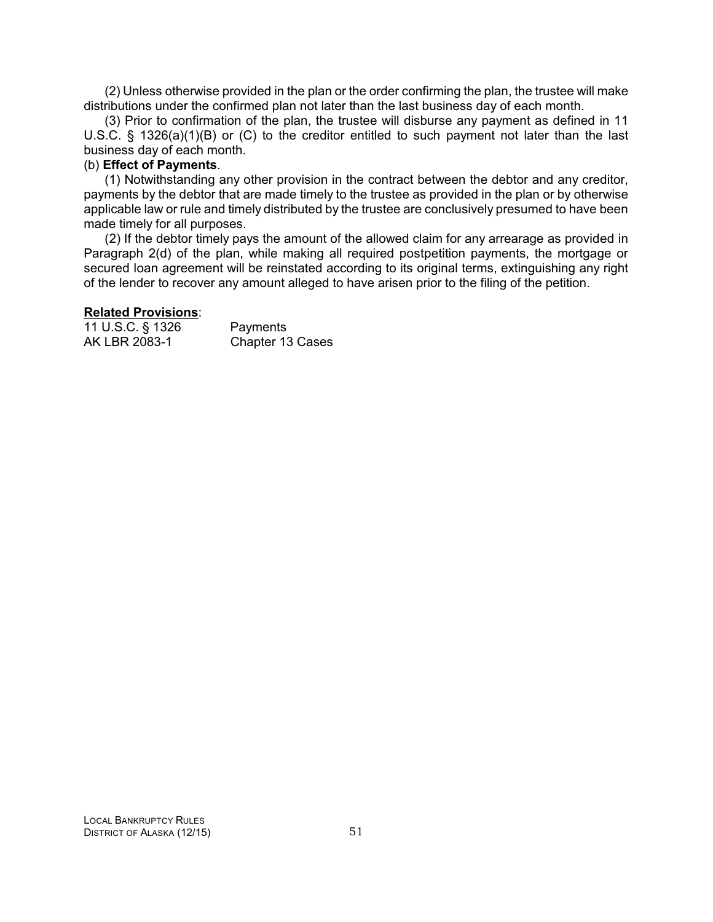(2) Unless otherwise provided in the plan or the order confirming the plan, the trustee will make distributions under the confirmed plan not later than the last business day of each month.

(3) Prior to confirmation of the plan, the trustee will disburse any payment as defined in 11 U.S.C. § 1326(a)(1)(B) or (C) to the creditor entitled to such payment not later than the last business day of each month.

# (b) **Effect of Payments**.

(1) Notwithstanding any other provision in the contract between the debtor and any creditor, payments by the debtor that are made timely to the trustee as provided in the plan or by otherwise applicable law or rule and timely distributed by the trustee are conclusively presumed to have been made timely for all purposes.

(2) If the debtor timely pays the amount of the allowed claim for any arrearage as provided in Paragraph 2(d) of the plan, while making all required postpetition payments, the mortgage or secured loan agreement will be reinstated according to its original terms, extinguishing any right of the lender to recover any amount alleged to have arisen prior to the filing of the petition.

#### **Related Provisions**:

| 11 U.S.C. § 1326 | Payments         |
|------------------|------------------|
| AK LBR 2083-1    | Chapter 13 Cases |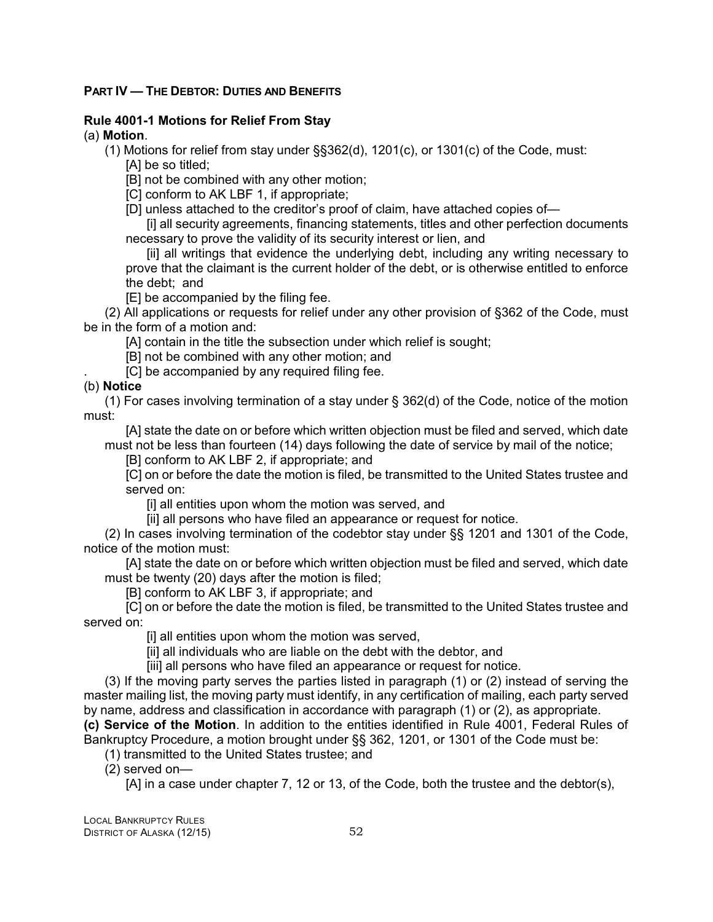## **PART IV — THE DEBTOR: DUTIES AND BENEFITS**

# **Rule 4001-1 Motions for Relief From Stay**

# (a) **Motion**.

- (1) Motions for relief from stay under §§362(d), 1201(c), or 1301(c) of the Code, must:
	- [A] be so titled;
	- [B] not be combined with any other motion;
	- [C] conform to AK LBF 1, if appropriate;
	- [D] unless attached to the creditor's proof of claim, have attached copies of—

[i] all security agreements, financing statements, titles and other perfection documents necessary to prove the validity of its security interest or lien, and

[ii] all writings that evidence the underlying debt, including any writing necessary to prove that the claimant is the current holder of the debt, or is otherwise entitled to enforce the debt; and

[E] be accompanied by the filing fee.

(2) All applications or requests for relief under any other provision of §362 of the Code, must be in the form of a motion and:

[A] contain in the title the subsection under which relief is sought;

[B] not be combined with any other motion; and

[C] be accompanied by any required filing fee.

# (b) **Notice**

(1) For cases involving termination of a stay under § 362(d) of the Code, notice of the motion must:

[A] state the date on or before which written objection must be filed and served, which date must not be less than fourteen (14) days following the date of service by mail of the notice;

[B] conform to AK LBF 2, if appropriate; and

[C] on or before the date the motion is filed, be transmitted to the United States trustee and served on:

[i] all entities upon whom the motion was served, and

[ii] all persons who have filed an appearance or request for notice.

(2) In cases involving termination of the codebtor stay under §§ 1201 and 1301 of the Code, notice of the motion must:

[A] state the date on or before which written objection must be filed and served, which date must be twenty (20) days after the motion is filed;

[B] conform to AK LBF 3, if appropriate; and

[C] on or before the date the motion is filed, be transmitted to the United States trustee and served on:

[i] all entities upon whom the motion was served,

[ii] all individuals who are liable on the debt with the debtor, and

[iii] all persons who have filed an appearance or request for notice.

(3) If the moving party serves the parties listed in paragraph (1) or (2) instead of serving the master mailing list, the moving party must identify, in any certification of mailing, each party served by name, address and classification in accordance with paragraph (1) or (2), as appropriate.

**(c) Service of the Motion**. In addition to the entities identified in Rule 4001, Federal Rules of Bankruptcy Procedure, a motion brought under §§ 362, 1201, or 1301 of the Code must be:

(1) transmitted to the United States trustee; and

(2) served on—

[A] in a case under chapter 7, 12 or 13, of the Code, both the trustee and the debtor(s),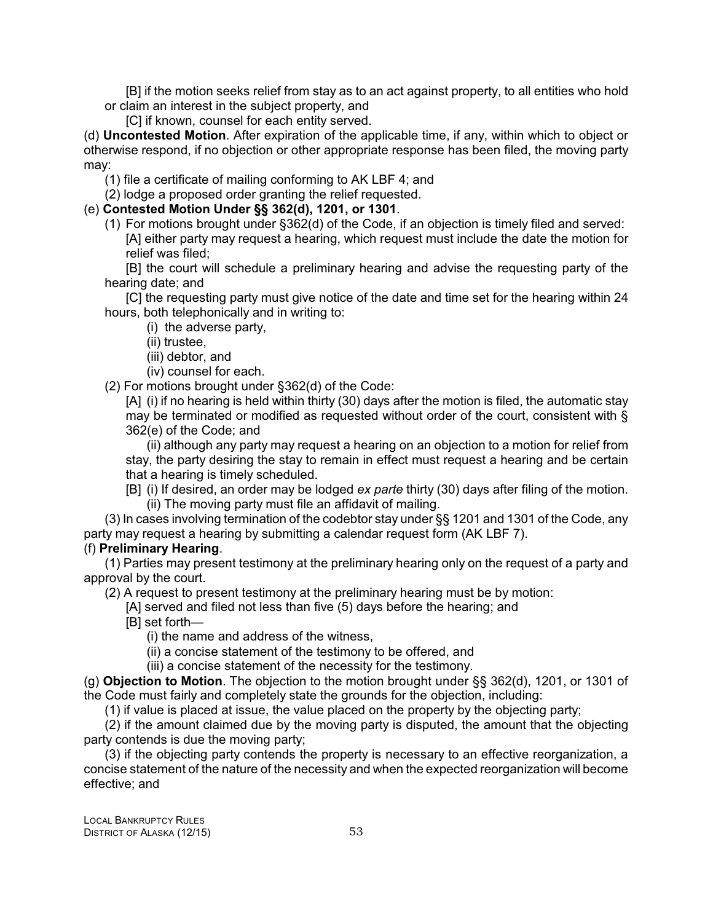[B] if the motion seeks relief from stay as to an act against property, to all entities who hold or claim an interest in the subject property, and

[C] if known, counsel for each entity served.

(d) **Uncontested Motion**. After expiration of the applicable time, if any, within which to object or otherwise respond, if no objection or other appropriate response has been filed, the moving party may:

(1) file a certificate of mailing conforming to AK LBF 4; and

(2) lodge a proposed order granting the relief requested.

# (e) **Contested Motion Under §§ 362(d), 1201, or 1301**.

(1) For motions brought under §362(d) of the Code, if an objection is timely filed and served: [A] either party may request a hearing, which request must include the date the motion for relief was filed;

[B] the court will schedule a preliminary hearing and advise the requesting party of the hearing date; and

[C] the requesting party must give notice of the date and time set for the hearing within 24 hours, both telephonically and in writing to:

(i) the adverse party,

(ii) trustee,

(iii) debtor, and

(iv) counsel for each.

(2) For motions brought under §362(d) of the Code:

[A] (i) if no hearing is held within thirty (30) days after the motion is filed, the automatic stay may be terminated or modified as requested without order of the court, consistent with § 362(e) of the Code; and

(ii) although any party may request a hearing on an objection to a motion for relief from stay, the party desiring the stay to remain in effect must request a hearing and be certain that a hearing is timely scheduled.

[B] (i) If desired, an order may be lodged *ex parte* thirty (30) days after filing of the motion. (ii) The moving party must file an affidavit of mailing.

(3) In cases involving termination of the codebtor stay under §§ 1201 and 1301 of the Code, any party may request a hearing by submitting a calendar request form (AK LBF 7).

# (f) **Preliminary Hearing**.

(1) Parties may present testimony at the preliminary hearing only on the request of a party and approval by the court.

(2) A request to present testimony at the preliminary hearing must be by motion:

[A] served and filed not less than five (5) days before the hearing; and

[B] set forth—

(i) the name and address of the witness,

(ii) a concise statement of the testimony to be offered, and

(iii) a concise statement of the necessity for the testimony.

(g) **Objection to Motion**. The objection to the motion brought under §§ 362(d), 1201, or 1301 of the Code must fairly and completely state the grounds for the objection, including:

(1) if value is placed at issue, the value placed on the property by the objecting party;

(2) if the amount claimed due by the moving party is disputed, the amount that the objecting party contends is due the moving party;

(3) if the objecting party contends the property is necessary to an effective reorganization, a concise statement of the nature of the necessity and when the expected reorganization will become effective; and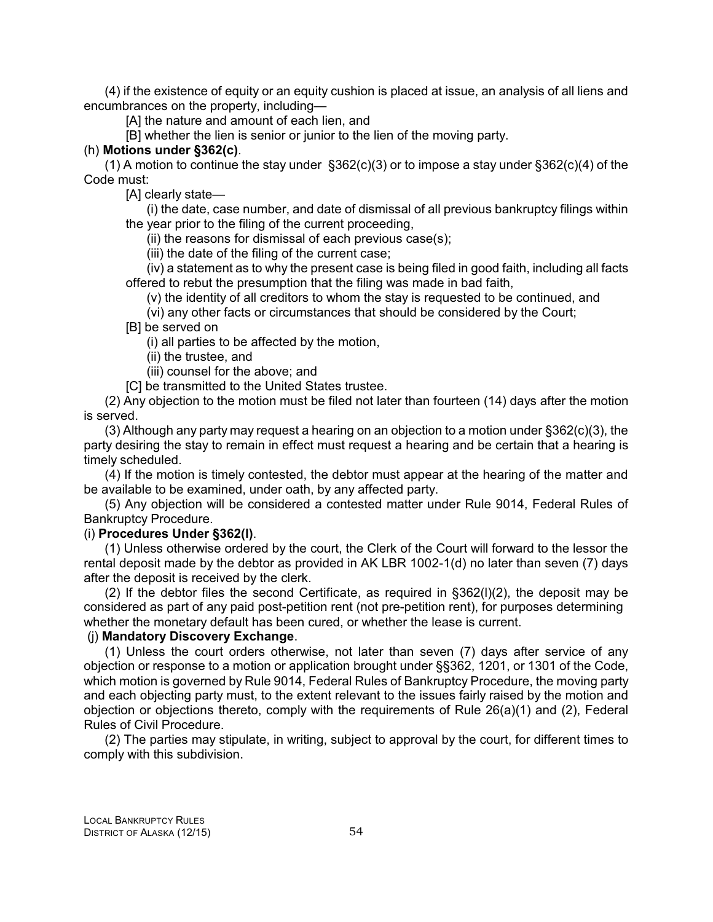(4) if the existence of equity or an equity cushion is placed at issue, an analysis of all liens and encumbrances on the property, including—

[A] the nature and amount of each lien, and

[B] whether the lien is senior or junior to the lien of the moving party.

#### (h) **Motions under §362(c)**.

(1) A motion to continue the stay under §362(c)(3) or to impose a stay under §362(c)(4) of the Code must:

[A] clearly state—

(i) the date, case number, and date of dismissal of all previous bankruptcy filings within the year prior to the filing of the current proceeding,

(ii) the reasons for dismissal of each previous case(s);

(iii) the date of the filing of the current case;

(iv) a statement as to why the present case is being filed in good faith, including all facts offered to rebut the presumption that the filing was made in bad faith,

(v) the identity of all creditors to whom the stay is requested to be continued, and

(vi) any other facts or circumstances that should be considered by the Court;

[B] be served on

(i) all parties to be affected by the motion,

(ii) the trustee, and

(iii) counsel for the above; and

[C] be transmitted to the United States trustee.

(2) Any objection to the motion must be filed not later than fourteen (14) days after the motion is served.

(3) Although any party may request a hearing on an objection to a motion under §362(c)(3), the party desiring the stay to remain in effect must request a hearing and be certain that a hearing is timely scheduled.

(4) If the motion is timely contested, the debtor must appear at the hearing of the matter and be available to be examined, under oath, by any affected party.

(5) Any objection will be considered a contested matter under Rule 9014, Federal Rules of Bankruptcy Procedure.

# (i) **Procedures Under §362(l)**.

(1) Unless otherwise ordered by the court, the Clerk of the Court will forward to the lessor the rental deposit made by the debtor as provided in AK LBR 1002-1(d) no later than seven (7) days after the deposit is received by the clerk.

(2) If the debtor files the second Certificate, as required in  $\S362(1)(2)$ , the deposit may be considered as part of any paid post-petition rent (not pre-petition rent), for purposes determining whether the monetary default has been cured, or whether the lease is current.

## (j) **Mandatory Discovery Exchange**.

(1) Unless the court orders otherwise, not later than seven (7) days after service of any objection or response to a motion or application brought under §§362, 1201, or 1301 of the Code, which motion is governed by Rule 9014, Federal Rules of Bankruptcy Procedure, the moving party and each objecting party must, to the extent relevant to the issues fairly raised by the motion and objection or objections thereto, comply with the requirements of Rule 26(a)(1) and (2), Federal Rules of Civil Procedure.

(2) The parties may stipulate, in writing, subject to approval by the court, for different times to comply with this subdivision.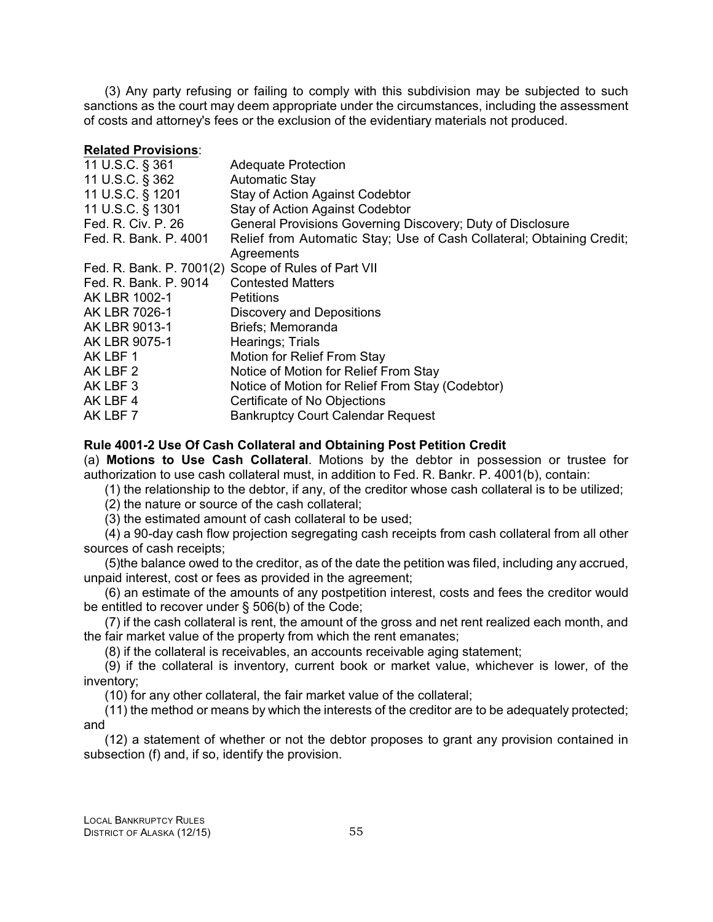(3) Any party refusing or failing to comply with this subdivision may be subjected to such sanctions as the court may deem appropriate under the circumstances, including the assessment of costs and attorney's fees or the exclusion of the evidentiary materials not produced.

#### **Related Provisions**:

| <b>Adequate Protection</b>                                            |
|-----------------------------------------------------------------------|
| <b>Automatic Stay</b>                                                 |
| <b>Stay of Action Against Codebtor</b>                                |
| <b>Stay of Action Against Codebtor</b>                                |
| General Provisions Governing Discovery; Duty of Disclosure            |
| Relief from Automatic Stay; Use of Cash Collateral; Obtaining Credit; |
| Agreements                                                            |
| Fed. R. Bank. P. 7001(2) Scope of Rules of Part VII                   |
| <b>Contested Matters</b>                                              |
| <b>Petitions</b>                                                      |
| <b>Discovery and Depositions</b>                                      |
| Briefs; Memoranda                                                     |
| Hearings; Trials                                                      |
| Motion for Relief From Stay                                           |
| Notice of Motion for Relief From Stay                                 |
| Notice of Motion for Relief From Stay (Codebtor)                      |
| Certificate of No Objections                                          |
| <b>Bankruptcy Court Calendar Request</b>                              |
|                                                                       |

## **Rule 4001-2 Use Of Cash Collateral and Obtaining Post Petition Credit**

(a) **Motions to Use Cash Collateral**. Motions by the debtor in possession or trustee for authorization to use cash collateral must, in addition to Fed. R. Bankr. P. 4001(b), contain:

(1) the relationship to the debtor, if any, of the creditor whose cash collateral is to be utilized;

(2) the nature or source of the cash collateral;

(3) the estimated amount of cash collateral to be used;

(4) a 90-day cash flow projection segregating cash receipts from cash collateral from all other sources of cash receipts;

(5)the balance owed to the creditor, as of the date the petition was filed, including any accrued, unpaid interest, cost or fees as provided in the agreement;

(6) an estimate of the amounts of any postpetition interest, costs and fees the creditor would be entitled to recover under § 506(b) of the Code;

(7) if the cash collateral is rent, the amount of the gross and net rent realized each month, and the fair market value of the property from which the rent emanates;

(8) if the collateral is receivables, an accounts receivable aging statement;

(9) if the collateral is inventory, current book or market value, whichever is lower, of the inventory;

(10) for any other collateral, the fair market value of the collateral;

(11) the method or means by which the interests of the creditor are to be adequately protected; and

(12) a statement of whether or not the debtor proposes to grant any provision contained in subsection (f) and, if so, identify the provision.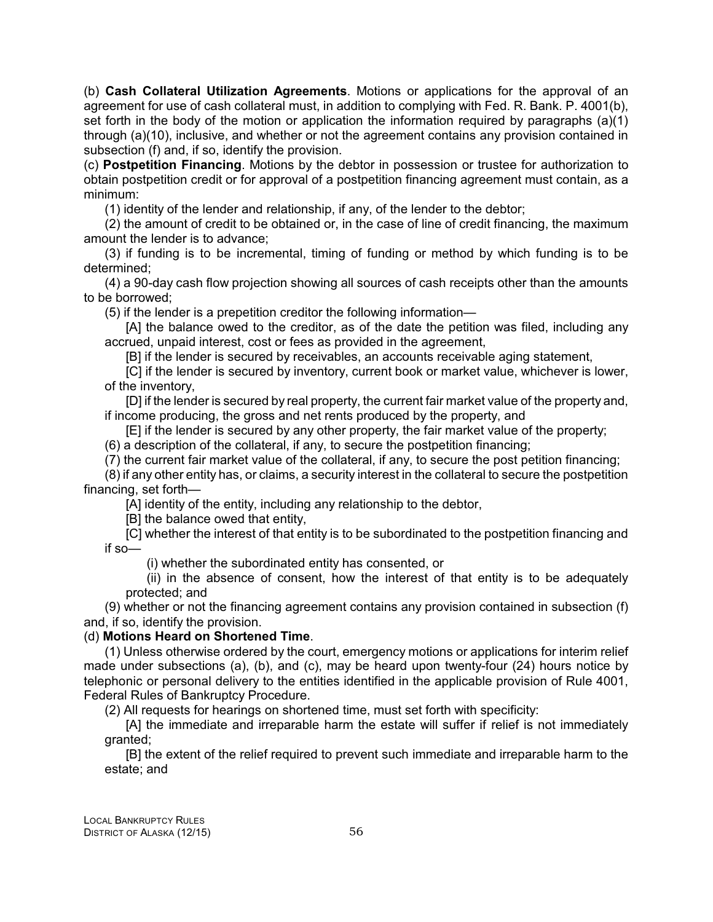(b) **Cash Collateral Utilization Agreements**. Motions or applications for the approval of an agreement for use of cash collateral must, in addition to complying with Fed. R. Bank. P. 4001(b), set forth in the body of the motion or application the information required by paragraphs (a)(1) through (a)(10), inclusive, and whether or not the agreement contains any provision contained in subsection (f) and, if so, identify the provision.

(c) **Postpetition Financing**. Motions by the debtor in possession or trustee for authorization to obtain postpetition credit or for approval of a postpetition financing agreement must contain, as a minimum:

(1) identity of the lender and relationship, if any, of the lender to the debtor;

(2) the amount of credit to be obtained or, in the case of line of credit financing, the maximum amount the lender is to advance;

(3) if funding is to be incremental, timing of funding or method by which funding is to be determined;

(4) a 90-day cash flow projection showing all sources of cash receipts other than the amounts to be borrowed;

(5) if the lender is a prepetition creditor the following information—

[A] the balance owed to the creditor, as of the date the petition was filed, including any accrued, unpaid interest, cost or fees as provided in the agreement,

[B] if the lender is secured by receivables, an accounts receivable aging statement,

[C] if the lender is secured by inventory, current book or market value, whichever is lower, of the inventory,

[D] if the lender is secured by real property, the current fair market value of the property and, if income producing, the gross and net rents produced by the property, and

[E] if the lender is secured by any other property, the fair market value of the property;

(6) a description of the collateral, if any, to secure the postpetition financing;

(7) the current fair market value of the collateral, if any, to secure the post petition financing;

(8) if any other entity has, or claims, a security interest in the collateral to secure the postpetition financing, set forth—

[A] identity of the entity, including any relationship to the debtor,

[B] the balance owed that entity,

[C] whether the interest of that entity is to be subordinated to the postpetition financing and if so—

(i) whether the subordinated entity has consented, or

(ii) in the absence of consent, how the interest of that entity is to be adequately protected; and

(9) whether or not the financing agreement contains any provision contained in subsection (f) and, if so, identify the provision.

# (d) **Motions Heard on Shortened Time**.

(1) Unless otherwise ordered by the court, emergency motions or applications for interim relief made under subsections (a), (b), and (c), may be heard upon twenty-four (24) hours notice by telephonic or personal delivery to the entities identified in the applicable provision of Rule 4001, Federal Rules of Bankruptcy Procedure.

(2) All requests for hearings on shortened time, must set forth with specificity:

[A] the immediate and irreparable harm the estate will suffer if relief is not immediately granted;

[B] the extent of the relief required to prevent such immediate and irreparable harm to the estate; and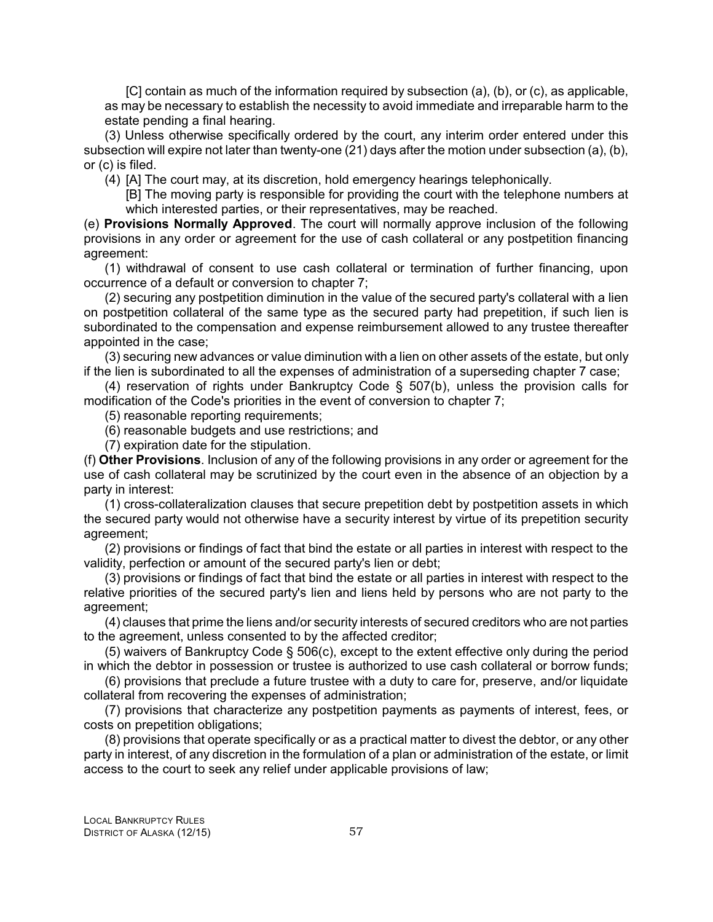[C] contain as much of the information required by subsection (a), (b), or (c), as applicable, as may be necessary to establish the necessity to avoid immediate and irreparable harm to the estate pending a final hearing.

(3) Unless otherwise specifically ordered by the court, any interim order entered under this subsection will expire not later than twenty-one (21) days after the motion under subsection (a), (b), or (c) is filed.

(4) [A] The court may, at its discretion, hold emergency hearings telephonically.

[B] The moving party is responsible for providing the court with the telephone numbers at which interested parties, or their representatives, may be reached.

(e) **Provisions Normally Approved**. The court will normally approve inclusion of the following provisions in any order or agreement for the use of cash collateral or any postpetition financing agreement:

(1) withdrawal of consent to use cash collateral or termination of further financing, upon occurrence of a default or conversion to chapter 7;

(2) securing any postpetition diminution in the value of the secured party's collateral with a lien on postpetition collateral of the same type as the secured party had prepetition, if such lien is subordinated to the compensation and expense reimbursement allowed to any trustee thereafter appointed in the case;

(3) securing new advances or value diminution with a lien on other assets of the estate, but only if the lien is subordinated to all the expenses of administration of a superseding chapter 7 case;

(4) reservation of rights under Bankruptcy Code § 507(b), unless the provision calls for modification of the Code's priorities in the event of conversion to chapter 7;

(5) reasonable reporting requirements;

(6) reasonable budgets and use restrictions; and

(7) expiration date for the stipulation.

(f) **Other Provisions**. Inclusion of any of the following provisions in any order or agreement for the use of cash collateral may be scrutinized by the court even in the absence of an objection by a party in interest:

(1) cross-collateralization clauses that secure prepetition debt by postpetition assets in which the secured party would not otherwise have a security interest by virtue of its prepetition security agreement;

(2) provisions or findings of fact that bind the estate or all parties in interest with respect to the validity, perfection or amount of the secured party's lien or debt;

(3) provisions or findings of fact that bind the estate or all parties in interest with respect to the relative priorities of the secured party's lien and liens held by persons who are not party to the agreement;

(4) clauses that prime the liens and/or security interests of secured creditors who are not parties to the agreement, unless consented to by the affected creditor;

(5) waivers of Bankruptcy Code § 506(c), except to the extent effective only during the period in which the debtor in possession or trustee is authorized to use cash collateral or borrow funds;

(6) provisions that preclude a future trustee with a duty to care for, preserve, and/or liquidate collateral from recovering the expenses of administration;

(7) provisions that characterize any postpetition payments as payments of interest, fees, or costs on prepetition obligations;

(8) provisions that operate specifically or as a practical matter to divest the debtor, or any other party in interest, of any discretion in the formulation of a plan or administration of the estate, or limit access to the court to seek any relief under applicable provisions of law;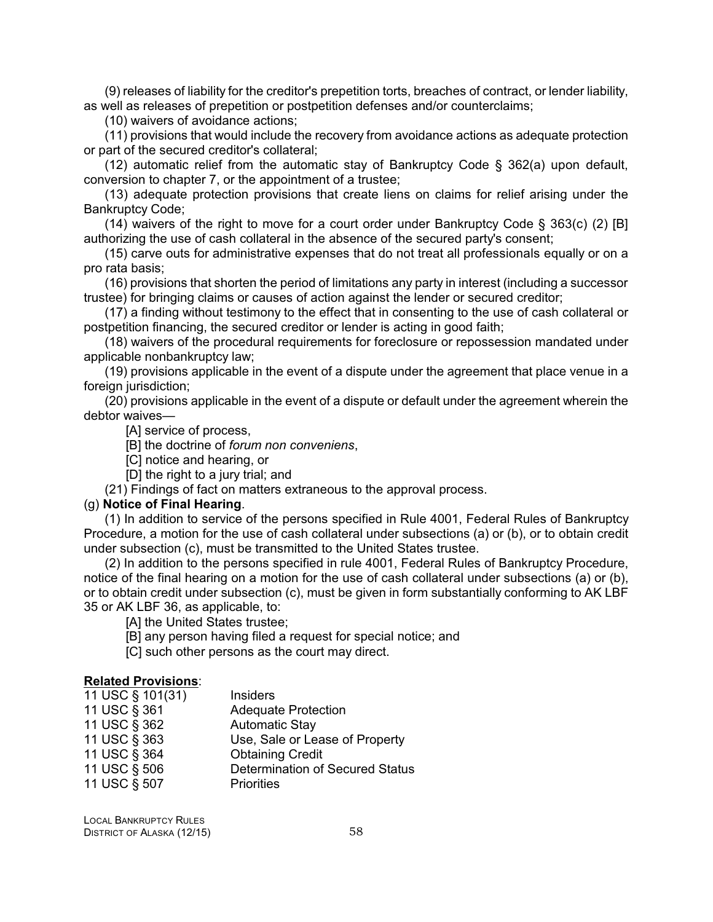(9) releases of liability for the creditor's prepetition torts, breaches of contract, or lender liability, as well as releases of prepetition or postpetition defenses and/or counterclaims;

(10) waivers of avoidance actions;

(11) provisions that would include the recovery from avoidance actions as adequate protection or part of the secured creditor's collateral;

(12) automatic relief from the automatic stay of Bankruptcy Code § 362(a) upon default, conversion to chapter 7, or the appointment of a trustee;

(13) adequate protection provisions that create liens on claims for relief arising under the Bankruptcy Code;

(14) waivers of the right to move for a court order under Bankruptcy Code § 363(c) (2) [B] authorizing the use of cash collateral in the absence of the secured party's consent;

(15) carve outs for administrative expenses that do not treat all professionals equally or on a pro rata basis;

(16) provisions that shorten the period of limitations any party in interest (including a successor trustee) for bringing claims or causes of action against the lender or secured creditor;

(17) a finding without testimony to the effect that in consenting to the use of cash collateral or postpetition financing, the secured creditor or lender is acting in good faith;

(18) waivers of the procedural requirements for foreclosure or repossession mandated under applicable nonbankruptcy law;

(19) provisions applicable in the event of a dispute under the agreement that place venue in a foreign jurisdiction:

(20) provisions applicable in the event of a dispute or default under the agreement wherein the debtor waives—

[A] service of process,

[B] the doctrine of *forum non conveniens*,

[C] notice and hearing, or

[D] the right to a jury trial; and

(21) Findings of fact on matters extraneous to the approval process.

#### (g) **Notice of Final Hearing**.

(1) In addition to service of the persons specified in Rule 4001, Federal Rules of Bankruptcy Procedure, a motion for the use of cash collateral under subsections (a) or (b), or to obtain credit under subsection (c), must be transmitted to the United States trustee.

(2) In addition to the persons specified in rule 4001, Federal Rules of Bankruptcy Procedure, notice of the final hearing on a motion for the use of cash collateral under subsections (a) or (b), or to obtain credit under subsection (c), must be given in form substantially conforming to AK LBF 35 or AK LBF 36, as applicable, to:

[A] the United States trustee;

- [B] any person having filed a request for special notice; and
- [C] such other persons as the court may direct.

## **Related Provisions**:

| 11 USC § 101(31) | <b>Insiders</b>                 |
|------------------|---------------------------------|
| 11 USC § 361     | <b>Adequate Protection</b>      |
| 11 USC § 362     | <b>Automatic Stay</b>           |
| 11 USC § 363     | Use, Sale or Lease of Property  |
| 11 USC § 364     | <b>Obtaining Credit</b>         |
| 11 USC § 506     | Determination of Secured Status |
| 11 USC § 507     | <b>Priorities</b>               |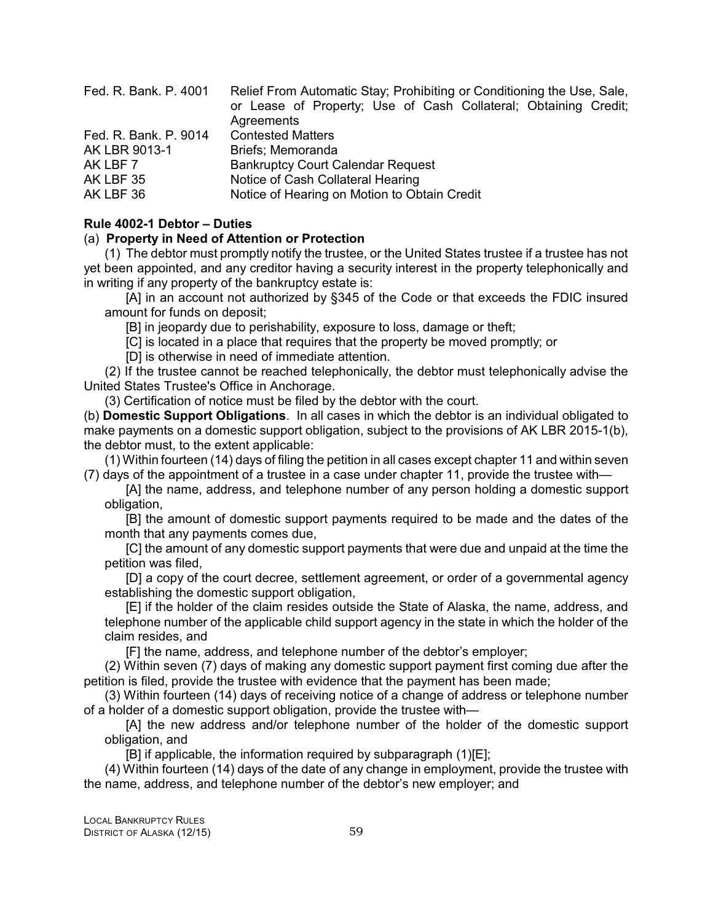| Relief From Automatic Stay; Prohibiting or Conditioning the Use, Sale,<br>or Lease of Property; Use of Cash Collateral; Obtaining Credit; |
|-------------------------------------------------------------------------------------------------------------------------------------------|
| Agreements                                                                                                                                |
| <b>Contested Matters</b>                                                                                                                  |
| Briefs; Memoranda                                                                                                                         |
| <b>Bankruptcy Court Calendar Request</b>                                                                                                  |
| Notice of Cash Collateral Hearing                                                                                                         |
| Notice of Hearing on Motion to Obtain Credit                                                                                              |
|                                                                                                                                           |

#### **Rule 4002-1 Debtor – Duties**

#### (a) **Property in Need of Attention or Protection**

(1) The debtor must promptly notify the trustee, or the United States trustee if a trustee has not yet been appointed, and any creditor having a security interest in the property telephonically and in writing if any property of the bankruptcy estate is:

[A] in an account not authorized by §345 of the Code or that exceeds the FDIC insured amount for funds on deposit;

[B] in jeopardy due to perishability, exposure to loss, damage or theft;

[C] is located in a place that requires that the property be moved promptly; or

[D] is otherwise in need of immediate attention.

(2) If the trustee cannot be reached telephonically, the debtor must telephonically advise the United States Trustee's Office in Anchorage.

(3) Certification of notice must be filed by the debtor with the court.

(b) **Domestic Support Obligations**. In all cases in which the debtor is an individual obligated to make payments on a domestic support obligation, subject to the provisions of AK LBR 2015-1(b), the debtor must, to the extent applicable:

(1) Within fourteen (14) days of filing the petition in all cases except chapter 11 and within seven (7) days of the appointment of a trustee in a case under chapter 11, provide the trustee with—

[A] the name, address, and telephone number of any person holding a domestic support obligation,

[B] the amount of domestic support payments required to be made and the dates of the month that any payments comes due,

[C] the amount of any domestic support payments that were due and unpaid at the time the petition was filed,

[D] a copy of the court decree, settlement agreement, or order of a governmental agency establishing the domestic support obligation,

[E] if the holder of the claim resides outside the State of Alaska, the name, address, and telephone number of the applicable child support agency in the state in which the holder of the claim resides, and

[F] the name, address, and telephone number of the debtor's employer;

(2) Within seven (7) days of making any domestic support payment first coming due after the petition is filed, provide the trustee with evidence that the payment has been made;

(3) Within fourteen (14) days of receiving notice of a change of address or telephone number of a holder of a domestic support obligation, provide the trustee with—

[A] the new address and/or telephone number of the holder of the domestic support obligation, and

[B] if applicable, the information required by subparagraph (1)[E];

(4) Within fourteen (14) days of the date of any change in employment, provide the trustee with the name, address, and telephone number of the debtor's new employer; and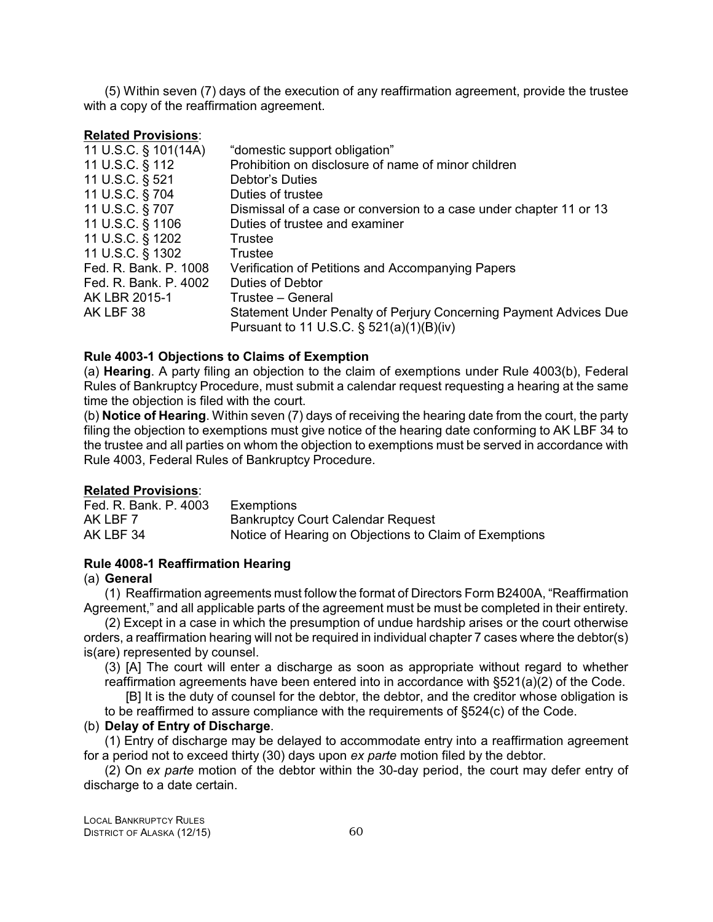(5) Within seven (7) days of the execution of any reaffirmation agreement, provide the trustee with a copy of the reaffirmation agreement.

#### **Related Provisions**:

| "domestic support obligation"                                      |
|--------------------------------------------------------------------|
| Prohibition on disclosure of name of minor children                |
| Debtor's Duties                                                    |
| Duties of trustee                                                  |
| Dismissal of a case or conversion to a case under chapter 11 or 13 |
| Duties of trustee and examiner                                     |
| Trustee                                                            |
| <b>Trustee</b>                                                     |
| Verification of Petitions and Accompanying Papers                  |
| <b>Duties of Debtor</b>                                            |
| Trustee - General                                                  |
| Statement Under Penalty of Perjury Concerning Payment Advices Due  |
| Pursuant to 11 U.S.C. $\S$ 521(a)(1)(B)(iv)                        |
|                                                                    |

# **Rule 4003-1 Objections to Claims of Exemption**

(a) **Hearing**. A party filing an objection to the claim of exemptions under Rule 4003(b), Federal Rules of Bankruptcy Procedure, must submit a calendar request requesting a hearing at the same time the objection is filed with the court.

(b) **Notice of Hearing**. Within seven (7) days of receiving the hearing date from the court, the party filing the objection to exemptions must give notice of the hearing date conforming to AK LBF 34 to the trustee and all parties on whom the objection to exemptions must be served in accordance with Rule 4003, Federal Rules of Bankruptcy Procedure.

#### **Related Provisions**:

Fed. R. Bank. P. 4003 Exemptions AK LBF 7 Bankruptcy Court Calendar Request AK LBF 34 Notice of Hearing on Objections to Claim of Exemptions

#### **Rule 4008-1 Reaffirmation Hearing**

## (a) **General**

(1) Reaffirmation agreements must follow the format of Directors Form B2400A, "Reaffirmation Agreement," and all applicable parts of the agreement must be must be completed in their entirety.

(2) Except in a case in which the presumption of undue hardship arises or the court otherwise orders, a reaffirmation hearing will not be required in individual chapter 7 cases where the debtor(s) is(are) represented by counsel.

(3) [A] The court will enter a discharge as soon as appropriate without regard to whether reaffirmation agreements have been entered into in accordance with §521(a)(2) of the Code.

[B] It is the duty of counsel for the debtor, the debtor, and the creditor whose obligation is to be reaffirmed to assure compliance with the requirements of §524(c) of the Code.

#### (b) **Delay of Entry of Discharge**.

(1) Entry of discharge may be delayed to accommodate entry into a reaffirmation agreement for a period not to exceed thirty (30) days upon *ex parte* motion filed by the debtor.

(2) On *ex parte* motion of the debtor within the 30-day period, the court may defer entry of discharge to a date certain.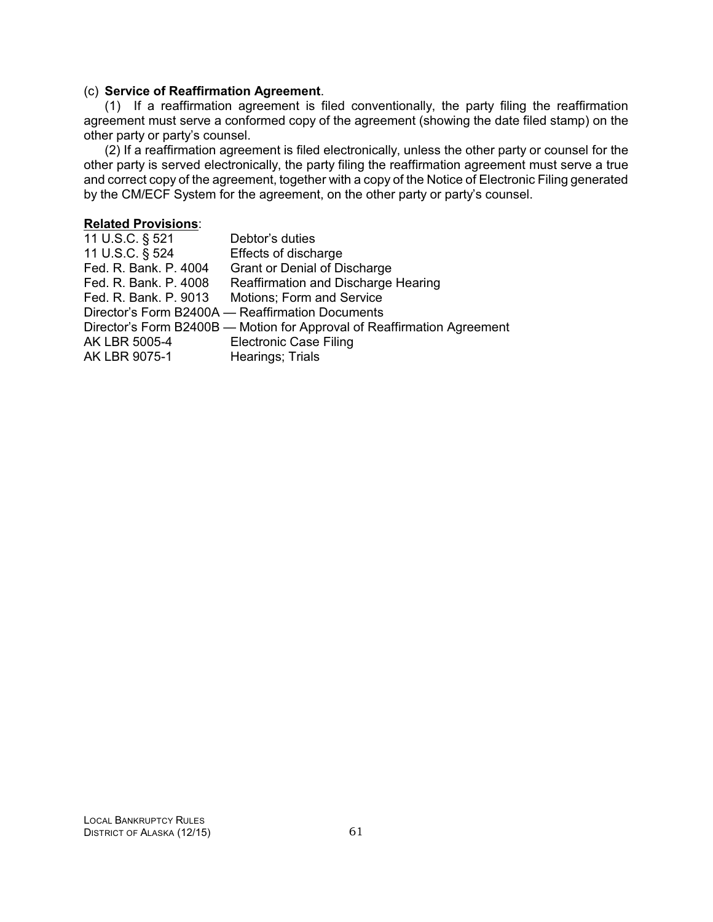#### (c) **Service of Reaffirmation Agreement**.

(1) If a reaffirmation agreement is filed conventionally, the party filing the reaffirmation agreement must serve a conformed copy of the agreement (showing the date filed stamp) on the other party or party's counsel.

(2) If a reaffirmation agreement is filed electronically, unless the other party or counsel for the other party is served electronically, the party filing the reaffirmation agreement must serve a true and correct copy of the agreement, together with a copy of the Notice of Electronic Filing generated by the CM/ECF System for the agreement, on the other party or party's counsel.

## **Related Provisions**:

| 11 U.S.C. § 521       | Debtor's duties                                                         |
|-----------------------|-------------------------------------------------------------------------|
| 11 U.S.C. § 524       | Effects of discharge                                                    |
| Fed. R. Bank. P. 4004 | <b>Grant or Denial of Discharge</b>                                     |
| Fed. R. Bank. P. 4008 | Reaffirmation and Discharge Hearing                                     |
| Fed. R. Bank. P. 9013 | Motions; Form and Service                                               |
|                       | Director's Form B2400A - Reaffirmation Documents                        |
|                       | Director's Form B2400B - Motion for Approval of Reaffirmation Agreement |
| AK LBR 5005-4         | <b>Electronic Case Filing</b>                                           |
| AK LBR 9075-1         | Hearings; Trials                                                        |
|                       |                                                                         |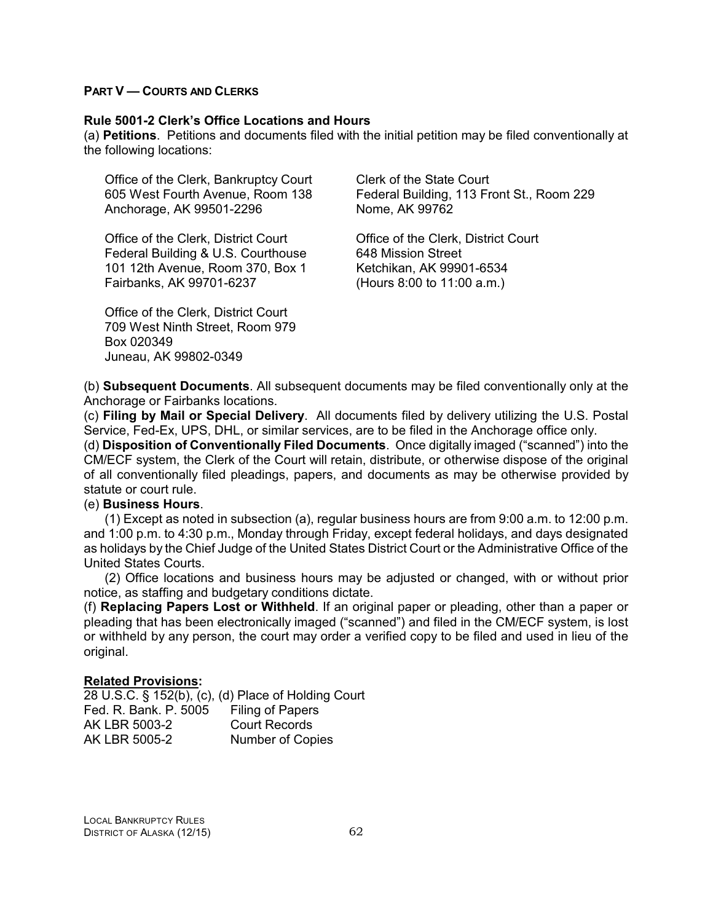#### **PART V — COURTS AND CLERKS**

#### **Rule 5001-2 Clerk's Office Locations and Hours**

(a) **Petitions**. Petitions and documents filed with the initial petition may be filed conventionally at the following locations:

Office of the Clerk, Bankruptcy Court Clerk of the State Court Anchorage, AK 99501-2296 Nome, AK 99762

Office of the Clerk, District Court Office of the Clerk, District Court Federal Building & U.S. Courthouse 648 Mission Street 101 12th Avenue, Room 370, Box 1 Ketchikan, AK 99901-6534 Fairbanks, AK 99701-6237 (Hours 8:00 to 11:00 a.m.)

Office of the Clerk, District Court 709 West Ninth Street, Room 979 Box 020349 Juneau, AK 99802-0349

605 West Fourth Avenue, Room 138 Federal Building, 113 Front St., Room 229

(b) **Subsequent Documents**. All subsequent documents may be filed conventionally only at the Anchorage or Fairbanks locations.

(c) **Filing by Mail or Special Delivery**. All documents filed by delivery utilizing the U.S. Postal Service, Fed-Ex, UPS, DHL, or similar services, are to be filed in the Anchorage office only.

(d) **Disposition of Conventionally Filed Documents**. Once digitally imaged ("scanned") into the CM/ECF system, the Clerk of the Court will retain, distribute, or otherwise dispose of the original of all conventionally filed pleadings, papers, and documents as may be otherwise provided by statute or court rule.

#### (e) **Business Hours**.

(1) Except as noted in subsection (a), regular business hours are from 9:00 a.m. to 12:00 p.m. and 1:00 p.m. to 4:30 p.m., Monday through Friday, except federal holidays, and days designated as holidays by the Chief Judge of the United States District Court or the Administrative Office of the United States Courts.

(2) Office locations and business hours may be adjusted or changed, with or without prior notice, as staffing and budgetary conditions dictate.

(f) **Replacing Papers Lost or Withheld**. If an original paper or pleading, other than a paper or pleading that has been electronically imaged ("scanned") and filed in the CM/ECF system, is lost or withheld by any person, the court may order a verified copy to be filed and used in lieu of the original.

#### **Related Provisions:**

28 U.S.C. § 152(b), (c), (d) Place of Holding Court Fed. R. Bank. P. 5005 Filing of Papers AK LBR 5003-2 Court Records AK LBR 5005-2 Number of Copies

LOCAL BANKRUPTCY RULES DISTRICT OF ALASKA (12/15) 62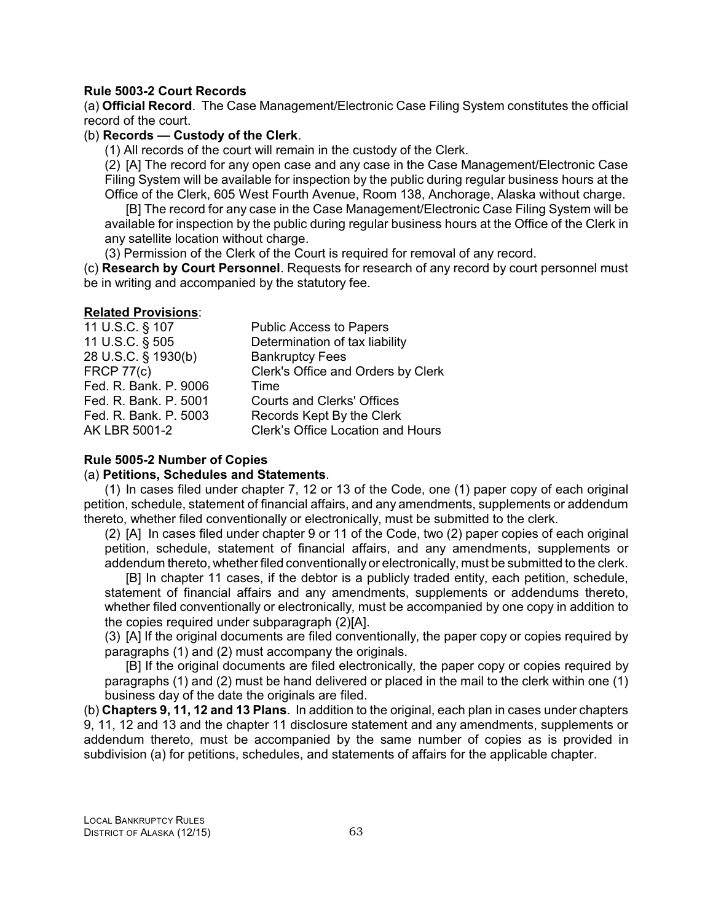#### **Rule 5003-2 Court Records**

(a) **Official Record**. The Case Management/Electronic Case Filing System constitutes the official record of the court.

# (b) **Records — Custody of the Clerk**.

(1) All records of the court will remain in the custody of the Clerk.

(2) [A] The record for any open case and any case in the Case Management/Electronic Case Filing System will be available for inspection by the public during regular business hours at the Office of the Clerk, 605 West Fourth Avenue, Room 138, Anchorage, Alaska without charge.

[B] The record for any case in the Case Management/Electronic Case Filing System will be available for inspection by the public during regular business hours at the Office of the Clerk in any satellite location without charge.

(3) Permission of the Clerk of the Court is required for removal of any record.

(c) **Research by Court Personnel**. Requests for research of any record by court personnel must be in writing and accompanied by the statutory fee.

#### **Related Provisions**:

| 11 U.S.C. § 107       | <b>Public Access to Papers</b>     |
|-----------------------|------------------------------------|
| 11 U.S.C. § 505       | Determination of tax liability     |
| 28 U.S.C. § 1930(b)   | <b>Bankruptcy Fees</b>             |
| <b>FRCP 77(c)</b>     | Clerk's Office and Orders by Clerk |
| Fed. R. Bank. P. 9006 | Time                               |
| Fed. R. Bank. P. 5001 | <b>Courts and Clerks' Offices</b>  |
| Fed. R. Bank. P. 5003 | Records Kept By the Clerk          |
| AK LBR 5001-2         | Clerk's Office Location and Hours  |

# **Rule 5005-2 Number of Copies**

#### (a) **Petitions, Schedules and Statements**.

(1) In cases filed under chapter 7, 12 or 13 of the Code, one (1) paper copy of each original petition, schedule, statement of financial affairs, and any amendments, supplements or addendum thereto, whether filed conventionally or electronically, must be submitted to the clerk.

(2) [A] In cases filed under chapter 9 or 11 of the Code, two (2) paper copies of each original petition, schedule, statement of financial affairs, and any amendments, supplements or addendum thereto, whether filed conventionally or electronically, must be submitted to the clerk.

[B] In chapter 11 cases, if the debtor is a publicly traded entity, each petition, schedule, statement of financial affairs and any amendments, supplements or addendums thereto, whether filed conventionally or electronically, must be accompanied by one copy in addition to the copies required under subparagraph (2)[A].

(3) [A] If the original documents are filed conventionally, the paper copy or copies required by paragraphs (1) and (2) must accompany the originals.

[B] If the original documents are filed electronically, the paper copy or copies required by paragraphs (1) and (2) must be hand delivered or placed in the mail to the clerk within one (1) business day of the date the originals are filed.

(b) **Chapters 9, 11, 12 and 13 Plans**. In addition to the original, each plan in cases under chapters 9, 11, 12 and 13 and the chapter 11 disclosure statement and any amendments, supplements or addendum thereto, must be accompanied by the same number of copies as is provided in subdivision (a) for petitions, schedules, and statements of affairs for the applicable chapter.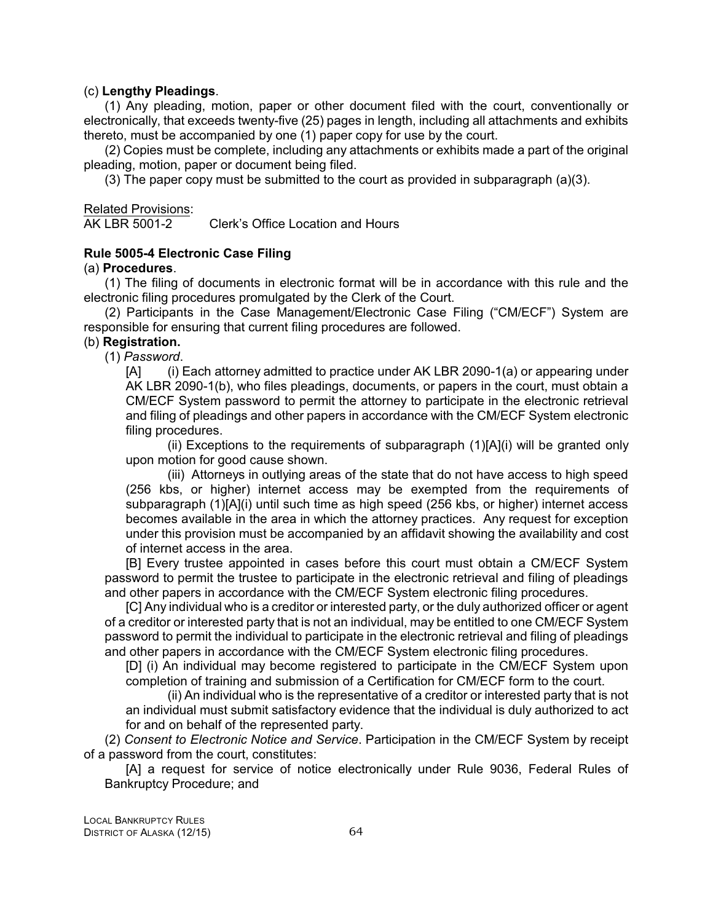#### (c) **Lengthy Pleadings**.

(1) Any pleading, motion, paper or other document filed with the court, conventionally or electronically, that exceeds twenty-five (25) pages in length, including all attachments and exhibits thereto, must be accompanied by one (1) paper copy for use by the court.

(2) Copies must be complete, including any attachments or exhibits made a part of the original pleading, motion, paper or document being filed.

(3) The paper copy must be submitted to the court as provided in subparagraph  $(a)(3)$ .

# Related Provisions:<br>AK LBR 5001-2

Clerk's Office Location and Hours

# **Rule 5005-4 Electronic Case Filing**

## (a) **Procedures**.

(1) The filing of documents in electronic format will be in accordance with this rule and the electronic filing procedures promulgated by the Clerk of the Court.

(2) Participants in the Case Management/Electronic Case Filing ("CM/ECF") System are responsible for ensuring that current filing procedures are followed.

# (b) **Registration.**

(1) *Password*.

[A] (i) Each attorney admitted to practice under AK LBR 2090-1(a) or appearing under AK LBR 2090-1(b), who files pleadings, documents, or papers in the court, must obtain a CM/ECF System password to permit the attorney to participate in the electronic retrieval and filing of pleadings and other papers in accordance with the CM/ECF System electronic filing procedures.

(ii) Exceptions to the requirements of subparagraph  $(1)[A](i)$  will be granted only upon motion for good cause shown.

(iii) Attorneys in outlying areas of the state that do not have access to high speed (256 kbs, or higher) internet access may be exempted from the requirements of subparagraph (1)[A](i) until such time as high speed (256 kbs, or higher) internet access becomes available in the area in which the attorney practices. Any request for exception under this provision must be accompanied by an affidavit showing the availability and cost of internet access in the area.

[B] Every trustee appointed in cases before this court must obtain a CM/ECF System password to permit the trustee to participate in the electronic retrieval and filing of pleadings and other papers in accordance with the CM/ECF System electronic filing procedures.

[C] Any individual who is a creditor or interested party, or the duly authorized officer or agent of a creditor or interested party that is not an individual, may be entitled to one CM/ECF System password to permit the individual to participate in the electronic retrieval and filing of pleadings and other papers in accordance with the CM/ECF System electronic filing procedures.

[D] (i) An individual may become registered to participate in the CM/ECF System upon completion of training and submission of a Certification for CM/ECF form to the court.

(ii) An individual who is the representative of a creditor or interested party that is not an individual must submit satisfactory evidence that the individual is duly authorized to act for and on behalf of the represented party.

(2) *Consent to Electronic Notice and Service*. Participation in the CM/ECF System by receipt of a password from the court, constitutes:

[A] a request for service of notice electronically under Rule 9036, Federal Rules of Bankruptcy Procedure; and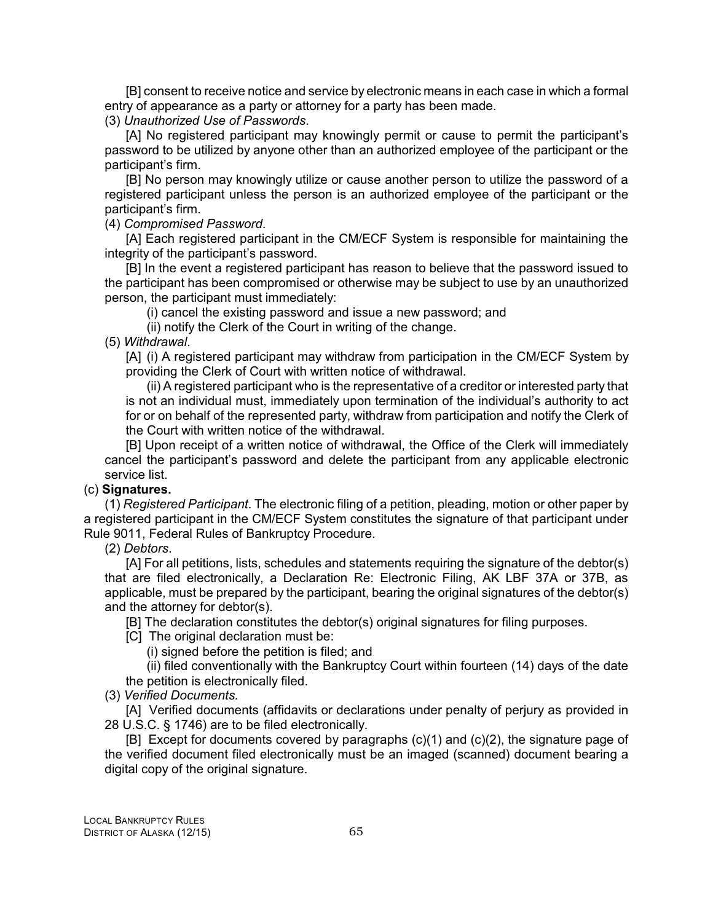[B] consent to receive notice and service by electronic means in each case in which a formal entry of appearance as a party or attorney for a party has been made.

(3) *Unauthorized Use of Passwords*.

[A] No registered participant may knowingly permit or cause to permit the participant's password to be utilized by anyone other than an authorized employee of the participant or the participant's firm.

[B] No person may knowingly utilize or cause another person to utilize the password of a registered participant unless the person is an authorized employee of the participant or the participant's firm.

(4) *Compromised Password*.

[A] Each registered participant in the CM/ECF System is responsible for maintaining the integrity of the participant's password.

[B] In the event a registered participant has reason to believe that the password issued to the participant has been compromised or otherwise may be subject to use by an unauthorized person, the participant must immediately:

(i) cancel the existing password and issue a new password; and

(ii) notify the Clerk of the Court in writing of the change.

(5) *Withdrawal*.

[A] (i) A registered participant may withdraw from participation in the CM/ECF System by providing the Clerk of Court with written notice of withdrawal.

(ii) A registered participant who is the representative of a creditor or interested party that is not an individual must, immediately upon termination of the individual's authority to act for or on behalf of the represented party, withdraw from participation and notify the Clerk of the Court with written notice of the withdrawal.

[B] Upon receipt of a written notice of withdrawal, the Office of the Clerk will immediately cancel the participant's password and delete the participant from any applicable electronic service list.

#### (c) **Signatures.**

(1) *Registered Participant*. The electronic filing of a petition, pleading, motion or other paper by a registered participant in the CM/ECF System constitutes the signature of that participant under Rule 9011, Federal Rules of Bankruptcy Procedure.

(2) *Debtors*.

[A] For all petitions, lists, schedules and statements requiring the signature of the debtor(s) that are filed electronically, a Declaration Re: Electronic Filing, AK LBF 37A or 37B, as applicable, must be prepared by the participant, bearing the original signatures of the debtor(s) and the attorney for debtor(s).

[B] The declaration constitutes the debtor(s) original signatures for filing purposes.

[C] The original declaration must be:

(i) signed before the petition is filed; and

(ii) filed conventionally with the Bankruptcy Court within fourteen (14) days of the date the petition is electronically filed.

(3) *Verified Documents.*

[A] Verified documents (affidavits or declarations under penalty of perjury as provided in 28 U.S.C. § 1746) are to be filed electronically.

 $[B]$  Except for documents covered by paragraphs  $(c)(1)$  and  $(c)(2)$ , the signature page of the verified document filed electronically must be an imaged (scanned) document bearing a digital copy of the original signature.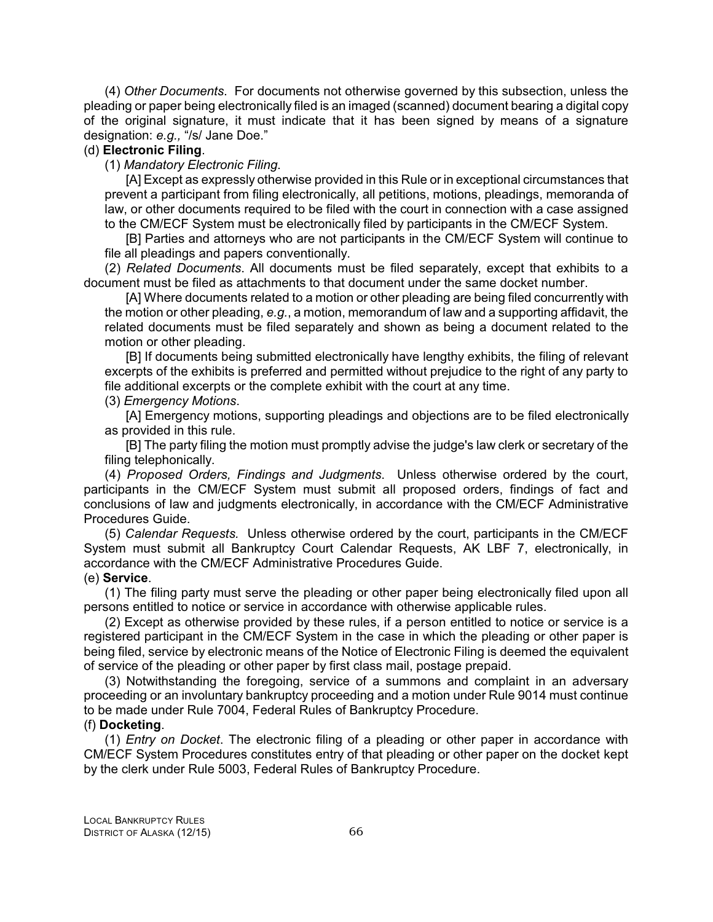(4) *Other Documents*. For documents not otherwise governed by this subsection, unless the pleading or paper being electronically filed is an imaged (scanned) document bearing a digital copy of the original signature, it must indicate that it has been signed by means of a signature designation: *e.g.,* "/s/ Jane Doe."

## (d) **Electronic Filing**.

#### (1) *Mandatory Electronic Filing*.

[A] Except as expressly otherwise provided in this Rule or in exceptional circumstances that prevent a participant from filing electronically, all petitions, motions, pleadings, memoranda of law, or other documents required to be filed with the court in connection with a case assigned to the CM/ECF System must be electronically filed by participants in the CM/ECF System.

[B] Parties and attorneys who are not participants in the CM/ECF System will continue to file all pleadings and papers conventionally.

(2) *Related Documents*. All documents must be filed separately, except that exhibits to a document must be filed as attachments to that document under the same docket number.

[A] Where documents related to a motion or other pleading are being filed concurrently with the motion or other pleading, *e.g.*, a motion, memorandum of law and a supporting affidavit, the related documents must be filed separately and shown as being a document related to the motion or other pleading.

[B] If documents being submitted electronically have lengthy exhibits, the filing of relevant excerpts of the exhibits is preferred and permitted without prejudice to the right of any party to file additional excerpts or the complete exhibit with the court at any time.

(3) *Emergency Motions*.

[A] Emergency motions, supporting pleadings and objections are to be filed electronically as provided in this rule.

[B] The party filing the motion must promptly advise the judge's law clerk or secretary of the filing telephonically.

(4) *Proposed Orders, Findings and Judgments*. Unless otherwise ordered by the court, participants in the CM/ECF System must submit all proposed orders, findings of fact and conclusions of law and judgments electronically, in accordance with the CM/ECF Administrative Procedures Guide.

(5) *Calendar Requests.* Unless otherwise ordered by the court, participants in the CM/ECF System must submit all Bankruptcy Court Calendar Requests, AK LBF 7, electronically, in accordance with the CM/ECF Administrative Procedures Guide.

# (e) **Service**.

(1) The filing party must serve the pleading or other paper being electronically filed upon all persons entitled to notice or service in accordance with otherwise applicable rules.

(2) Except as otherwise provided by these rules, if a person entitled to notice or service is a registered participant in the CM/ECF System in the case in which the pleading or other paper is being filed, service by electronic means of the Notice of Electronic Filing is deemed the equivalent of service of the pleading or other paper by first class mail, postage prepaid.

(3) Notwithstanding the foregoing, service of a summons and complaint in an adversary proceeding or an involuntary bankruptcy proceeding and a motion under Rule 9014 must continue to be made under Rule 7004, Federal Rules of Bankruptcy Procedure.

#### (f) **Docketing**.

(1) *Entry on Docket*. The electronic filing of a pleading or other paper in accordance with CM/ECF System Procedures constitutes entry of that pleading or other paper on the docket kept by the clerk under Rule 5003, Federal Rules of Bankruptcy Procedure.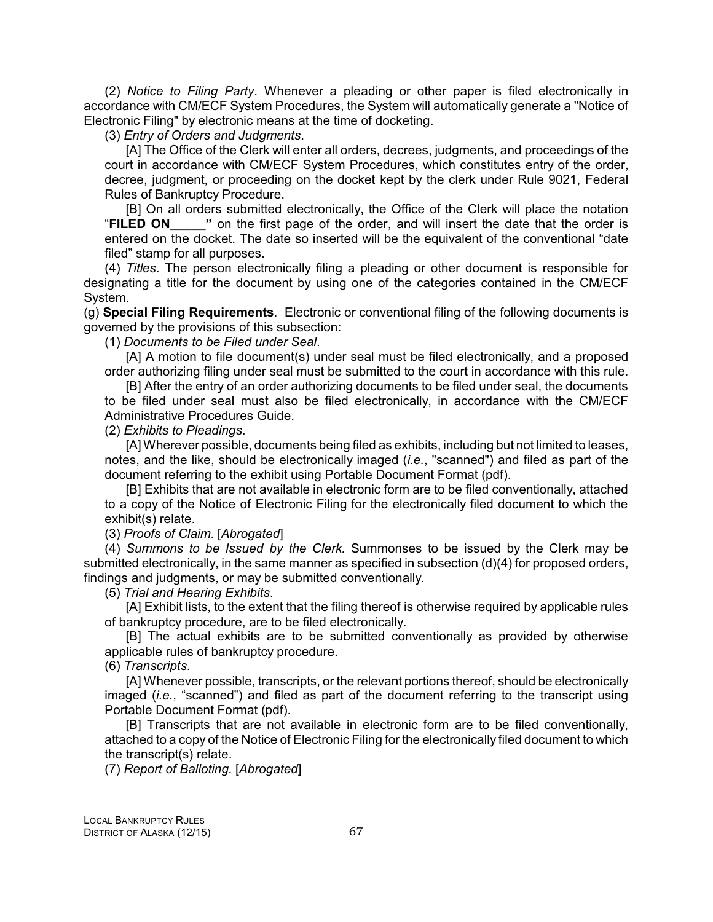(2) *Notice to Filing Party*. Whenever a pleading or other paper is filed electronically in accordance with CM/ECF System Procedures, the System will automatically generate a "Notice of Electronic Filing" by electronic means at the time of docketing.

(3) *Entry of Orders and Judgments*.

[A] The Office of the Clerk will enter all orders, decrees, judgments, and proceedings of the court in accordance with CM/ECF System Procedures, which constitutes entry of the order, decree, judgment, or proceeding on the docket kept by the clerk under Rule 9021, Federal Rules of Bankruptcy Procedure.

[B] On all orders submitted electronically, the Office of the Clerk will place the notation "FILED ON" on the first page of the order, and will insert the date that the order is " on the first page of the order, and will insert the date that the order is entered on the docket. The date so inserted will be the equivalent of the conventional "date filed" stamp for all purposes.

(4) *Titles*. The person electronically filing a pleading or other document is responsible for designating a title for the document by using one of the categories contained in the CM/ECF System.

(g) **Special Filing Requirements**. Electronic or conventional filing of the following documents is governed by the provisions of this subsection:

(1) *Documents to be Filed under Seal*.

[A] A motion to file document(s) under seal must be filed electronically, and a proposed order authorizing filing under seal must be submitted to the court in accordance with this rule.

[B] After the entry of an order authorizing documents to be filed under seal, the documents to be filed under seal must also be filed electronically, in accordance with the CM/ECF Administrative Procedures Guide.

(2) *Exhibits to Pleadings*.

[A] Wherever possible, documents being filed as exhibits, including but not limited to leases, notes, and the like, should be electronically imaged (*i.e.*, "scanned") and filed as part of the document referring to the exhibit using Portable Document Format (pdf).

[B] Exhibits that are not available in electronic form are to be filed conventionally, attached to a copy of the Notice of Electronic Filing for the electronically filed document to which the exhibit(s) relate.

(3) *Proofs of Claim*. [*Abrogated*]

(4) *Summons to be Issued by the Clerk.* Summonses to be issued by the Clerk may be submitted electronically, in the same manner as specified in subsection (d)(4) for proposed orders, findings and judgments, or may be submitted conventionally.

(5) *Trial and Hearing Exhibits*.

[A] Exhibit lists, to the extent that the filing thereof is otherwise required by applicable rules of bankruptcy procedure, are to be filed electronically.

[B] The actual exhibits are to be submitted conventionally as provided by otherwise applicable rules of bankruptcy procedure.

(6) *Transcripts*.

[A] Whenever possible, transcripts, or the relevant portions thereof, should be electronically imaged (*i.e.*, "scanned") and filed as part of the document referring to the transcript using Portable Document Format (pdf).

[B] Transcripts that are not available in electronic form are to be filed conventionally, attached to a copy of the Notice of Electronic Filing for the electronically filed document to which the transcript(s) relate.

(7) *Report of Balloting.* [*Abrogated*]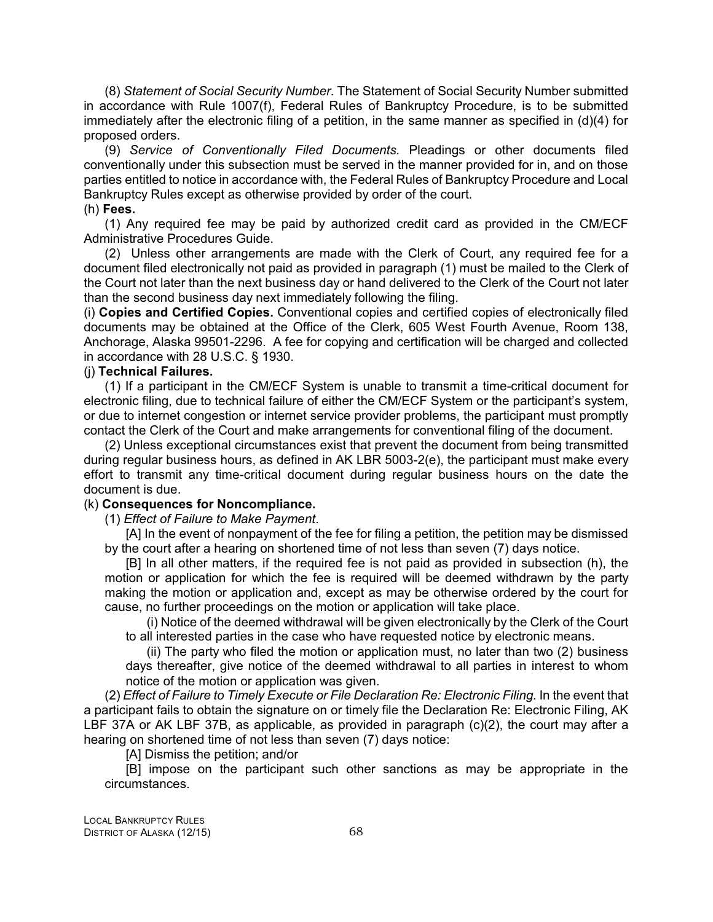(8) *Statement of Social Security Number*. The Statement of Social Security Number submitted in accordance with Rule 1007(f), Federal Rules of Bankruptcy Procedure, is to be submitted immediately after the electronic filing of a petition, in the same manner as specified in (d)(4) for proposed orders.

(9) *Service of Conventionally Filed Documents.* Pleadings or other documents filed conventionally under this subsection must be served in the manner provided for in, and on those parties entitled to notice in accordance with, the Federal Rules of Bankruptcy Procedure and Local Bankruptcy Rules except as otherwise provided by order of the court.

#### (h) **Fees.**

(1) Any required fee may be paid by authorized credit card as provided in the CM/ECF Administrative Procedures Guide.

(2) Unless other arrangements are made with the Clerk of Court, any required fee for a document filed electronically not paid as provided in paragraph (1) must be mailed to the Clerk of the Court not later than the next business day or hand delivered to the Clerk of the Court not later than the second business day next immediately following the filing.

(i) **Copies and Certified Copies.** Conventional copies and certified copies of electronically filed documents may be obtained at the Office of the Clerk, 605 West Fourth Avenue, Room 138, Anchorage, Alaska 99501-2296. A fee for copying and certification will be charged and collected in accordance with 28 U.S.C. § 1930.

## (j) **Technical Failures.**

(1) If a participant in the CM/ECF System is unable to transmit a time-critical document for electronic filing, due to technical failure of either the CM/ECF System or the participant's system, or due to internet congestion or internet service provider problems, the participant must promptly contact the Clerk of the Court and make arrangements for conventional filing of the document.

(2) Unless exceptional circumstances exist that prevent the document from being transmitted during regular business hours, as defined in AK LBR 5003-2(e), the participant must make every effort to transmit any time-critical document during regular business hours on the date the document is due.

#### (k) **Consequences for Noncompliance.**

(1) *Effect of Failure to Make Payment*.

[A] In the event of nonpayment of the fee for filing a petition, the petition may be dismissed by the court after a hearing on shortened time of not less than seven (7) days notice.

[B] In all other matters, if the required fee is not paid as provided in subsection (h), the motion or application for which the fee is required will be deemed withdrawn by the party making the motion or application and, except as may be otherwise ordered by the court for cause, no further proceedings on the motion or application will take place.

(i) Notice of the deemed withdrawal will be given electronically by the Clerk of the Court to all interested parties in the case who have requested notice by electronic means.

(ii) The party who filed the motion or application must, no later than two (2) business days thereafter, give notice of the deemed withdrawal to all parties in interest to whom notice of the motion or application was given.

(2) *Effect of Failure to Timely Execute or File Declaration Re: Electronic Filing.* In the event that a participant fails to obtain the signature on or timely file the Declaration Re: Electronic Filing, AK LBF 37A or AK LBF 37B, as applicable, as provided in paragraph (c)(2), the court may after a hearing on shortened time of not less than seven (7) days notice:

[A] Dismiss the petition; and/or

[B] impose on the participant such other sanctions as may be appropriate in the circumstances.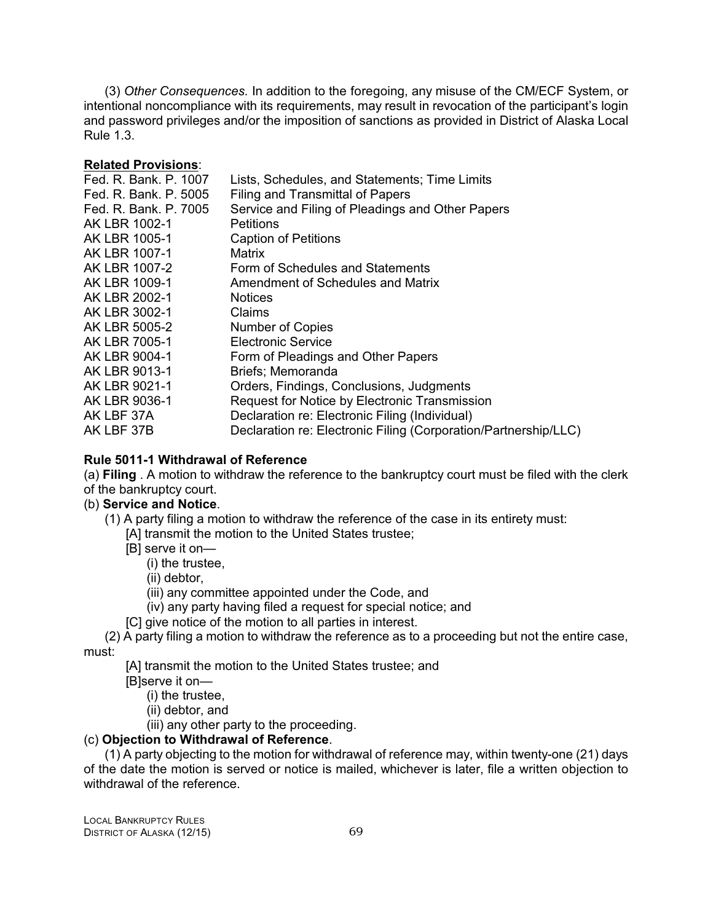(3) *Other Consequences.* In addition to the foregoing, any misuse of the CM/ECF System, or intentional noncompliance with its requirements, may result in revocation of the participant's login and password privileges and/or the imposition of sanctions as provided in District of Alaska Local Rule 1.3.

### **Related Provisions**:

| Fed. R. Bank. P. 1007 | Lists, Schedules, and Statements; Time Limits                   |
|-----------------------|-----------------------------------------------------------------|
| Fed. R. Bank. P. 5005 | Filing and Transmittal of Papers                                |
| Fed. R. Bank. P. 7005 | Service and Filing of Pleadings and Other Papers                |
| AK LBR 1002-1         | <b>Petitions</b>                                                |
| AK LBR 1005-1         | <b>Caption of Petitions</b>                                     |
| AK LBR 1007-1         | Matrix                                                          |
| AK LBR 1007-2         | Form of Schedules and Statements                                |
| AK LBR 1009-1         | Amendment of Schedules and Matrix                               |
| AK LBR 2002-1         | <b>Notices</b>                                                  |
| AK LBR 3002-1         | Claims                                                          |
| AK LBR 5005-2         | <b>Number of Copies</b>                                         |
| AK LBR 7005-1         | Electronic Service                                              |
| AK LBR 9004-1         | Form of Pleadings and Other Papers                              |
| AK LBR 9013-1         | Briefs; Memoranda                                               |
| AK LBR 9021-1         | Orders, Findings, Conclusions, Judgments                        |
| AK LBR 9036-1         | Request for Notice by Electronic Transmission                   |
| AK LBF 37A            | Declaration re: Electronic Filing (Individual)                  |
| AK LBF 37B            | Declaration re: Electronic Filing (Corporation/Partnership/LLC) |

# **Rule 5011-1 Withdrawal of Reference**

(a) **Filing** . A motion to withdraw the reference to the bankruptcy court must be filed with the clerk of the bankruptcy court.

### (b) **Service and Notice**.

- (1) A party filing a motion to withdraw the reference of the case in its entirety must:
	- [A] transmit the motion to the United States trustee;
		- [B] serve it on—
			- (i) the trustee,
			- (ii) debtor,
			- (iii) any committee appointed under the Code, and
			- (iv) any party having filed a request for special notice; and
		- [C] give notice of the motion to all parties in interest.

(2) A party filing a motion to withdraw the reference as to a proceeding but not the entire case, must:

[A] transmit the motion to the United States trustee; and

- [B]serve it on—
	- (i) the trustee,
	- (ii) debtor, and

(iii) any other party to the proceeding.

# (c) **Objection to Withdrawal of Reference**.

(1) A party objecting to the motion for withdrawal of reference may, within twenty-one (21) days of the date the motion is served or notice is mailed, whichever is later, file a written objection to withdrawal of the reference.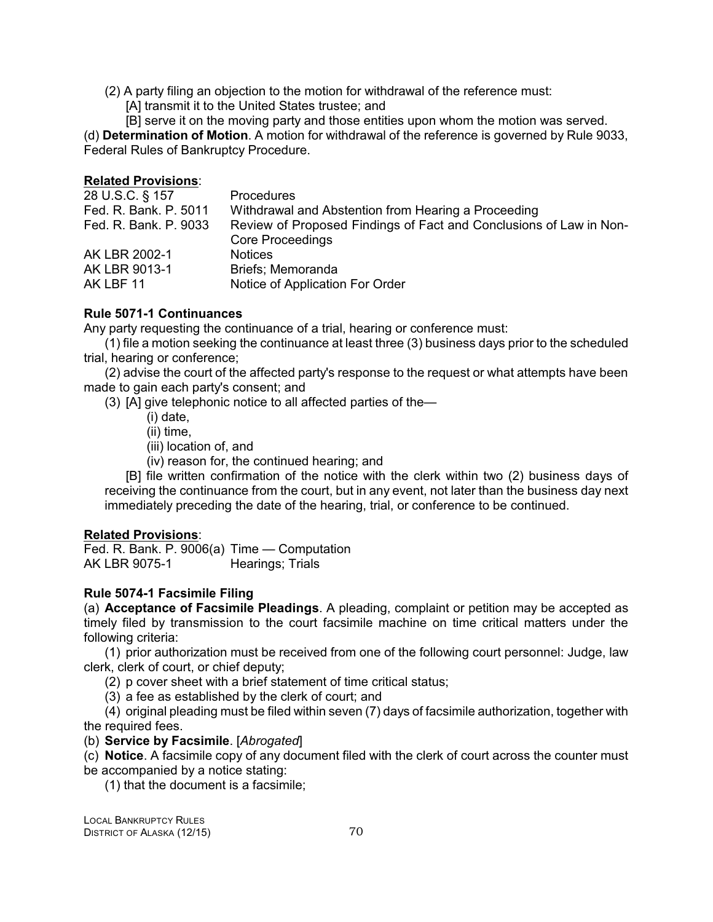- (2) A party filing an objection to the motion for withdrawal of the reference must:
	- [A] transmit it to the United States trustee; and

[B] serve it on the moving party and those entities upon whom the motion was served. (d) **Determination of Motion**. A motion for withdrawal of the reference is governed by Rule 9033, Federal Rules of Bankruptcy Procedure.

# **Related Provisions**:

| Procedures                                                         |
|--------------------------------------------------------------------|
| Withdrawal and Abstention from Hearing a Proceeding                |
| Review of Proposed Findings of Fact and Conclusions of Law in Non- |
| <b>Core Proceedings</b>                                            |
| <b>Notices</b>                                                     |
| Briefs: Memoranda                                                  |
| Notice of Application For Order                                    |
|                                                                    |

# **Rule 5071-1 Continuances**

Any party requesting the continuance of a trial, hearing or conference must:

(1) file a motion seeking the continuance at least three (3) business days prior to the scheduled trial, hearing or conference;

(2) advise the court of the affected party's response to the request or what attempts have been made to gain each party's consent; and

(3) [A] give telephonic notice to all affected parties of the—

- (i) date,
- (ii) time,
- (iii) location of, and
- (iv) reason for, the continued hearing; and

[B] file written confirmation of the notice with the clerk within two (2) business days of receiving the continuance from the court, but in any event, not later than the business day next immediately preceding the date of the hearing, trial, or conference to be continued.

# **Related Provisions**:

Fed. R. Bank. P. 9006(a) Time — Computation AK LBR 9075-1 Hearings; Trials

# **Rule 5074-1 Facsimile Filing**

(a) **Acceptance of Facsimile Pleadings**. A pleading, complaint or petition may be accepted as timely filed by transmission to the court facsimile machine on time critical matters under the following criteria:

(1) prior authorization must be received from one of the following court personnel: Judge, law clerk, clerk of court, or chief deputy;

(2) p cover sheet with a brief statement of time critical status;

(3) a fee as established by the clerk of court; and

(4) original pleading must be filed within seven (7) days of facsimile authorization, together with the required fees.

(b) **Service by Facsimile**. [*Abrogated*]

(c) **Notice**. A facsimile copy of any document filed with the clerk of court across the counter must be accompanied by a notice stating:

(1) that the document is a facsimile;

LOCAL BANKRUPTCY RULES DISTRICT OF ALASKA (12/15) 70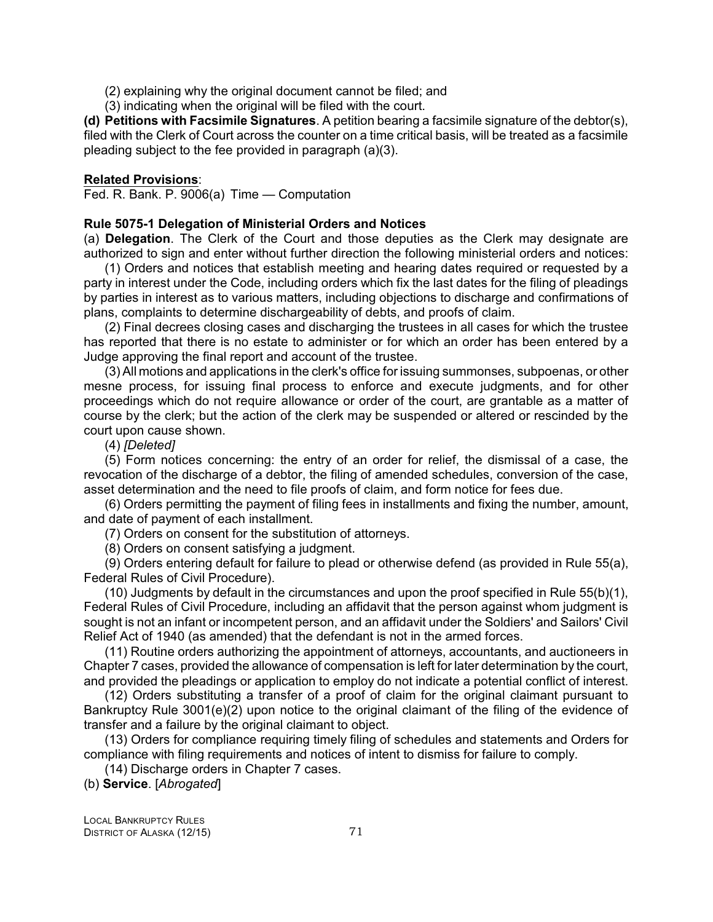(2) explaining why the original document cannot be filed; and

(3) indicating when the original will be filed with the court.

**(d) Petitions with Facsimile Signatures**. A petition bearing a facsimile signature of the debtor(s), filed with the Clerk of Court across the counter on a time critical basis, will be treated as a facsimile pleading subject to the fee provided in paragraph (a)(3).

### **Related Provisions**:

Fed. R. Bank. P. 9006(a) Time — Computation

# **Rule 5075-1 Delegation of Ministerial Orders and Notices**

(a) **Delegation**. The Clerk of the Court and those deputies as the Clerk may designate are authorized to sign and enter without further direction the following ministerial orders and notices:

(1) Orders and notices that establish meeting and hearing dates required or requested by a party in interest under the Code, including orders which fix the last dates for the filing of pleadings by parties in interest as to various matters, including objections to discharge and confirmations of plans, complaints to determine dischargeability of debts, and proofs of claim.

(2) Final decrees closing cases and discharging the trustees in all cases for which the trustee has reported that there is no estate to administer or for which an order has been entered by a Judge approving the final report and account of the trustee.

(3) All motions and applications in the clerk's office for issuing summonses, subpoenas, or other mesne process, for issuing final process to enforce and execute judgments, and for other proceedings which do not require allowance or order of the court, are grantable as a matter of course by the clerk; but the action of the clerk may be suspended or altered or rescinded by the court upon cause shown.

(4) *[Deleted]*

(5) Form notices concerning: the entry of an order for relief, the dismissal of a case, the revocation of the discharge of a debtor, the filing of amended schedules, conversion of the case, asset determination and the need to file proofs of claim, and form notice for fees due.

(6) Orders permitting the payment of filing fees in installments and fixing the number, amount, and date of payment of each installment.

(7) Orders on consent for the substitution of attorneys.

(8) Orders on consent satisfying a judgment.

(9) Orders entering default for failure to plead or otherwise defend (as provided in Rule 55(a), Federal Rules of Civil Procedure).

(10) Judgments by default in the circumstances and upon the proof specified in Rule 55(b)(1), Federal Rules of Civil Procedure, including an affidavit that the person against whom judgment is sought is not an infant or incompetent person, and an affidavit under the Soldiers' and Sailors' Civil Relief Act of 1940 (as amended) that the defendant is not in the armed forces.

(11) Routine orders authorizing the appointment of attorneys, accountants, and auctioneers in Chapter 7 cases, provided the allowance of compensation is left for later determination by the court, and provided the pleadings or application to employ do not indicate a potential conflict of interest.

(12) Orders substituting a transfer of a proof of claim for the original claimant pursuant to Bankruptcy Rule 3001(e)(2) upon notice to the original claimant of the filing of the evidence of transfer and a failure by the original claimant to object.

(13) Orders for compliance requiring timely filing of schedules and statements and Orders for compliance with filing requirements and notices of intent to dismiss for failure to comply.

(14) Discharge orders in Chapter 7 cases.

(b) **Service**. [*Abrogated*]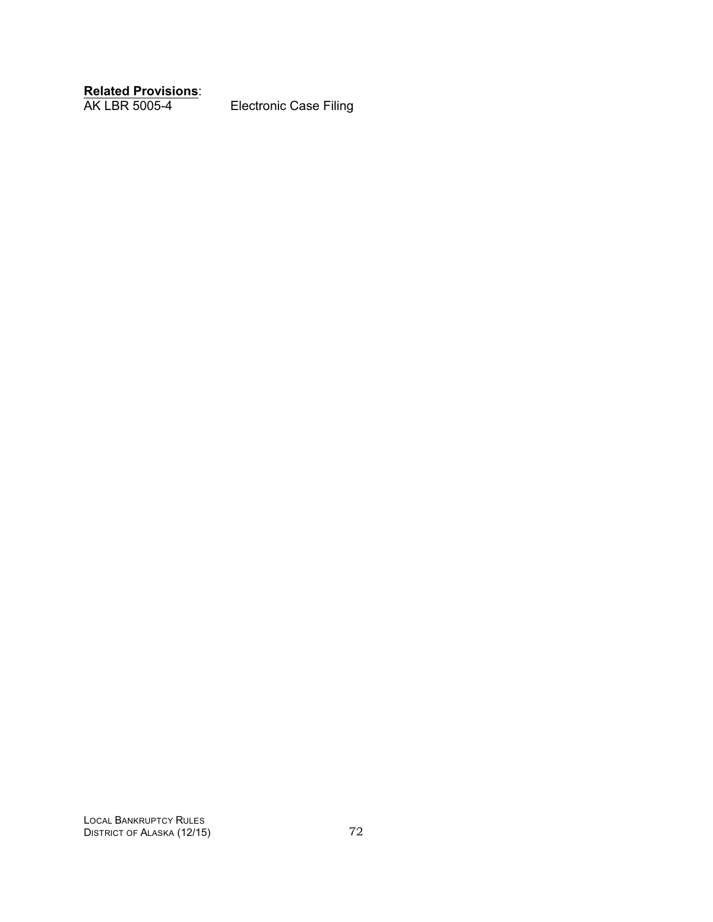**Related Provisions**:

Electronic Case Filing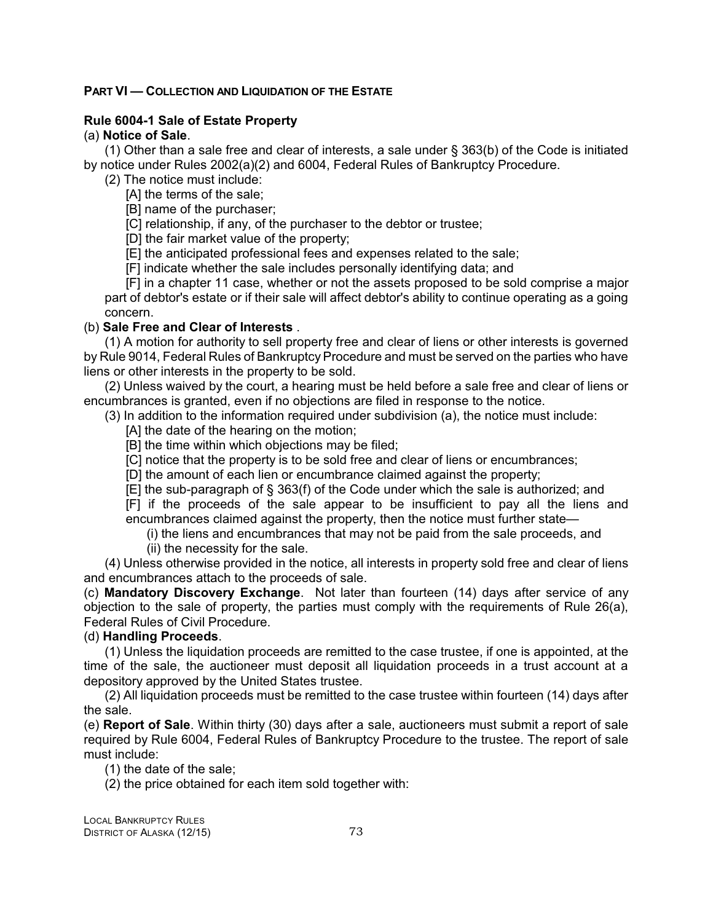### **PART VI — COLLECTION AND LIQUIDATION OF THE ESTATE**

### **Rule 6004-1 Sale of Estate Property**

(a) **Notice of Sale**.

(1) Other than a sale free and clear of interests, a sale under § 363(b) of the Code is initiated by notice under Rules 2002(a)(2) and 6004, Federal Rules of Bankruptcy Procedure.

(2) The notice must include:

[A] the terms of the sale;

[B] name of the purchaser;

[C] relationship, if any, of the purchaser to the debtor or trustee;

[D] the fair market value of the property;

[E] the anticipated professional fees and expenses related to the sale;

[F] indicate whether the sale includes personally identifying data; and

[F] in a chapter 11 case, whether or not the assets proposed to be sold comprise a major part of debtor's estate or if their sale will affect debtor's ability to continue operating as a going concern.

### (b) **Sale Free and Clear of Interests** .

(1) A motion for authority to sell property free and clear of liens or other interests is governed by Rule 9014, Federal Rules of Bankruptcy Procedure and must be served on the parties who have liens or other interests in the property to be sold.

(2) Unless waived by the court, a hearing must be held before a sale free and clear of liens or encumbrances is granted, even if no objections are filed in response to the notice.

(3) In addition to the information required under subdivision (a), the notice must include:

[A] the date of the hearing on the motion:

[B] the time within which objections may be filed;

[C] notice that the property is to be sold free and clear of liens or encumbrances;

[D] the amount of each lien or encumbrance claimed against the property;

[E] the sub-paragraph of § 363(f) of the Code under which the sale is authorized; and

[F] if the proceeds of the sale appear to be insufficient to pay all the liens and encumbrances claimed against the property, then the notice must further state—

(i) the liens and encumbrances that may not be paid from the sale proceeds, and

(ii) the necessity for the sale.

(4) Unless otherwise provided in the notice, all interests in property sold free and clear of liens and encumbrances attach to the proceeds of sale.

(c) **Mandatory Discovery Exchange**. Not later than fourteen (14) days after service of any objection to the sale of property, the parties must comply with the requirements of Rule 26(a), Federal Rules of Civil Procedure.

### (d) **Handling Proceeds**.

(1) Unless the liquidation proceeds are remitted to the case trustee, if one is appointed, at the time of the sale, the auctioneer must deposit all liquidation proceeds in a trust account at a depository approved by the United States trustee.

(2) All liquidation proceeds must be remitted to the case trustee within fourteen (14) days after the sale.

(e) **Report of Sale**. Within thirty (30) days after a sale, auctioneers must submit a report of sale required by Rule 6004, Federal Rules of Bankruptcy Procedure to the trustee. The report of sale must include:

(1) the date of the sale;

(2) the price obtained for each item sold together with:

LOCAL BANKRUPTCY RULES DISTRICT OF ALASKA (12/15) 73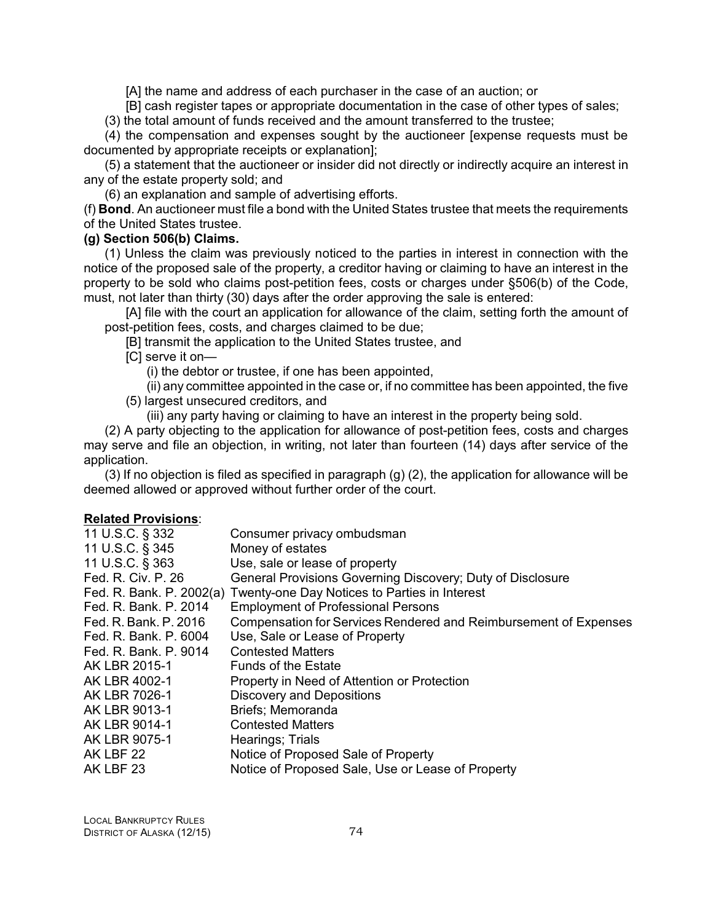[A] the name and address of each purchaser in the case of an auction; or

[B] cash register tapes or appropriate documentation in the case of other types of sales;

(3) the total amount of funds received and the amount transferred to the trustee;

(4) the compensation and expenses sought by the auctioneer [expense requests must be documented by appropriate receipts or explanation];

(5) a statement that the auctioneer or insider did not directly or indirectly acquire an interest in any of the estate property sold; and

(6) an explanation and sample of advertising efforts.

(f) **Bond**. An auctioneer must file a bond with the United States trustee that meets the requirements of the United States trustee.

### **(g) Section 506(b) Claims.**

(1) Unless the claim was previously noticed to the parties in interest in connection with the notice of the proposed sale of the property, a creditor having or claiming to have an interest in the property to be sold who claims post-petition fees, costs or charges under §506(b) of the Code, must, not later than thirty (30) days after the order approving the sale is entered:

[A] file with the court an application for allowance of the claim, setting forth the amount of post-petition fees, costs, and charges claimed to be due;

[B] transmit the application to the United States trustee, and

[C] serve it on—

(i) the debtor or trustee, if one has been appointed,

(ii) any committee appointed in the case or, if no committee has been appointed, the five (5) largest unsecured creditors, and

(iii) any party having or claiming to have an interest in the property being sold.

(2) A party objecting to the application for allowance of post-petition fees, costs and charges may serve and file an objection, in writing, not later than fourteen (14) days after service of the application.

(3) If no objection is filed as specified in paragraph (g) (2), the application for allowance will be deemed allowed or approved without further order of the court.

### **Related Provisions**:

| Consumer privacy ombudsman                                             |
|------------------------------------------------------------------------|
| Money of estates                                                       |
| Use, sale or lease of property                                         |
| General Provisions Governing Discovery; Duty of Disclosure             |
| Fed. R. Bank. P. 2002(a) Twenty-one Day Notices to Parties in Interest |
| <b>Employment of Professional Persons</b>                              |
| Compensation for Services Rendered and Reimbursement of Expenses       |
| Use, Sale or Lease of Property                                         |
| <b>Contested Matters</b>                                               |
| <b>Funds of the Estate</b>                                             |
| Property in Need of Attention or Protection                            |
| <b>Discovery and Depositions</b>                                       |
| Briefs; Memoranda                                                      |
| <b>Contested Matters</b>                                               |
| Hearings; Trials                                                       |
| Notice of Proposed Sale of Property                                    |
| Notice of Proposed Sale, Use or Lease of Property                      |
|                                                                        |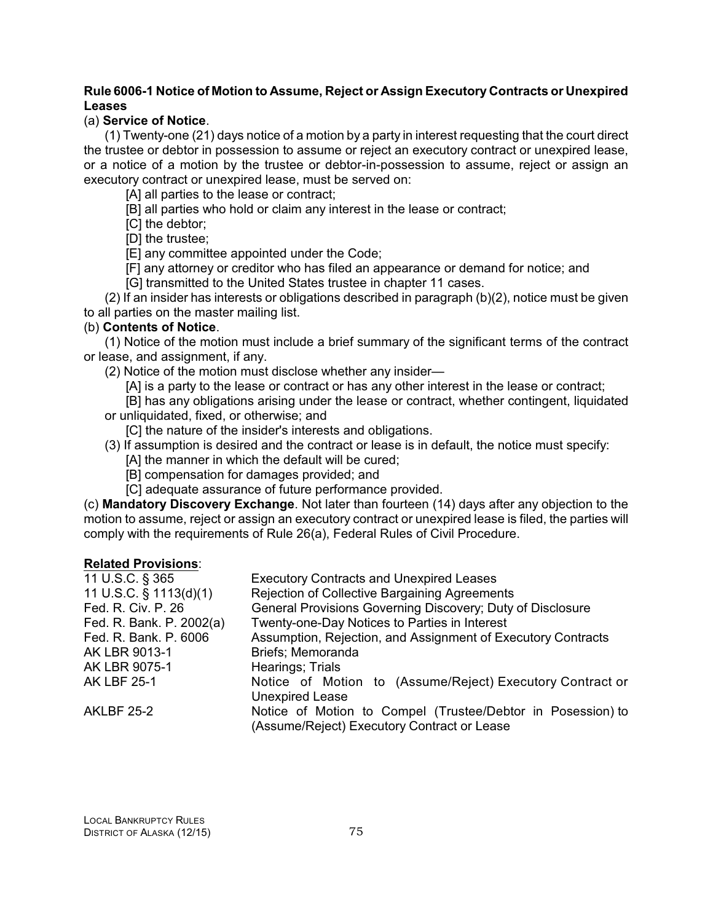# **Rule 6006-1 Notice of Motion to Assume, Reject or Assign Executory Contracts or Unexpired Leases**

# (a) **Service of Notice**.

(1) Twenty-one (21) days notice of a motion by a party in interest requesting that the court direct the trustee or debtor in possession to assume or reject an executory contract or unexpired lease, or a notice of a motion by the trustee or debtor-in-possession to assume, reject or assign an executory contract or unexpired lease, must be served on:

[A] all parties to the lease or contract;

[B] all parties who hold or claim any interest in the lease or contract;

[C] the debtor;

[D] the trustee;

[E] any committee appointed under the Code;

[F] any attorney or creditor who has filed an appearance or demand for notice; and

[G] transmitted to the United States trustee in chapter 11 cases.

(2) If an insider has interests or obligations described in paragraph (b)(2), notice must be given to all parties on the master mailing list.

# (b) **Contents of Notice**.

(1) Notice of the motion must include a brief summary of the significant terms of the contract or lease, and assignment, if any.

(2) Notice of the motion must disclose whether any insider—

[A] is a party to the lease or contract or has any other interest in the lease or contract;

[B] has any obligations arising under the lease or contract, whether contingent, liquidated or unliquidated, fixed, or otherwise; and

[C] the nature of the insider's interests and obligations.

- (3) If assumption is desired and the contract or lease is in default, the notice must specify:
	- [A] the manner in which the default will be cured;
	- [B] compensation for damages provided; and
	- [C] adequate assurance of future performance provided.

(c) **Mandatory Discovery Exchange**. Not later than fourteen (14) days after any objection to the motion to assume, reject or assign an executory contract or unexpired lease is filed, the parties will comply with the requirements of Rule 26(a), Federal Rules of Civil Procedure.

### **Related Provisions**:

| 11 U.S.C. § 365          | <b>Executory Contracts and Unexpired Leases</b>                                                            |
|--------------------------|------------------------------------------------------------------------------------------------------------|
| 11 U.S.C. § 1113(d)(1)   | Rejection of Collective Bargaining Agreements                                                              |
| Fed. R. Civ. P. 26       | General Provisions Governing Discovery; Duty of Disclosure                                                 |
| Fed. R. Bank. P. 2002(a) | Twenty-one-Day Notices to Parties in Interest                                                              |
| Fed. R. Bank. P. 6006    | Assumption, Rejection, and Assignment of Executory Contracts                                               |
| AK LBR 9013-1            | Briefs; Memoranda                                                                                          |
| AK LBR 9075-1            | Hearings; Trials                                                                                           |
| <b>AK LBF 25-1</b>       | Notice of Motion to (Assume/Reject) Executory Contract or<br><b>Unexpired Lease</b>                        |
| <b>AKLBF 25-2</b>        | Notice of Motion to Compel (Trustee/Debtor in Posession) to<br>(Assume/Reject) Executory Contract or Lease |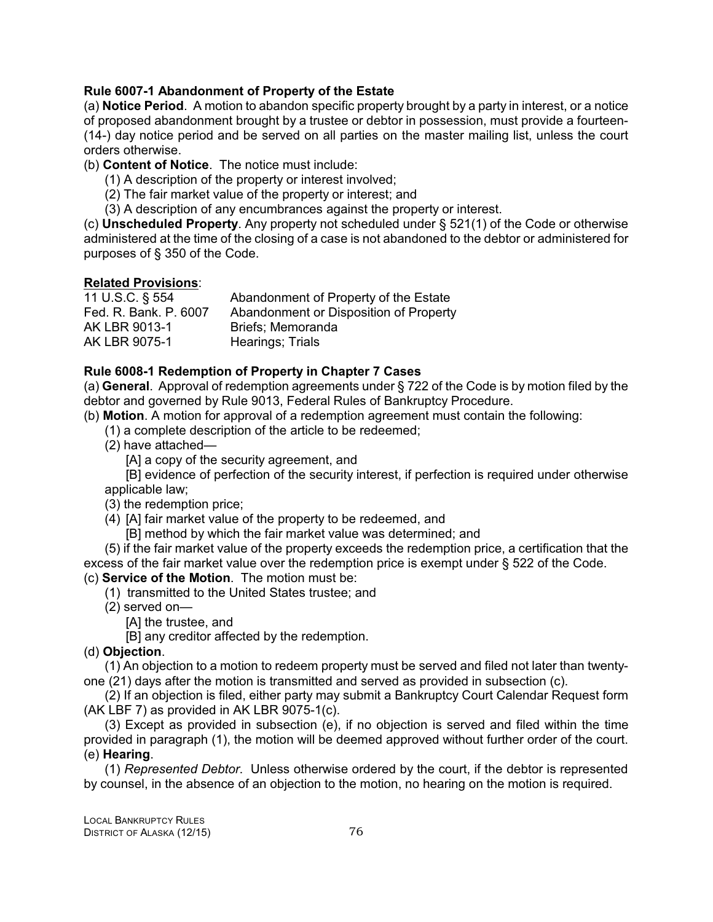# **Rule 6007-1 Abandonment of Property of the Estate**

(a) **Notice Period**. A motion to abandon specific property brought by a party in interest, or a notice of proposed abandonment brought by a trustee or debtor in possession, must provide a fourteen- (14-) day notice period and be served on all parties on the master mailing list, unless the court orders otherwise.

(b) **Content of Notice**. The notice must include:

- (1) A description of the property or interest involved;
- (2) The fair market value of the property or interest; and
- (3) A description of any encumbrances against the property or interest.

(c) **Unscheduled Property**. Any property not scheduled under § 521(1) of the Code or otherwise administered at the time of the closing of a case is not abandoned to the debtor or administered for purposes of § 350 of the Code.

# **Related Provisions**:

| 11 U.S.C. § 554       | Abandonment of Property of the Estate  |
|-----------------------|----------------------------------------|
| Fed. R. Bank. P. 6007 | Abandonment or Disposition of Property |
| AK LBR 9013-1         | Briefs: Memoranda                      |
| AK LBR 9075-1         | Hearings; Trials                       |

# **Rule 6008-1 Redemption of Property in Chapter 7 Cases**

(a) **General**. Approval of redemption agreements under § 722 of the Code is by motion filed by the debtor and governed by Rule 9013, Federal Rules of Bankruptcy Procedure.

(b) **Motion**. A motion for approval of a redemption agreement must contain the following:

- (1) a complete description of the article to be redeemed;
- (2) have attached—

[A] a copy of the security agreement, and

[B] evidence of perfection of the security interest, if perfection is required under otherwise applicable law;

(3) the redemption price;

(4) [A] fair market value of the property to be redeemed, and

[B] method by which the fair market value was determined; and

(5) if the fair market value of the property exceeds the redemption price, a certification that the excess of the fair market value over the redemption price is exempt under § 522 of the Code. (c) **Service of the Motion**. The motion must be:

- (1) transmitted to the United States trustee; and
- (2) served on—
	- [A] the trustee, and

[B] any creditor affected by the redemption.

# (d) **Objection**.

(1) An objection to a motion to redeem property must be served and filed not later than twentyone (21) days after the motion is transmitted and served as provided in subsection (c).

(2) If an objection is filed, either party may submit a Bankruptcy Court Calendar Request form (AK LBF 7) as provided in AK LBR 9075-1(c).

(3) Except as provided in subsection (e), if no objection is served and filed within the time provided in paragraph (1), the motion will be deemed approved without further order of the court. (e) **Hearing**.

(1) *Represented Debtor*. Unless otherwise ordered by the court, if the debtor is represented by counsel, in the absence of an objection to the motion, no hearing on the motion is required.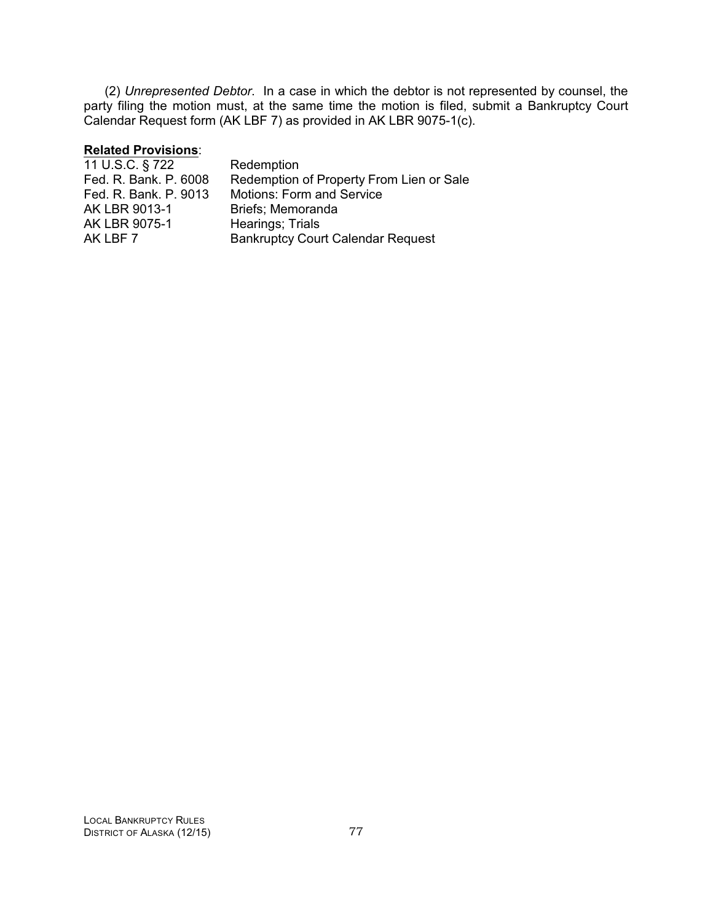(2) *Unrepresented Debtor*. In a case in which the debtor is not represented by counsel, the party filing the motion must, at the same time the motion is filed, submit a Bankruptcy Court Calendar Request form (AK LBF 7) as provided in AK LBR 9075-1(c).

# **Related Provisions**:

| Redemption                               |
|------------------------------------------|
| Redemption of Property From Lien or Sale |
| <b>Motions: Form and Service</b>         |
| Briefs: Memoranda                        |
| Hearings; Trials                         |
| <b>Bankruptcy Court Calendar Request</b> |
|                                          |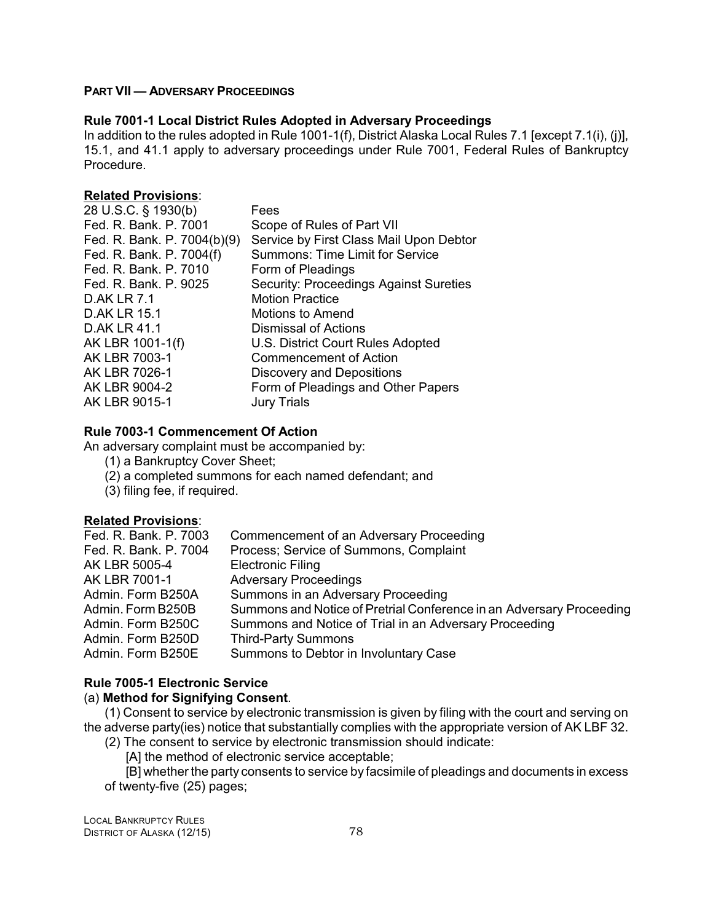# **PART VII — ADVERSARY PROCEEDINGS**

### **Rule 7001-1 Local District Rules Adopted in Adversary Proceedings**

In addition to the rules adopted in Rule 1001-1(f), District Alaska Local Rules 7.1 [except 7.1(i), (j)], 15.1, and 41.1 apply to adversary proceedings under Rule 7001, Federal Rules of Bankruptcy Procedure.

### **Related Provisions**:

| 28 U.S.C. § 1930(b)         | Fees                                          |
|-----------------------------|-----------------------------------------------|
| Fed. R. Bank, P. 7001       | Scope of Rules of Part VII                    |
| Fed. R. Bank. P. 7004(b)(9) | Service by First Class Mail Upon Debtor       |
| Fed. R. Bank. P. 7004(f)    | <b>Summons: Time Limit for Service</b>        |
| Fed. R. Bank, P. 7010       | Form of Pleadings                             |
| Fed. R. Bank. P. 9025       | <b>Security: Proceedings Against Sureties</b> |
| <b>D.AK LR 7.1</b>          | <b>Motion Practice</b>                        |
| <b>D.AK LR 15.1</b>         | Motions to Amend                              |
| D.AK LR 41.1                | Dismissal of Actions                          |
| AK LBR 1001-1(f)            | U.S. District Court Rules Adopted             |
| AK LBR 7003-1               | <b>Commencement of Action</b>                 |
| AK LBR 7026-1               | Discovery and Depositions                     |
| AK LBR 9004-2               | Form of Pleadings and Other Papers            |
| AK LBR 9015-1               | <b>Jury Trials</b>                            |

### **Rule 7003-1 Commencement Of Action**

An adversary complaint must be accompanied by:

- (1) a Bankruptcy Cover Sheet;
- (2) a completed summons for each named defendant; and
- (3) filing fee, if required.

### **Related Provisions**:

| Fed. R. Bank. P. 7003 | Commencement of an Adversary Proceeding                              |
|-----------------------|----------------------------------------------------------------------|
| Fed. R. Bank. P. 7004 | Process; Service of Summons, Complaint                               |
| AK LBR 5005-4         | <b>Electronic Filing</b>                                             |
| AK LBR 7001-1         | <b>Adversary Proceedings</b>                                         |
| Admin. Form B250A     | Summons in an Adversary Proceeding                                   |
| Admin. Form B250B     | Summons and Notice of Pretrial Conference in an Adversary Proceeding |
| Admin. Form B250C     | Summons and Notice of Trial in an Adversary Proceeding               |
| Admin. Form B250D     | <b>Third-Party Summons</b>                                           |
| Admin. Form B250E     | Summons to Debtor in Involuntary Case                                |
|                       |                                                                      |

### **Rule 7005-1 Electronic Service**

### (a) **Method for Signifying Consent**.

(1) Consent to service by electronic transmission is given by filing with the court and serving on the adverse party(ies) notice that substantially complies with the appropriate version of AK LBF 32. (2) The consent to service by electronic transmission should indicate:

[A] the method of electronic service acceptable;

[B] whether the party consents to service by facsimile of pleadings and documents in excess of twenty-five (25) pages;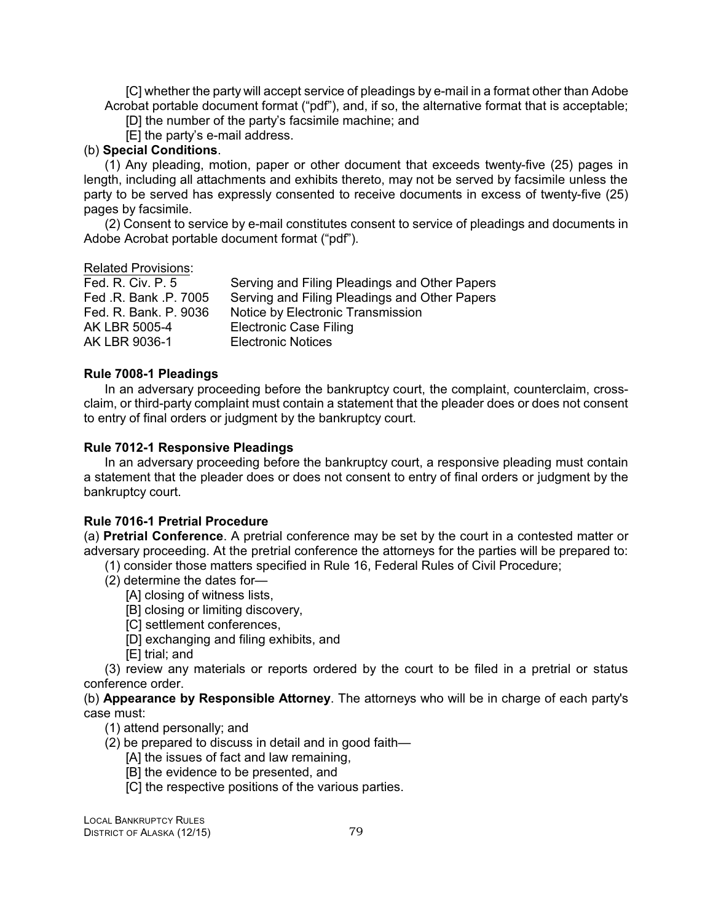[C] whether the party will accept service of pleadings by e-mail in a format other than Adobe Acrobat portable document format ("pdf"), and, if so, the alternative format that is acceptable;

[D] the number of the party's facsimile machine; and

[E] the party's e-mail address.

# (b) **Special Conditions**.

(1) Any pleading, motion, paper or other document that exceeds twenty-five (25) pages in length, including all attachments and exhibits thereto, may not be served by facsimile unless the party to be served has expressly consented to receive documents in excess of twenty-five (25) pages by facsimile.

(2) Consent to service by e-mail constitutes consent to service of pleadings and documents in Adobe Acrobat portable document format ("pdf").

### Related Provisions:

| Fed. R. Civ. P. 5     | Serving and Filing Pleadings and Other Papers |
|-----------------------|-----------------------------------------------|
| Fed .R. Bank .P. 7005 | Serving and Filing Pleadings and Other Papers |
| Fed. R. Bank. P. 9036 | Notice by Electronic Transmission             |
| AK LBR 5005-4         | <b>Electronic Case Filing</b>                 |
| AK LBR 9036-1         | <b>Electronic Notices</b>                     |

# **Rule 7008-1 Pleadings**

In an adversary proceeding before the bankruptcy court, the complaint, counterclaim, crossclaim, or third-party complaint must contain a statement that the pleader does or does not consent to entry of final orders or judgment by the bankruptcy court.

### **Rule 7012-1 Responsive Pleadings**

In an adversary proceeding before the bankruptcy court, a responsive pleading must contain a statement that the pleader does or does not consent to entry of final orders or judgment by the bankruptcy court.

### **Rule 7016-1 Pretrial Procedure**

(a) **Pretrial Conference**. A pretrial conference may be set by the court in a contested matter or adversary proceeding. At the pretrial conference the attorneys for the parties will be prepared to:

(1) consider those matters specified in Rule 16, Federal Rules of Civil Procedure;

- (2) determine the dates for—
	- [A] closing of witness lists,
	- [B] closing or limiting discovery,
	- [C] settlement conferences,
	- [D] exchanging and filing exhibits, and
	- [E] trial; and

(3) review any materials or reports ordered by the court to be filed in a pretrial or status conference order.

(b) **Appearance by Responsible Attorney**. The attorneys who will be in charge of each party's case must:

(1) attend personally; and

- (2) be prepared to discuss in detail and in good faith—
	- [A] the issues of fact and law remaining,
	- [B] the evidence to be presented, and
	- [C] the respective positions of the various parties.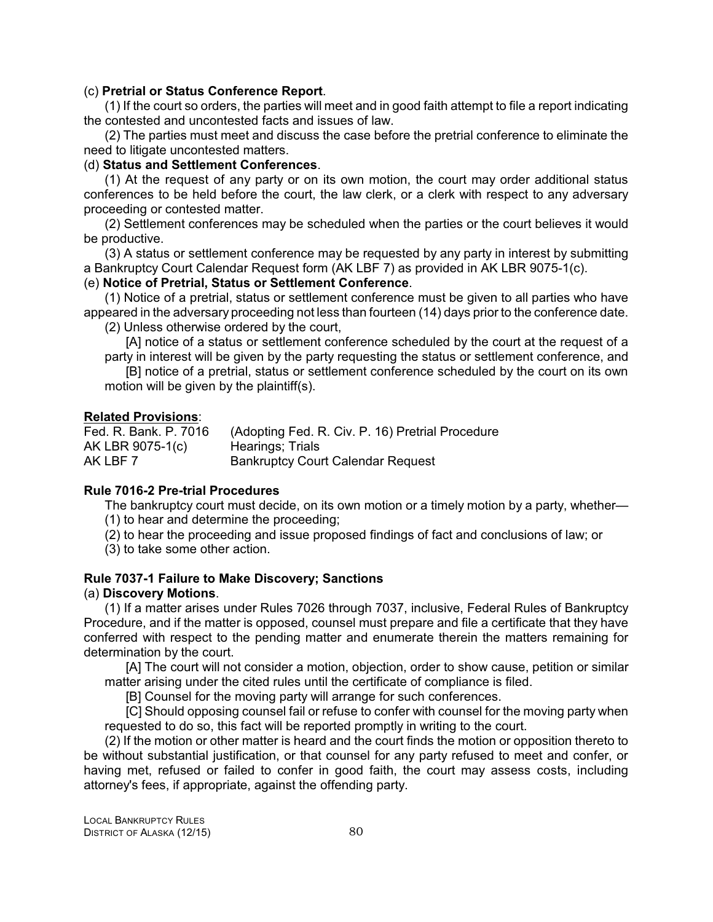### (c) **Pretrial or Status Conference Report**.

(1) If the court so orders, the parties will meet and in good faith attempt to file a report indicating the contested and uncontested facts and issues of law.

(2) The parties must meet and discuss the case before the pretrial conference to eliminate the need to litigate uncontested matters.

### (d) **Status and Settlement Conferences**.

(1) At the request of any party or on its own motion, the court may order additional status conferences to be held before the court, the law clerk, or a clerk with respect to any adversary proceeding or contested matter.

(2) Settlement conferences may be scheduled when the parties or the court believes it would be productive.

(3) A status or settlement conference may be requested by any party in interest by submitting a Bankruptcy Court Calendar Request form (AK LBF 7) as provided in AK LBR 9075-1(c).

# (e) **Notice of Pretrial, Status or Settlement Conference**.

(1) Notice of a pretrial, status or settlement conference must be given to all parties who have appeared in the adversary proceeding not less than fourteen (14) days prior to the conference date.

(2) Unless otherwise ordered by the court,

[A] notice of a status or settlement conference scheduled by the court at the request of a party in interest will be given by the party requesting the status or settlement conference, and

[B] notice of a pretrial, status or settlement conference scheduled by the court on its own motion will be given by the plaintiff(s).

### **Related Provisions**:

Fed. R. Bank. P. 7016 (Adopting Fed. R. Civ. P. 16) Pretrial Procedure AK LBR 9075-1(c) Hearings; Trials<br>AK LBF 7 Bankruptcy Cour **Bankruptcy Court Calendar Request** 

### **Rule 7016-2 Pre-trial Procedures**

The bankruptcy court must decide, on its own motion or a timely motion by a party, whether— (1) to hear and determine the proceeding;

(2) to hear the proceeding and issue proposed findings of fact and conclusions of law; or

(3) to take some other action.

# **Rule 7037-1 Failure to Make Discovery; Sanctions**

### (a) **Discovery Motions**.

(1) If a matter arises under Rules 7026 through 7037, inclusive, Federal Rules of Bankruptcy Procedure, and if the matter is opposed, counsel must prepare and file a certificate that they have conferred with respect to the pending matter and enumerate therein the matters remaining for determination by the court.

[A] The court will not consider a motion, objection, order to show cause, petition or similar matter arising under the cited rules until the certificate of compliance is filed.

[B] Counsel for the moving party will arrange for such conferences.

[C] Should opposing counsel fail or refuse to confer with counsel for the moving party when requested to do so, this fact will be reported promptly in writing to the court.

(2) If the motion or other matter is heard and the court finds the motion or opposition thereto to be without substantial justification, or that counsel for any party refused to meet and confer, or having met, refused or failed to confer in good faith, the court may assess costs, including attorney's fees, if appropriate, against the offending party.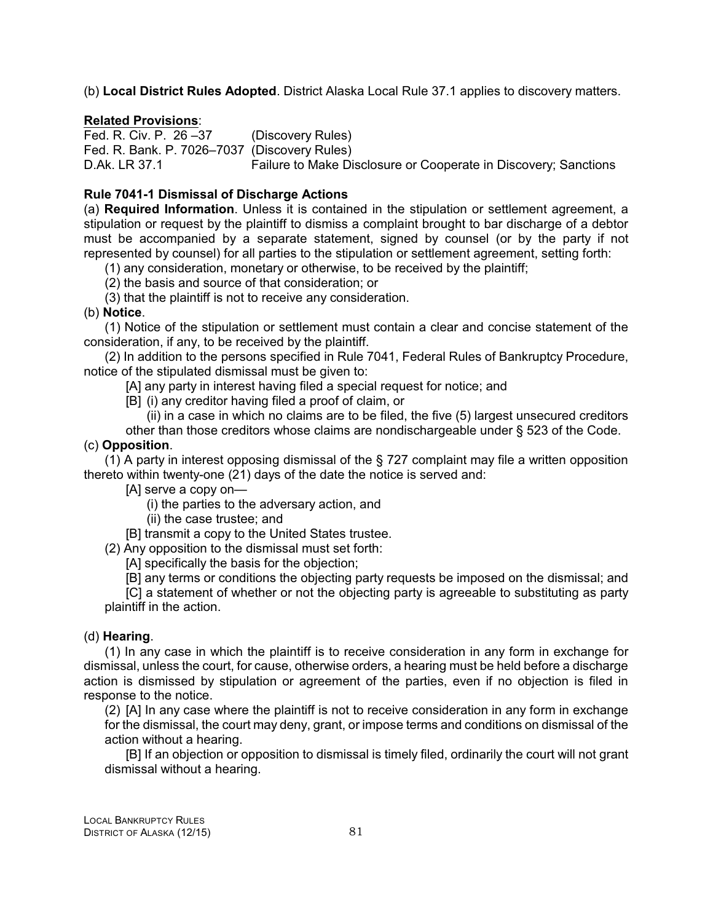(b) **Local District Rules Adopted**. District Alaska Local Rule 37.1 applies to discovery matters.

# **Related Provisions**:

Fed. R. Civ. P. 26 –37 (Discovery Rules) Fed. R. Bank. P. 7026–7037 (Discovery Rules) D.Ak. LR 37.1 Failure to Make Disclosure or Cooperate in Discovery; Sanctions

# **Rule 7041-1 Dismissal of Discharge Actions**

(a) **Required Information**. Unless it is contained in the stipulation or settlement agreement, a stipulation or request by the plaintiff to dismiss a complaint brought to bar discharge of a debtor must be accompanied by a separate statement, signed by counsel (or by the party if not represented by counsel) for all parties to the stipulation or settlement agreement, setting forth:

(1) any consideration, monetary or otherwise, to be received by the plaintiff;

(2) the basis and source of that consideration; or

(3) that the plaintiff is not to receive any consideration.

# (b) **Notice**.

(1) Notice of the stipulation or settlement must contain a clear and concise statement of the consideration, if any, to be received by the plaintiff.

(2) In addition to the persons specified in Rule 7041, Federal Rules of Bankruptcy Procedure, notice of the stipulated dismissal must be given to:

[A] any party in interest having filed a special request for notice; and

[B] (i) any creditor having filed a proof of claim, or

(ii) in a case in which no claims are to be filed, the five (5) largest unsecured creditors

other than those creditors whose claims are nondischargeable under § 523 of the Code.

# (c) **Opposition**.

(1) A party in interest opposing dismissal of the § 727 complaint may file a written opposition thereto within twenty-one (21) days of the date the notice is served and:

[A] serve a copy on—

(i) the parties to the adversary action, and

(ii) the case trustee; and

[B] transmit a copy to the United States trustee.

(2) Any opposition to the dismissal must set forth:

[A] specifically the basis for the objection;

[B] any terms or conditions the objecting party requests be imposed on the dismissal; and

[C] a statement of whether or not the objecting party is agreeable to substituting as party plaintiff in the action.

# (d) **Hearing**.

(1) In any case in which the plaintiff is to receive consideration in any form in exchange for dismissal, unless the court, for cause, otherwise orders, a hearing must be held before a discharge action is dismissed by stipulation or agreement of the parties, even if no objection is filed in response to the notice.

(2) [A] In any case where the plaintiff is not to receive consideration in any form in exchange for the dismissal, the court may deny, grant, or impose terms and conditions on dismissal of the action without a hearing.

[B] If an objection or opposition to dismissal is timely filed, ordinarily the court will not grant dismissal without a hearing.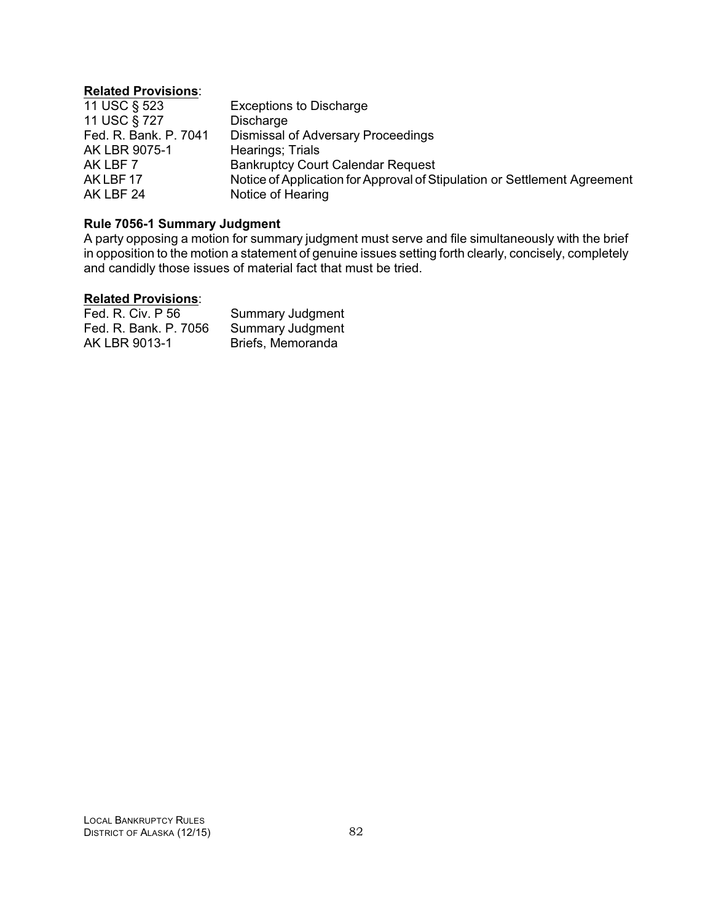# **Related Provisions**:

| 11 USC § 523          | <b>Exceptions to Discharge</b>                                            |
|-----------------------|---------------------------------------------------------------------------|
| 11 USC § 727          | Discharge                                                                 |
| Fed. R. Bank. P. 7041 | Dismissal of Adversary Proceedings                                        |
| AK LBR 9075-1         | Hearings; Trials                                                          |
| AK LBF 7              | <b>Bankruptcy Court Calendar Request</b>                                  |
| AKLBF17               | Notice of Application for Approval of Stipulation or Settlement Agreement |
| AK LBF 24             | Notice of Hearing                                                         |

# **Rule 7056-1 Summary Judgment**

A party opposing a motion for summary judgment must serve and file simultaneously with the brief in opposition to the motion a statement of genuine issues setting forth clearly, concisely, completely and candidly those issues of material fact that must be tried.

### **Related Provisions**:

| Fed. R. Civ. P 56     | <b>Summary Judgment</b> |
|-----------------------|-------------------------|
| Fed. R. Bank. P. 7056 | <b>Summary Judgment</b> |
| AK LBR 9013-1         | Briefs, Memoranda       |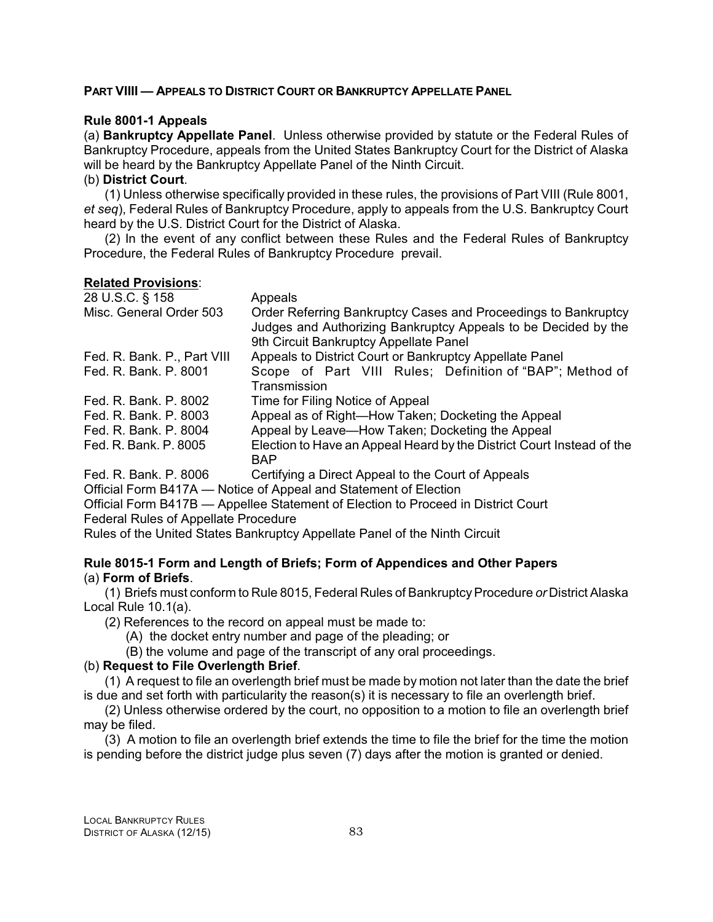### **PART VIIII — APPEALS TO DISTRICT COURT OR BANKRUPTCY APPELLATE PANEL**

### **Rule 8001-1 Appeals**

(a) **Bankruptcy Appellate Panel**. Unless otherwise provided by statute or the Federal Rules of Bankruptcy Procedure, appeals from the United States Bankruptcy Court for the District of Alaska will be heard by the Bankruptcy Appellate Panel of the Ninth Circuit.

### (b) **District Court**.

(1) Unless otherwise specifically provided in these rules, the provisions of Part VIII (Rule 8001, *et seq*), Federal Rules of Bankruptcy Procedure, apply to appeals from the U.S. Bankruptcy Court heard by the U.S. District Court for the District of Alaska.

(2) In the event of any conflict between these Rules and the Federal Rules of Bankruptcy Procedure, the Federal Rules of Bankruptcy Procedure prevail.

### **Related Provisions**:

| 28 U.S.C. § 158             | Appeals                                                                                                                                                                    |
|-----------------------------|----------------------------------------------------------------------------------------------------------------------------------------------------------------------------|
| Misc. General Order 503     | Order Referring Bankruptcy Cases and Proceedings to Bankruptcy<br>Judges and Authorizing Bankruptcy Appeals to be Decided by the<br>9th Circuit Bankruptcy Appellate Panel |
| Fed. R. Bank. P., Part VIII | Appeals to District Court or Bankruptcy Appellate Panel                                                                                                                    |
| Fed. R. Bank. P. 8001       | Scope of Part VIII Rules; Definition of "BAP"; Method of<br>Transmission                                                                                                   |
|                             |                                                                                                                                                                            |
| Fed. R. Bank, P. 8002       | Time for Filing Notice of Appeal                                                                                                                                           |
| Fed. R. Bank. P. 8003       | Appeal as of Right-How Taken; Docketing the Appeal                                                                                                                         |
| Fed. R. Bank, P. 8004       | Appeal by Leave—How Taken; Docketing the Appeal                                                                                                                            |
| Fed. R. Bank. P. 8005       | Election to Have an Appeal Heard by the District Court Instead of the<br><b>BAP</b>                                                                                        |
| Fed. R. Bank. P. 8006       | Certifying a Direct Appeal to the Court of Appeals                                                                                                                         |
|                             | Official Form B417A — Notice of Appeal and Statement of Election                                                                                                           |

Official Form B417B — Appellee Statement of Election to Proceed in District Court Federal Rules of Appellate Procedure

Rules of the United States Bankruptcy Appellate Panel of the Ninth Circuit

### **Rule 8015-1 Form and Length of Briefs; Form of Appendices and Other Papers** (a) **Form of Briefs**.

(1) Briefs must conform to Rule 8015, Federal Rules of BankruptcyProcedure *or* District Alaska Local Rule 10.1(a).

(2) References to the record on appeal must be made to:

(A) the docket entry number and page of the pleading; or

(B) the volume and page of the transcript of any oral proceedings.

# (b) **Request to File Overlength Brief**.

(1) A request to file an overlength brief must be made by motion not later than the date the brief is due and set forth with particularity the reason(s) it is necessary to file an overlength brief.

(2) Unless otherwise ordered by the court, no opposition to a motion to file an overlength brief may be filed.

(3) A motion to file an overlength brief extends the time to file the brief for the time the motion is pending before the district judge plus seven (7) days after the motion is granted or denied.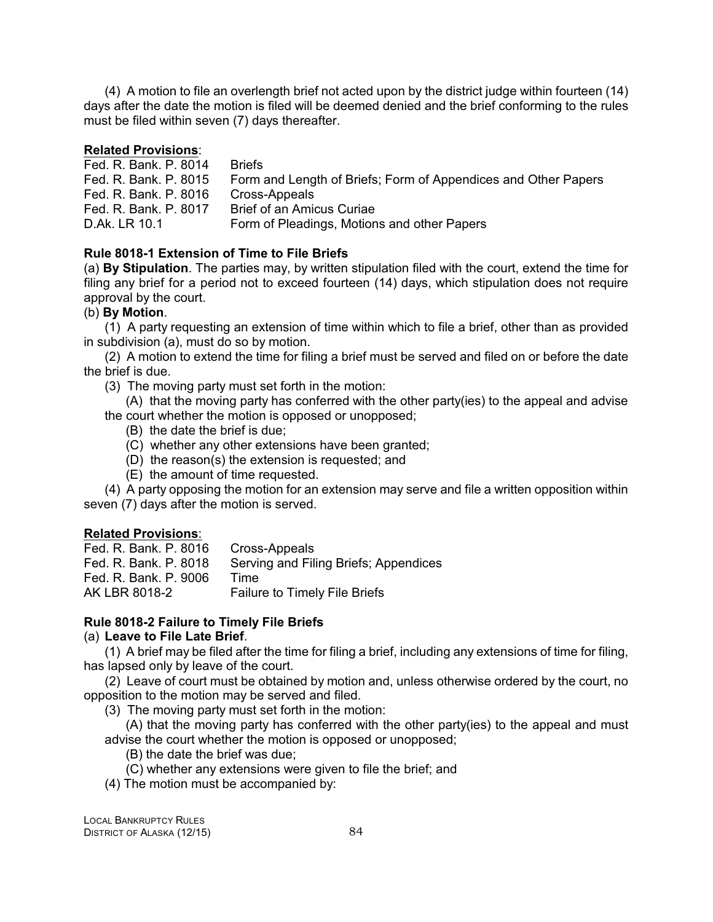(4) A motion to file an overlength brief not acted upon by the district judge within fourteen (14) days after the date the motion is filed will be deemed denied and the brief conforming to the rules must be filed within seven (7) days thereafter.

# **Related Provisions**:

Fed. R. Bank. P. 8014 Briefs Fed. R. Bank. P. 8015 Form and Length of Briefs; Form of Appendices and Other Papers Fed. R. Bank. P. 8016 Cross-Appeals Fed. R. Bank. P. 8017 Brief of an Amicus Curiae D.Ak. LR 10.1 Form of Pleadings, Motions and other Papers

# **Rule 8018-1 Extension of Time to File Briefs**

(a) **By Stipulation**. The parties may, by written stipulation filed with the court, extend the time for filing any brief for a period not to exceed fourteen (14) days, which stipulation does not require approval by the court.

# (b) **By Motion**.

(1) A party requesting an extension of time within which to file a brief, other than as provided in subdivision (a), must do so by motion.

(2) A motion to extend the time for filing a brief must be served and filed on or before the date the brief is due.

(3) The moving party must set forth in the motion:

(A) that the moving party has conferred with the other party(ies) to the appeal and advise the court whether the motion is opposed or unopposed;

- (B) the date the brief is due;
- (C) whether any other extensions have been granted;
- (D) the reason(s) the extension is requested; and
- (E) the amount of time requested.

(4) A party opposing the motion for an extension may serve and file a written opposition within seven (7) days after the motion is served.

### **Related Provisions**:

| Fed. R. Bank. P. 8016 | Cross-Appeals                         |
|-----------------------|---------------------------------------|
| Fed. R. Bank. P. 8018 | Serving and Filing Briefs; Appendices |
| Fed. R. Bank. P. 9006 | Time                                  |
| AK LBR 8018-2         | <b>Failure to Timely File Briefs</b>  |
|                       |                                       |

# **Rule 8018-2 Failure to Timely File Briefs**

### (a) **Leave to File Late Brief**.

(1) A brief may be filed after the time for filing a brief, including any extensions of time for filing, has lapsed only by leave of the court.

(2) Leave of court must be obtained by motion and, unless otherwise ordered by the court, no opposition to the motion may be served and filed.

(3) The moving party must set forth in the motion:

(A) that the moving party has conferred with the other party(ies) to the appeal and must advise the court whether the motion is opposed or unopposed;

- (B) the date the brief was due;
- (C) whether any extensions were given to file the brief; and
- (4) The motion must be accompanied by: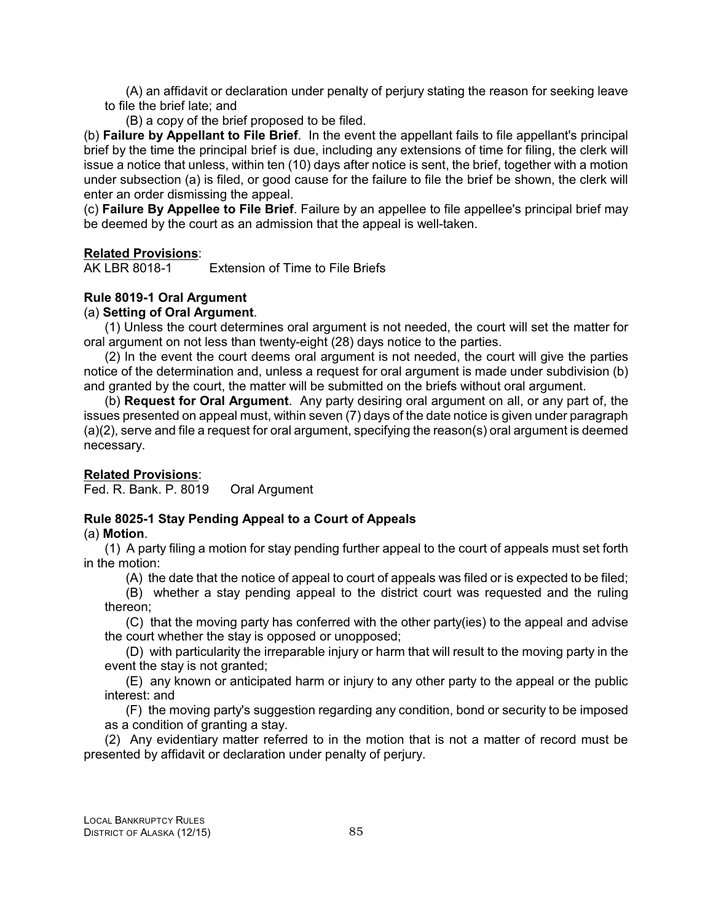(A) an affidavit or declaration under penalty of perjury stating the reason for seeking leave to file the brief late; and

(B) a copy of the brief proposed to be filed.

(b) **Failure by Appellant to File Brief**. In the event the appellant fails to file appellant's principal brief by the time the principal brief is due, including any extensions of time for filing, the clerk will issue a notice that unless, within ten (10) days after notice is sent, the brief, together with a motion under subsection (a) is filed, or good cause for the failure to file the brief be shown, the clerk will enter an order dismissing the appeal.

(c) **Failure By Appellee to File Brief**. Failure by an appellee to file appellee's principal brief may be deemed by the court as an admission that the appeal is well-taken.

# **Related Provisions**:

AK LBR 8018-1 Extension of Time to File Briefs

# **Rule 8019-1 Oral Argument**

# (a) **Setting of Oral Argument**.

(1) Unless the court determines oral argument is not needed, the court will set the matter for oral argument on not less than twenty-eight (28) days notice to the parties.

(2) In the event the court deems oral argument is not needed, the court will give the parties notice of the determination and, unless a request for oral argument is made under subdivision (b) and granted by the court, the matter will be submitted on the briefs without oral argument.

(b) **Request for Oral Argument**. Any party desiring oral argument on all, or any part of, the issues presented on appeal must, within seven (7) days of the date notice is given under paragraph (a)(2), serve and file a request for oral argument, specifying the reason(s) oral argument is deemed necessary.

# **Related Provisions**:

Fed. R. Bank. P. 8019 Oral Argument

### **Rule 8025-1 Stay Pending Appeal to a Court of Appeals** (a) **Motion**.

(1) A party filing a motion for stay pending further appeal to the court of appeals must set forth in the motion:

(A) the date that the notice of appeal to court of appeals was filed or is expected to be filed;

(B) whether a stay pending appeal to the district court was requested and the ruling thereon;

(C) that the moving party has conferred with the other party(ies) to the appeal and advise the court whether the stay is opposed or unopposed;

(D) with particularity the irreparable injury or harm that will result to the moving party in the event the stay is not granted;

(E) any known or anticipated harm or injury to any other party to the appeal or the public interest: and

(F) the moving party's suggestion regarding any condition, bond or security to be imposed as a condition of granting a stay.

(2) Any evidentiary matter referred to in the motion that is not a matter of record must be presented by affidavit or declaration under penalty of perjury.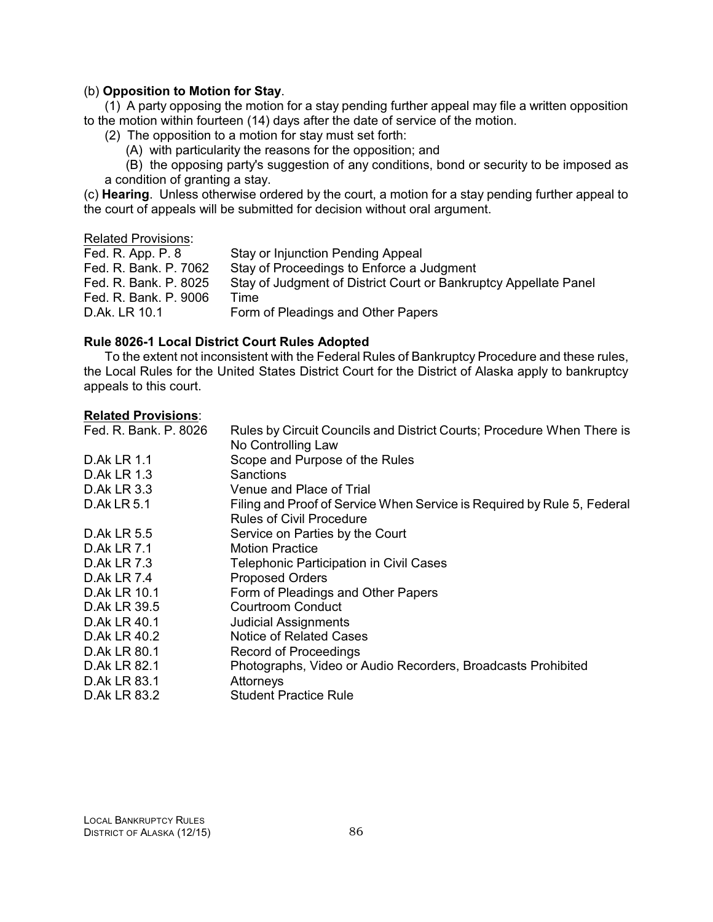### (b) **Opposition to Motion for Stay**.

(1) A party opposing the motion for a stay pending further appeal may file a written opposition to the motion within fourteen (14) days after the date of service of the motion.

(2) The opposition to a motion for stay must set forth:

(A) with particularity the reasons for the opposition; and

(B) the opposing party's suggestion of any conditions, bond or security to be imposed as a condition of granting a stay.

(c) **Hearing**. Unless otherwise ordered by the court, a motion for a stay pending further appeal to the court of appeals will be submitted for decision without oral argument.

### Related Provisions:

| Fed. R. App. P. 8     | Stay or Injunction Pending Appeal                                |
|-----------------------|------------------------------------------------------------------|
| Fed. R. Bank. P. 7062 | Stay of Proceedings to Enforce a Judgment                        |
| Fed. R. Bank. P. 8025 | Stay of Judgment of District Court or Bankruptcy Appellate Panel |
| Fed. R. Bank. P. 9006 | Time                                                             |
| D.Ak. LR 10.1         | Form of Pleadings and Other Papers                               |

### **Rule 8026-1 Local District Court Rules Adopted**

To the extent not inconsistent with the Federal Rules of Bankruptcy Procedure and these rules, the Local Rules for the United States District Court for the District of Alaska apply to bankruptcy appeals to this court.

### **Related Provisions**:

| Rules by Circuit Councils and District Courts; Procedure When There is  |
|-------------------------------------------------------------------------|
| No Controlling Law                                                      |
| Scope and Purpose of the Rules                                          |
| Sanctions                                                               |
| Venue and Place of Trial                                                |
| Filing and Proof of Service When Service is Required by Rule 5, Federal |
| Rules of Civil Procedure                                                |
| Service on Parties by the Court                                         |
| <b>Motion Practice</b>                                                  |
| <b>Telephonic Participation in Civil Cases</b>                          |
| <b>Proposed Orders</b>                                                  |
| Form of Pleadings and Other Papers                                      |
| Courtroom Conduct                                                       |
| <b>Judicial Assignments</b>                                             |
| Notice of Related Cases                                                 |
| <b>Record of Proceedings</b>                                            |
| Photographs, Video or Audio Recorders, Broadcasts Prohibited            |
| Attorneys                                                               |
| <b>Student Practice Rule</b>                                            |
|                                                                         |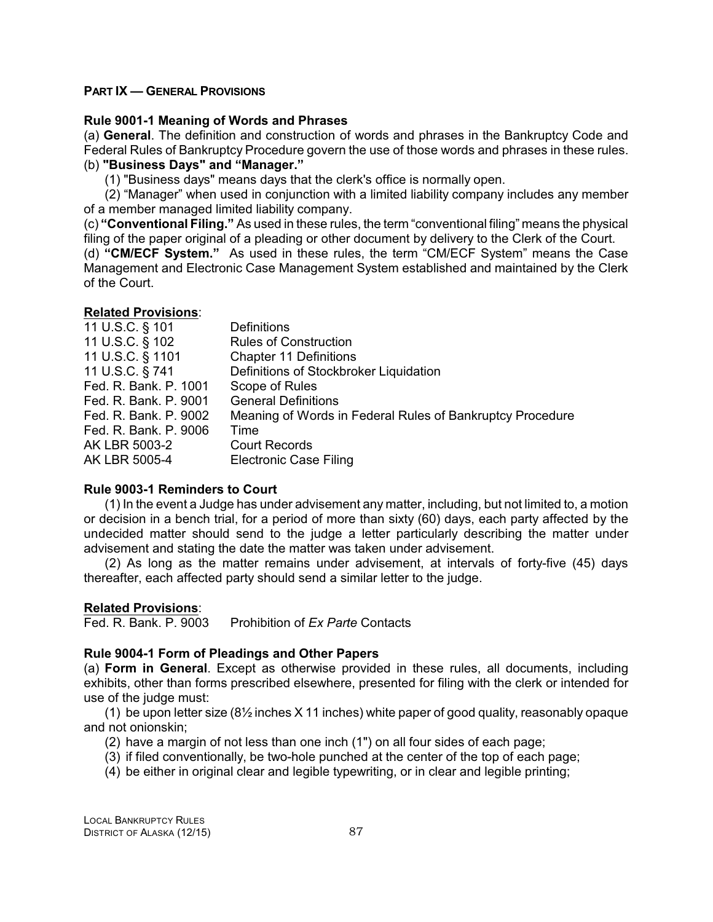### **PART IX — GENERAL PROVISIONS**

### **Rule 9001-1 Meaning of Words and Phrases**

(a) **General**. The definition and construction of words and phrases in the Bankruptcy Code and Federal Rules of Bankruptcy Procedure govern the use of those words and phrases in these rules.

# (b) **"Business Days" and "Manager."**

(1) "Business days" means days that the clerk's office is normally open.

(2) "Manager" when used in conjunction with a limited liability company includes any member of a member managed limited liability company.

(c) **"Conventional Filing."** As used in these rules, the term "conventional filing" means the physical filing of the paper original of a pleading or other document by delivery to the Clerk of the Court.

(d) **"CM/ECF System."** As used in these rules, the term "CM/ECF System" means the Case Management and Electronic Case Management System established and maintained by the Clerk of the Court.

### **Related Provisions**:

| 11 U.S.C. § 101       | <b>Definitions</b>                                        |
|-----------------------|-----------------------------------------------------------|
| 11 U.S.C. § 102       | <b>Rules of Construction</b>                              |
| 11 U.S.C. § 1101      | <b>Chapter 11 Definitions</b>                             |
| 11 U.S.C. § 741       | Definitions of Stockbroker Liquidation                    |
| Fed. R. Bank. P. 1001 | Scope of Rules                                            |
| Fed. R. Bank. P. 9001 | <b>General Definitions</b>                                |
| Fed. R. Bank. P. 9002 | Meaning of Words in Federal Rules of Bankruptcy Procedure |
| Fed. R. Bank. P. 9006 | Time                                                      |
| AK LBR 5003-2         | <b>Court Records</b>                                      |
| AK LBR 5005-4         | <b>Electronic Case Filing</b>                             |

### **Rule 9003-1 Reminders to Court**

(1) In the event a Judge has under advisement any matter, including, but not limited to, a motion or decision in a bench trial, for a period of more than sixty (60) days, each party affected by the undecided matter should send to the judge a letter particularly describing the matter under advisement and stating the date the matter was taken under advisement.

(2) As long as the matter remains under advisement, at intervals of forty-five (45) days thereafter, each affected party should send a similar letter to the judge.

# **Related Provisions**:

Fed. R. Bank. P. 9003 Prohibition of *Ex Parte* Contacts

### **Rule 9004-1 Form of Pleadings and Other Papers**

(a) **Form in General**. Except as otherwise provided in these rules, all documents, including exhibits, other than forms prescribed elsewhere, presented for filing with the clerk or intended for use of the judge must:

(1) be upon letter size (8½ inches X 11 inches) white paper of good quality, reasonably opaque and not onionskin;

- (2) have a margin of not less than one inch (1") on all four sides of each page;
- (3) if filed conventionally, be two-hole punched at the center of the top of each page;
- (4) be either in original clear and legible typewriting, or in clear and legible printing;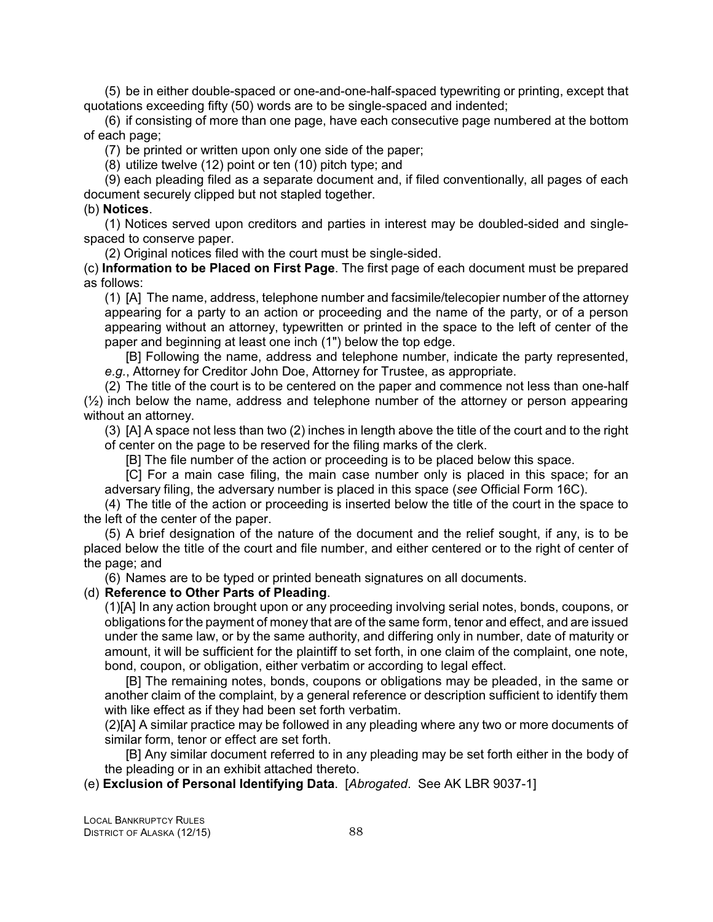(5) be in either double-spaced or one-and-one-half-spaced typewriting or printing, except that quotations exceeding fifty (50) words are to be single-spaced and indented;

(6) if consisting of more than one page, have each consecutive page numbered at the bottom of each page;

(7) be printed or written upon only one side of the paper;

(8) utilize twelve (12) point or ten (10) pitch type; and

(9) each pleading filed as a separate document and, if filed conventionally, all pages of each document securely clipped but not stapled together.

### (b) **Notices**.

(1) Notices served upon creditors and parties in interest may be doubled-sided and singlespaced to conserve paper.

(2) Original notices filed with the court must be single-sided.

(c) **Information to be Placed on First Page**. The first page of each document must be prepared as follows:

(1) [A] The name, address, telephone number and facsimile/telecopier number of the attorney appearing for a party to an action or proceeding and the name of the party, or of a person appearing without an attorney, typewritten or printed in the space to the left of center of the paper and beginning at least one inch (1") below the top edge.

[B] Following the name, address and telephone number, indicate the party represented, *e.g.*, Attorney for Creditor John Doe, Attorney for Trustee, as appropriate.

(2) The title of the court is to be centered on the paper and commence not less than one-half  $(½)$  inch below the name, address and telephone number of the attorney or person appearing without an attorney.

(3) [A] A space not less than two (2) inches in length above the title of the court and to the right of center on the page to be reserved for the filing marks of the clerk.

[B] The file number of the action or proceeding is to be placed below this space.

[C] For a main case filing, the main case number only is placed in this space; for an adversary filing, the adversary number is placed in this space (*see* Official Form 16C).

(4) The title of the action or proceeding is inserted below the title of the court in the space to the left of the center of the paper.

(5) A brief designation of the nature of the document and the relief sought, if any, is to be placed below the title of the court and file number, and either centered or to the right of center of the page; and

(6) Names are to be typed or printed beneath signatures on all documents.

### (d) **Reference to Other Parts of Pleading**.

(1)[A] In any action brought upon or any proceeding involving serial notes, bonds, coupons, or obligations for the payment of money that are of the same form, tenor and effect, and are issued under the same law, or by the same authority, and differing only in number, date of maturity or amount, it will be sufficient for the plaintiff to set forth, in one claim of the complaint, one note, bond, coupon, or obligation, either verbatim or according to legal effect.

[B] The remaining notes, bonds, coupons or obligations may be pleaded, in the same or another claim of the complaint, by a general reference or description sufficient to identify them with like effect as if they had been set forth verbatim.

(2)[A] A similar practice may be followed in any pleading where any two or more documents of similar form, tenor or effect are set forth.

[B] Any similar document referred to in any pleading may be set forth either in the body of the pleading or in an exhibit attached thereto.

(e) **Exclusion of Personal Identifying Data**. [*Abrogated*. See AK LBR 9037-1]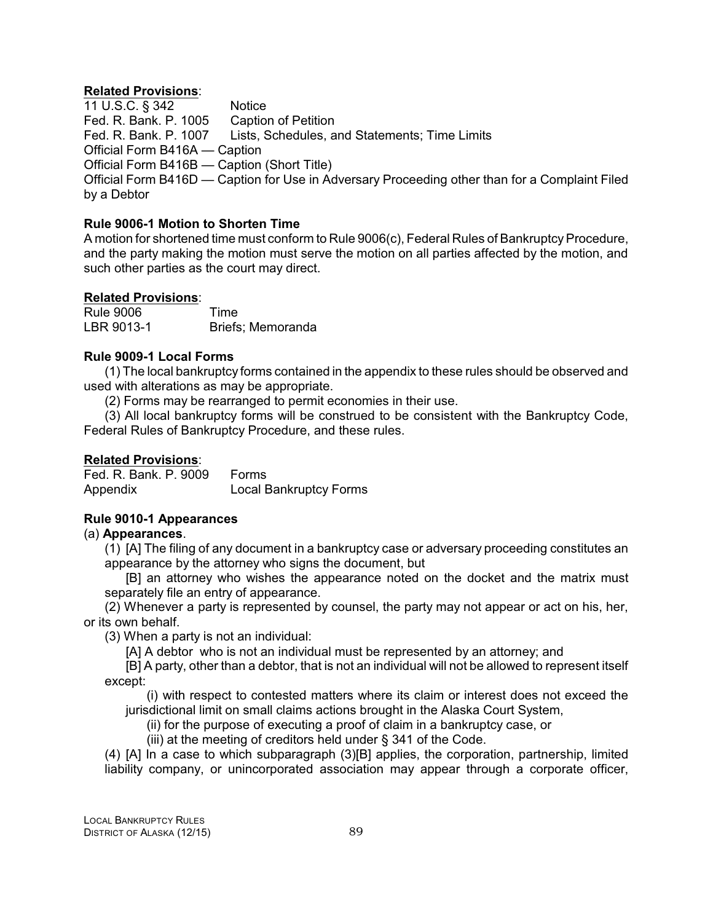### **Related Provisions**:

11 U.S.C. § 342 Notice Fed. R. Bank. P. 1005 Caption of Petition<br>Fed. R. Bank. P. 1007 Lists, Schedules, a Lists, Schedules, and Statements; Time Limits Official Form B416A — Caption Official Form B416B — Caption (Short Title) Official Form B416D — Caption for Use in Adversary Proceeding other than for a Complaint Filed by a Debtor

# **Rule 9006-1 Motion to Shorten Time**

A motion for shortened time must conform to Rule 9006(c), Federal Rules of Bankruptcy Procedure, and the party making the motion must serve the motion on all parties affected by the motion, and such other parties as the court may direct.

# **Related Provisions**:

| <b>Rule 9006</b> | Time              |
|------------------|-------------------|
| LBR 9013-1       | Briefs; Memoranda |

# **Rule 9009-1 Local Forms**

(1) The local bankruptcy forms contained in the appendix to these rules should be observed and used with alterations as may be appropriate.

(2) Forms may be rearranged to permit economies in their use.

(3) All local bankruptcy forms will be construed to be consistent with the Bankruptcy Code, Federal Rules of Bankruptcy Procedure, and these rules.

# **Related Provisions**:

Fed. R. Bank. P. 9009 Forms Appendix Local Bankruptcy Forms

# **Rule 9010-1 Appearances**

# (a) **Appearances**.

(1) [A] The filing of any document in a bankruptcy case or adversary proceeding constitutes an appearance by the attorney who signs the document, but

[B] an attorney who wishes the appearance noted on the docket and the matrix must separately file an entry of appearance.

(2) Whenever a party is represented by counsel, the party may not appear or act on his, her, or its own behalf.

(3) When a party is not an individual:

[A] A debtor who is not an individual must be represented by an attorney; and

[B] A party, other than a debtor, that is not an individual will not be allowed to represent itself except:

(i) with respect to contested matters where its claim or interest does not exceed the jurisdictional limit on small claims actions brought in the Alaska Court System,

(ii) for the purpose of executing a proof of claim in a bankruptcy case, or

(iii) at the meeting of creditors held under § 341 of the Code.

(4) [A] In a case to which subparagraph (3)[B] applies, the corporation, partnership, limited liability company, or unincorporated association may appear through a corporate officer,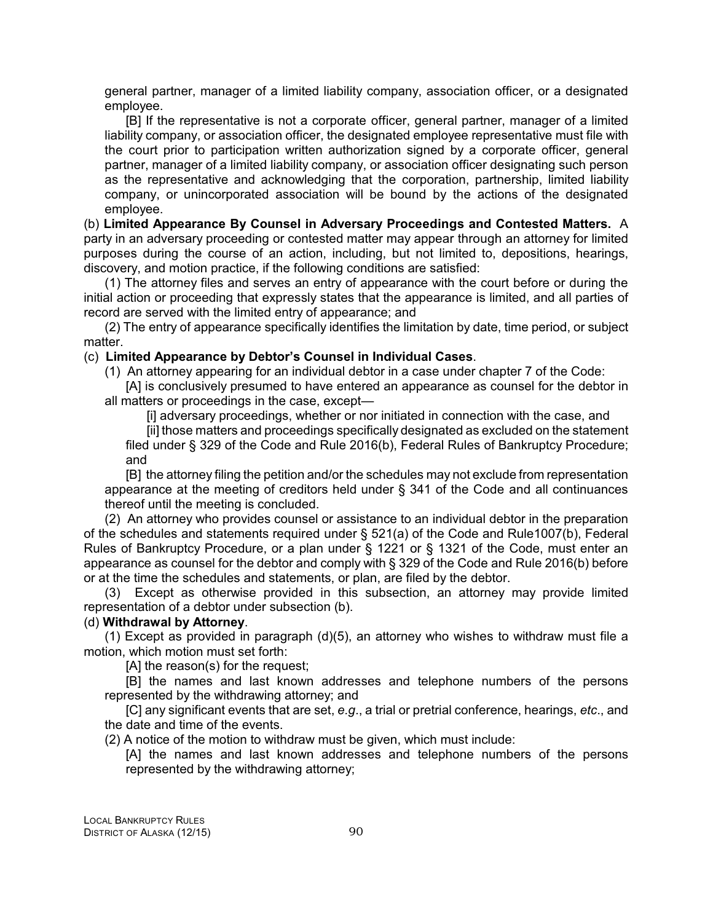general partner, manager of a limited liability company, association officer, or a designated employee.

[B] If the representative is not a corporate officer, general partner, manager of a limited liability company, or association officer, the designated employee representative must file with the court prior to participation written authorization signed by a corporate officer, general partner, manager of a limited liability company, or association officer designating such person as the representative and acknowledging that the corporation, partnership, limited liability company, or unincorporated association will be bound by the actions of the designated employee.

(b) **Limited Appearance By Counsel in Adversary Proceedings and Contested Matters.** A party in an adversary proceeding or contested matter may appear through an attorney for limited purposes during the course of an action, including, but not limited to, depositions, hearings, discovery, and motion practice, if the following conditions are satisfied:

(1) The attorney files and serves an entry of appearance with the court before or during the initial action or proceeding that expressly states that the appearance is limited, and all parties of record are served with the limited entry of appearance; and

(2) The entry of appearance specifically identifies the limitation by date, time period, or subject matter.

### (c) **Limited Appearance by Debtor's Counsel in Individual Cases**.

(1) An attorney appearing for an individual debtor in a case under chapter 7 of the Code:

[A] is conclusively presumed to have entered an appearance as counsel for the debtor in all matters or proceedings in the case, except—

[i] adversary proceedings, whether or nor initiated in connection with the case, and

[ii] those matters and proceedings specifically designated as excluded on the statement filed under § 329 of the Code and Rule 2016(b), Federal Rules of Bankruptcy Procedure; and

[B] the attorney filing the petition and/or the schedules may not exclude from representation appearance at the meeting of creditors held under § 341 of the Code and all continuances thereof until the meeting is concluded.

(2) An attorney who provides counsel or assistance to an individual debtor in the preparation of the schedules and statements required under § 521(a) of the Code and Rule1007(b), Federal Rules of Bankruptcy Procedure, or a plan under § 1221 or § 1321 of the Code, must enter an appearance as counsel for the debtor and comply with § 329 of the Code and Rule 2016(b) before or at the time the schedules and statements, or plan, are filed by the debtor.

(3) Except as otherwise provided in this subsection, an attorney may provide limited representation of a debtor under subsection (b).

### (d) **Withdrawal by Attorney**.

(1) Except as provided in paragraph (d)(5), an attorney who wishes to withdraw must file a motion, which motion must set forth:

[A] the reason(s) for the request;

[B] the names and last known addresses and telephone numbers of the persons represented by the withdrawing attorney; and

[C] any significant events that are set, *e.g*., a trial or pretrial conference, hearings, *etc*., and the date and time of the events.

(2) A notice of the motion to withdraw must be given, which must include:

[A] the names and last known addresses and telephone numbers of the persons represented by the withdrawing attorney;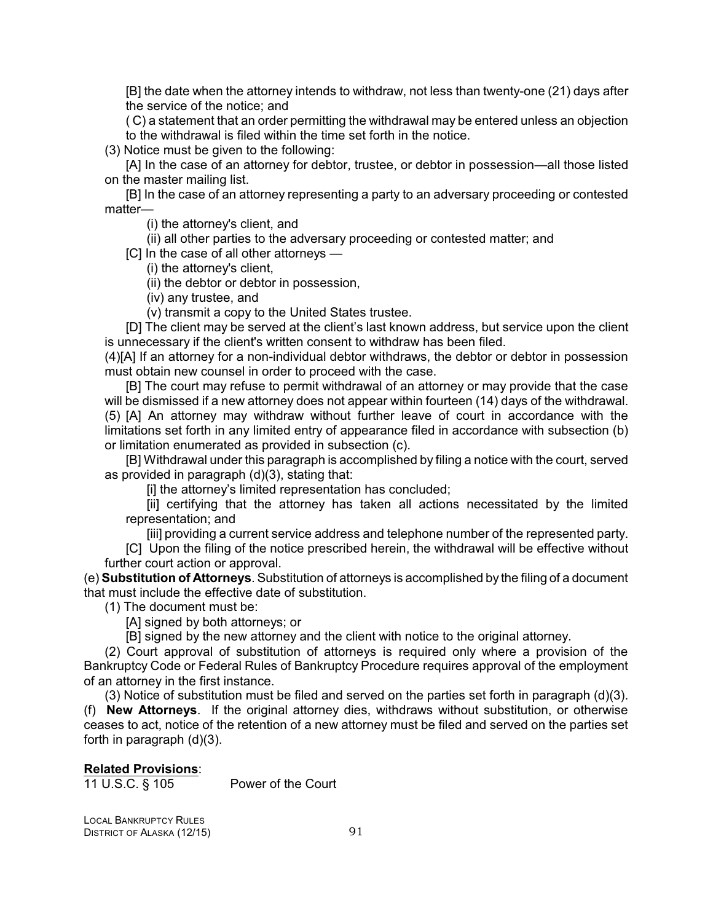[B] the date when the attorney intends to withdraw, not less than twenty-one (21) days after the service of the notice; and

( C) a statement that an order permitting the withdrawal may be entered unless an objection to the withdrawal is filed within the time set forth in the notice.

(3) Notice must be given to the following:

[A] In the case of an attorney for debtor, trustee, or debtor in possession—all those listed on the master mailing list.

[B] In the case of an attorney representing a party to an adversary proceeding or contested matter—

(i) the attorney's client, and

(ii) all other parties to the adversary proceeding or contested matter; and

[C] In the case of all other attorneys —

(i) the attorney's client,

(ii) the debtor or debtor in possession,

(iv) any trustee, and

(v) transmit a copy to the United States trustee.

[D] The client may be served at the client's last known address, but service upon the client is unnecessary if the client's written consent to withdraw has been filed.

(4)[A] If an attorney for a non-individual debtor withdraws, the debtor or debtor in possession must obtain new counsel in order to proceed with the case.

[B] The court may refuse to permit withdrawal of an attorney or may provide that the case will be dismissed if a new attorney does not appear within fourteen (14) days of the withdrawal. (5) [A] An attorney may withdraw without further leave of court in accordance with the limitations set forth in any limited entry of appearance filed in accordance with subsection (b) or limitation enumerated as provided in subsection (c).

[B] Withdrawal under this paragraph is accomplished by filing a notice with the court, served as provided in paragraph (d)(3), stating that:

[i] the attorney's limited representation has concluded;

[ii] certifying that the attorney has taken all actions necessitated by the limited representation; and

[iii] providing a current service address and telephone number of the represented party.

[C] Upon the filing of the notice prescribed herein, the withdrawal will be effective without further court action or approval.

(e) **Substitution of Attorneys**. Substitution of attorneys is accomplished by the filing of a document that must include the effective date of substitution.

(1) The document must be:

[A] signed by both attorneys; or

[B] signed by the new attorney and the client with notice to the original attorney.

(2) Court approval of substitution of attorneys is required only where a provision of the Bankruptcy Code or Federal Rules of Bankruptcy Procedure requires approval of the employment of an attorney in the first instance.

(3) Notice of substitution must be filed and served on the parties set forth in paragraph (d)(3). (f) **New Attorneys**. If the original attorney dies, withdraws without substitution, or otherwise ceases to act, notice of the retention of a new attorney must be filed and served on the parties set forth in paragraph (d)(3).

### **Related Provisions**:

11 U.S.C. § 105 Power of the Court

LOCAL BANKRUPTCY RULES DISTRICT OF ALASKA (12/15) 91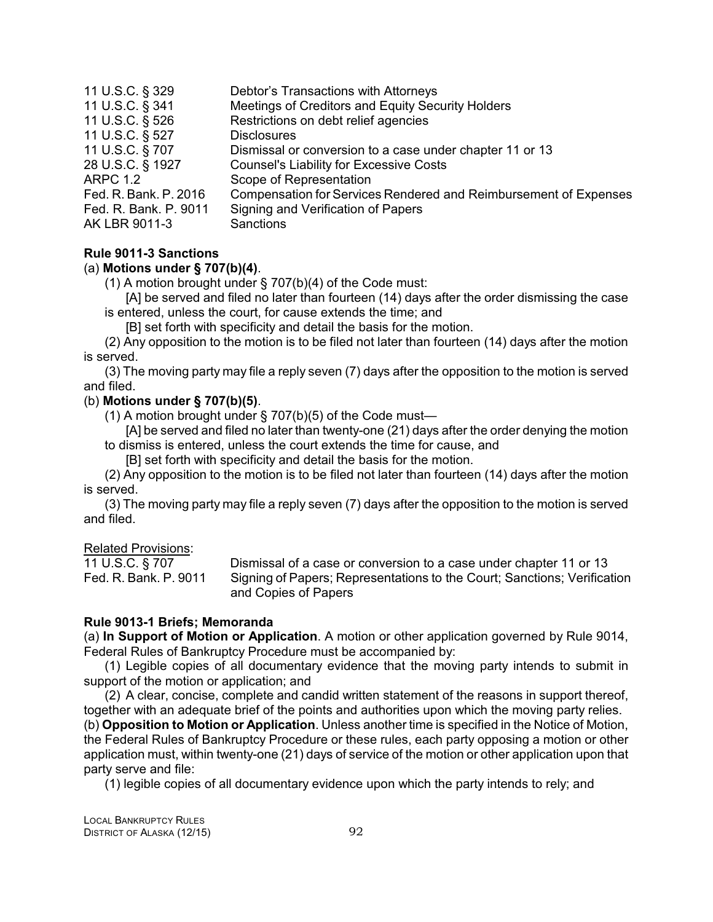| 11 U.S.C. § 329       | Debtor's Transactions with Attorneys                             |
|-----------------------|------------------------------------------------------------------|
| 11 U.S.C. § 341       | Meetings of Creditors and Equity Security Holders                |
| 11 U.S.C. § 526       | Restrictions on debt relief agencies                             |
| 11 U.S.C. § 527       | <b>Disclosures</b>                                               |
| 11 U.S.C. § 707       | Dismissal or conversion to a case under chapter 11 or 13         |
| 28 U.S.C. § 1927      | <b>Counsel's Liability for Excessive Costs</b>                   |
| <b>ARPC 1.2</b>       | Scope of Representation                                          |
| Fed. R. Bank. P. 2016 | Compensation for Services Rendered and Reimbursement of Expenses |
| Fed. R. Bank. P. 9011 | Signing and Verification of Papers                               |
| AK LBR 9011-3         | Sanctions                                                        |
|                       |                                                                  |

### **Rule 9011-3 Sanctions**

### (a) **Motions under § 707(b)(4)**.

(1) A motion brought under § 707(b)(4) of the Code must:

[A] be served and filed no later than fourteen (14) days after the order dismissing the case is entered, unless the court, for cause extends the time; and

[B] set forth with specificity and detail the basis for the motion.

(2) Any opposition to the motion is to be filed not later than fourteen (14) days after the motion is served.

(3) The moving party may file a reply seven (7) days after the opposition to the motion is served and filed.

# (b) **Motions under § 707(b)(5)**.

(1) A motion brought under  $\S$  707(b)(5) of the Code must-

[A] be served and filed no later than twenty-one (21) days after the order denying the motion to dismiss is entered, unless the court extends the time for cause, and

[B] set forth with specificity and detail the basis for the motion.

(2) Any opposition to the motion is to be filed not later than fourteen (14) days after the motion is served.

(3) The moving party may file a reply seven (7) days after the opposition to the motion is served and filed.

### Related Provisions:

11 U.S.C. § 707 Dismissal of a case or conversion to a case under chapter 11 or 13 Fed. R. Bank. P. 9011 Signing of Papers; Representations to the Court; Sanctions; Verification and Copies of Papers

### **Rule 9013-1 Briefs; Memoranda**

(a) **In Support of Motion or Application**. A motion or other application governed by Rule 9014, Federal Rules of Bankruptcy Procedure must be accompanied by:

(1) Legible copies of all documentary evidence that the moving party intends to submit in support of the motion or application; and

(2) A clear, concise, complete and candid written statement of the reasons in support thereof, together with an adequate brief of the points and authorities upon which the moving party relies.

(b) **Opposition to Motion or Application**. Unless another time is specified in the Notice of Motion, the Federal Rules of Bankruptcy Procedure or these rules, each party opposing a motion or other application must, within twenty-one (21) days of service of the motion or other application upon that party serve and file:

(1) legible copies of all documentary evidence upon which the party intends to rely; and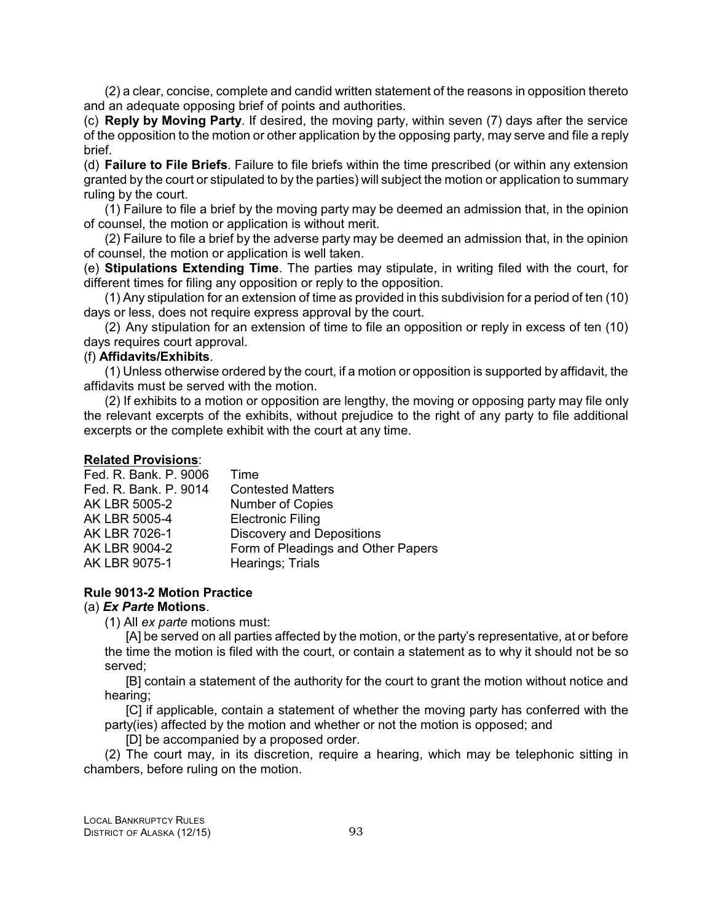(2) a clear, concise, complete and candid written statement of the reasons in opposition thereto and an adequate opposing brief of points and authorities.

(c) **Reply by Moving Party**. If desired, the moving party, within seven (7) days after the service of the opposition to the motion or other application by the opposing party, may serve and file a reply brief.

(d) **Failure to File Briefs**. Failure to file briefs within the time prescribed (or within any extension granted by the court or stipulated to by the parties) will subject the motion or application to summary ruling by the court.

(1) Failure to file a brief by the moving party may be deemed an admission that, in the opinion of counsel, the motion or application is without merit.

(2) Failure to file a brief by the adverse party may be deemed an admission that, in the opinion of counsel, the motion or application is well taken.

(e) **Stipulations Extending Time**. The parties may stipulate, in writing filed with the court, for different times for filing any opposition or reply to the opposition.

(1) Any stipulation for an extension of time as provided in this subdivision for a period of ten (10) days or less, does not require express approval by the court.

(2) Any stipulation for an extension of time to file an opposition or reply in excess of ten (10) days requires court approval.

# (f) **Affidavits/Exhibits**.

(1) Unless otherwise ordered by the court, if a motion or opposition is supported by affidavit, the affidavits must be served with the motion.

(2) If exhibits to a motion or opposition are lengthy, the moving or opposing party may file only the relevant excerpts of the exhibits, without prejudice to the right of any party to file additional excerpts or the complete exhibit with the court at any time.

### **Related Provisions**:

| Fed. R. Bank. P. 9006 | Time                               |
|-----------------------|------------------------------------|
| Fed. R. Bank. P. 9014 | <b>Contested Matters</b>           |
| AK LBR 5005-2         | <b>Number of Copies</b>            |
| AK LBR 5005-4         | <b>Electronic Filing</b>           |
| AK LBR 7026-1         | <b>Discovery and Depositions</b>   |
| AK LBR 9004-2         | Form of Pleadings and Other Papers |
| AK LBR 9075-1         | Hearings; Trials                   |
|                       |                                    |

### **Rule 9013-2 Motion Practice**

#### (a) *Ex Parte* **Motions**.

(1) All *ex parte* motions must:

[A] be served on all parties affected by the motion, or the party's representative, at or before the time the motion is filed with the court, or contain a statement as to why it should not be so served;

[B] contain a statement of the authority for the court to grant the motion without notice and hearing;

[C] if applicable, contain a statement of whether the moving party has conferred with the party(ies) affected by the motion and whether or not the motion is opposed; and

[D] be accompanied by a proposed order.

(2) The court may, in its discretion, require a hearing, which may be telephonic sitting in chambers, before ruling on the motion.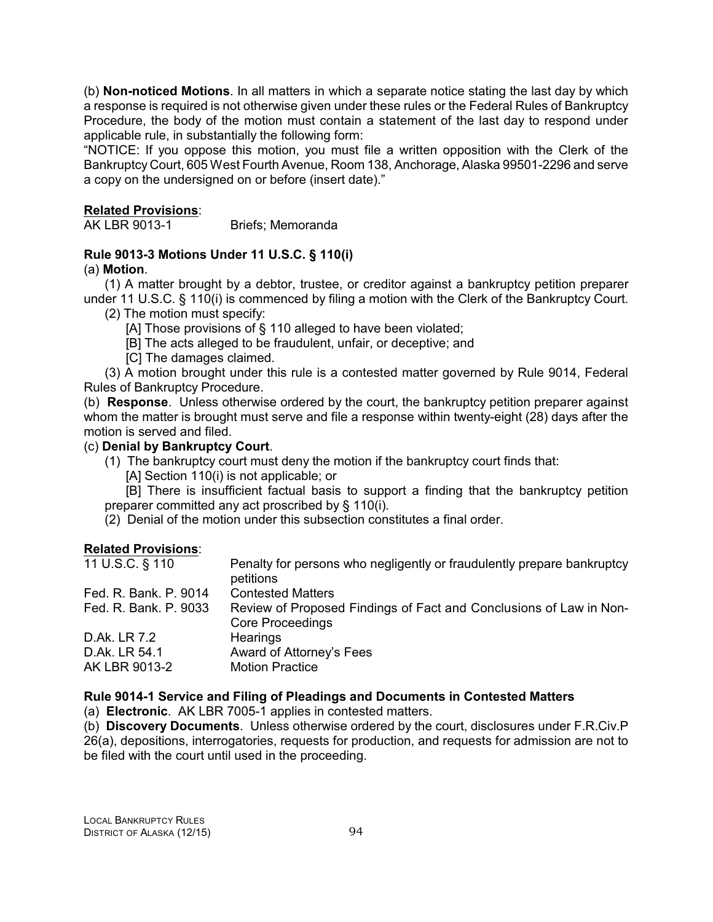(b) **Non-noticed Motions**. In all matters in which a separate notice stating the last day by which a response is required is not otherwise given under these rules or the Federal Rules of Bankruptcy Procedure, the body of the motion must contain a statement of the last day to respond under applicable rule, in substantially the following form:

"NOTICE: If you oppose this motion, you must file a written opposition with the Clerk of the Bankruptcy Court, 605 West Fourth Avenue, Room 138, Anchorage, Alaska 99501-2296 and serve a copy on the undersigned on or before (insert date)."

# **Related Provisions**:

AK LBR 9013-1 Briefs; Memoranda

# **Rule 9013-3 Motions Under 11 U.S.C. § 110(i)**

# (a) **Motion**.

(1) A matter brought by a debtor, trustee, or creditor against a bankruptcy petition preparer under 11 U.S.C. § 110(i) is commenced by filing a motion with the Clerk of the Bankruptcy Court.

- (2) The motion must specify:
	- [A] Those provisions of § 110 alleged to have been violated;
	- [B] The acts alleged to be fraudulent, unfair, or deceptive; and
	- [C] The damages claimed.

(3) A motion brought under this rule is a contested matter governed by Rule 9014, Federal Rules of Bankruptcy Procedure.

(b) **Response**. Unless otherwise ordered by the court, the bankruptcy petition preparer against whom the matter is brought must serve and file a response within twenty-eight (28) days after the motion is served and filed.

### (c) **Denial by Bankruptcy Court**.

- (1) The bankruptcy court must deny the motion if the bankruptcy court finds that:
	- [A] Section 110(i) is not applicable; or

[B] There is insufficient factual basis to support a finding that the bankruptcy petition preparer committed any act proscribed by § 110(i).

(2) Denial of the motion under this subsection constitutes a final order.

# **Related Provisions**:

| 11 U.S.C. § 110                | Penalty for persons who negligently or fraudulently prepare bankruptcy<br>petitions           |
|--------------------------------|-----------------------------------------------------------------------------------------------|
| Fed. R. Bank. P. 9014          | <b>Contested Matters</b>                                                                      |
| Fed. R. Bank. P. 9033          | Review of Proposed Findings of Fact and Conclusions of Law in Non-<br><b>Core Proceedings</b> |
| D.Ak. LR 7.2                   | Hearings                                                                                      |
| D.Ak. LR 54.1<br>AK LBR 9013-2 | Award of Attorney's Fees<br><b>Motion Practice</b>                                            |

### **Rule 9014-1 Service and Filing of Pleadings and Documents in Contested Matters**

(a) **Electronic**. AK LBR 7005-1 applies in contested matters.

(b) **Discovery Documents**. Unless otherwise ordered by the court, disclosures under F.R.Civ.P 26(a), depositions, interrogatories, requests for production, and requests for admission are not to be filed with the court until used in the proceeding.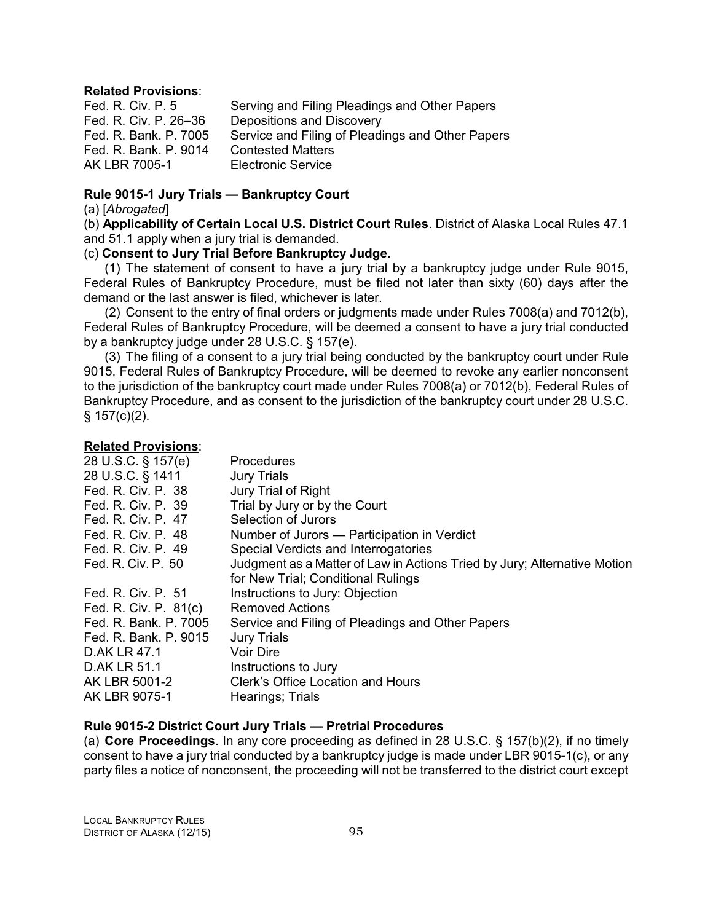### **Related Provisions**:

| Fed. R. Civ. P. 5     | Serving and Filing Pleadings and Other Papers    |
|-----------------------|--------------------------------------------------|
| Fed. R. Civ. P. 26-36 | Depositions and Discovery                        |
| Fed. R. Bank. P. 7005 | Service and Filing of Pleadings and Other Papers |
| Fed. R. Bank, P. 9014 | <b>Contested Matters</b>                         |
| AK LBR 7005-1         | <b>Electronic Service</b>                        |

# **Rule 9015-1 Jury Trials — Bankruptcy Court**

(a) [*Abrogated*]

(b) **Applicability of Certain Local U.S. District Court Rules**. District of Alaska Local Rules 47.1 and 51.1 apply when a jury trial is demanded.

### (c) **Consent to Jury Trial Before Bankruptcy Judge**.

(1) The statement of consent to have a jury trial by a bankruptcy judge under Rule 9015, Federal Rules of Bankruptcy Procedure, must be filed not later than sixty (60) days after the demand or the last answer is filed, whichever is later.

(2) Consent to the entry of final orders or judgments made under Rules 7008(a) and 7012(b), Federal Rules of Bankruptcy Procedure, will be deemed a consent to have a jury trial conducted by a bankruptcy judge under 28 U.S.C. § 157(e).

(3) The filing of a consent to a jury trial being conducted by the bankruptcy court under Rule 9015, Federal Rules of Bankruptcy Procedure, will be deemed to revoke any earlier nonconsent to the jurisdiction of the bankruptcy court made under Rules 7008(a) or 7012(b), Federal Rules of Bankruptcy Procedure, and as consent to the jurisdiction of the bankruptcy court under 28 U.S.C.  $§ 157(c)(2).$ 

### **Related Provisions**:

| 28 U.S.C. § 157(e)    | Procedures                                                               |
|-----------------------|--------------------------------------------------------------------------|
| 28 U.S.C. § 1411      | <b>Jury Trials</b>                                                       |
| Fed. R. Civ. P. 38    | Jury Trial of Right                                                      |
| Fed. R. Civ. P. 39    | Trial by Jury or by the Court                                            |
| Fed. R. Civ. P. 47    | Selection of Jurors                                                      |
| Fed. R. Civ. P. 48    | Number of Jurors — Participation in Verdict                              |
| Fed. R. Civ. P. 49    | Special Verdicts and Interrogatories                                     |
| Fed. R. Civ. P. 50    | Judgment as a Matter of Law in Actions Tried by Jury; Alternative Motion |
|                       | for New Trial; Conditional Rulings                                       |
| Fed. R. Civ. P. 51    | Instructions to Jury: Objection                                          |
| Fed. R. Civ. P. 81(c) | <b>Removed Actions</b>                                                   |
| Fed. R. Bank, P. 7005 | Service and Filing of Pleadings and Other Papers                         |
| Fed. R. Bank. P. 9015 | <b>Jury Trials</b>                                                       |
| D.AK LR 47.1          | <b>Voir Dire</b>                                                         |
| <b>D.AK LR 51.1</b>   | Instructions to Jury                                                     |
| AK LBR 5001-2         | Clerk's Office Location and Hours                                        |
| AK LBR 9075-1         | Hearings; Trials                                                         |

### **Rule 9015-2 District Court Jury Trials — Pretrial Procedures**

(a) **Core Proceedings**. In any core proceeding as defined in 28 U.S.C. § 157(b)(2), if no timely consent to have a jury trial conducted by a bankruptcy judge is made under LBR 9015-1(c), or any party files a notice of nonconsent, the proceeding will not be transferred to the district court except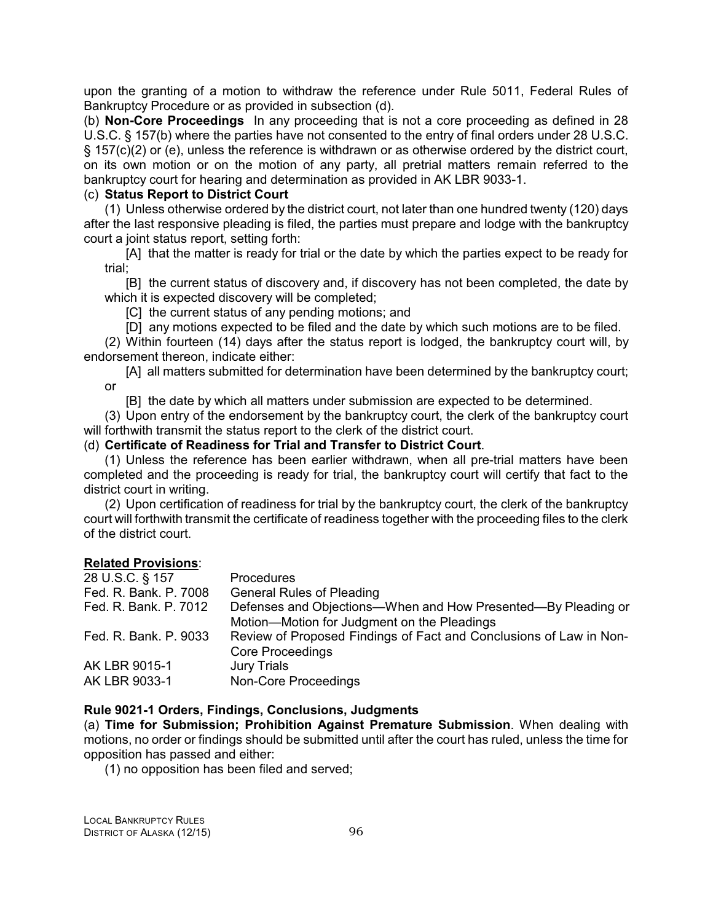upon the granting of a motion to withdraw the reference under Rule 5011, Federal Rules of Bankruptcy Procedure or as provided in subsection (d).

(b) **Non-Core Proceedings** In any proceeding that is not a core proceeding as defined in 28 U.S.C. § 157(b) where the parties have not consented to the entry of final orders under 28 U.S.C. § 157(c)(2) or (e), unless the reference is withdrawn or as otherwise ordered by the district court, on its own motion or on the motion of any party, all pretrial matters remain referred to the bankruptcy court for hearing and determination as provided in AK LBR 9033-1.

# (c) **Status Report to District Court**

(1) Unless otherwise ordered by the district court, not later than one hundred twenty (120) days after the last responsive pleading is filed, the parties must prepare and lodge with the bankruptcy court a joint status report, setting forth:

[A] that the matter is ready for trial or the date by which the parties expect to be ready for trial;

[B] the current status of discovery and, if discovery has not been completed, the date by which it is expected discovery will be completed;

[C] the current status of any pending motions; and

[D] any motions expected to be filed and the date by which such motions are to be filed.

(2) Within fourteen (14) days after the status report is lodged, the bankruptcy court will, by endorsement thereon, indicate either:

[A] all matters submitted for determination have been determined by the bankruptcy court; or

[B] the date by which all matters under submission are expected to be determined.

(3) Upon entry of the endorsement by the bankruptcy court, the clerk of the bankruptcy court will forthwith transmit the status report to the clerk of the district court.

### (d) **Certificate of Readiness for Trial and Transfer to District Court**.

(1) Unless the reference has been earlier withdrawn, when all pre-trial matters have been completed and the proceeding is ready for trial, the bankruptcy court will certify that fact to the district court in writing.

(2) Upon certification of readiness for trial by the bankruptcy court, the clerk of the bankruptcy court will forthwith transmit the certificate of readiness together with the proceeding files to the clerk of the district court.

### **Related Provisions**:

| 28 U.S.C. § 157       | <b>Procedures</b>                                                  |
|-----------------------|--------------------------------------------------------------------|
| Fed. R. Bank. P. 7008 | <b>General Rules of Pleading</b>                                   |
| Fed. R. Bank. P. 7012 | Defenses and Objections-When and How Presented-By Pleading or      |
|                       | Motion-Motion for Judgment on the Pleadings                        |
| Fed. R. Bank. P. 9033 | Review of Proposed Findings of Fact and Conclusions of Law in Non- |
|                       | <b>Core Proceedings</b>                                            |
| AK LBR 9015-1         | <b>Jury Trials</b>                                                 |
| AK LBR 9033-1         | Non-Core Proceedings                                               |
|                       |                                                                    |

### **Rule 9021-1 Orders, Findings, Conclusions, Judgments**

(a) **Time for Submission; Prohibition Against Premature Submission**. When dealing with motions, no order or findings should be submitted until after the court has ruled, unless the time for opposition has passed and either:

(1) no opposition has been filed and served;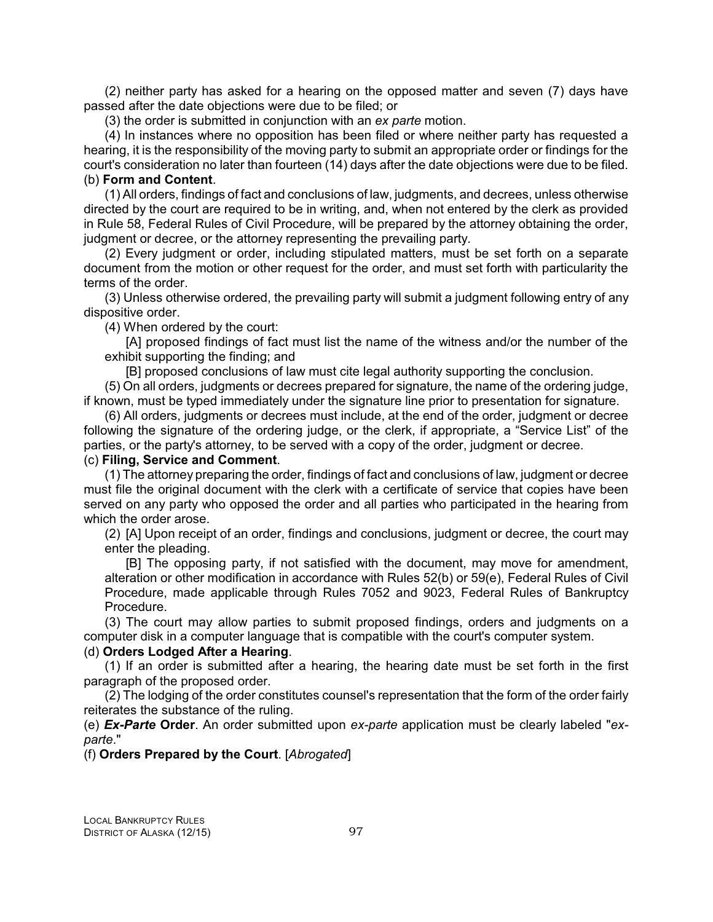(2) neither party has asked for a hearing on the opposed matter and seven (7) days have passed after the date objections were due to be filed; or

(3) the order is submitted in conjunction with an *ex parte* motion.

(4) In instances where no opposition has been filed or where neither party has requested a hearing, it is the responsibility of the moving party to submit an appropriate order or findings for the court's consideration no later than fourteen (14) days after the date objections were due to be filed. (b) **Form and Content**.

(1) All orders, findings of fact and conclusions of law, judgments, and decrees, unless otherwise directed by the court are required to be in writing, and, when not entered by the clerk as provided in Rule 58, Federal Rules of Civil Procedure, will be prepared by the attorney obtaining the order, judgment or decree, or the attorney representing the prevailing party.

(2) Every judgment or order, including stipulated matters, must be set forth on a separate document from the motion or other request for the order, and must set forth with particularity the terms of the order.

(3) Unless otherwise ordered, the prevailing party will submit a judgment following entry of any dispositive order.

(4) When ordered by the court:

[A] proposed findings of fact must list the name of the witness and/or the number of the exhibit supporting the finding; and

[B] proposed conclusions of law must cite legal authority supporting the conclusion.

(5) On all orders, judgments or decrees prepared for signature, the name of the ordering judge, if known, must be typed immediately under the signature line prior to presentation for signature.

(6) All orders, judgments or decrees must include, at the end of the order, judgment or decree following the signature of the ordering judge, or the clerk, if appropriate, a "Service List" of the parties, or the party's attorney, to be served with a copy of the order, judgment or decree.

# (c) **Filing, Service and Comment**.

(1) The attorney preparing the order, findings of fact and conclusions of law, judgment or decree must file the original document with the clerk with a certificate of service that copies have been served on any party who opposed the order and all parties who participated in the hearing from which the order arose.

(2) [A] Upon receipt of an order, findings and conclusions, judgment or decree, the court may enter the pleading.

[B] The opposing party, if not satisfied with the document, may move for amendment, alteration or other modification in accordance with Rules 52(b) or 59(e), Federal Rules of Civil Procedure, made applicable through Rules 7052 and 9023, Federal Rules of Bankruptcy Procedure.

(3) The court may allow parties to submit proposed findings, orders and judgments on a computer disk in a computer language that is compatible with the court's computer system.

### (d) **Orders Lodged After a Hearing**.

(1) If an order is submitted after a hearing, the hearing date must be set forth in the first paragraph of the proposed order.

(2) The lodging of the order constitutes counsel's representation that the form of the order fairly reiterates the substance of the ruling.

(e) *Ex-Parte* **Order**. An order submitted upon *ex-parte* application must be clearly labeled "*exparte*."

### (f) **Orders Prepared by the Court**. [*Abrogated*]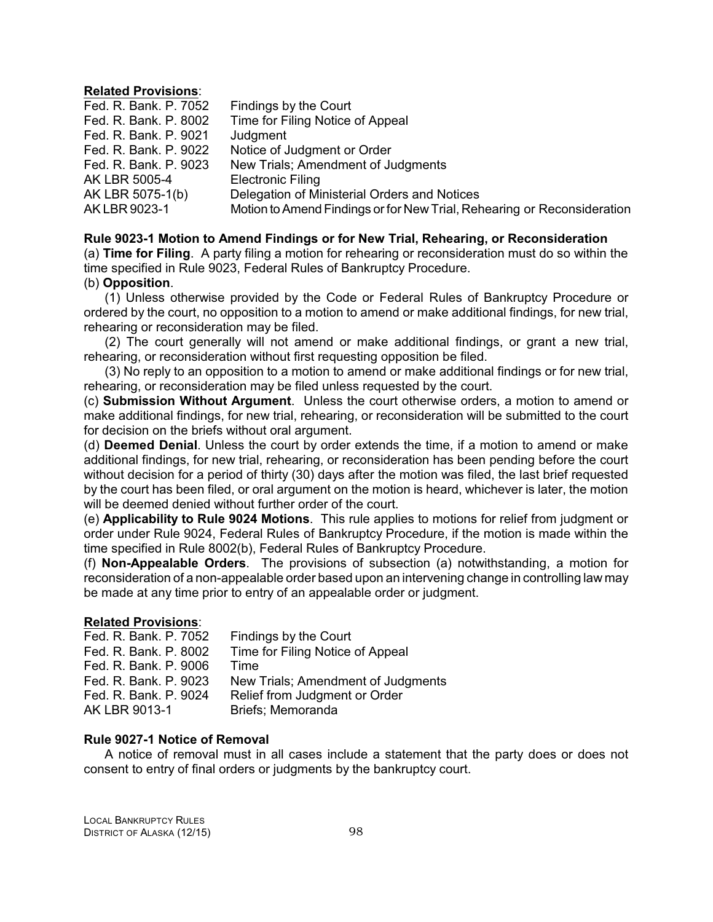#### **Related Provisions**:

| Fed. R. Bank. P. 7052 | Findings by the Court                                                   |
|-----------------------|-------------------------------------------------------------------------|
| Fed. R. Bank. P. 8002 | Time for Filing Notice of Appeal                                        |
| Fed. R. Bank. P. 9021 | Judgment                                                                |
| Fed. R. Bank. P. 9022 | Notice of Judgment or Order                                             |
| Fed. R. Bank. P. 9023 | New Trials; Amendment of Judgments                                      |
| AK LBR 5005-4         | <b>Electronic Filing</b>                                                |
| AK LBR 5075-1(b)      | Delegation of Ministerial Orders and Notices                            |
| AK LBR 9023-1         | Motion to Amend Findings or for New Trial, Rehearing or Reconsideration |

### **Rule 9023-1 Motion to Amend Findings or for New Trial, Rehearing, or Reconsideration**

(a) **Time for Filing**. A party filing a motion for rehearing or reconsideration must do so within the time specified in Rule 9023, Federal Rules of Bankruptcy Procedure.

### (b) **Opposition**.

(1) Unless otherwise provided by the Code or Federal Rules of Bankruptcy Procedure or ordered by the court, no opposition to a motion to amend or make additional findings, for new trial, rehearing or reconsideration may be filed.

(2) The court generally will not amend or make additional findings, or grant a new trial, rehearing, or reconsideration without first requesting opposition be filed.

(3) No reply to an opposition to a motion to amend or make additional findings or for new trial, rehearing, or reconsideration may be filed unless requested by the court.

(c) **Submission Without Argument**. Unless the court otherwise orders, a motion to amend or make additional findings, for new trial, rehearing, or reconsideration will be submitted to the court for decision on the briefs without oral argument.

(d) **Deemed Denial**. Unless the court by order extends the time, if a motion to amend or make additional findings, for new trial, rehearing, or reconsideration has been pending before the court without decision for a period of thirty (30) days after the motion was filed, the last brief requested by the court has been filed, or oral argument on the motion is heard, whichever is later, the motion will be deemed denied without further order of the court.

(e) **Applicability to Rule 9024 Motions**. This rule applies to motions for relief from judgment or order under Rule 9024, Federal Rules of Bankruptcy Procedure, if the motion is made within the time specified in Rule 8002(b), Federal Rules of Bankruptcy Procedure.

(f) **Non-Appealable Orders**. The provisions of subsection (a) notwithstanding, a motion for reconsideration of a non-appealable order based upon an intervening change in controlling law may be made at any time prior to entry of an appealable order or judgment.

### **Related Provisions**:

| Fed. R. Bank. P. 7052 | Findings by the Court              |
|-----------------------|------------------------------------|
| Fed. R. Bank. P. 8002 | Time for Filing Notice of Appeal   |
| Fed. R. Bank, P. 9006 | Time                               |
| Fed. R. Bank. P. 9023 | New Trials; Amendment of Judgments |
| Fed. R. Bank. P. 9024 | Relief from Judgment or Order      |
| AK LBR 9013-1         | Briefs: Memoranda                  |
|                       |                                    |

### **Rule 9027-1 Notice of Removal**

A notice of removal must in all cases include a statement that the party does or does not consent to entry of final orders or judgments by the bankruptcy court.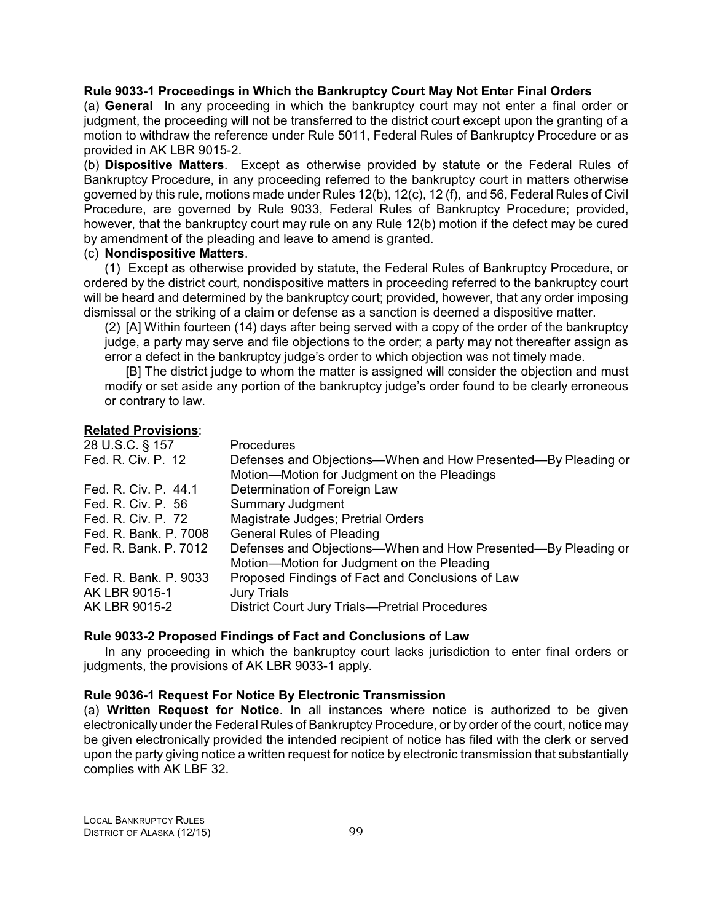# **Rule 9033-1 Proceedings in Which the Bankruptcy Court May Not Enter Final Orders**

(a) **General** In any proceeding in which the bankruptcy court may not enter a final order or judgment, the proceeding will not be transferred to the district court except upon the granting of a motion to withdraw the reference under Rule 5011, Federal Rules of Bankruptcy Procedure or as provided in AK LBR 9015-2.

(b) **Dispositive Matters**. Except as otherwise provided by statute or the Federal Rules of Bankruptcy Procedure, in any proceeding referred to the bankruptcy court in matters otherwise governed by this rule, motions made under Rules 12(b), 12(c), 12 (f), and 56, Federal Rules of Civil Procedure, are governed by Rule 9033, Federal Rules of Bankruptcy Procedure; provided, however, that the bankruptcy court may rule on any Rule 12(b) motion if the defect may be cured by amendment of the pleading and leave to amend is granted.

### (c) **Nondispositive Matters**.

(1) Except as otherwise provided by statute, the Federal Rules of Bankruptcy Procedure, or ordered by the district court, nondispositive matters in proceeding referred to the bankruptcy court will be heard and determined by the bankruptcy court; provided, however, that any order imposing dismissal or the striking of a claim or defense as a sanction is deemed a dispositive matter.

(2) [A] Within fourteen (14) days after being served with a copy of the order of the bankruptcy judge, a party may serve and file objections to the order; a party may not thereafter assign as error a defect in the bankruptcy judge's order to which objection was not timely made.

[B] The district judge to whom the matter is assigned will consider the objection and must modify or set aside any portion of the bankruptcy judge's order found to be clearly erroneous or contrary to law.

### **Related Provisions**:

| <b>Procedures</b>                                             |
|---------------------------------------------------------------|
| Defenses and Objections—When and How Presented—By Pleading or |
| Motion-Motion for Judgment on the Pleadings                   |
| Determination of Foreign Law                                  |
| <b>Summary Judgment</b>                                       |
| Magistrate Judges; Pretrial Orders                            |
| <b>General Rules of Pleading</b>                              |
| Defenses and Objections—When and How Presented—By Pleading or |
| Motion-Motion for Judgment on the Pleading                    |
| Proposed Findings of Fact and Conclusions of Law              |
| <b>Jury Trials</b>                                            |
| <b>District Court Jury Trials-Pretrial Procedures</b>         |
|                                                               |

### **Rule 9033-2 Proposed Findings of Fact and Conclusions of Law**

In any proceeding in which the bankruptcy court lacks jurisdiction to enter final orders or judgments, the provisions of AK LBR 9033-1 apply.

### **Rule 9036-1 Request For Notice By Electronic Transmission**

(a) **Written Request for Notice**. In all instances where notice is authorized to be given electronically under the Federal Rules of Bankruptcy Procedure, or by order of the court, notice may be given electronically provided the intended recipient of notice has filed with the clerk or served upon the party giving notice a written request for notice by electronic transmission that substantially complies with AK LBF 32.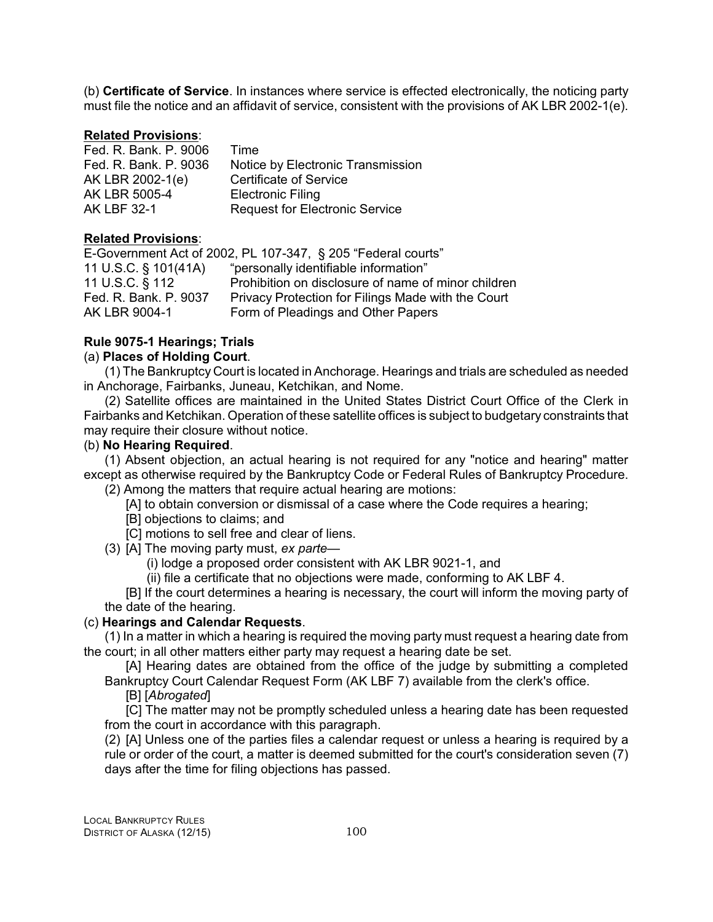(b) **Certificate of Service**. In instances where service is effected electronically, the noticing party must file the notice and an affidavit of service, consistent with the provisions of AK LBR 2002-1(e).

### **Related Provisions**:

| Fed. R. Bank. P. 9006 | Time                                  |
|-----------------------|---------------------------------------|
| Fed. R. Bank. P. 9036 | Notice by Electronic Transmission     |
| AK LBR 2002-1(e)      | <b>Certificate of Service</b>         |
| AK LBR 5005-4         | <b>Electronic Filing</b>              |
| <b>AK LBF 32-1</b>    | <b>Request for Electronic Service</b> |

### **Related Provisions**:

E-Government Act of 2002, PL 107-347, § 205 "Federal courts" 11 U.S.C. § 101(41A) "personally identifiable information" 11 U.S.C. § 112 Prohibition on disclosure of name of minor children Fed. R. Bank. P. 9037 Privacy Protection for Filings Made with the Court AK LBR 9004-1 Form of Pleadings and Other Papers

# **Rule 9075-1 Hearings; Trials**

### (a) **Places of Holding Court**.

(1) The Bankruptcy Court is located in Anchorage. Hearings and trials are scheduled as needed in Anchorage, Fairbanks, Juneau, Ketchikan, and Nome.

(2) Satellite offices are maintained in the United States District Court Office of the Clerk in Fairbanks and Ketchikan. Operation of these satellite offices is subject to budgetary constraints that may require their closure without notice.

# (b) **No Hearing Required**.

(1) Absent objection, an actual hearing is not required for any "notice and hearing" matter except as otherwise required by the Bankruptcy Code or Federal Rules of Bankruptcy Procedure.

(2) Among the matters that require actual hearing are motions:

[A] to obtain conversion or dismissal of a case where the Code requires a hearing;

- [B] objections to claims; and
- [C] motions to sell free and clear of liens.
- (3) [A] The moving party must, *ex parte*
	- (i) lodge a proposed order consistent with AK LBR 9021-1, and

(ii) file a certificate that no objections were made, conforming to AK LBF 4.

[B] If the court determines a hearing is necessary, the court will inform the moving party of the date of the hearing.

### (c) **Hearings and Calendar Requests**.

(1) In a matter in which a hearing is required the moving party must request a hearing date from the court; in all other matters either party may request a hearing date be set.

[A] Hearing dates are obtained from the office of the judge by submitting a completed Bankruptcy Court Calendar Request Form (AK LBF 7) available from the clerk's office.

[B] [*Abrogated*]

[C] The matter may not be promptly scheduled unless a hearing date has been requested from the court in accordance with this paragraph.

(2) [A] Unless one of the parties files a calendar request or unless a hearing is required by a rule or order of the court, a matter is deemed submitted for the court's consideration seven (7) days after the time for filing objections has passed.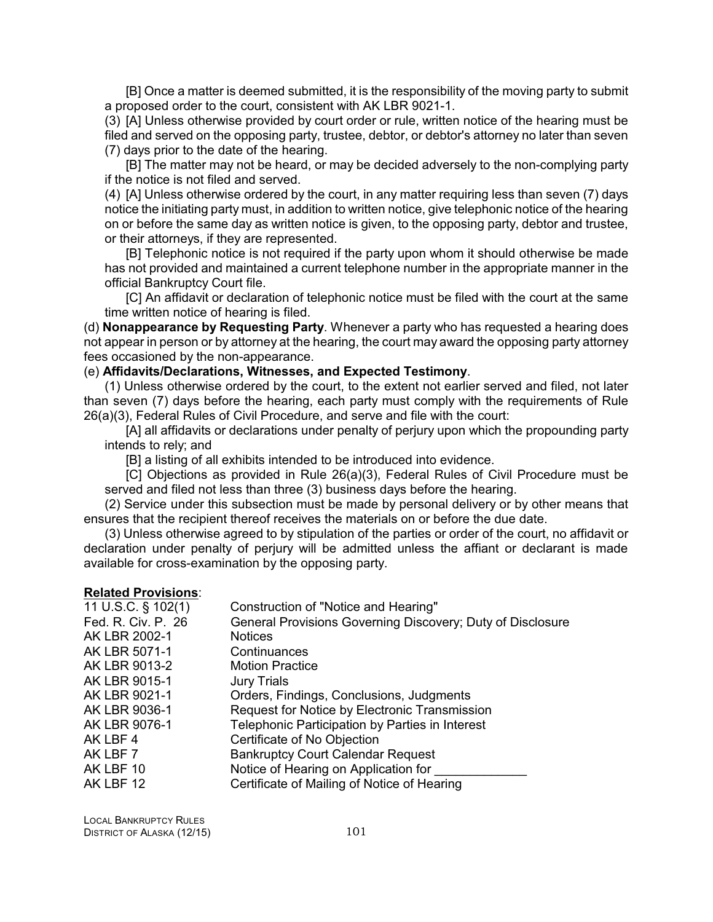[B] Once a matter is deemed submitted, it is the responsibility of the moving party to submit a proposed order to the court, consistent with AK LBR 9021-1.

(3) [A] Unless otherwise provided by court order or rule, written notice of the hearing must be filed and served on the opposing party, trustee, debtor, or debtor's attorney no later than seven (7) days prior to the date of the hearing.

[B] The matter may not be heard, or may be decided adversely to the non-complying party if the notice is not filed and served.

(4) [A] Unless otherwise ordered by the court, in any matter requiring less than seven (7) days notice the initiating party must, in addition to written notice, give telephonic notice of the hearing on or before the same day as written notice is given, to the opposing party, debtor and trustee, or their attorneys, if they are represented.

[B] Telephonic notice is not required if the party upon whom it should otherwise be made has not provided and maintained a current telephone number in the appropriate manner in the official Bankruptcy Court file.

[C] An affidavit or declaration of telephonic notice must be filed with the court at the same time written notice of hearing is filed.

(d) **Nonappearance by Requesting Party**. Whenever a party who has requested a hearing does not appear in person or by attorney at the hearing, the court may award the opposing party attorney fees occasioned by the non-appearance.

### (e) **Affidavits/Declarations, Witnesses, and Expected Testimony**.

(1) Unless otherwise ordered by the court, to the extent not earlier served and filed, not later than seven (7) days before the hearing, each party must comply with the requirements of Rule 26(a)(3), Federal Rules of Civil Procedure, and serve and file with the court:

[A] all affidavits or declarations under penalty of perjury upon which the propounding party intends to rely; and

[B] a listing of all exhibits intended to be introduced into evidence.

[C] Objections as provided in Rule 26(a)(3), Federal Rules of Civil Procedure must be served and filed not less than three (3) business days before the hearing.

(2) Service under this subsection must be made by personal delivery or by other means that ensures that the recipient thereof receives the materials on or before the due date.

(3) Unless otherwise agreed to by stipulation of the parties or order of the court, no affidavit or declaration under penalty of perjury will be admitted unless the affiant or declarant is made available for cross-examination by the opposing party.

#### **Related Provisions**:

| 11 U.S.C. $\S$ 102(1) | Construction of "Notice and Hearing"                       |
|-----------------------|------------------------------------------------------------|
| Fed. R. Civ. P. 26    | General Provisions Governing Discovery; Duty of Disclosure |
| AK LBR 2002-1         | <b>Notices</b>                                             |
| AK LBR 5071-1         | Continuances                                               |
| AK LBR 9013-2         | <b>Motion Practice</b>                                     |
| AK LBR 9015-1         | <b>Jury Trials</b>                                         |
| AK LBR 9021-1         | Orders, Findings, Conclusions, Judgments                   |
| AK LBR 9036-1         | Request for Notice by Electronic Transmission              |
| AK LBR 9076-1         | Telephonic Participation by Parties in Interest            |
| AK LBF 4              | Certificate of No Objection                                |
| AK LBF 7              | <b>Bankruptcy Court Calendar Request</b>                   |
| AK LBF 10             | Notice of Hearing on Application for                       |
| AK LBF 12             | Certificate of Mailing of Notice of Hearing                |
|                       |                                                            |